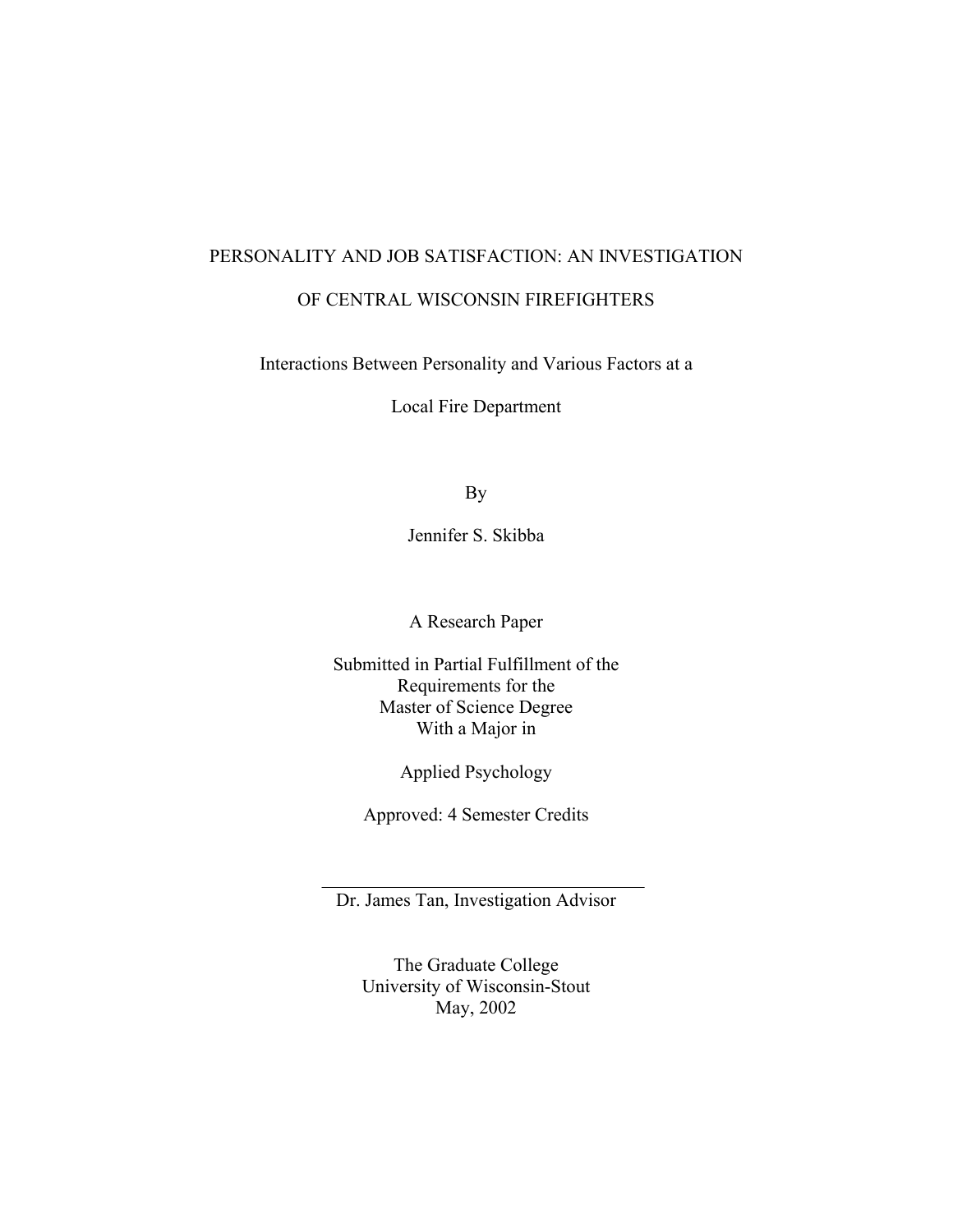# PERSONALITY AND JOB SATISFACTION: AN INVESTIGATION OF CENTRAL WISCONSIN FIREFIGHTERS

Interactions Between Personality and Various Factors at a

Local Fire Department

By

Jennifer S. Skibba

A Research Paper

Submitted in Partial Fulfillment of the Requirements for the Master of Science Degree With a Major in

Applied Psychology

Approved: 4 Semester Credits

Dr. James Tan, Investigation Advisor

The Graduate College University of Wisconsin-Stout May, 2002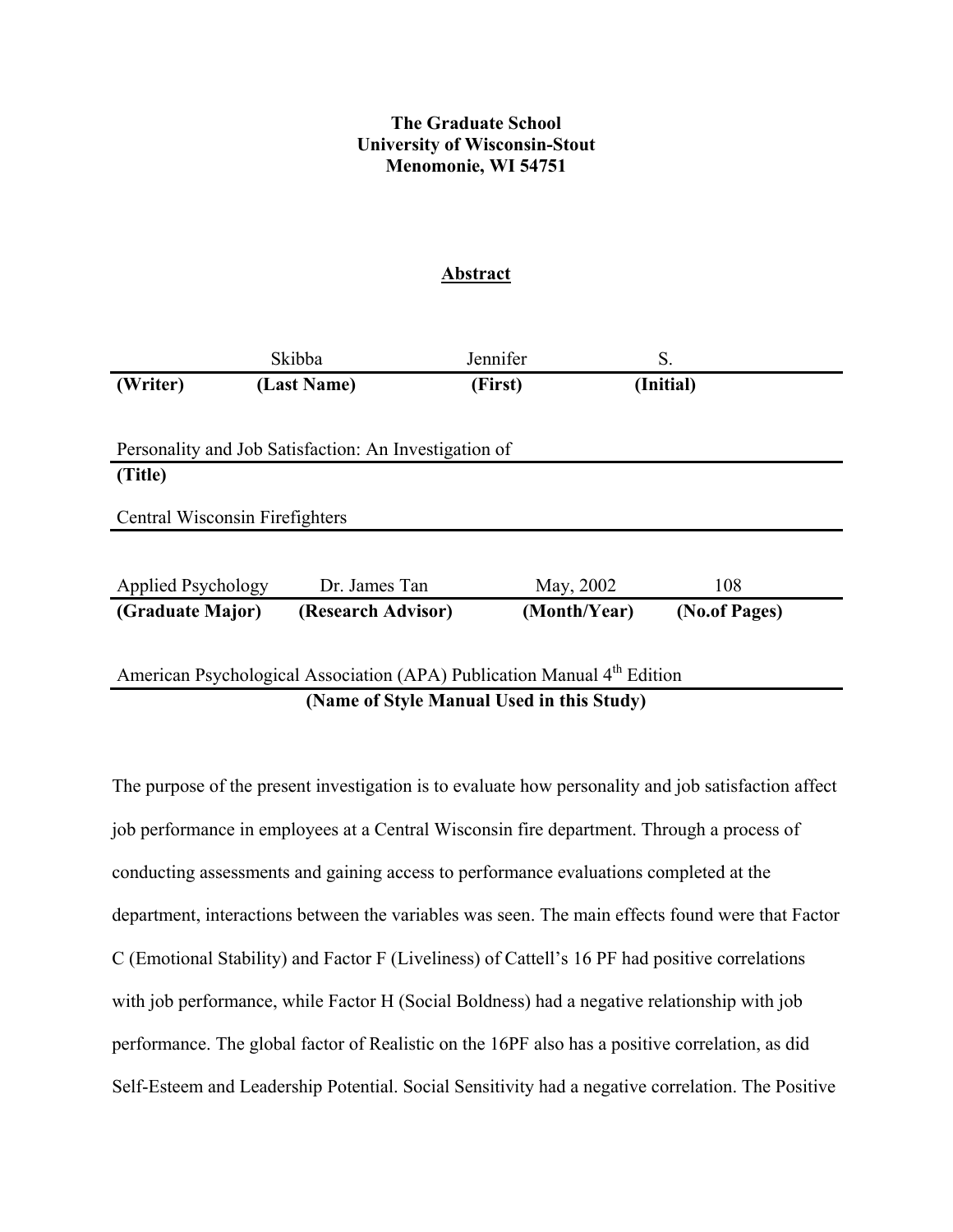# **The Graduate School University of Wisconsin-Stout Menomonie, WI 54751**

# **Abstract**

|                                                                                     | Skibba                                                | Jennifer |              | S.            |
|-------------------------------------------------------------------------------------|-------------------------------------------------------|----------|--------------|---------------|
| (Writer)                                                                            | (Last Name)                                           | (First)  |              | (Initial)     |
|                                                                                     |                                                       |          |              |               |
|                                                                                     | Personality and Job Satisfaction: An Investigation of |          |              |               |
| (Title)                                                                             |                                                       |          |              |               |
| Central Wisconsin Firefighters                                                      |                                                       |          |              |               |
|                                                                                     |                                                       |          |              |               |
| Applied Psychology                                                                  | Dr. James Tan                                         |          | May, 2002    | 108           |
| (Graduate Major)                                                                    | (Research Advisor)                                    |          | (Month/Year) | (No.of Pages) |
|                                                                                     |                                                       |          |              |               |
| American Psychological Association (APA) Publication Manual 4 <sup>th</sup> Edition |                                                       |          |              |               |
| (Name of Style Manual Used in this Study)                                           |                                                       |          |              |               |

The purpose of the present investigation is to evaluate how personality and job satisfaction affect job performance in employees at a Central Wisconsin fire department. Through a process of conducting assessments and gaining access to performance evaluations completed at the department, interactions between the variables was seen. The main effects found were that Factor C (Emotional Stability) and Factor F (Liveliness) of Cattell's 16 PF had positive correlations with job performance, while Factor H (Social Boldness) had a negative relationship with job performance. The global factor of Realistic on the 16PF also has a positive correlation, as did Self-Esteem and Leadership Potential. Social Sensitivity had a negative correlation. The Positive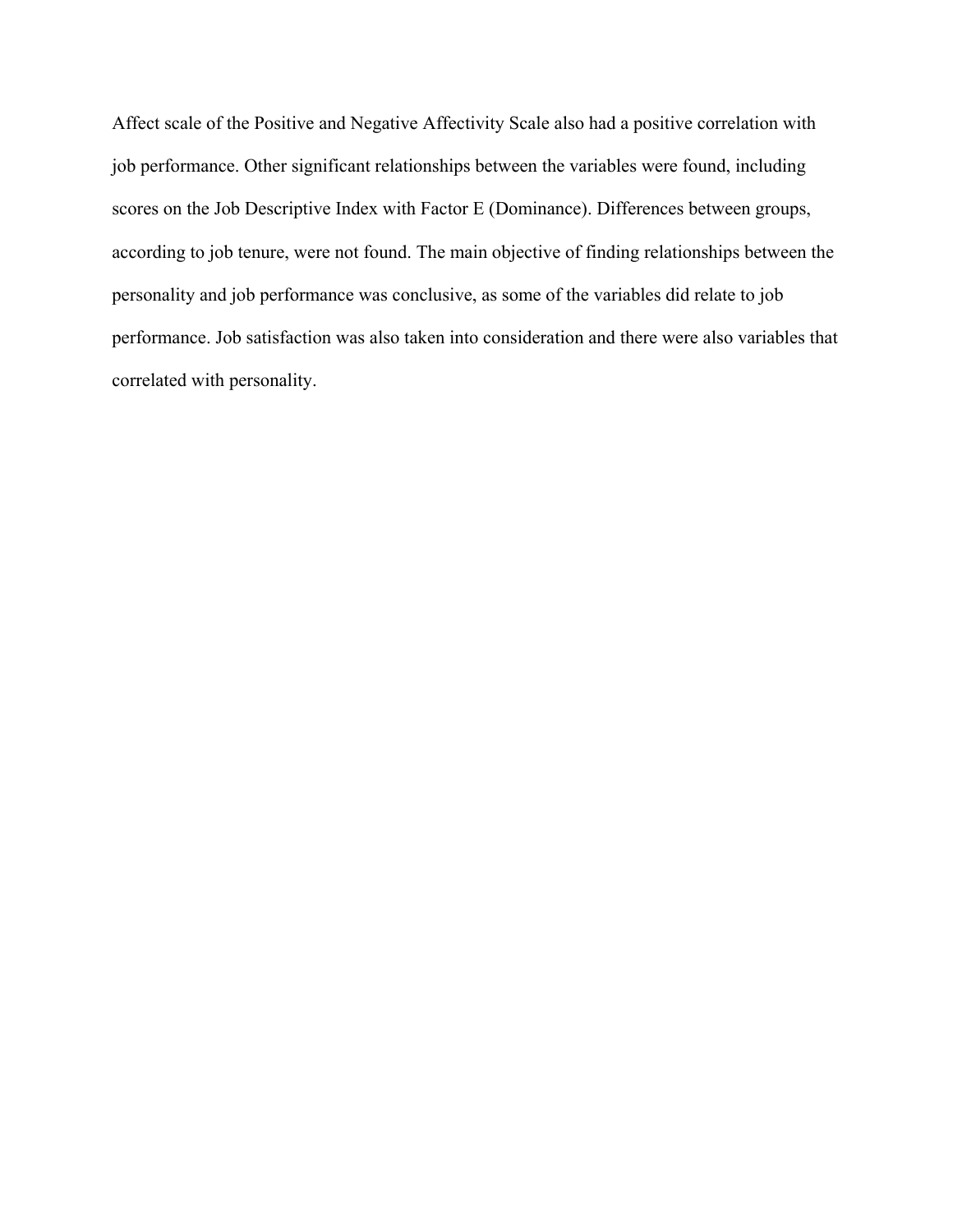Affect scale of the Positive and Negative Affectivity Scale also had a positive correlation with job performance. Other significant relationships between the variables were found, including scores on the Job Descriptive Index with Factor E (Dominance). Differences between groups, according to job tenure, were not found. The main objective of finding relationships between the personality and job performance was conclusive, as some of the variables did relate to job performance. Job satisfaction was also taken into consideration and there were also variables that correlated with personality.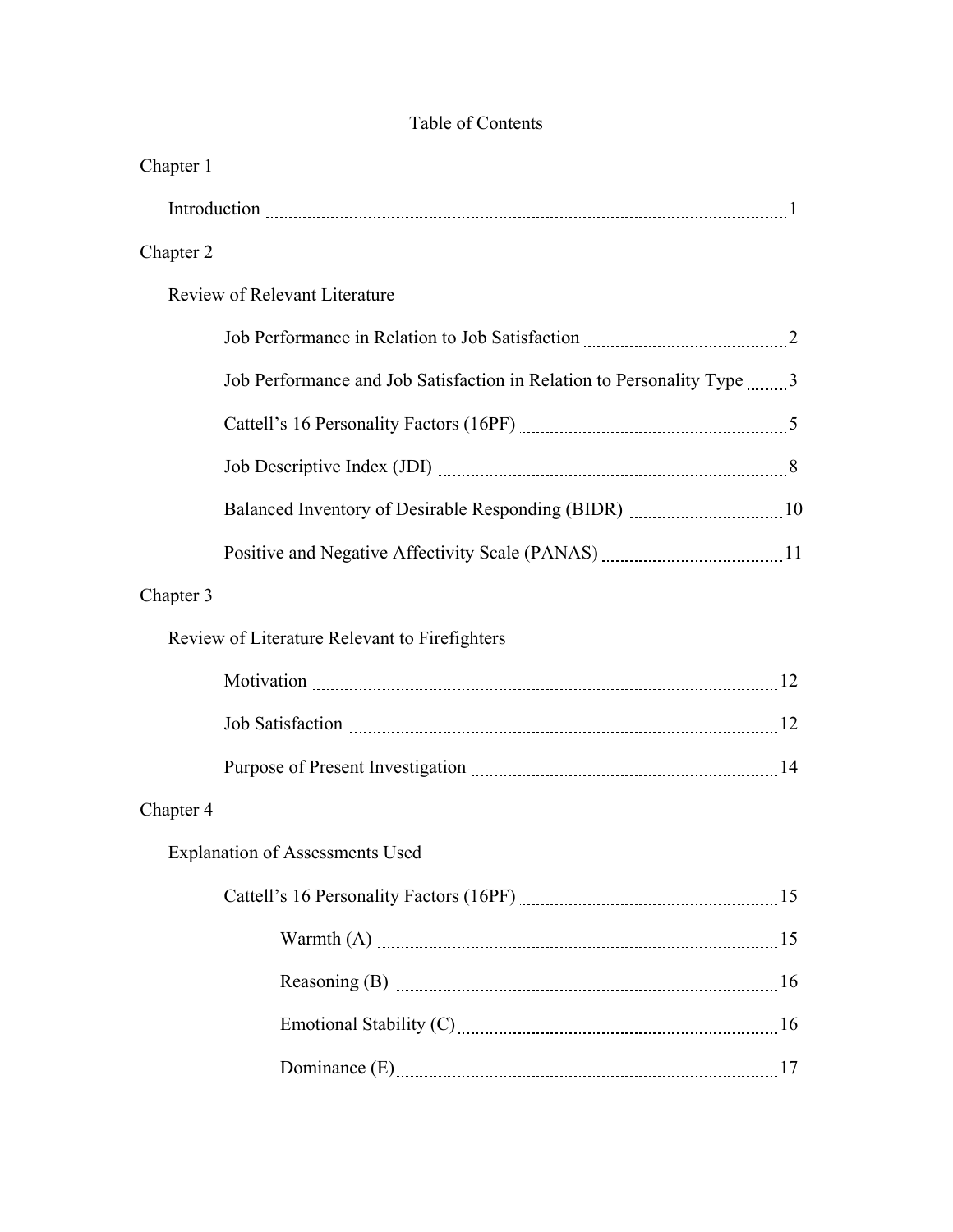| Chapter 1 |                                                                                                                                                                                                                                |  |
|-----------|--------------------------------------------------------------------------------------------------------------------------------------------------------------------------------------------------------------------------------|--|
|           |                                                                                                                                                                                                                                |  |
| Chapter 2 |                                                                                                                                                                                                                                |  |
|           | <b>Review of Relevant Literature</b>                                                                                                                                                                                           |  |
|           |                                                                                                                                                                                                                                |  |
|           | Job Performance and Job Satisfaction in Relation to Personality Type 3                                                                                                                                                         |  |
|           |                                                                                                                                                                                                                                |  |
|           |                                                                                                                                                                                                                                |  |
|           |                                                                                                                                                                                                                                |  |
|           |                                                                                                                                                                                                                                |  |
| Chapter 3 |                                                                                                                                                                                                                                |  |
|           | Review of Literature Relevant to Firefighters                                                                                                                                                                                  |  |
|           |                                                                                                                                                                                                                                |  |
|           | Job Satisfaction 2008 and 2008 Satisfaction 2008 Satisfaction 2008 Satisfaction 2008 Satisfaction 2008 Satisfaction 2008 Satisfaction 2008 Satisfaction 2008 Satisfaction 2008 Satisfaction 2008 Satisfaction 2008 Satisfactio |  |
|           |                                                                                                                                                                                                                                |  |
| Chapter 4 |                                                                                                                                                                                                                                |  |
|           | <b>Explanation of Assessments Used</b>                                                                                                                                                                                         |  |
|           |                                                                                                                                                                                                                                |  |
|           |                                                                                                                                                                                                                                |  |
|           |                                                                                                                                                                                                                                |  |
|           |                                                                                                                                                                                                                                |  |
|           |                                                                                                                                                                                                                                |  |

# Table of Contents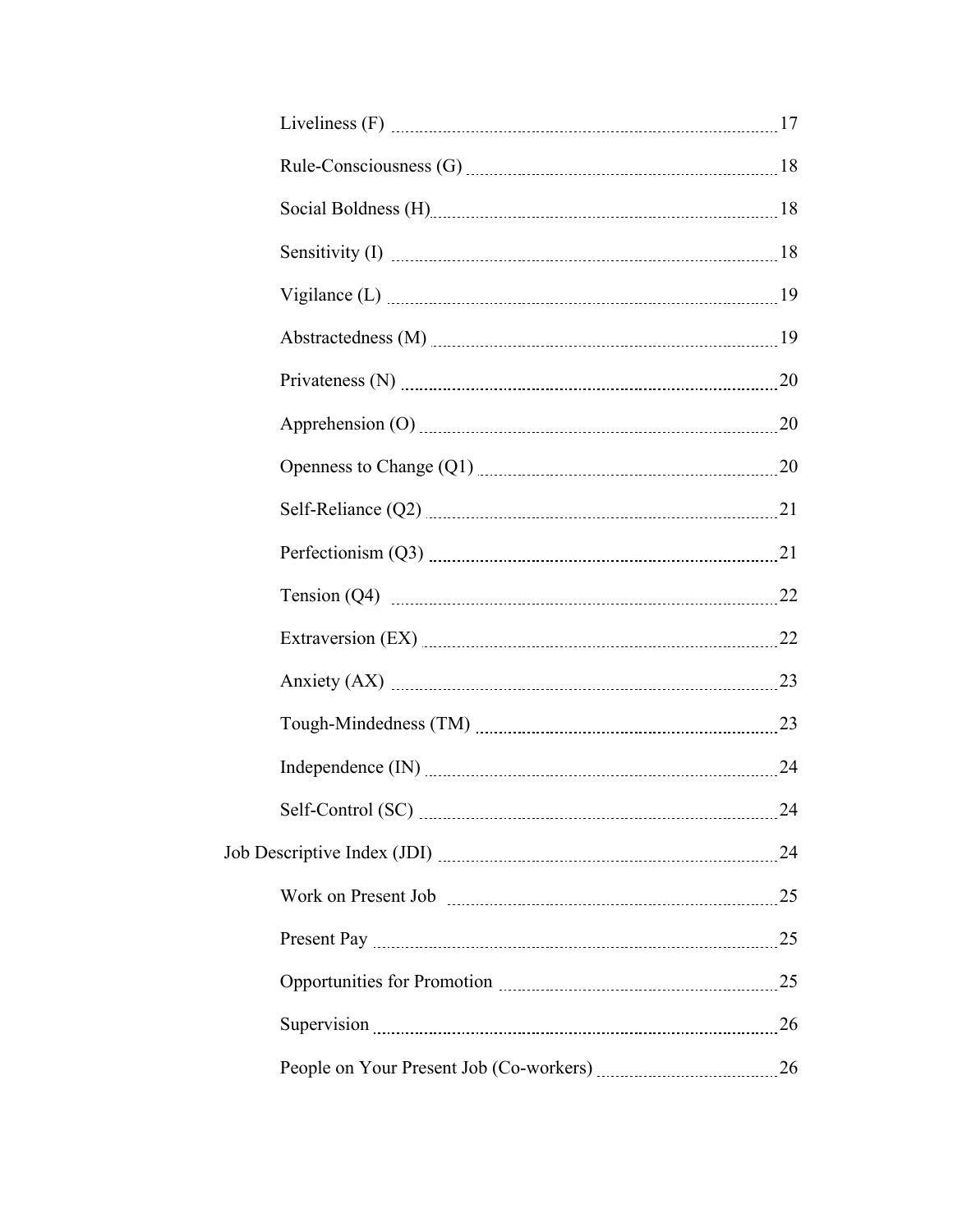| Privateness (N) 20             |  |
|--------------------------------|--|
|                                |  |
|                                |  |
|                                |  |
| Perfectionism (Q3) $\ldots$ 21 |  |
|                                |  |
| Extraversion (EX) 22           |  |
|                                |  |
|                                |  |
|                                |  |
| Self-Control (SC) 24           |  |
|                                |  |
|                                |  |
|                                |  |
|                                |  |
|                                |  |
|                                |  |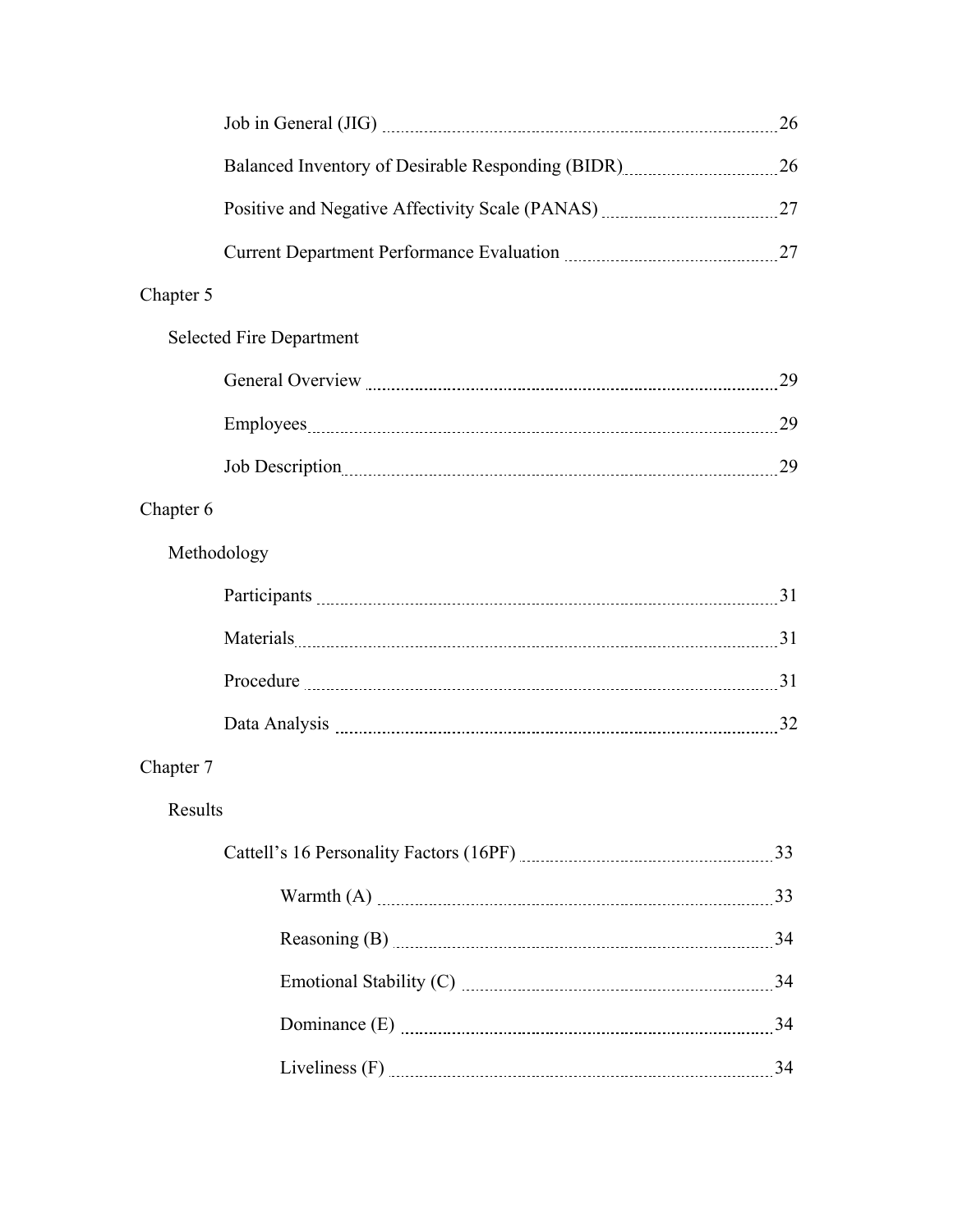|             |                                                                                     | 26 |
|-------------|-------------------------------------------------------------------------------------|----|
|             |                                                                                     |    |
|             | Positive and Negative Affectivity Scale (PANAS) _________________________________27 |    |
|             |                                                                                     |    |
| Chapter 5   |                                                                                     |    |
|             | <b>Selected Fire Department</b>                                                     |    |
|             | General Overview 29                                                                 |    |
|             |                                                                                     |    |
|             | Job Description 29                                                                  |    |
| Chapter 6   |                                                                                     |    |
| Methodology |                                                                                     |    |
|             |                                                                                     |    |
|             |                                                                                     |    |
|             |                                                                                     |    |
|             |                                                                                     |    |
| Chapter 7   |                                                                                     |    |
| Results     |                                                                                     |    |
|             |                                                                                     |    |
|             |                                                                                     |    |
|             |                                                                                     |    |
|             |                                                                                     |    |
|             | Dominance (E) 24                                                                    |    |
|             | Liveliness (F) 24                                                                   |    |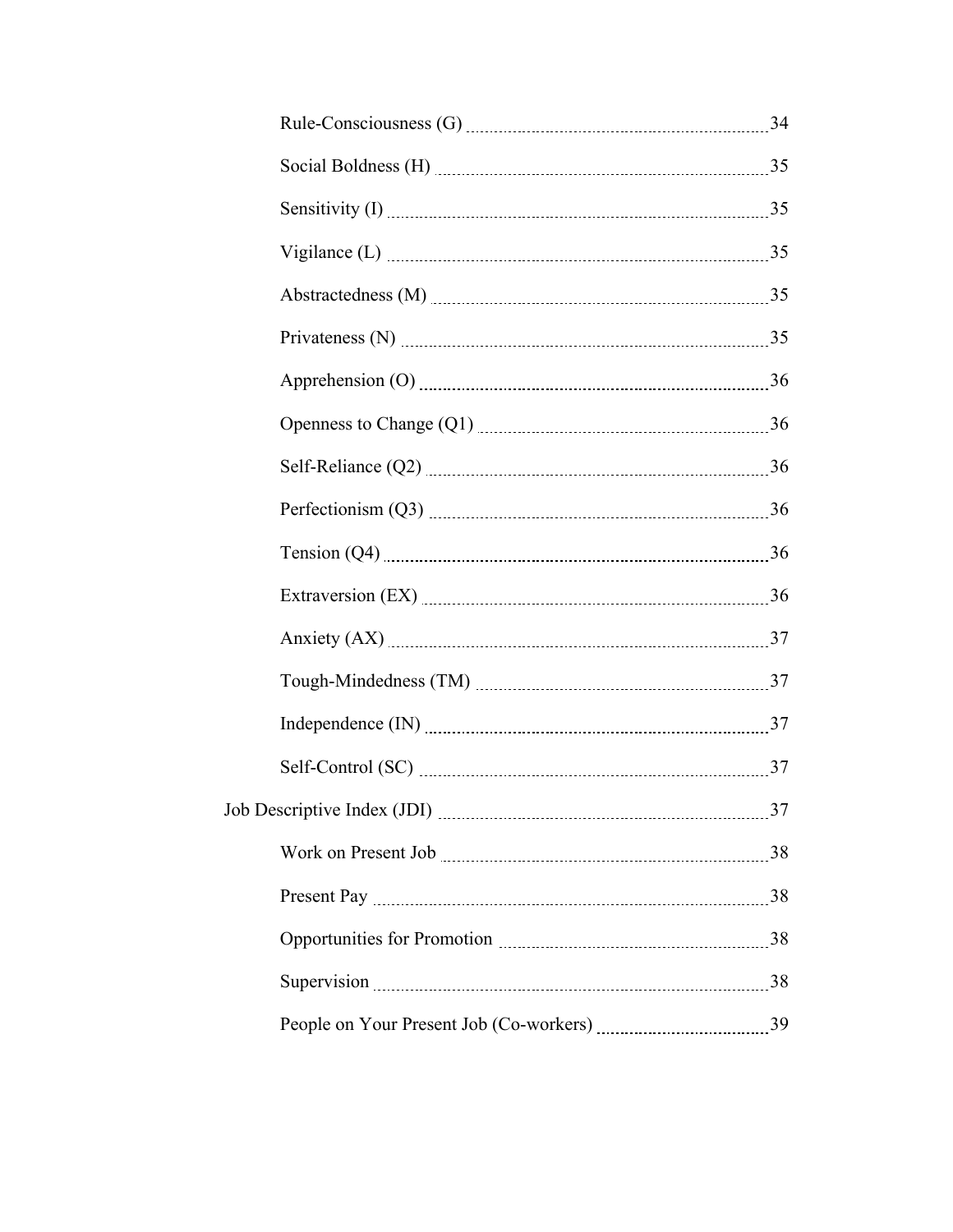| Vigilance (L) $\ldots$ 35   |  |
|-----------------------------|--|
|                             |  |
| Privateness (N) $\ldots$ 35 |  |
|                             |  |
|                             |  |
|                             |  |
|                             |  |
|                             |  |
|                             |  |
|                             |  |
|                             |  |
|                             |  |
| Self-Control (SC) 27        |  |
|                             |  |
|                             |  |
|                             |  |
|                             |  |
|                             |  |
|                             |  |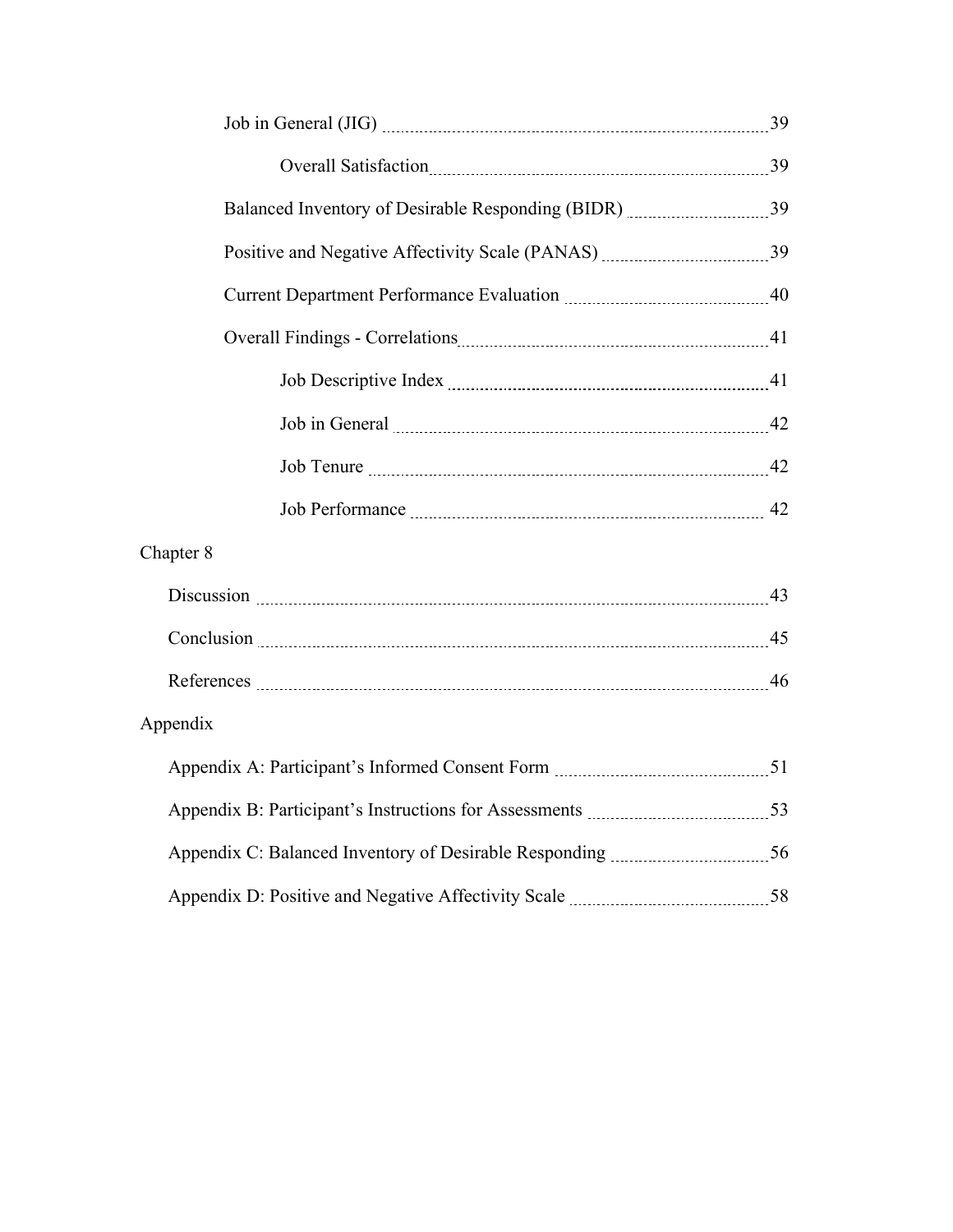| Job in General 22                                                              |  |
|--------------------------------------------------------------------------------|--|
|                                                                                |  |
|                                                                                |  |
| Chapter 8                                                                      |  |
|                                                                                |  |
|                                                                                |  |
|                                                                                |  |
| Appendix                                                                       |  |
|                                                                                |  |
|                                                                                |  |
| Appendix C: Balanced Inventory of Desirable Responding <i>manual manual</i> 56 |  |
|                                                                                |  |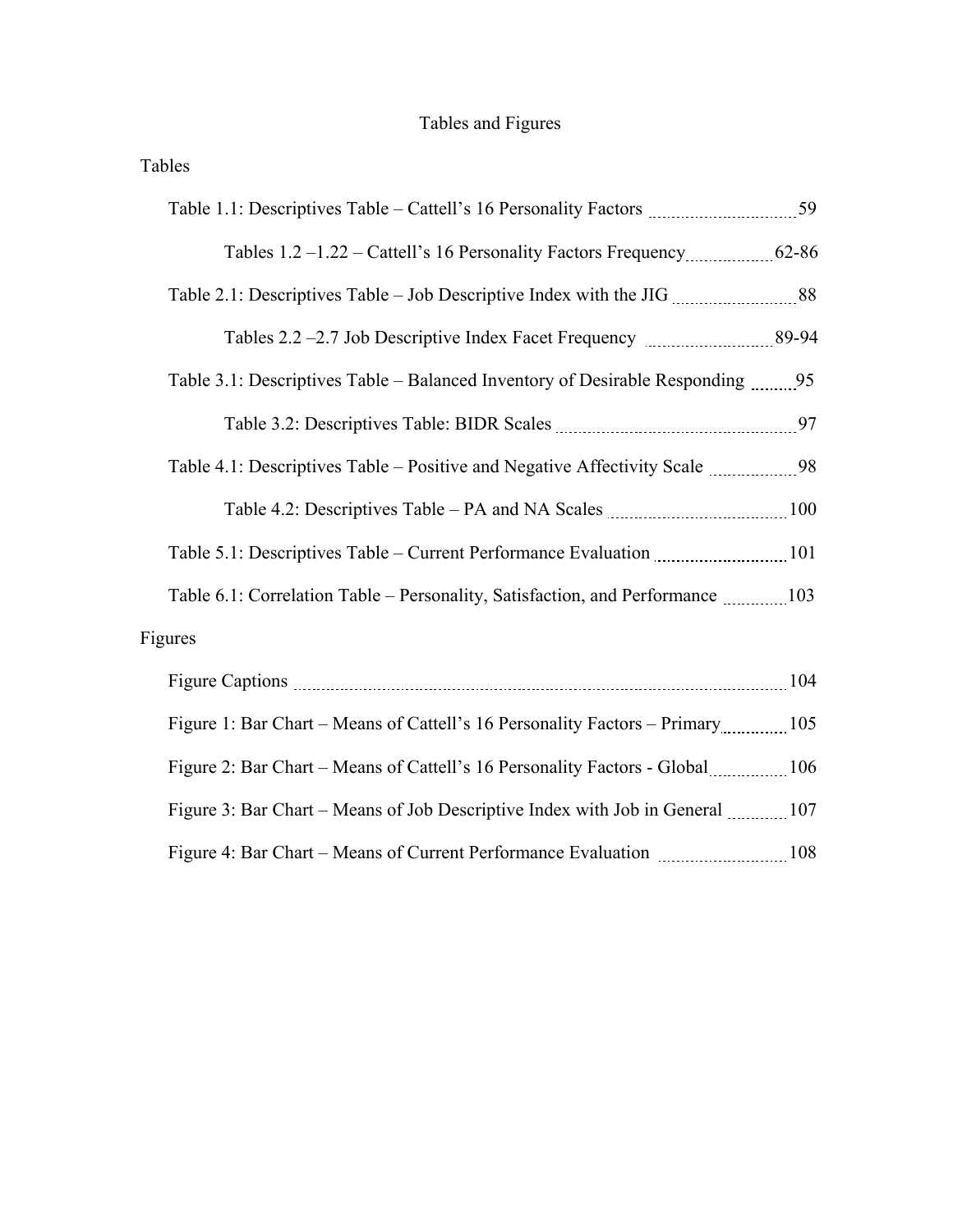# Tables and Figures

| Tables                                                                         |     |
|--------------------------------------------------------------------------------|-----|
|                                                                                |     |
| Tables 1.2 -1.22 - Cattell's 16 Personality Factors Frequency 62-86            |     |
|                                                                                |     |
|                                                                                |     |
|                                                                                |     |
|                                                                                |     |
| Table 4.1: Descriptives Table – Positive and Negative Affectivity Scale 98     |     |
| Table 4.2: Descriptives Table – PA and NA Scales <i>manual communical</i> 100  |     |
| Table 5.1: Descriptives Table – Current Performance Evaluation manufacture 101 |     |
| Table 6.1: Correlation Table – Personality, Satisfaction, and Performance 103  |     |
| Figures                                                                        |     |
| Figure Captions 2014                                                           |     |
| Figure 1: Bar Chart – Means of Cattell's 16 Personality Factors – Primary 105  |     |
| Figure 2: Bar Chart – Means of Cattell's 16 Personality Factors - Global 106   |     |
| Figure 3: Bar Chart – Means of Job Descriptive Index with Job in General  107  |     |
| Figure 4: Bar Chart – Means of Current Performance Evaluation                  | 108 |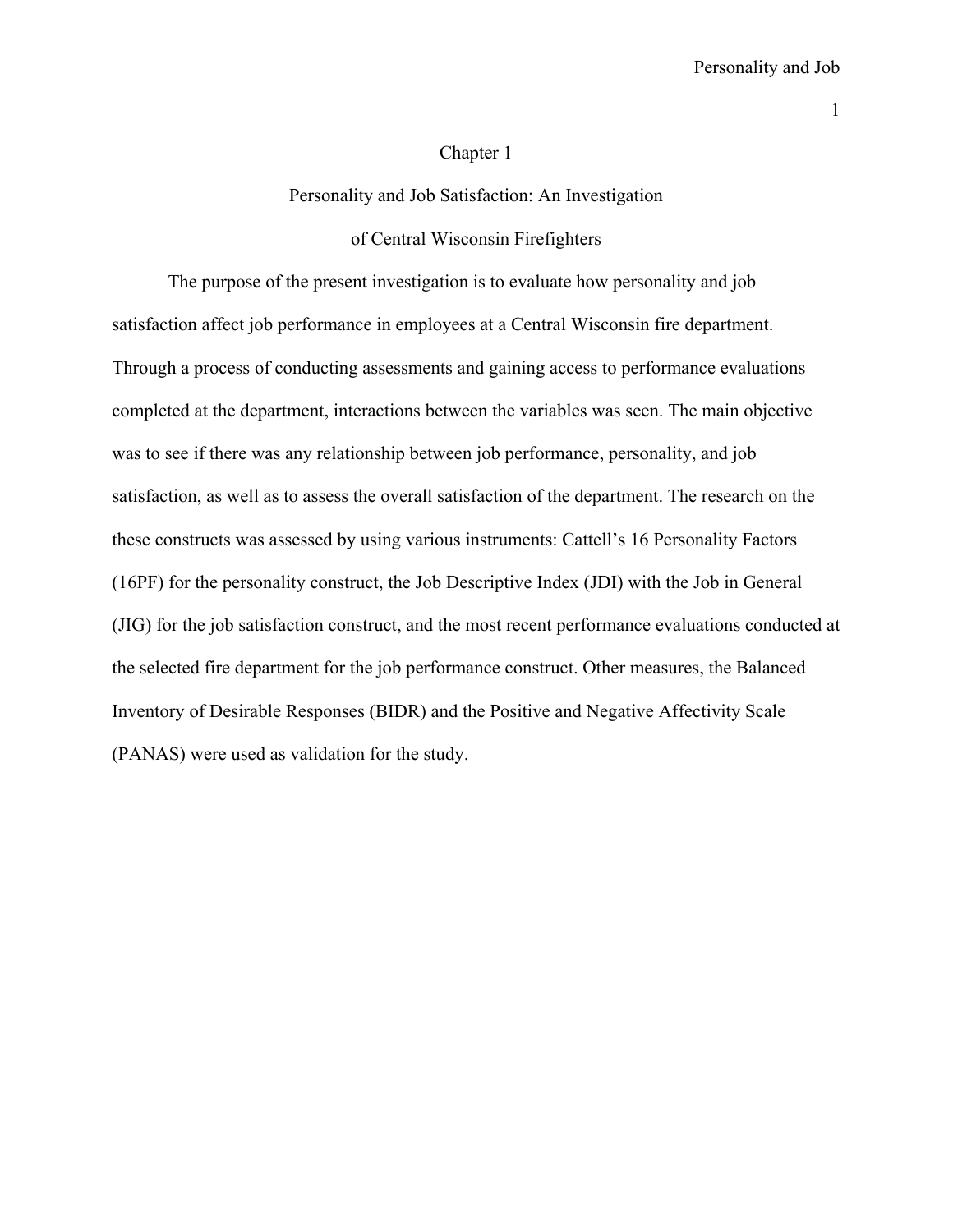#### Chapter 1

#### Personality and Job Satisfaction: An Investigation

#### of Central Wisconsin Firefighters

The purpose of the present investigation is to evaluate how personality and job satisfaction affect job performance in employees at a Central Wisconsin fire department. Through a process of conducting assessments and gaining access to performance evaluations completed at the department, interactions between the variables was seen. The main objective was to see if there was any relationship between job performance, personality, and job satisfaction, as well as to assess the overall satisfaction of the department. The research on the these constructs was assessed by using various instruments: Cattell's 16 Personality Factors (16PF) for the personality construct, the Job Descriptive Index (JDI) with the Job in General (JIG) for the job satisfaction construct, and the most recent performance evaluations conducted at the selected fire department for the job performance construct. Other measures, the Balanced Inventory of Desirable Responses (BIDR) and the Positive and Negative Affectivity Scale (PANAS) were used as validation for the study.

1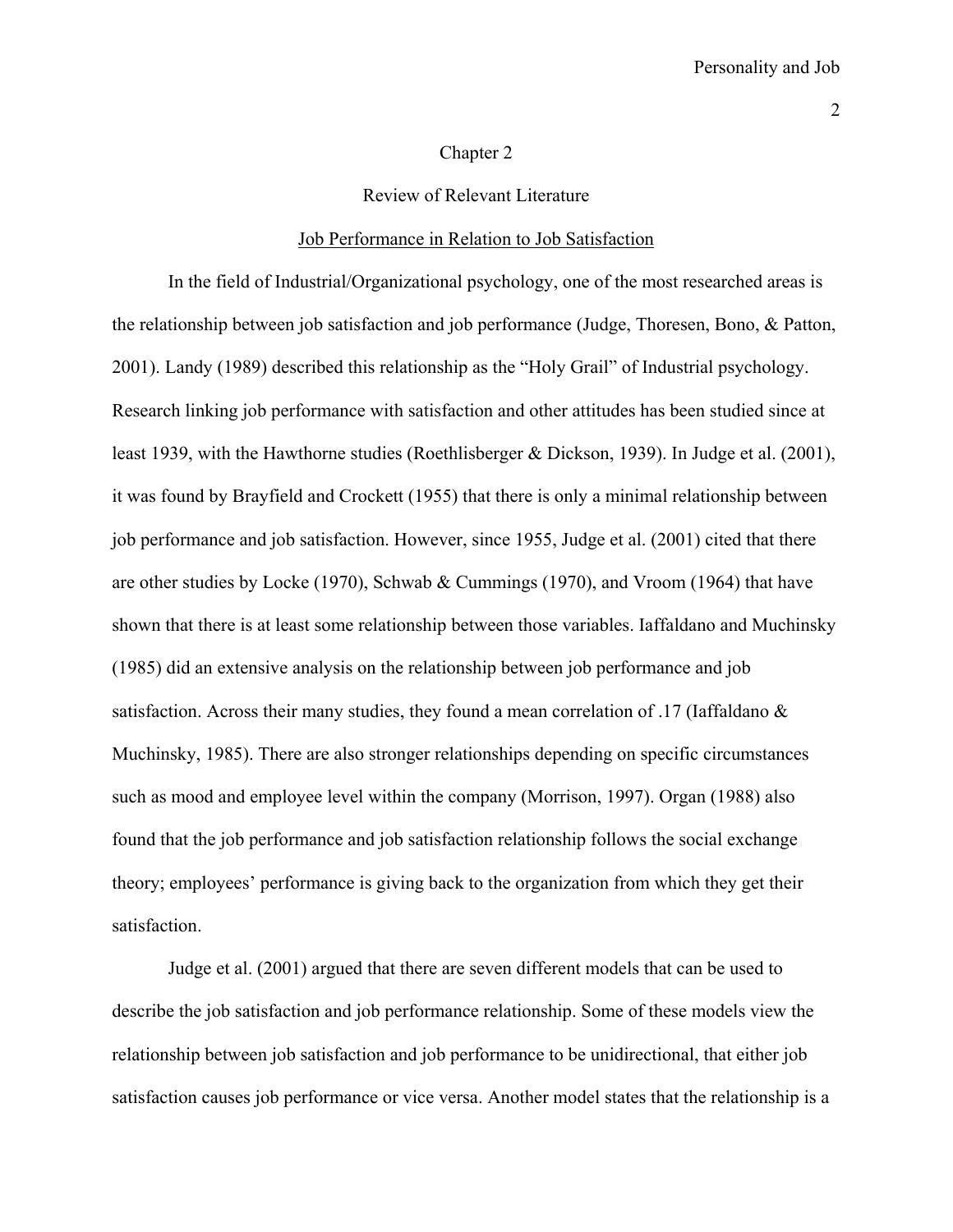#### Chapter 2

Review of Relevant Literature

#### Job Performance in Relation to Job Satisfaction

 In the field of Industrial/Organizational psychology, one of the most researched areas is the relationship between job satisfaction and job performance (Judge, Thoresen, Bono, & Patton, 2001). Landy (1989) described this relationship as the "Holy Grail" of Industrial psychology. Research linking job performance with satisfaction and other attitudes has been studied since at least 1939, with the Hawthorne studies (Roethlisberger & Dickson, 1939). In Judge et al. (2001), it was found by Brayfield and Crockett (1955) that there is only a minimal relationship between job performance and job satisfaction. However, since 1955, Judge et al. (2001) cited that there are other studies by Locke (1970), Schwab & Cummings (1970), and Vroom (1964) that have shown that there is at least some relationship between those variables. Iaffaldano and Muchinsky (1985) did an extensive analysis on the relationship between job performance and job satisfaction. Across their many studies, they found a mean correlation of .17 (Iaffaldano & Muchinsky, 1985). There are also stronger relationships depending on specific circumstances such as mood and employee level within the company (Morrison, 1997). Organ (1988) also found that the job performance and job satisfaction relationship follows the social exchange theory; employees' performance is giving back to the organization from which they get their satisfaction.

 Judge et al. (2001) argued that there are seven different models that can be used to describe the job satisfaction and job performance relationship. Some of these models view the relationship between job satisfaction and job performance to be unidirectional, that either job satisfaction causes job performance or vice versa. Another model states that the relationship is a

2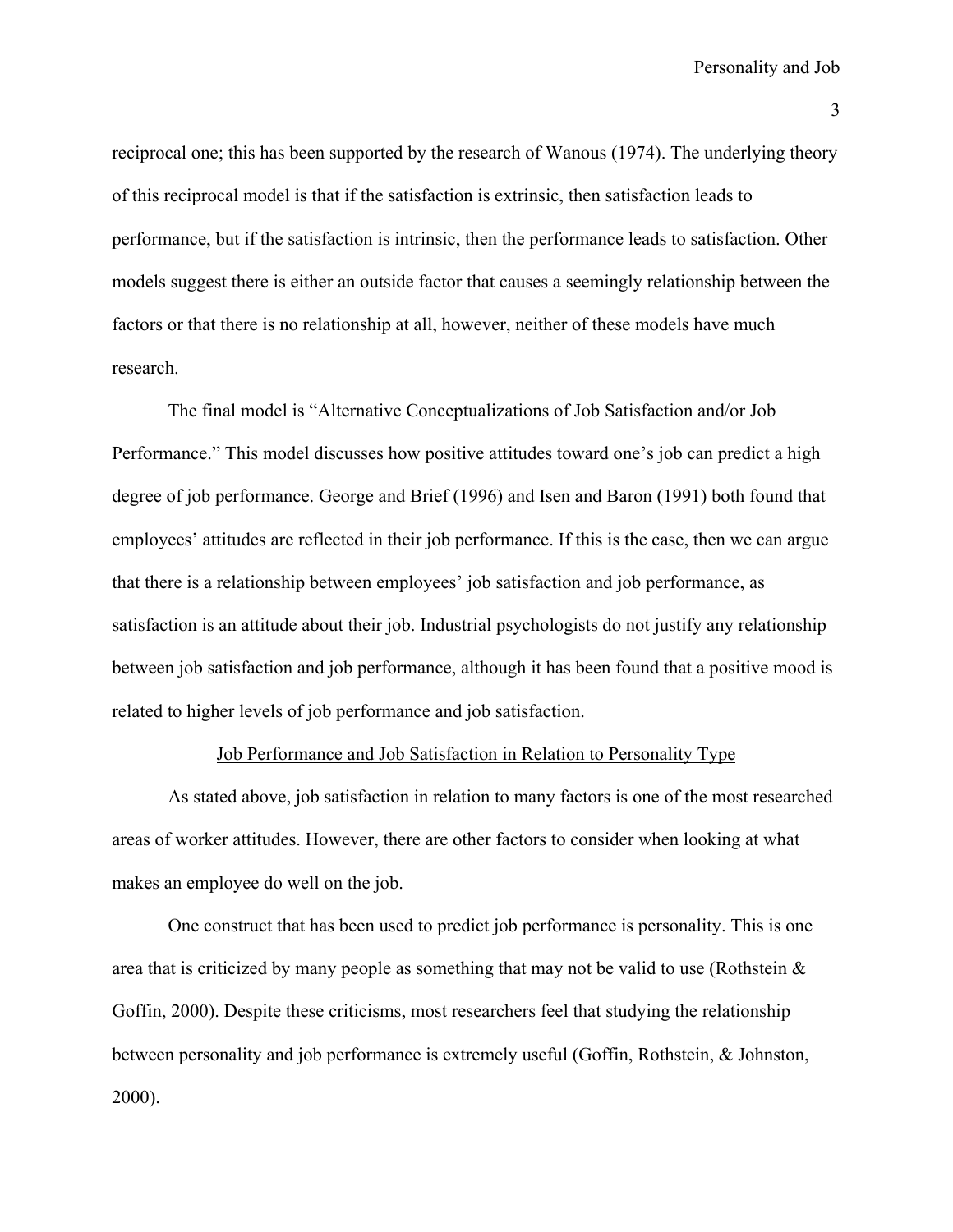reciprocal one; this has been supported by the research of Wanous (1974). The underlying theory of this reciprocal model is that if the satisfaction is extrinsic, then satisfaction leads to performance, but if the satisfaction is intrinsic, then the performance leads to satisfaction. Other models suggest there is either an outside factor that causes a seemingly relationship between the factors or that there is no relationship at all, however, neither of these models have much research.

 The final model is "Alternative Conceptualizations of Job Satisfaction and/or Job Performance." This model discusses how positive attitudes toward one's job can predict a high degree of job performance. George and Brief (1996) and Isen and Baron (1991) both found that employees' attitudes are reflected in their job performance. If this is the case, then we can argue that there is a relationship between employees' job satisfaction and job performance, as satisfaction is an attitude about their job. Industrial psychologists do not justify any relationship between job satisfaction and job performance, although it has been found that a positive mood is related to higher levels of job performance and job satisfaction.

# Job Performance and Job Satisfaction in Relation to Personality Type

 As stated above, job satisfaction in relation to many factors is one of the most researched areas of worker attitudes. However, there are other factors to consider when looking at what makes an employee do well on the job.

One construct that has been used to predict job performance is personality. This is one area that is criticized by many people as something that may not be valid to use (Rothstein  $\&$ Goffin, 2000). Despite these criticisms, most researchers feel that studying the relationship between personality and job performance is extremely useful (Goffin, Rothstein, & Johnston, 2000).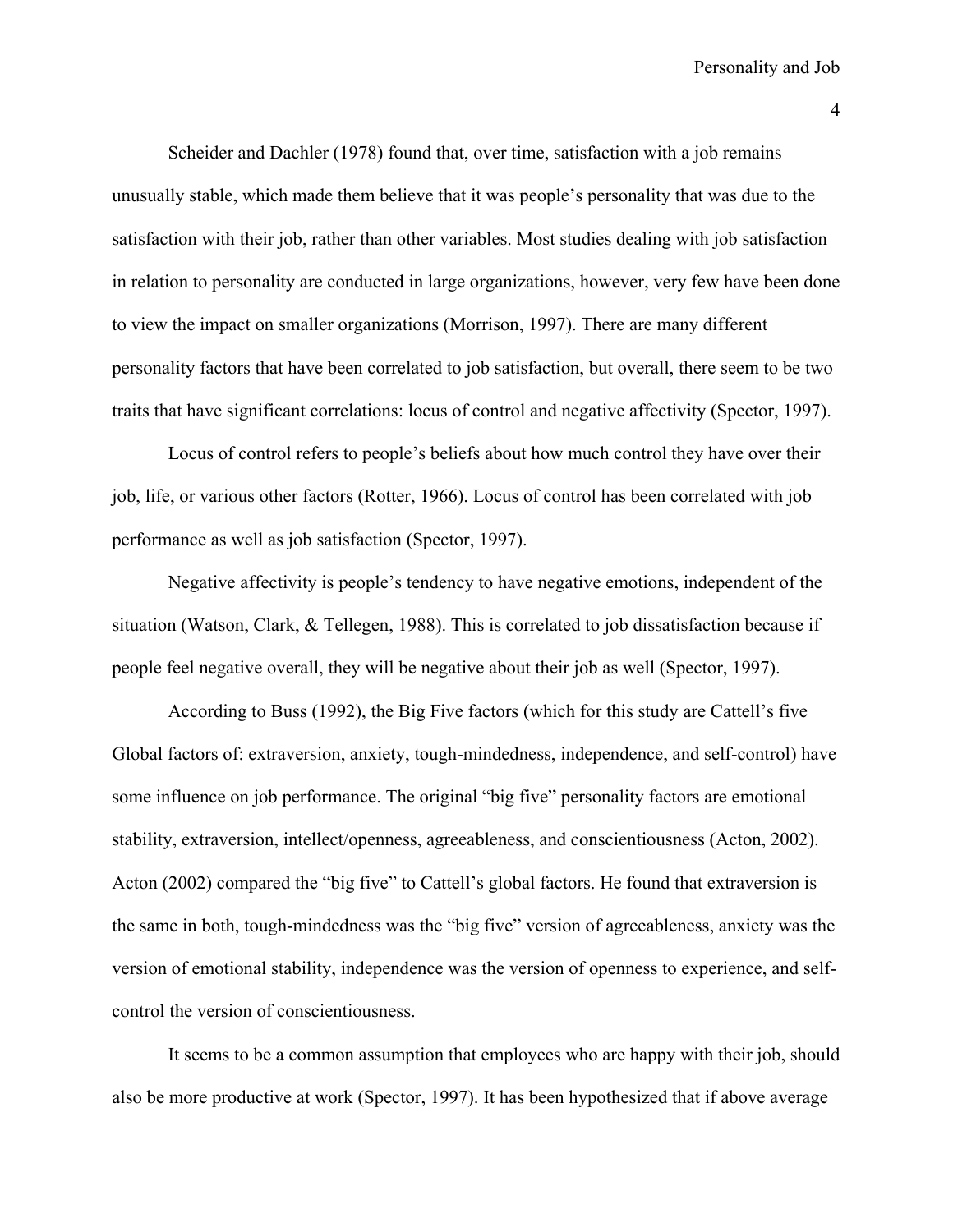Scheider and Dachler (1978) found that, over time, satisfaction with a job remains unusually stable, which made them believe that it was people's personality that was due to the satisfaction with their job, rather than other variables. Most studies dealing with job satisfaction in relation to personality are conducted in large organizations, however, very few have been done to view the impact on smaller organizations (Morrison, 1997). There are many different personality factors that have been correlated to job satisfaction, but overall, there seem to be two traits that have significant correlations: locus of control and negative affectivity (Spector, 1997).

Locus of control refers to people's beliefs about how much control they have over their job, life, or various other factors (Rotter, 1966). Locus of control has been correlated with job performance as well as job satisfaction (Spector, 1997).

Negative affectivity is people's tendency to have negative emotions, independent of the situation (Watson, Clark, & Tellegen, 1988). This is correlated to job dissatisfaction because if people feel negative overall, they will be negative about their job as well (Spector, 1997).

According to Buss (1992), the Big Five factors (which for this study are Cattell's five Global factors of: extraversion, anxiety, tough-mindedness, independence, and self-control) have some influence on job performance. The original "big five" personality factors are emotional stability, extraversion, intellect/openness, agreeableness, and conscientiousness (Acton, 2002). Acton (2002) compared the "big five" to Cattell's global factors. He found that extraversion is the same in both, tough-mindedness was the "big five" version of agreeableness, anxiety was the version of emotional stability, independence was the version of openness to experience, and selfcontrol the version of conscientiousness.

It seems to be a common assumption that employees who are happy with their job, should also be more productive at work (Spector, 1997). It has been hypothesized that if above average

4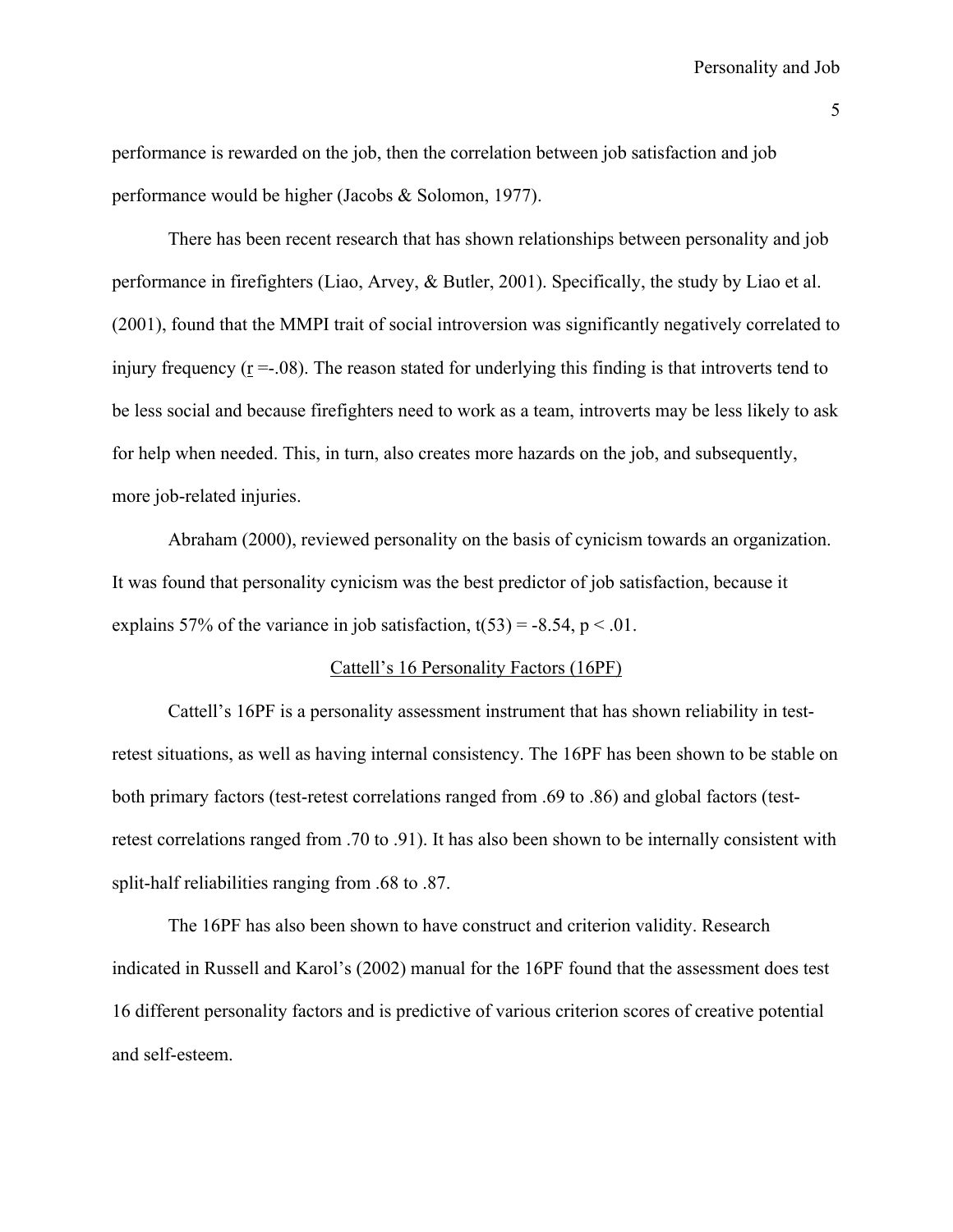performance is rewarded on the job, then the correlation between job satisfaction and job performance would be higher (Jacobs & Solomon, 1977).

 There has been recent research that has shown relationships between personality and job performance in firefighters (Liao, Arvey, & Butler, 2001). Specifically, the study by Liao et al. (2001), found that the MMPI trait of social introversion was significantly negatively correlated to injury frequency  $(r = .08)$ . The reason stated for underlying this finding is that introverts tend to be less social and because firefighters need to work as a team, introverts may be less likely to ask for help when needed. This, in turn, also creates more hazards on the job, and subsequently, more job-related injuries.

 Abraham (2000), reviewed personality on the basis of cynicism towards an organization. It was found that personality cynicism was the best predictor of job satisfaction, because it explains 57% of the variance in job satisfaction,  $t(53) = -8.54$ ,  $p < 0.01$ .

# Cattell's 16 Personality Factors (16PF)

 Cattell's 16PF is a personality assessment instrument that has shown reliability in testretest situations, as well as having internal consistency. The 16PF has been shown to be stable on both primary factors (test-retest correlations ranged from .69 to .86) and global factors (testretest correlations ranged from .70 to .91). It has also been shown to be internally consistent with split-half reliabilities ranging from .68 to .87.

The 16PF has also been shown to have construct and criterion validity. Research indicated in Russell and Karol's (2002) manual for the 16PF found that the assessment does test 16 different personality factors and is predictive of various criterion scores of creative potential and self-esteem.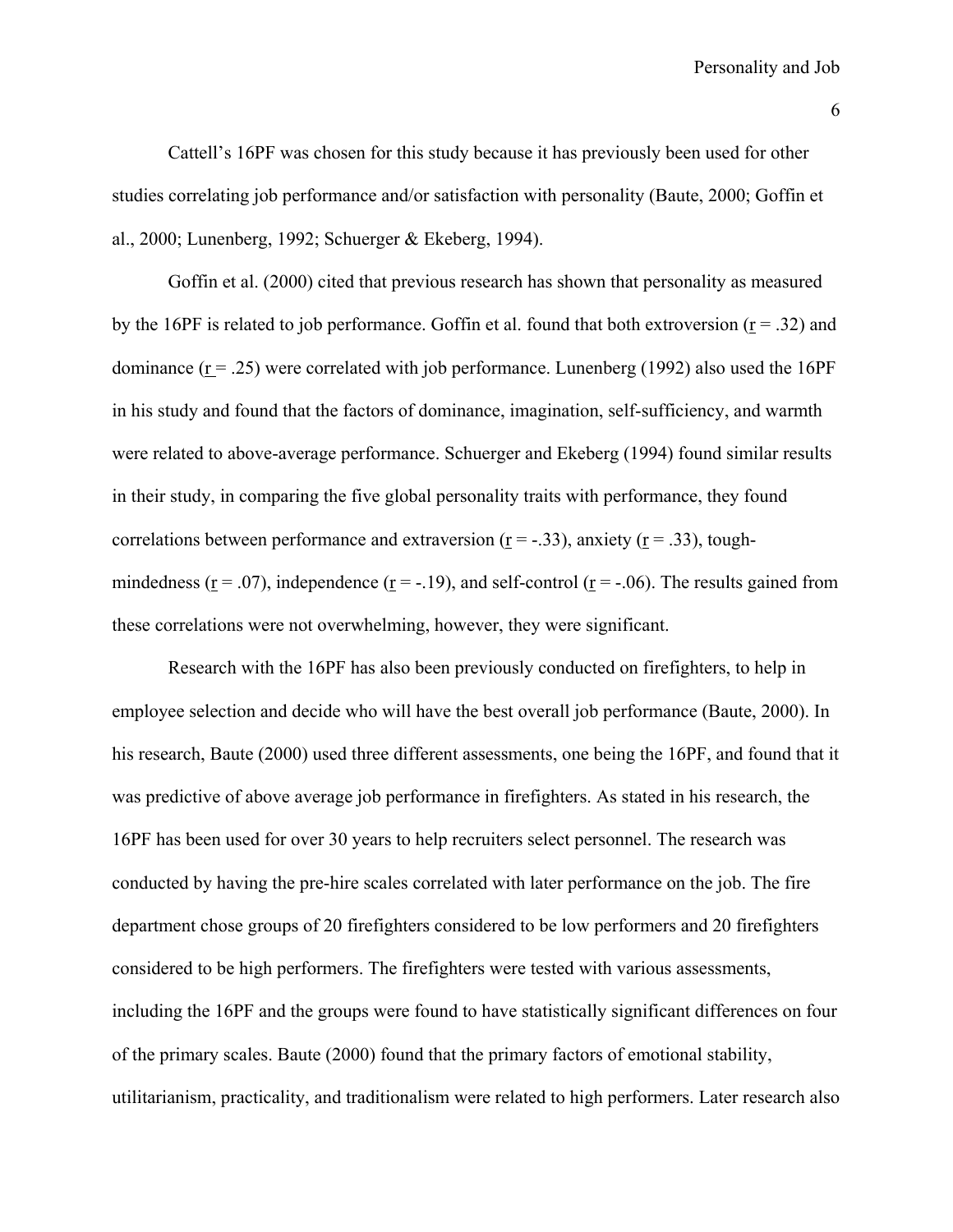Cattell's 16PF was chosen for this study because it has previously been used for other studies correlating job performance and/or satisfaction with personality (Baute, 2000; Goffin et al., 2000; Lunenberg, 1992; Schuerger & Ekeberg, 1994).

 Goffin et al. (2000) cited that previous research has shown that personality as measured by the 16PF is related to job performance. Goffin et al. found that both extroversion ( $r = .32$ ) and dominance  $(r = .25)$  were correlated with job performance. Lunenberg (1992) also used the 16PF in his study and found that the factors of dominance, imagination, self-sufficiency, and warmth were related to above-average performance. Schuerger and Ekeberg (1994) found similar results in their study, in comparing the five global personality traits with performance, they found correlations between performance and extraversion ( $r = -0.33$ ), anxiety ( $r = 0.33$ ), toughmindedness ( $r = .07$ ), independence ( $r = .19$ ), and self-control ( $r = .06$ ). The results gained from these correlations were not overwhelming, however, they were significant.

 Research with the 16PF has also been previously conducted on firefighters, to help in employee selection and decide who will have the best overall job performance (Baute, 2000). In his research, Baute (2000) used three different assessments, one being the 16PF, and found that it was predictive of above average job performance in firefighters. As stated in his research, the 16PF has been used for over 30 years to help recruiters select personnel. The research was conducted by having the pre-hire scales correlated with later performance on the job. The fire department chose groups of 20 firefighters considered to be low performers and 20 firefighters considered to be high performers. The firefighters were tested with various assessments, including the 16PF and the groups were found to have statistically significant differences on four of the primary scales. Baute (2000) found that the primary factors of emotional stability, utilitarianism, practicality, and traditionalism were related to high performers. Later research also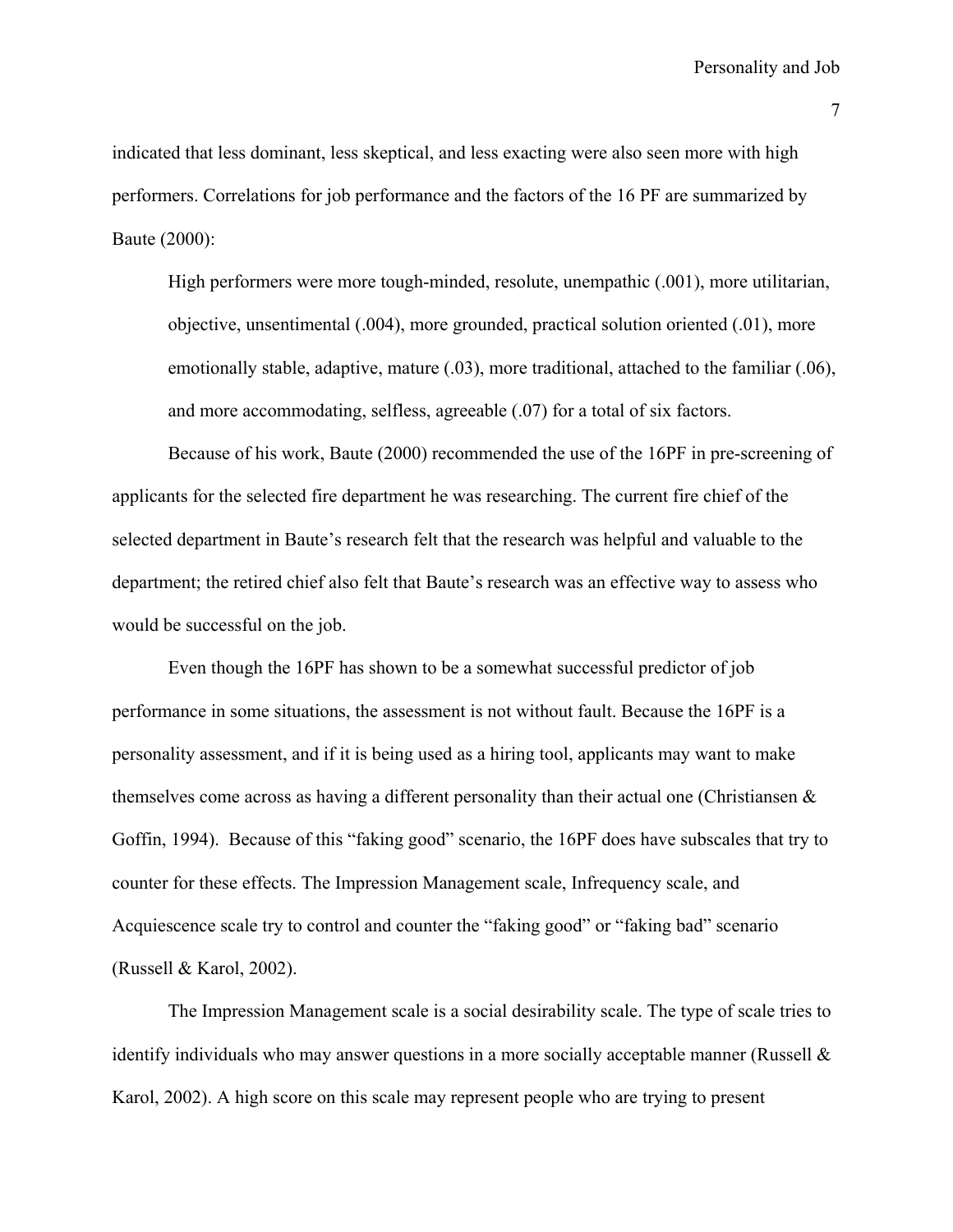indicated that less dominant, less skeptical, and less exacting were also seen more with high performers. Correlations for job performance and the factors of the 16 PF are summarized by Baute (2000):

High performers were more tough-minded, resolute, unempathic (.001), more utilitarian, objective, unsentimental (.004), more grounded, practical solution oriented (.01), more emotionally stable, adaptive, mature (.03), more traditional, attached to the familiar (.06), and more accommodating, selfless, agreeable (.07) for a total of six factors.

 Because of his work, Baute (2000) recommended the use of the 16PF in pre-screening of applicants for the selected fire department he was researching. The current fire chief of the selected department in Baute's research felt that the research was helpful and valuable to the department; the retired chief also felt that Baute's research was an effective way to assess who would be successful on the job.

 Even though the 16PF has shown to be a somewhat successful predictor of job performance in some situations, the assessment is not without fault. Because the 16PF is a personality assessment, and if it is being used as a hiring tool, applicants may want to make themselves come across as having a different personality than their actual one (Christiansen & Goffin, 1994). Because of this "faking good" scenario, the 16PF does have subscales that try to counter for these effects. The Impression Management scale, Infrequency scale, and Acquiescence scale try to control and counter the "faking good" or "faking bad" scenario (Russell  $& Karol, 2002$ ).

 The Impression Management scale is a social desirability scale. The type of scale tries to identify individuals who may answer questions in a more socially acceptable manner (Russell & Karol, 2002). A high score on this scale may represent people who are trying to present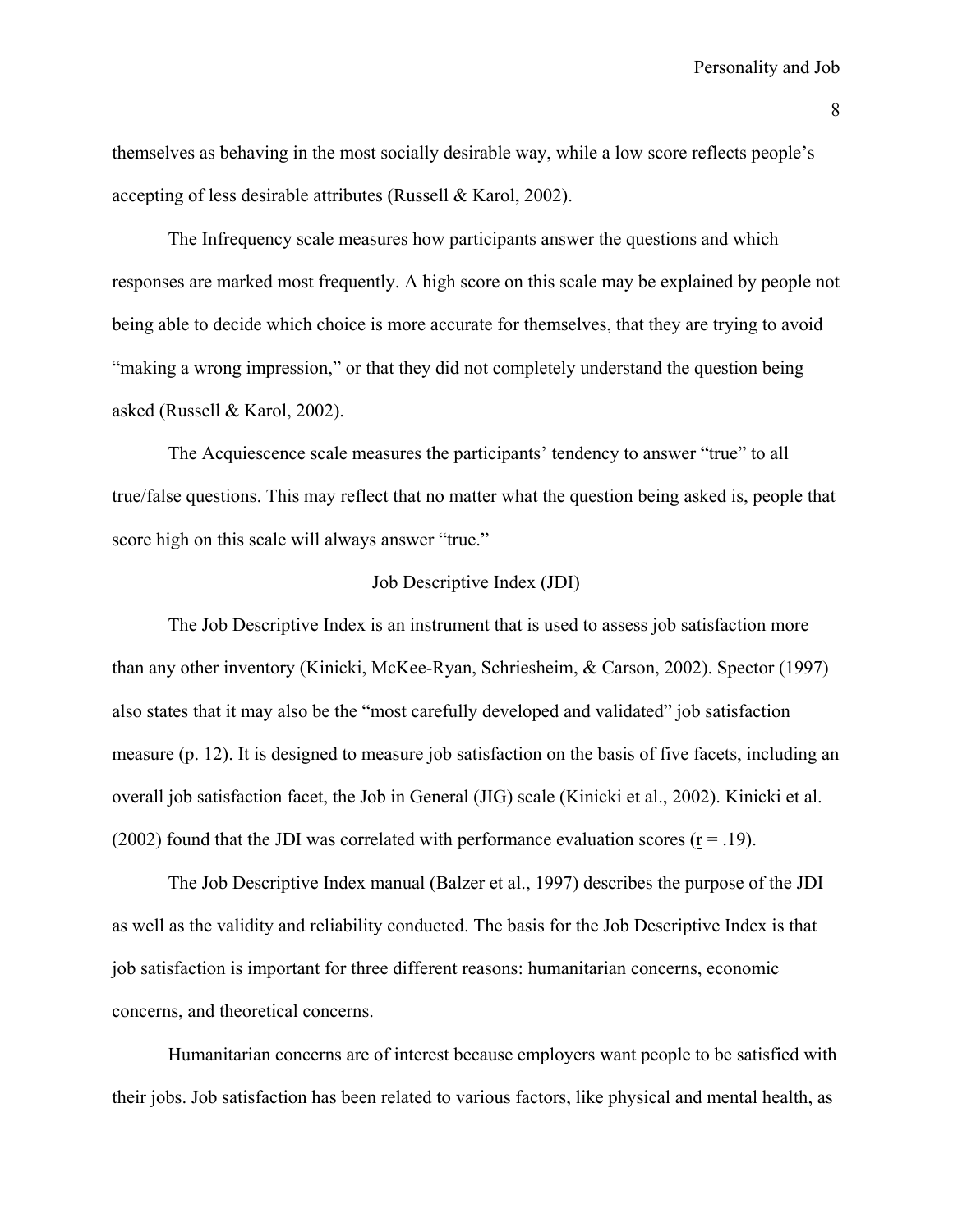themselves as behaving in the most socially desirable way, while a low score reflects people's accepting of less desirable attributes (Russell & Karol, 2002).

 The Infrequency scale measures how participants answer the questions and which responses are marked most frequently. A high score on this scale may be explained by people not being able to decide which choice is more accurate for themselves, that they are trying to avoid "making a wrong impression," or that they did not completely understand the question being asked (Russell & Karol, 2002).

 The Acquiescence scale measures the participants' tendency to answer "true" to all true/false questions. This may reflect that no matter what the question being asked is, people that score high on this scale will always answer "true."

#### Job Descriptive Index (JDI)

 The Job Descriptive Index is an instrument that is used to assess job satisfaction more than any other inventory (Kinicki, McKee-Ryan, Schriesheim, & Carson, 2002). Spector (1997) also states that it may also be the "most carefully developed and validated" job satisfaction measure (p. 12). It is designed to measure job satisfaction on the basis of five facets, including an overall job satisfaction facet, the Job in General (JIG) scale (Kinicki et al., 2002). Kinicki et al. (2002) found that the JDI was correlated with performance evaluation scores  $(r = .19)$ .

 The Job Descriptive Index manual (Balzer et al., 1997) describes the purpose of the JDI as well as the validity and reliability conducted. The basis for the Job Descriptive Index is that job satisfaction is important for three different reasons: humanitarian concerns, economic concerns, and theoretical concerns.

Humanitarian concerns are of interest because employers want people to be satisfied with their jobs. Job satisfaction has been related to various factors, like physical and mental health, as

8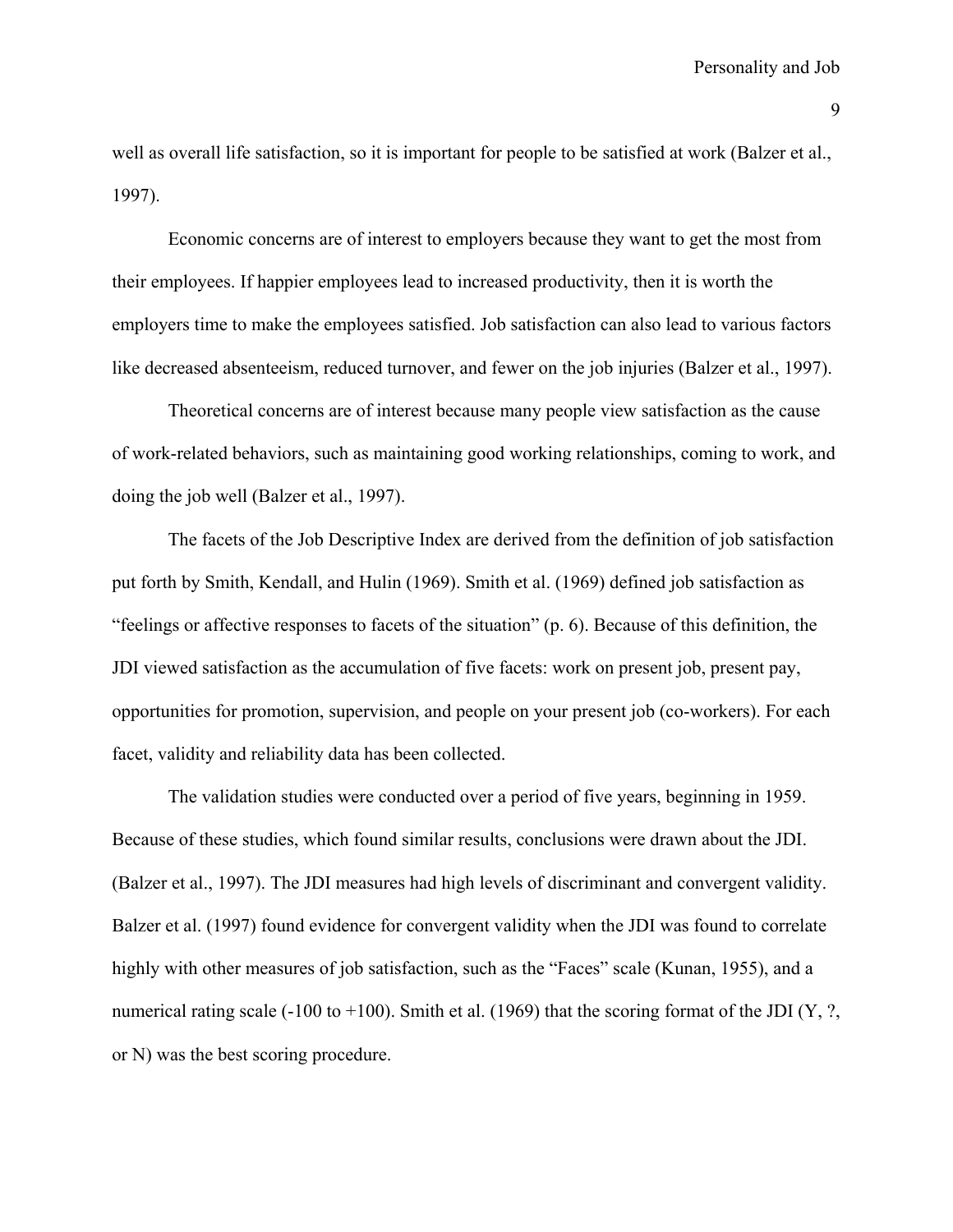well as overall life satisfaction, so it is important for people to be satisfied at work (Balzer et al., 1997).

Economic concerns are of interest to employers because they want to get the most from their employees. If happier employees lead to increased productivity, then it is worth the employers time to make the employees satisfied. Job satisfaction can also lead to various factors like decreased absenteeism, reduced turnover, and fewer on the job injuries (Balzer et al., 1997).

Theoretical concerns are of interest because many people view satisfaction as the cause of work-related behaviors, such as maintaining good working relationships, coming to work, and doing the job well (Balzer et al., 1997).

The facets of the Job Descriptive Index are derived from the definition of job satisfaction put forth by Smith, Kendall, and Hulin (1969). Smith et al. (1969) defined job satisfaction as "feelings or affective responses to facets of the situation" (p. 6). Because of this definition, the JDI viewed satisfaction as the accumulation of five facets: work on present job, present pay, opportunities for promotion, supervision, and people on your present job (co-workers). For each facet, validity and reliability data has been collected.

The validation studies were conducted over a period of five years, beginning in 1959. Because of these studies, which found similar results, conclusions were drawn about the JDI. (Balzer et al., 1997). The JDI measures had high levels of discriminant and convergent validity. Balzer et al. (1997) found evidence for convergent validity when the JDI was found to correlate highly with other measures of job satisfaction, such as the "Faces" scale (Kunan, 1955), and a numerical rating scale (-100 to +100). Smith et al. (1969) that the scoring format of the JDI (Y, ?, or N) was the best scoring procedure.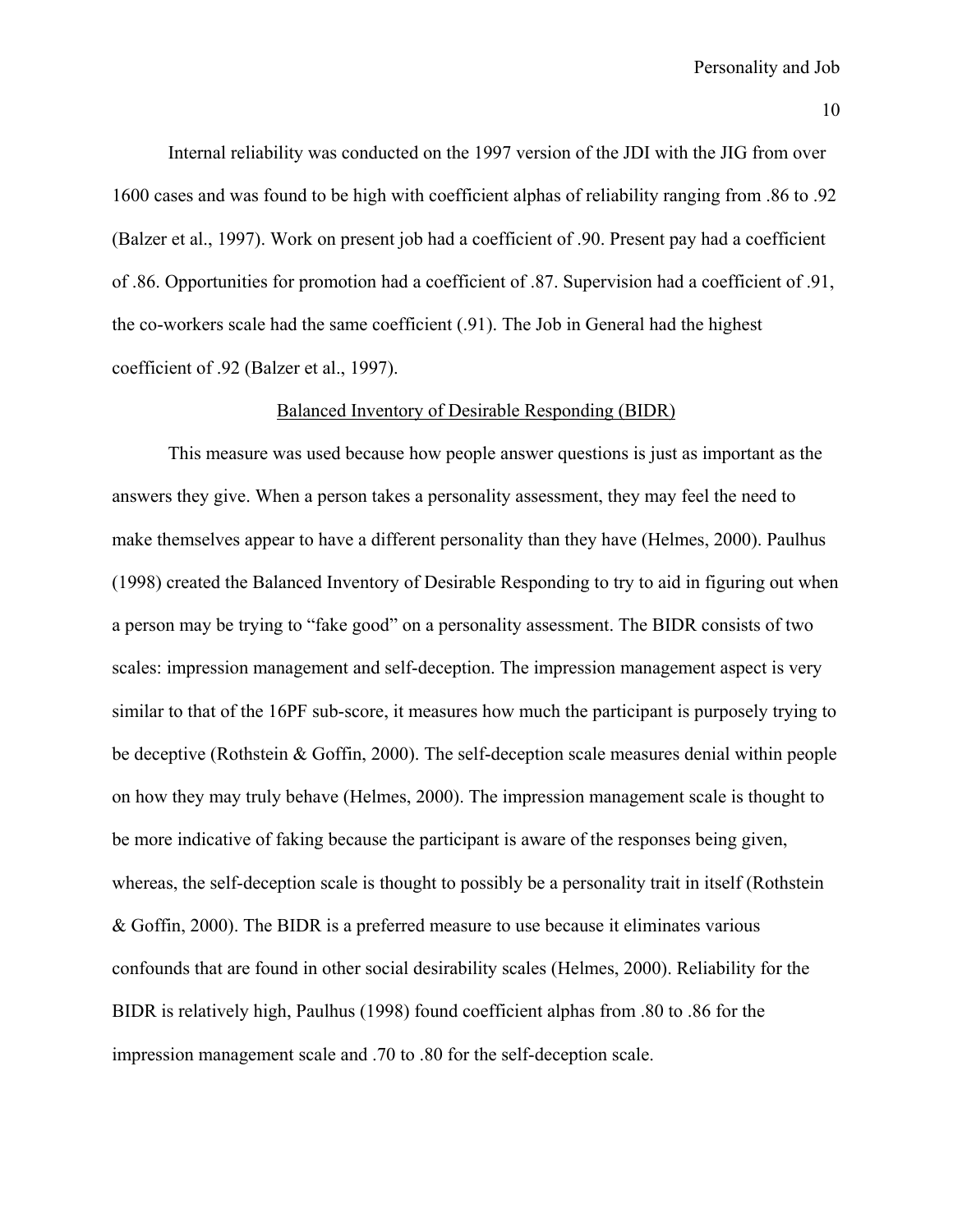Internal reliability was conducted on the 1997 version of the JDI with the JIG from over 1600 cases and was found to be high with coefficient alphas of reliability ranging from .86 to .92 (Balzer et al., 1997). Work on present job had a coefficient of .90. Present pay had a coefficient of .86. Opportunities for promotion had a coefficient of .87. Supervision had a coefficient of .91, the co-workers scale had the same coefficient (.91). The Job in General had the highest coefficient of .92 (Balzer et al., 1997).

# Balanced Inventory of Desirable Responding (BIDR)

 This measure was used because how people answer questions is just as important as the answers they give. When a person takes a personality assessment, they may feel the need to make themselves appear to have a different personality than they have (Helmes, 2000). Paulhus (1998) created the Balanced Inventory of Desirable Responding to try to aid in figuring out when a person may be trying to "fake good" on a personality assessment. The BIDR consists of two scales: impression management and self-deception. The impression management aspect is very similar to that of the 16PF sub-score, it measures how much the participant is purposely trying to be deceptive (Rothstein & Goffin, 2000). The self-deception scale measures denial within people on how they may truly behave (Helmes, 2000). The impression management scale is thought to be more indicative of faking because the participant is aware of the responses being given, whereas, the self-deception scale is thought to possibly be a personality trait in itself (Rothstein & Goffin, 2000). The BIDR is a preferred measure to use because it eliminates various confounds that are found in other social desirability scales (Helmes, 2000). Reliability for the BIDR is relatively high, Paulhus (1998) found coefficient alphas from .80 to .86 for the impression management scale and .70 to .80 for the self-deception scale.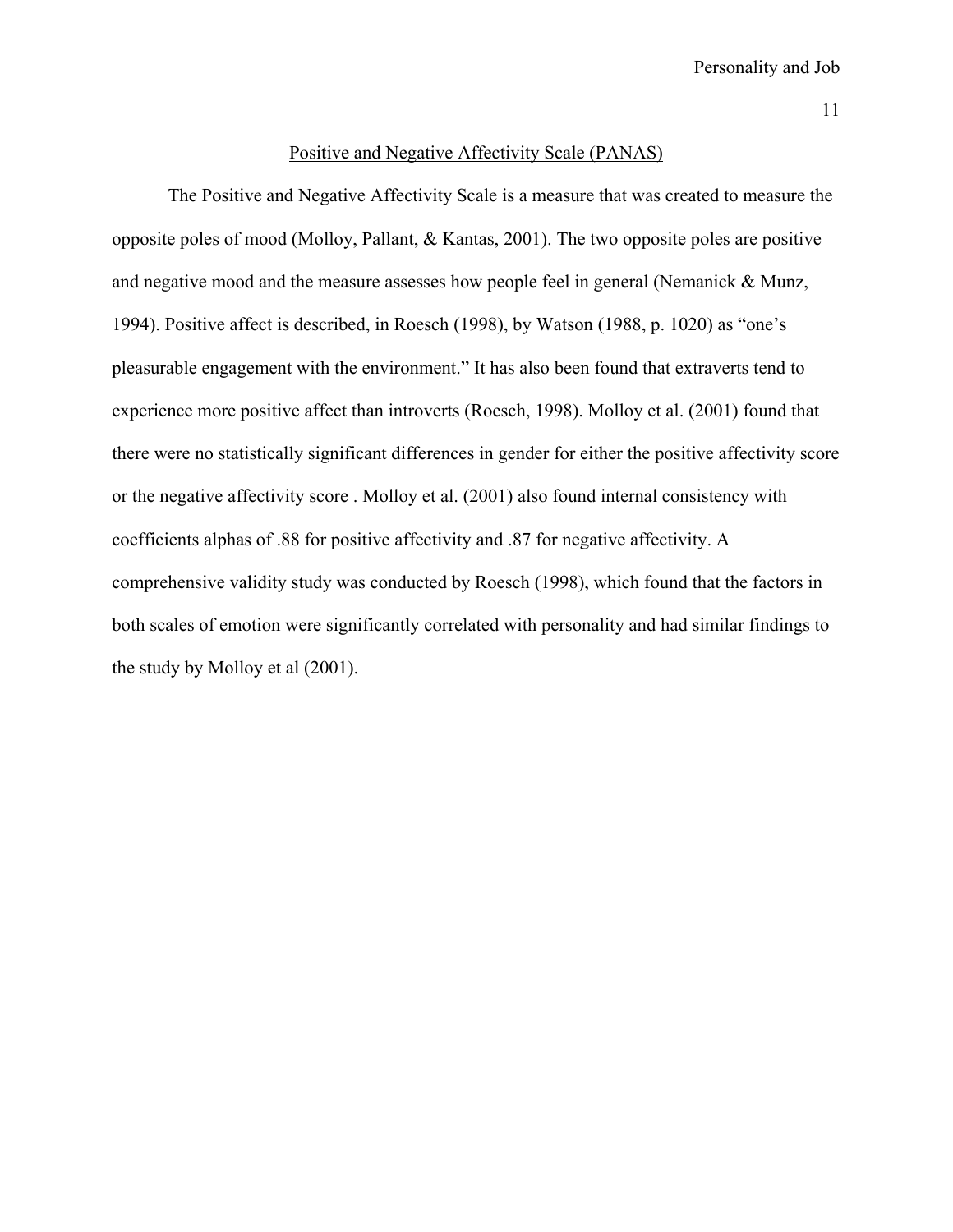#### Positive and Negative Affectivity Scale (PANAS)

 The Positive and Negative Affectivity Scale is a measure that was created to measure the opposite poles of mood (Molloy, Pallant, & Kantas, 2001). The two opposite poles are positive and negative mood and the measure assesses how people feel in general (Nemanick & Munz, 1994). Positive affect is described, in Roesch (1998), by Watson (1988, p. 1020) as "one's pleasurable engagement with the environment." It has also been found that extraverts tend to experience more positive affect than introverts (Roesch, 1998). Molloy et al. (2001) found that there were no statistically significant differences in gender for either the positive affectivity score or the negative affectivity score . Molloy et al. (2001) also found internal consistency with coefficients alphas of .88 for positive affectivity and .87 for negative affectivity. A comprehensive validity study was conducted by Roesch (1998), which found that the factors in both scales of emotion were significantly correlated with personality and had similar findings to the study by Molloy et al (2001).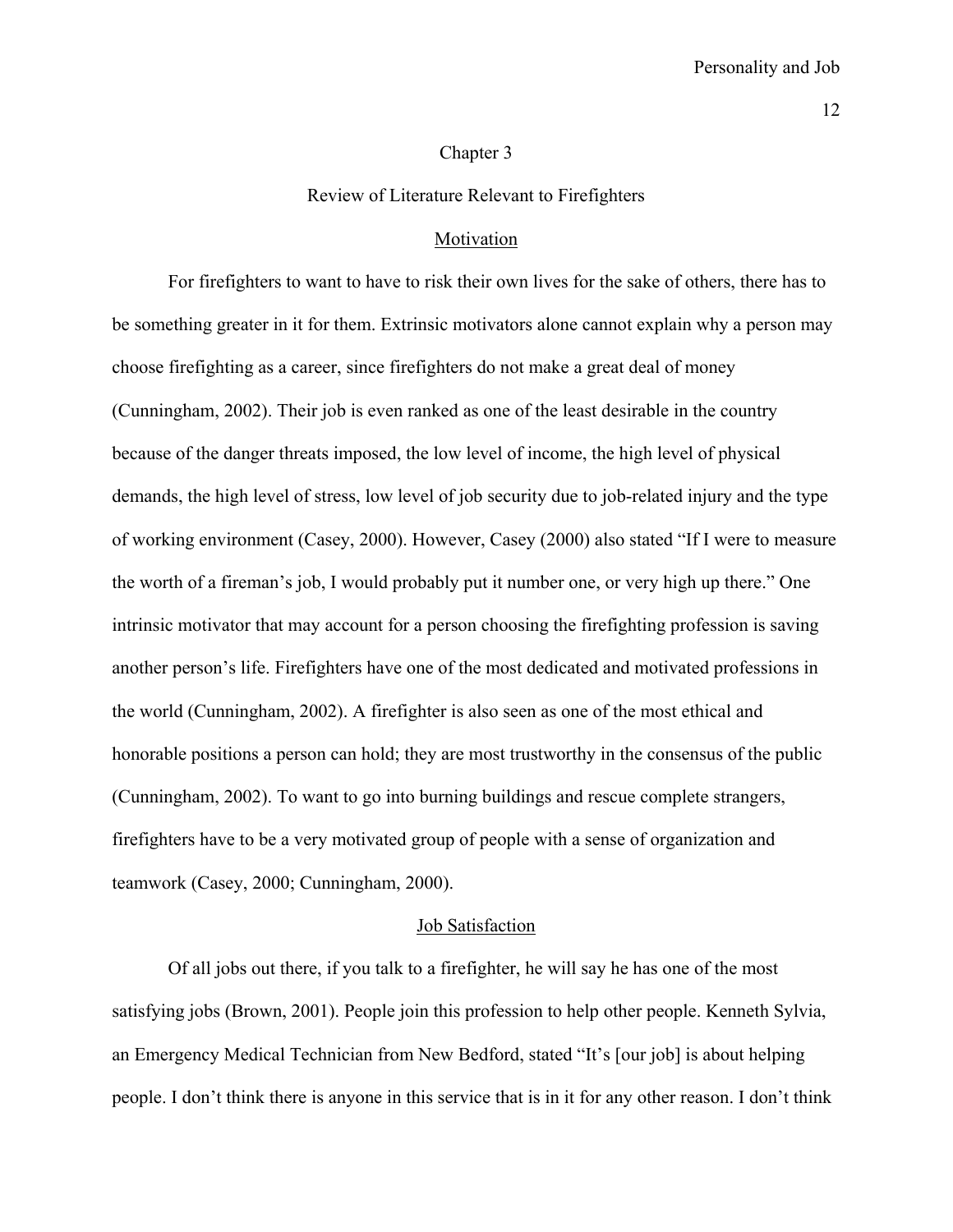#### Chapter 3

#### Review of Literature Relevant to Firefighters

#### **Motivation**

 For firefighters to want to have to risk their own lives for the sake of others, there has to be something greater in it for them. Extrinsic motivators alone cannot explain why a person may choose firefighting as a career, since firefighters do not make a great deal of money (Cunningham, 2002). Their job is even ranked as one of the least desirable in the country because of the danger threats imposed, the low level of income, the high level of physical demands, the high level of stress, low level of job security due to job-related injury and the type of working environment (Casey, 2000). However, Casey (2000) also stated "If I were to measure the worth of a fireman's job, I would probably put it number one, or very high up there." One intrinsic motivator that may account for a person choosing the firefighting profession is saving another person's life. Firefighters have one of the most dedicated and motivated professions in the world (Cunningham, 2002). A firefighter is also seen as one of the most ethical and honorable positions a person can hold; they are most trustworthy in the consensus of the public (Cunningham, 2002). To want to go into burning buildings and rescue complete strangers, firefighters have to be a very motivated group of people with a sense of organization and teamwork (Casey, 2000; Cunningham, 2000).

#### Job Satisfaction

 Of all jobs out there, if you talk to a firefighter, he will say he has one of the most satisfying jobs (Brown, 2001). People join this profession to help other people. Kenneth Sylvia, an Emergency Medical Technician from New Bedford, stated "It's [our job] is about helping people. I don't think there is anyone in this service that is in it for any other reason. I don't think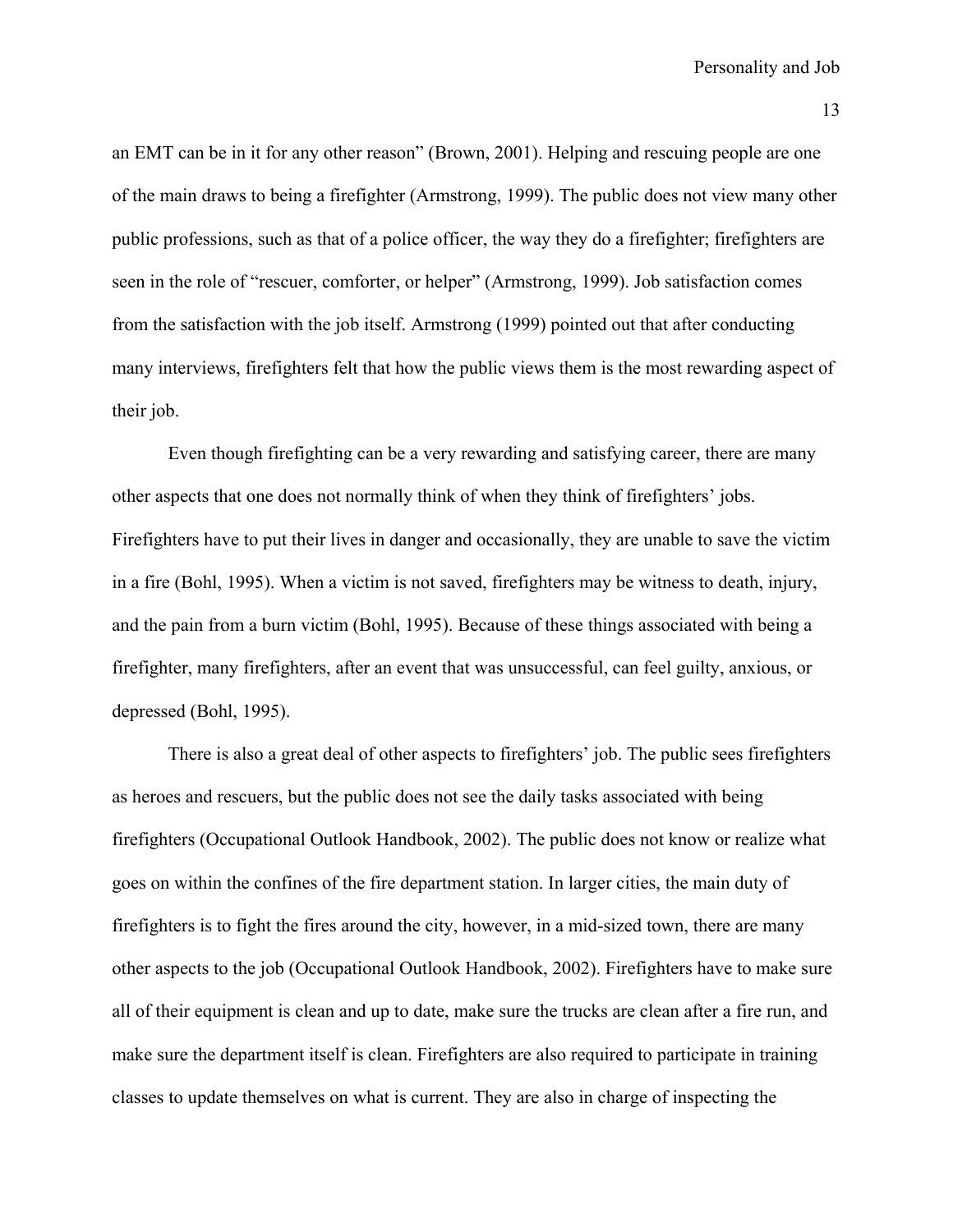an EMT can be in it for any other reason" (Brown, 2001). Helping and rescuing people are one of the main draws to being a firefighter (Armstrong, 1999). The public does not view many other public professions, such as that of a police officer, the way they do a firefighter; firefighters are seen in the role of "rescuer, comforter, or helper" (Armstrong, 1999). Job satisfaction comes from the satisfaction with the job itself. Armstrong (1999) pointed out that after conducting many interviews, firefighters felt that how the public views them is the most rewarding aspect of their job.

 Even though firefighting can be a very rewarding and satisfying career, there are many other aspects that one does not normally think of when they think of firefighters' jobs. Firefighters have to put their lives in danger and occasionally, they are unable to save the victim in a fire (Bohl, 1995). When a victim is not saved, firefighters may be witness to death, injury, and the pain from a burn victim (Bohl, 1995). Because of these things associated with being a firefighter, many firefighters, after an event that was unsuccessful, can feel guilty, anxious, or depressed (Bohl, 1995).

 There is also a great deal of other aspects to firefighters' job. The public sees firefighters as heroes and rescuers, but the public does not see the daily tasks associated with being firefighters (Occupational Outlook Handbook, 2002). The public does not know or realize what goes on within the confines of the fire department station. In larger cities, the main duty of firefighters is to fight the fires around the city, however, in a mid-sized town, there are many other aspects to the job (Occupational Outlook Handbook, 2002). Firefighters have to make sure all of their equipment is clean and up to date, make sure the trucks are clean after a fire run, and make sure the department itself is clean. Firefighters are also required to participate in training classes to update themselves on what is current. They are also in charge of inspecting the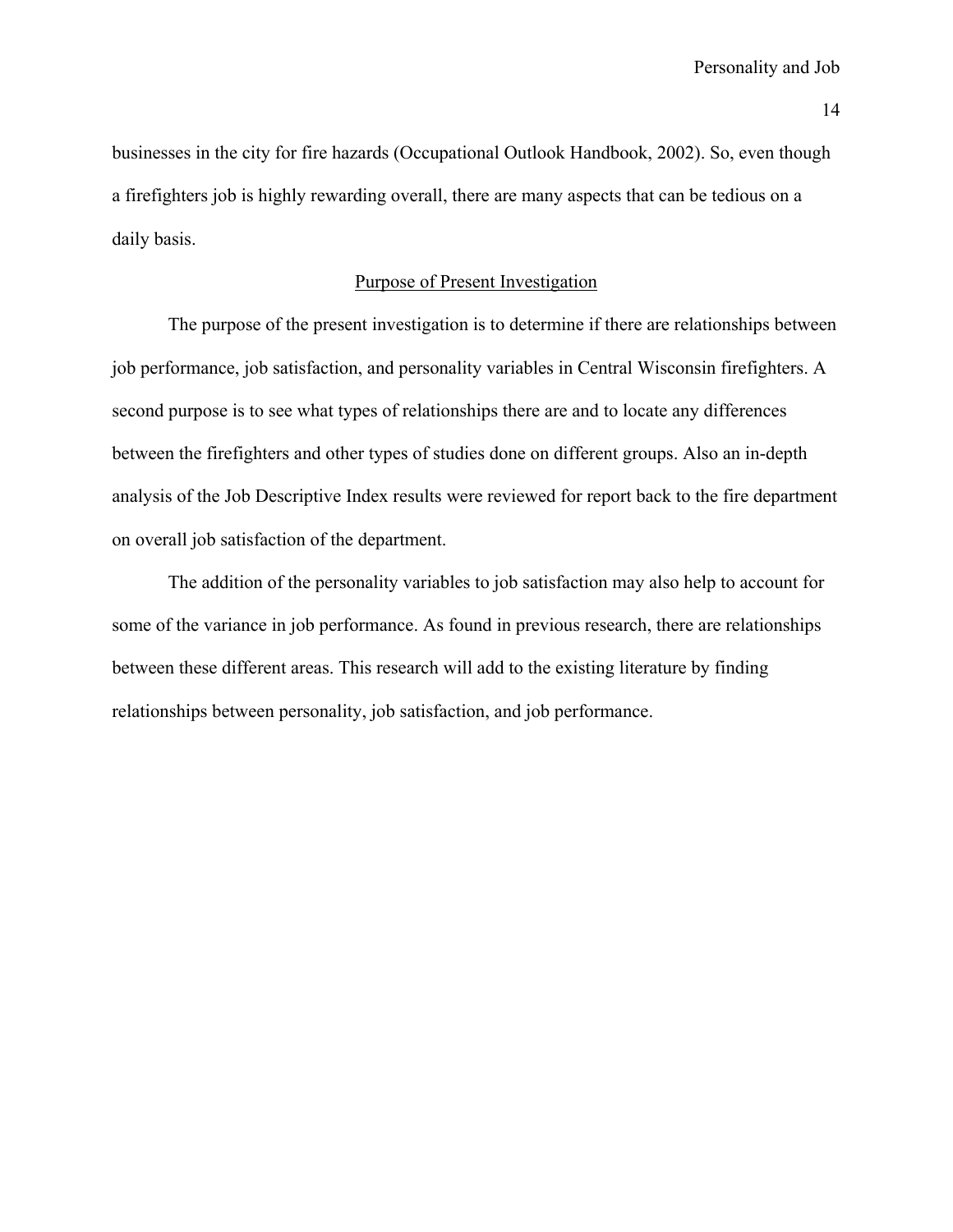businesses in the city for fire hazards (Occupational Outlook Handbook, 2002). So, even though a firefighters job is highly rewarding overall, there are many aspects that can be tedious on a daily basis.

# Purpose of Present Investigation

 The purpose of the present investigation is to determine if there are relationships between job performance, job satisfaction, and personality variables in Central Wisconsin firefighters. A second purpose is to see what types of relationships there are and to locate any differences between the firefighters and other types of studies done on different groups. Also an in-depth analysis of the Job Descriptive Index results were reviewed for report back to the fire department on overall job satisfaction of the department.

 The addition of the personality variables to job satisfaction may also help to account for some of the variance in job performance. As found in previous research, there are relationships between these different areas. This research will add to the existing literature by finding relationships between personality, job satisfaction, and job performance.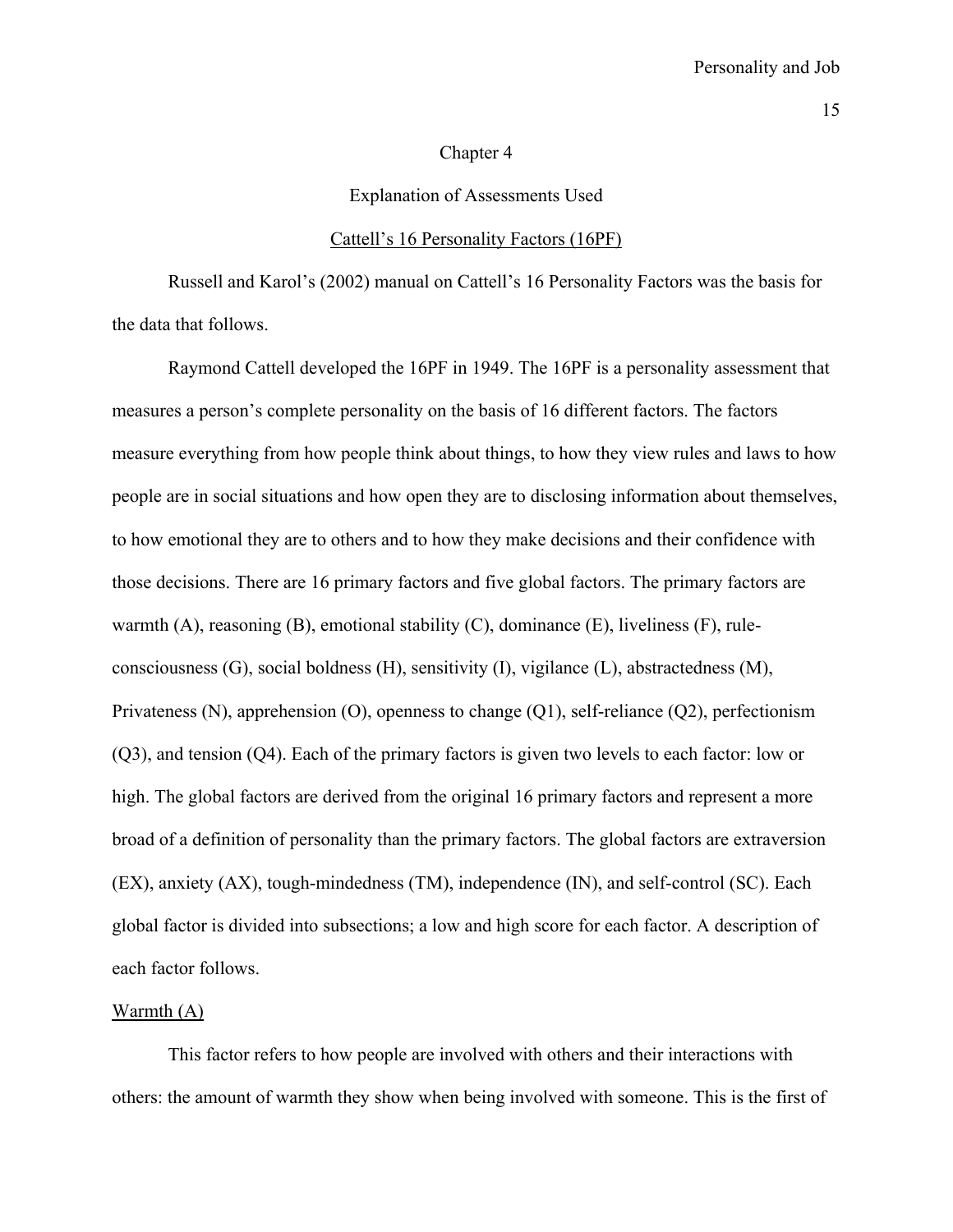#### Chapter 4

#### Explanation of Assessments Used

#### Cattell's 16 Personality Factors (16PF)

 Russell and Karol's (2002) manual on Cattell's 16 Personality Factors was the basis for the data that follows.

Raymond Cattell developed the 16PF in 1949. The 16PF is a personality assessment that measures a person's complete personality on the basis of 16 different factors. The factors measure everything from how people think about things, to how they view rules and laws to how people are in social situations and how open they are to disclosing information about themselves, to how emotional they are to others and to how they make decisions and their confidence with those decisions. There are 16 primary factors and five global factors. The primary factors are warmth (A), reasoning (B), emotional stability (C), dominance (E), liveliness (F), ruleconsciousness (G), social boldness (H), sensitivity (I), vigilance (L), abstractedness (M), Privateness (N), apprehension (O), openness to change (Q1), self-reliance (Q2), perfectionism (Q3), and tension (Q4). Each of the primary factors is given two levels to each factor: low or high. The global factors are derived from the original 16 primary factors and represent a more broad of a definition of personality than the primary factors. The global factors are extraversion (EX), anxiety (AX), tough-mindedness (TM), independence (IN), and self-control (SC). Each global factor is divided into subsections; a low and high score for each factor. A description of each factor follows.

# Warmth (A)

 This factor refers to how people are involved with others and their interactions with others: the amount of warmth they show when being involved with someone. This is the first of

15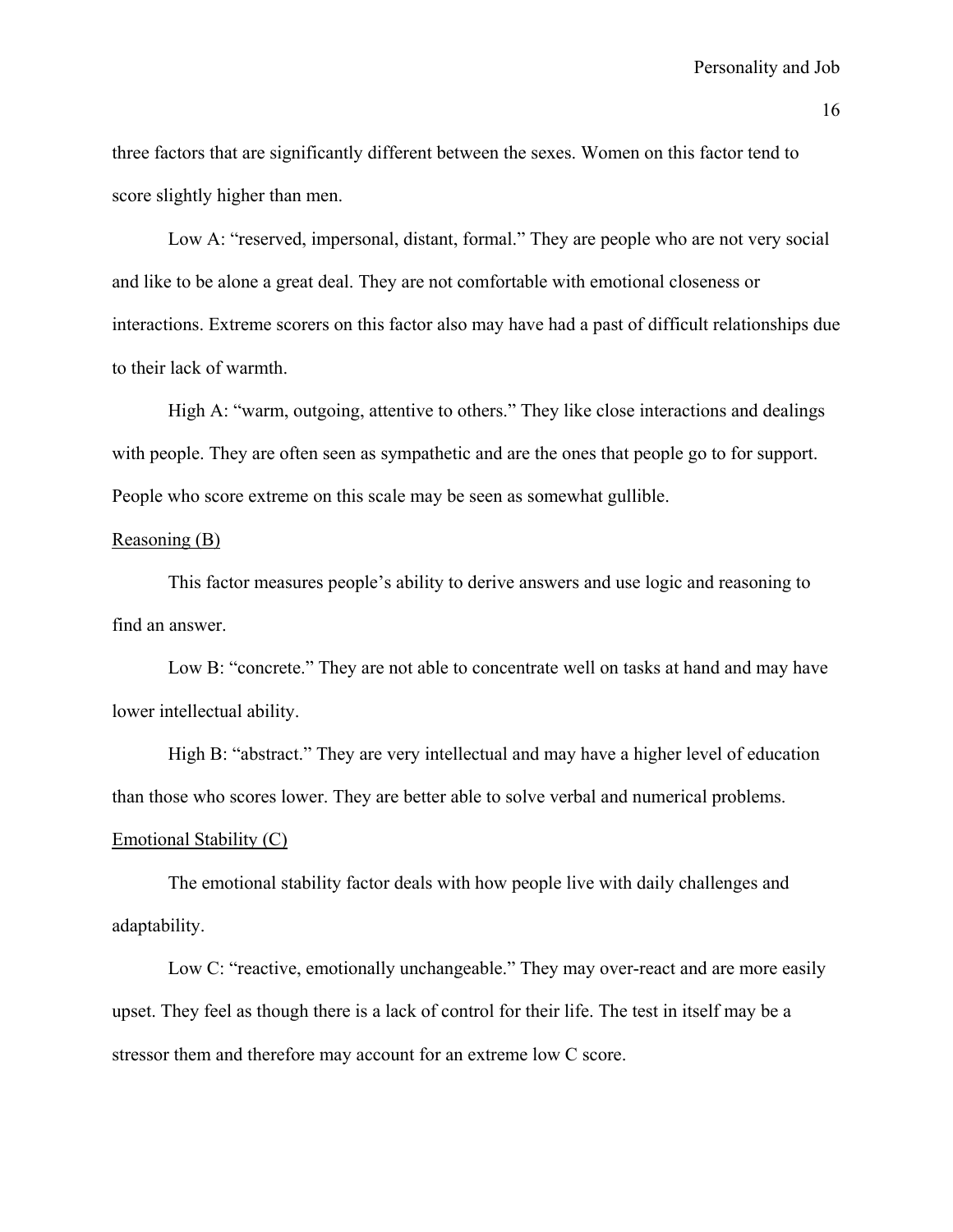three factors that are significantly different between the sexes. Women on this factor tend to score slightly higher than men.

Low A: "reserved, impersonal, distant, formal." They are people who are not very social and like to be alone a great deal. They are not comfortable with emotional closeness or interactions. Extreme scorers on this factor also may have had a past of difficult relationships due to their lack of warmth.

High A: "warm, outgoing, attentive to others." They like close interactions and dealings with people. They are often seen as sympathetic and are the ones that people go to for support. People who score extreme on this scale may be seen as somewhat gullible.

# Reasoning (B)

 This factor measures people's ability to derive answers and use logic and reasoning to find an answer.

 Low B: "concrete." They are not able to concentrate well on tasks at hand and may have lower intellectual ability.

High B: "abstract." They are very intellectual and may have a higher level of education than those who scores lower. They are better able to solve verbal and numerical problems.

# Emotional Stability (C)

 The emotional stability factor deals with how people live with daily challenges and adaptability.

Low C: "reactive, emotionally unchangeable." They may over-react and are more easily upset. They feel as though there is a lack of control for their life. The test in itself may be a stressor them and therefore may account for an extreme low C score.

16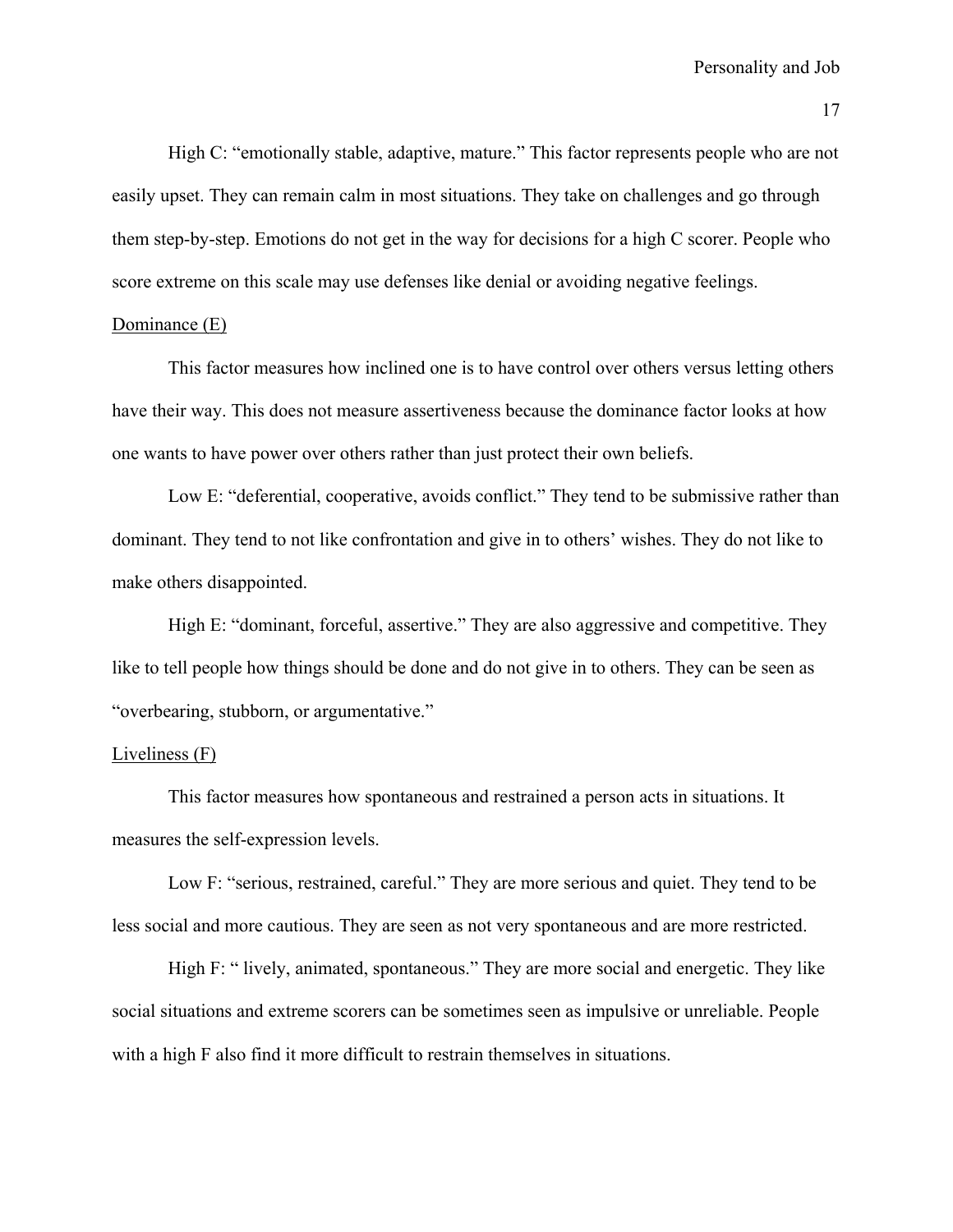High C: "emotionally stable, adaptive, mature." This factor represents people who are not easily upset. They can remain calm in most situations. They take on challenges and go through them step-by-step. Emotions do not get in the way for decisions for a high C scorer. People who score extreme on this scale may use defenses like denial or avoiding negative feelings.

#### Dominance (E)

 This factor measures how inclined one is to have control over others versus letting others have their way. This does not measure assertiveness because the dominance factor looks at how one wants to have power over others rather than just protect their own beliefs.

Low E: "deferential, cooperative, avoids conflict." They tend to be submissive rather than dominant. They tend to not like confrontation and give in to others' wishes. They do not like to make others disappointed.

High E: "dominant, forceful, assertive." They are also aggressive and competitive. They like to tell people how things should be done and do not give in to others. They can be seen as "overbearing, stubborn, or argumentative."

#### Liveliness (F)

 This factor measures how spontaneous and restrained a person acts in situations. It measures the self-expression levels.

Low F: "serious, restrained, careful." They are more serious and quiet. They tend to be less social and more cautious. They are seen as not very spontaneous and are more restricted.

High F: " lively, animated, spontaneous." They are more social and energetic. They like social situations and extreme scorers can be sometimes seen as impulsive or unreliable. People with a high F also find it more difficult to restrain themselves in situations.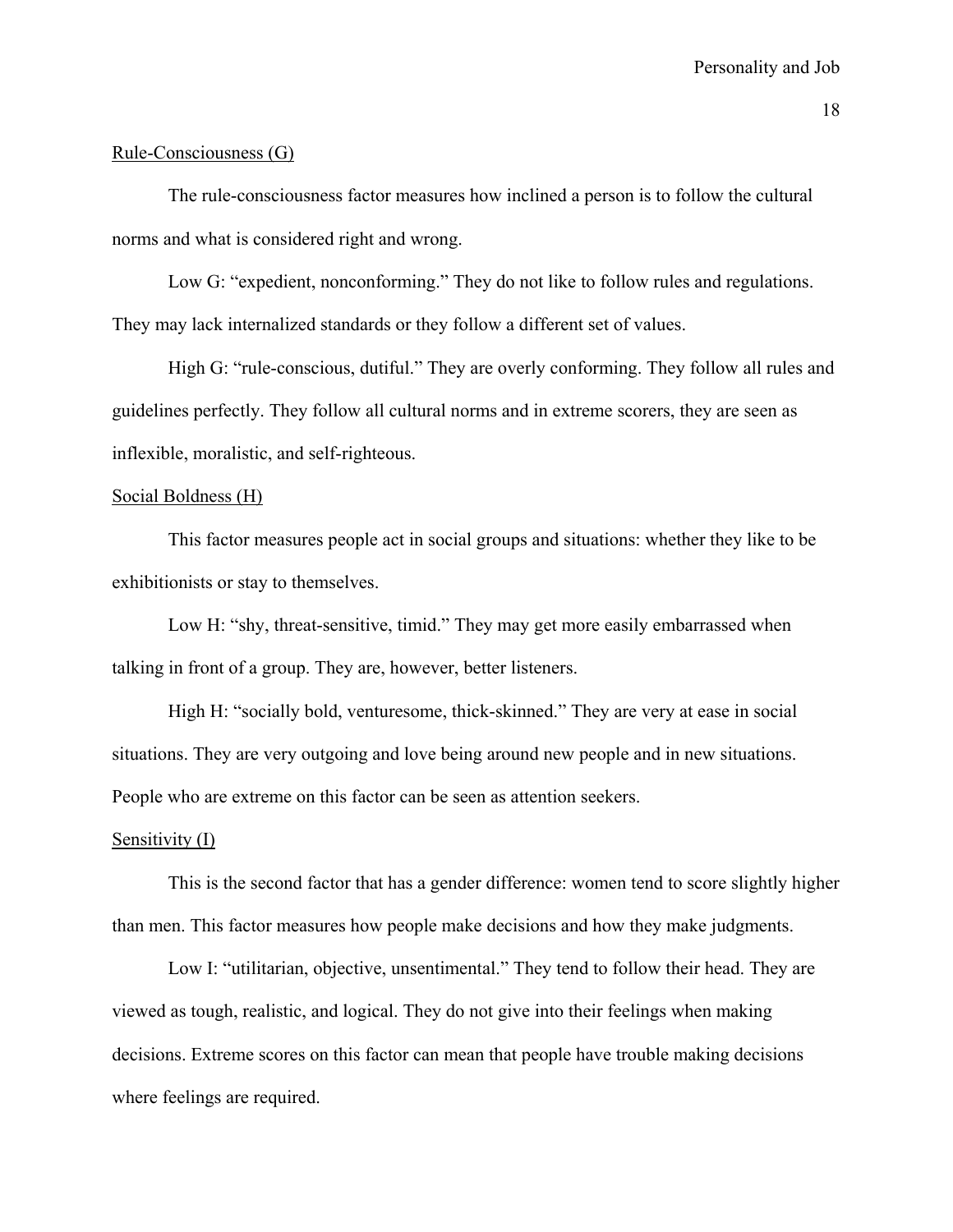#### Rule-Consciousness (G)

 The rule-consciousness factor measures how inclined a person is to follow the cultural norms and what is considered right and wrong.

Low G: "expedient, nonconforming." They do not like to follow rules and regulations. They may lack internalized standards or they follow a different set of values.

High G: "rule-conscious, dutiful." They are overly conforming. They follow all rules and guidelines perfectly. They follow all cultural norms and in extreme scorers, they are seen as inflexible, moralistic, and self-righteous.

# Social Boldness (H)

 This factor measures people act in social groups and situations: whether they like to be exhibitionists or stay to themselves.

Low H: "shy, threat-sensitive, timid." They may get more easily embarrassed when talking in front of a group. They are, however, better listeners.

High H: "socially bold, venturesome, thick-skinned." They are very at ease in social situations. They are very outgoing and love being around new people and in new situations. People who are extreme on this factor can be seen as attention seekers.

# Sensitivity (I)

 This is the second factor that has a gender difference: women tend to score slightly higher than men. This factor measures how people make decisions and how they make judgments.

Low I: "utilitarian, objective, unsentimental." They tend to follow their head. They are viewed as tough, realistic, and logical. They do not give into their feelings when making decisions. Extreme scores on this factor can mean that people have trouble making decisions where feelings are required.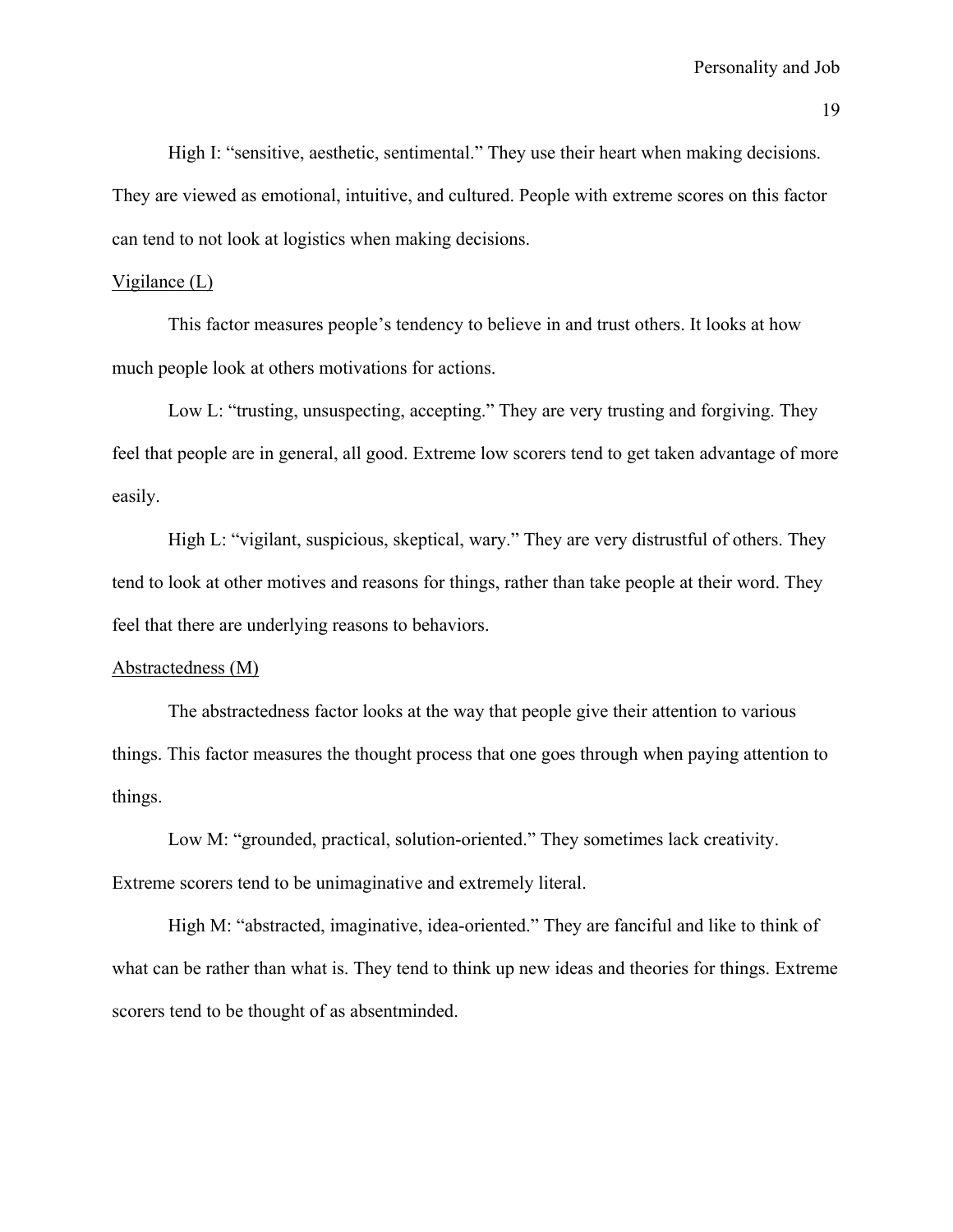High I: "sensitive, aesthetic, sentimental." They use their heart when making decisions. They are viewed as emotional, intuitive, and cultured. People with extreme scores on this factor can tend to not look at logistics when making decisions.

# Vigilance (L)

 This factor measures people's tendency to believe in and trust others. It looks at how much people look at others motivations for actions.

Low L: "trusting, unsuspecting, accepting." They are very trusting and forgiving. They feel that people are in general, all good. Extreme low scorers tend to get taken advantage of more easily.

High L: "vigilant, suspicious, skeptical, wary." They are very distrustful of others. They tend to look at other motives and reasons for things, rather than take people at their word. They feel that there are underlying reasons to behaviors.

# Abstractedness (M)

 The abstractedness factor looks at the way that people give their attention to various things. This factor measures the thought process that one goes through when paying attention to things.

Low M: "grounded, practical, solution-oriented." They sometimes lack creativity. Extreme scorers tend to be unimaginative and extremely literal.

High M: "abstracted, imaginative, idea-oriented." They are fanciful and like to think of what can be rather than what is. They tend to think up new ideas and theories for things. Extreme scorers tend to be thought of as absentminded.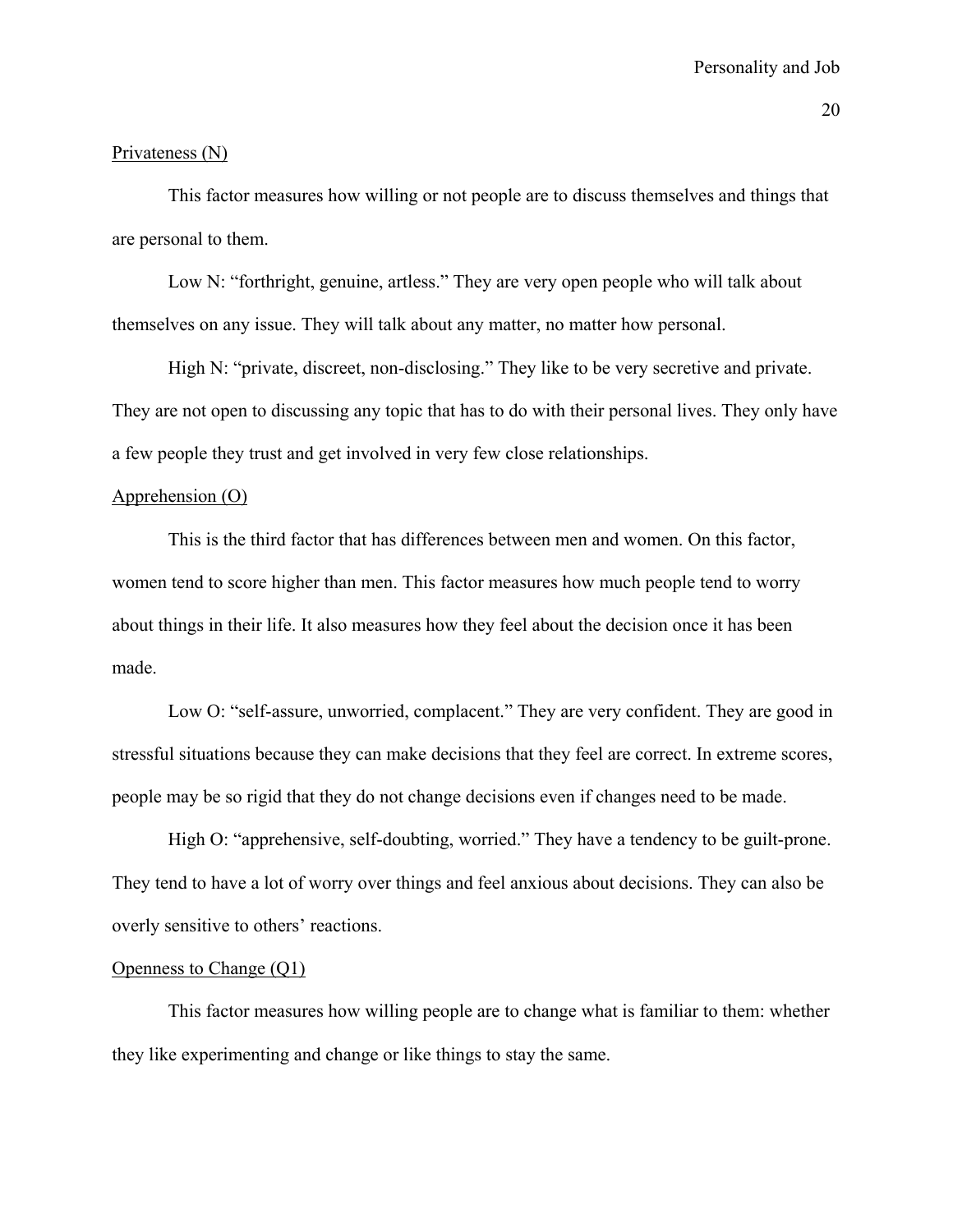#### Privateness (N)

 This factor measures how willing or not people are to discuss themselves and things that are personal to them.

Low N: "forthright, genuine, artless." They are very open people who will talk about themselves on any issue. They will talk about any matter, no matter how personal.

High N: "private, discreet, non-disclosing." They like to be very secretive and private. They are not open to discussing any topic that has to do with their personal lives. They only have a few people they trust and get involved in very few close relationships.

# Apprehension (O)

 This is the third factor that has differences between men and women. On this factor, women tend to score higher than men. This factor measures how much people tend to worry about things in their life. It also measures how they feel about the decision once it has been made.

Low O: "self-assure, unworried, complacent." They are very confident. They are good in stressful situations because they can make decisions that they feel are correct. In extreme scores, people may be so rigid that they do not change decisions even if changes need to be made.

High O: "apprehensive, self-doubting, worried." They have a tendency to be guilt-prone. They tend to have a lot of worry over things and feel anxious about decisions. They can also be overly sensitive to others' reactions.

#### Openness to Change (Q1)

 This factor measures how willing people are to change what is familiar to them: whether they like experimenting and change or like things to stay the same.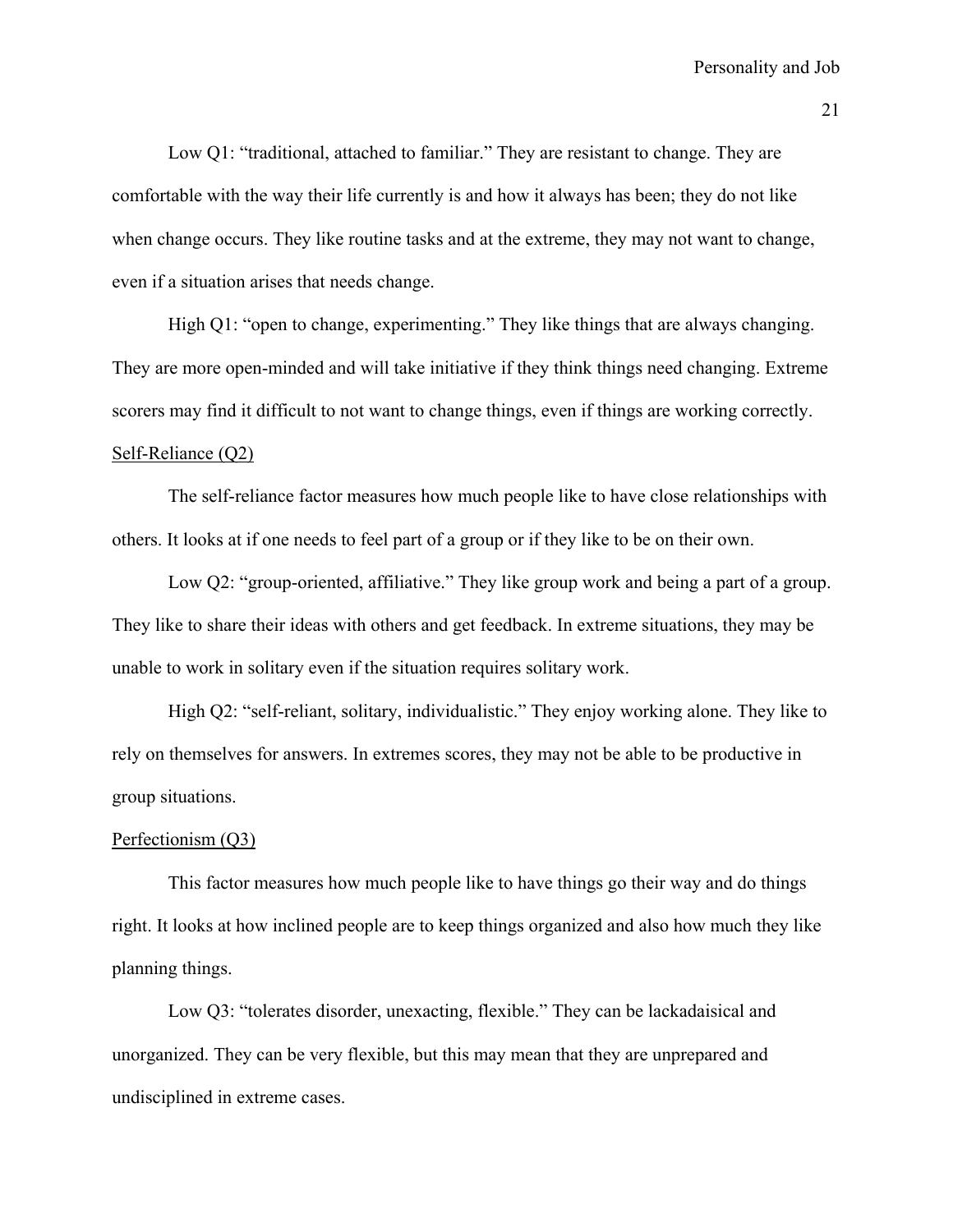Low Q1: "traditional, attached to familiar." They are resistant to change. They are comfortable with the way their life currently is and how it always has been; they do not like when change occurs. They like routine tasks and at the extreme, they may not want to change, even if a situation arises that needs change.

High Q1: "open to change, experimenting." They like things that are always changing. They are more open-minded and will take initiative if they think things need changing. Extreme scorers may find it difficult to not want to change things, even if things are working correctly. Self-Reliance (Q2)

 The self-reliance factor measures how much people like to have close relationships with others. It looks at if one needs to feel part of a group or if they like to be on their own.

Low Q2: "group-oriented, affiliative." They like group work and being a part of a group. They like to share their ideas with others and get feedback. In extreme situations, they may be unable to work in solitary even if the situation requires solitary work.

 High Q2: "self-reliant, solitary, individualistic." They enjoy working alone. They like to rely on themselves for answers. In extremes scores, they may not be able to be productive in group situations.

# Perfectionism (Q3)

 This factor measures how much people like to have things go their way and do things right. It looks at how inclined people are to keep things organized and also how much they like planning things.

Low Q3: "tolerates disorder, unexacting, flexible." They can be lackadaisical and unorganized. They can be very flexible, but this may mean that they are unprepared and undisciplined in extreme cases.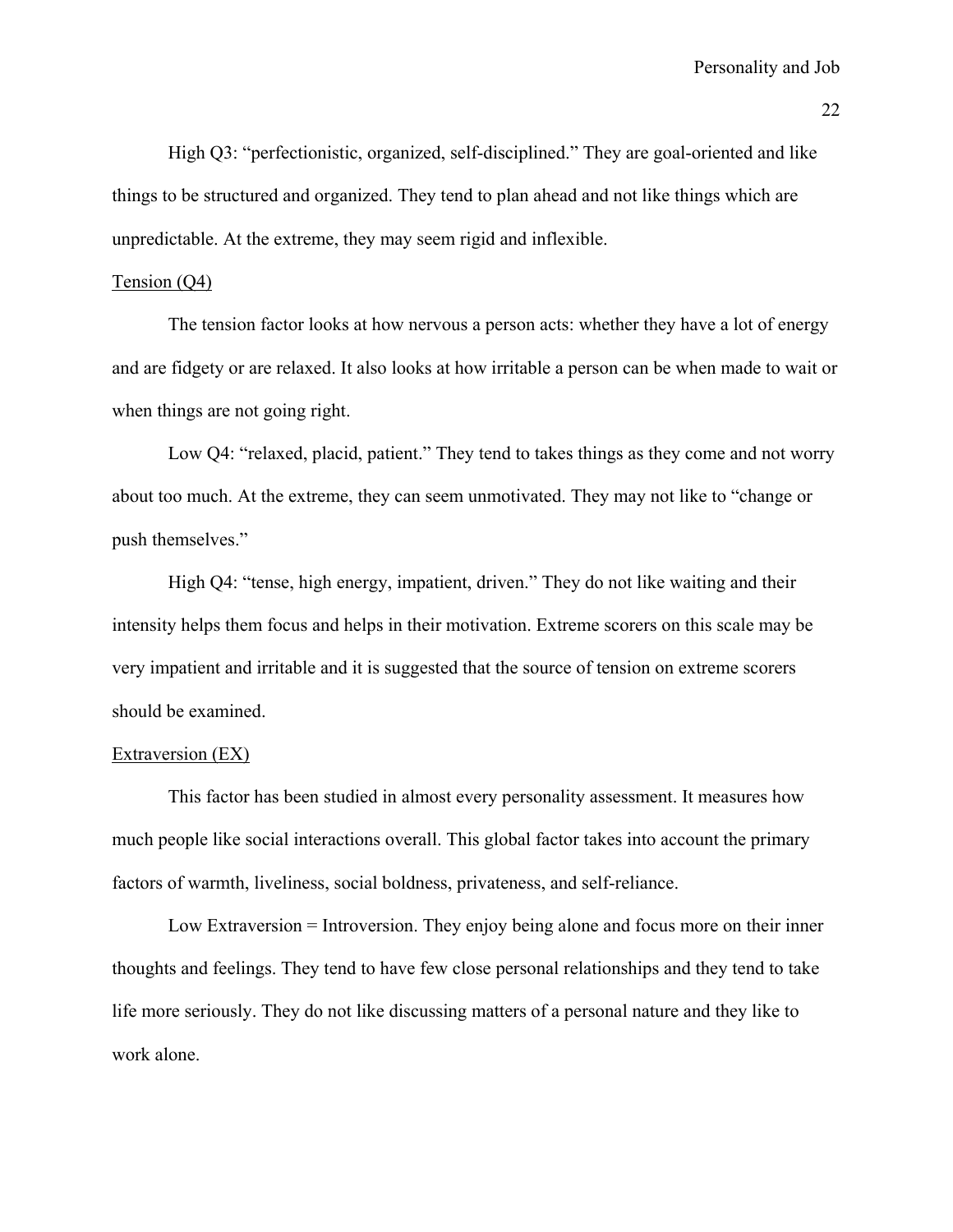High Q3: "perfectionistic, organized, self-disciplined." They are goal-oriented and like things to be structured and organized. They tend to plan ahead and not like things which are unpredictable. At the extreme, they may seem rigid and inflexible.

# Tension (Q4)

 The tension factor looks at how nervous a person acts: whether they have a lot of energy and are fidgety or are relaxed. It also looks at how irritable a person can be when made to wait or when things are not going right.

Low Q4: "relaxed, placid, patient." They tend to takes things as they come and not worry about too much. At the extreme, they can seem unmotivated. They may not like to "change or push themselves."

High Q4: "tense, high energy, impatient, driven." They do not like waiting and their intensity helps them focus and helps in their motivation. Extreme scorers on this scale may be very impatient and irritable and it is suggested that the source of tension on extreme scorers should be examined.

#### Extraversion (EX)

 This factor has been studied in almost every personality assessment. It measures how much people like social interactions overall. This global factor takes into account the primary factors of warmth, liveliness, social boldness, privateness, and self-reliance.

Low Extraversion = Introversion. They enjoy being alone and focus more on their inner thoughts and feelings. They tend to have few close personal relationships and they tend to take life more seriously. They do not like discussing matters of a personal nature and they like to work alone.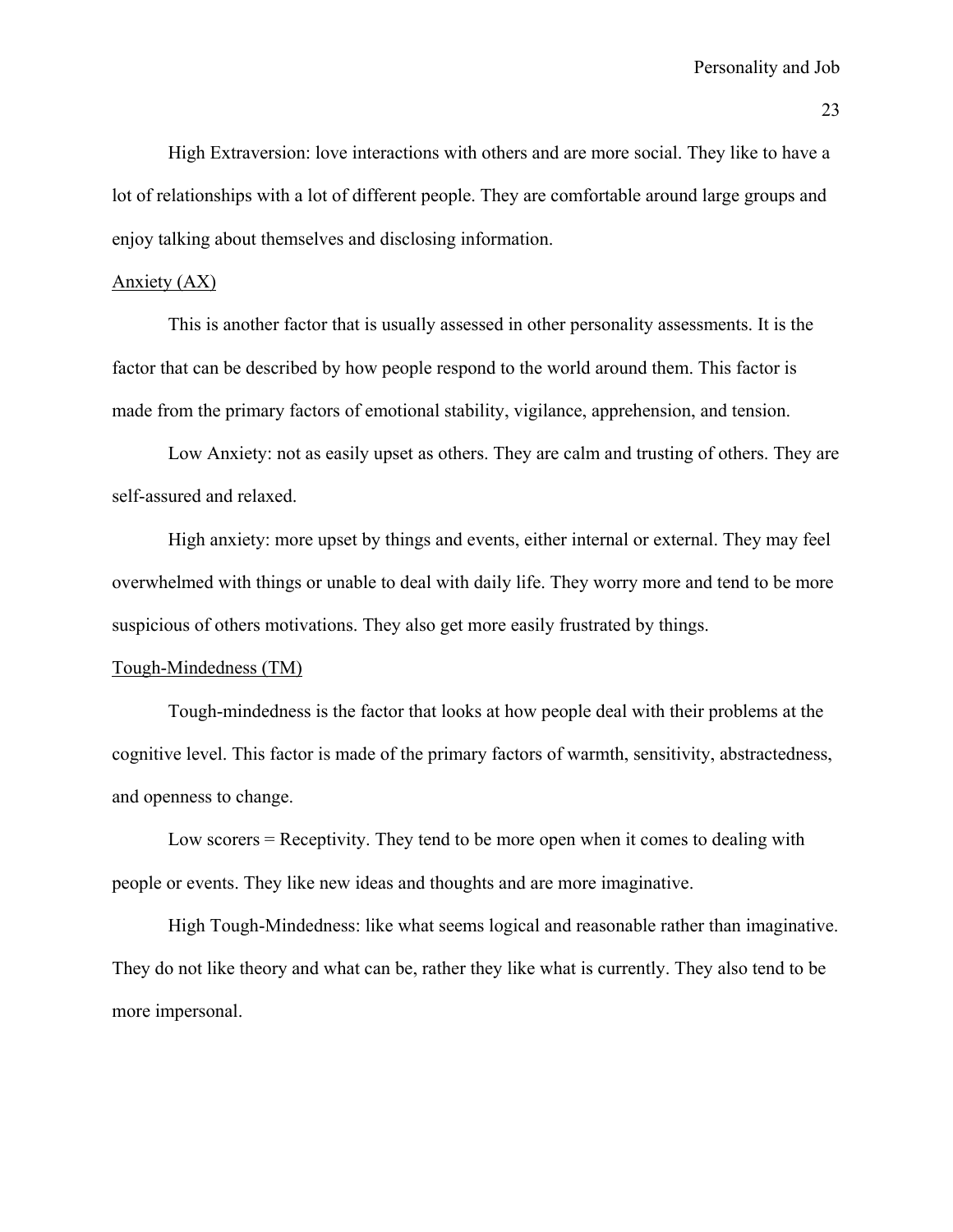High Extraversion: love interactions with others and are more social. They like to have a lot of relationships with a lot of different people. They are comfortable around large groups and enjoy talking about themselves and disclosing information.

# Anxiety (AX)

 This is another factor that is usually assessed in other personality assessments. It is the factor that can be described by how people respond to the world around them. This factor is made from the primary factors of emotional stability, vigilance, apprehension, and tension.

Low Anxiety: not as easily upset as others. They are calm and trusting of others. They are self-assured and relaxed.

High anxiety: more upset by things and events, either internal or external. They may feel overwhelmed with things or unable to deal with daily life. They worry more and tend to be more suspicious of others motivations. They also get more easily frustrated by things.

# Tough-Mindedness (TM)

 Tough-mindedness is the factor that looks at how people deal with their problems at the cognitive level. This factor is made of the primary factors of warmth, sensitivity, abstractedness, and openness to change.

Low scorers = Receptivity. They tend to be more open when it comes to dealing with people or events. They like new ideas and thoughts and are more imaginative.

 High Tough-Mindedness: like what seems logical and reasonable rather than imaginative. They do not like theory and what can be, rather they like what is currently. They also tend to be more impersonal.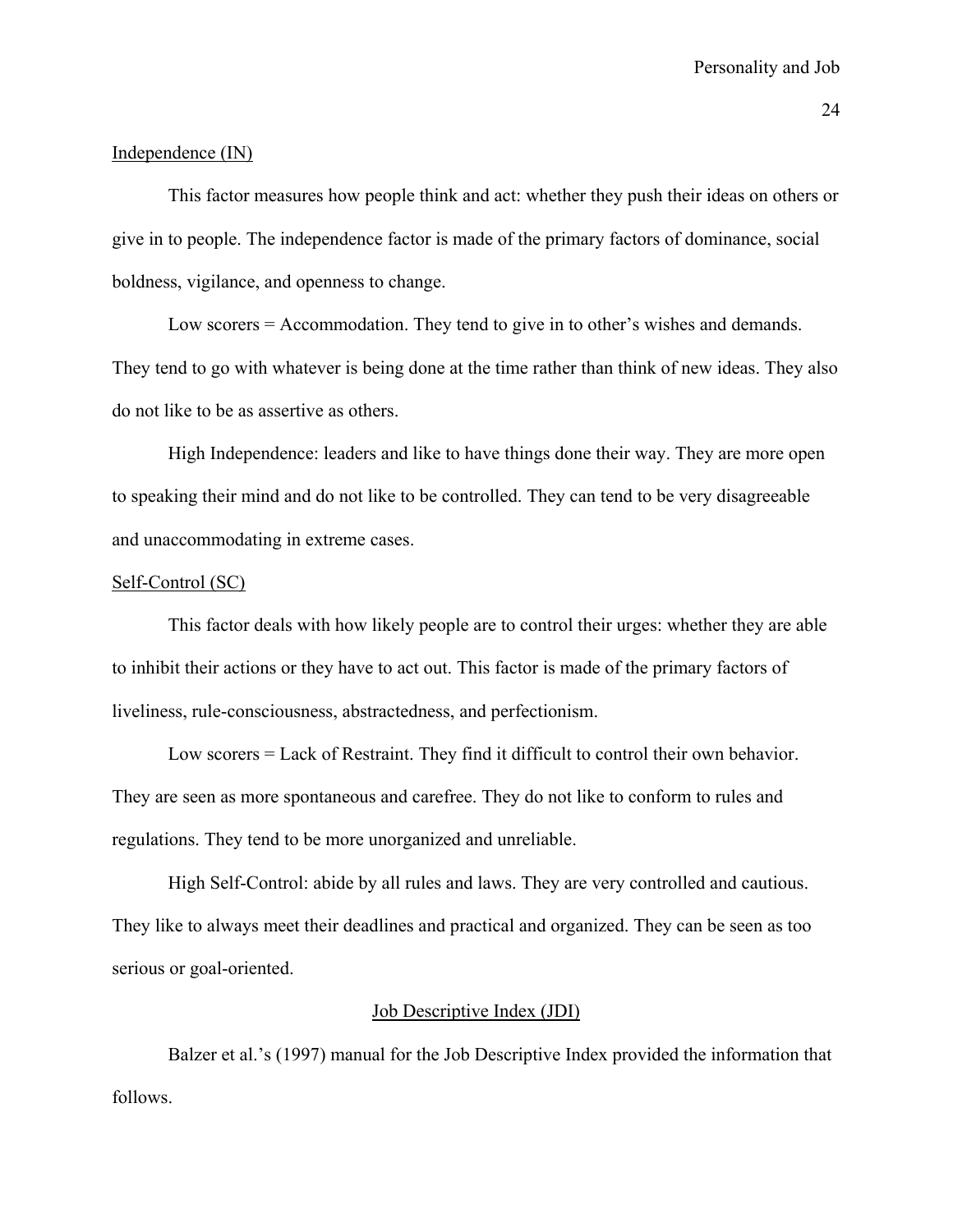#### Independence (IN)

This factor measures how people think and act: whether they push their ideas on others or give in to people. The independence factor is made of the primary factors of dominance, social boldness, vigilance, and openness to change.

Low scorers = Accommodation. They tend to give in to other's wishes and demands. They tend to go with whatever is being done at the time rather than think of new ideas. They also do not like to be as assertive as others.

High Independence: leaders and like to have things done their way. They are more open to speaking their mind and do not like to be controlled. They can tend to be very disagreeable and unaccommodating in extreme cases.

## Self-Control (SC)

 This factor deals with how likely people are to control their urges: whether they are able to inhibit their actions or they have to act out. This factor is made of the primary factors of liveliness, rule-consciousness, abstractedness, and perfectionism.

Low scorers = Lack of Restraint. They find it difficult to control their own behavior. They are seen as more spontaneous and carefree. They do not like to conform to rules and regulations. They tend to be more unorganized and unreliable.

 High Self-Control: abide by all rules and laws. They are very controlled and cautious. They like to always meet their deadlines and practical and organized. They can be seen as too serious or goal-oriented.

#### Job Descriptive Index (JDI)

Balzer et al.'s (1997) manual for the Job Descriptive Index provided the information that follows.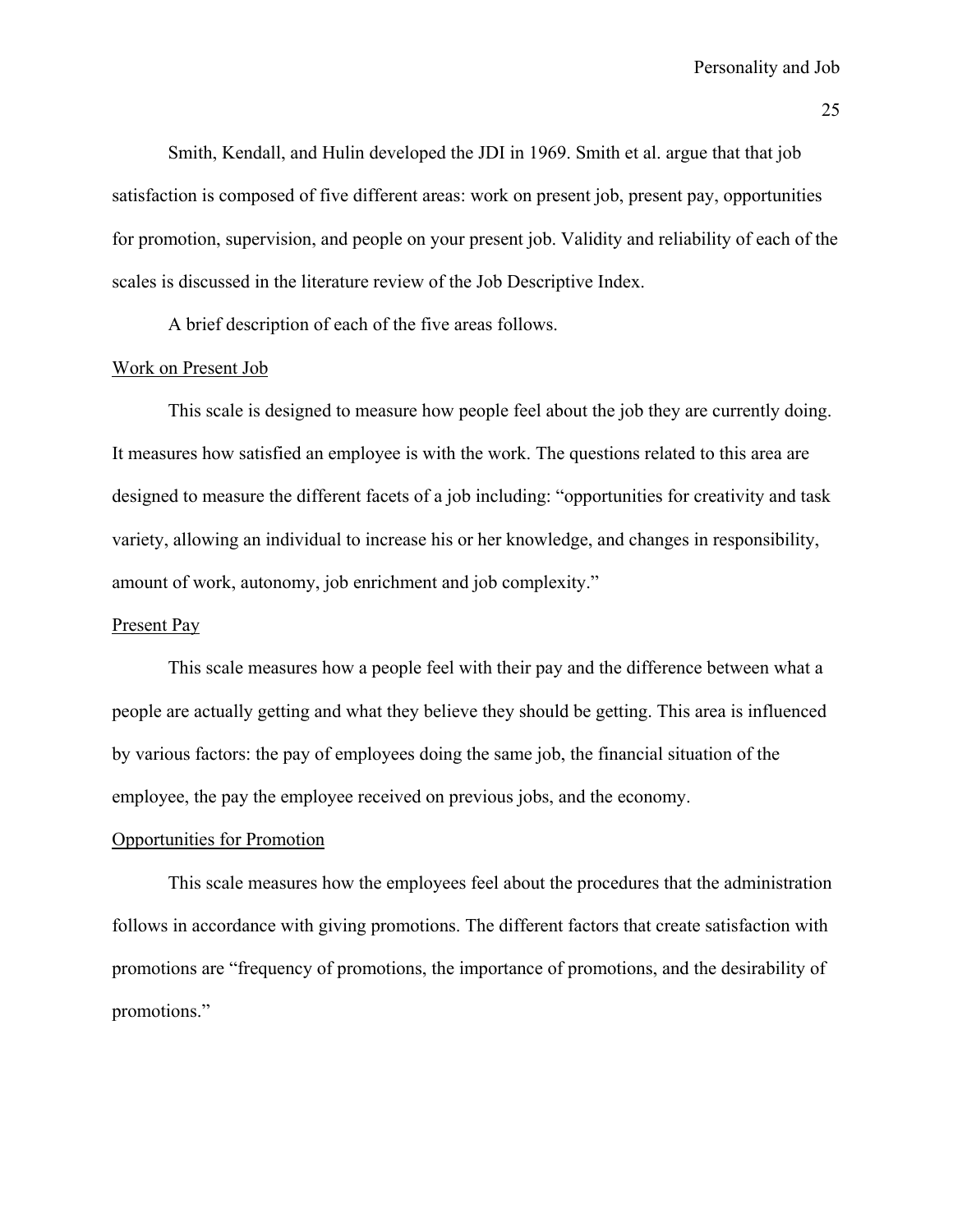Smith, Kendall, and Hulin developed the JDI in 1969. Smith et al. argue that that job satisfaction is composed of five different areas: work on present job, present pay, opportunities for promotion, supervision, and people on your present job. Validity and reliability of each of the scales is discussed in the literature review of the Job Descriptive Index.

A brief description of each of the five areas follows.

#### Work on Present Job

 This scale is designed to measure how people feel about the job they are currently doing. It measures how satisfied an employee is with the work. The questions related to this area are designed to measure the different facets of a job including: "opportunities for creativity and task variety, allowing an individual to increase his or her knowledge, and changes in responsibility, amount of work, autonomy, job enrichment and job complexity."

# Present Pay

 This scale measures how a people feel with their pay and the difference between what a people are actually getting and what they believe they should be getting. This area is influenced by various factors: the pay of employees doing the same job, the financial situation of the employee, the pay the employee received on previous jobs, and the economy.

# Opportunities for Promotion

 This scale measures how the employees feel about the procedures that the administration follows in accordance with giving promotions. The different factors that create satisfaction with promotions are "frequency of promotions, the importance of promotions, and the desirability of promotions."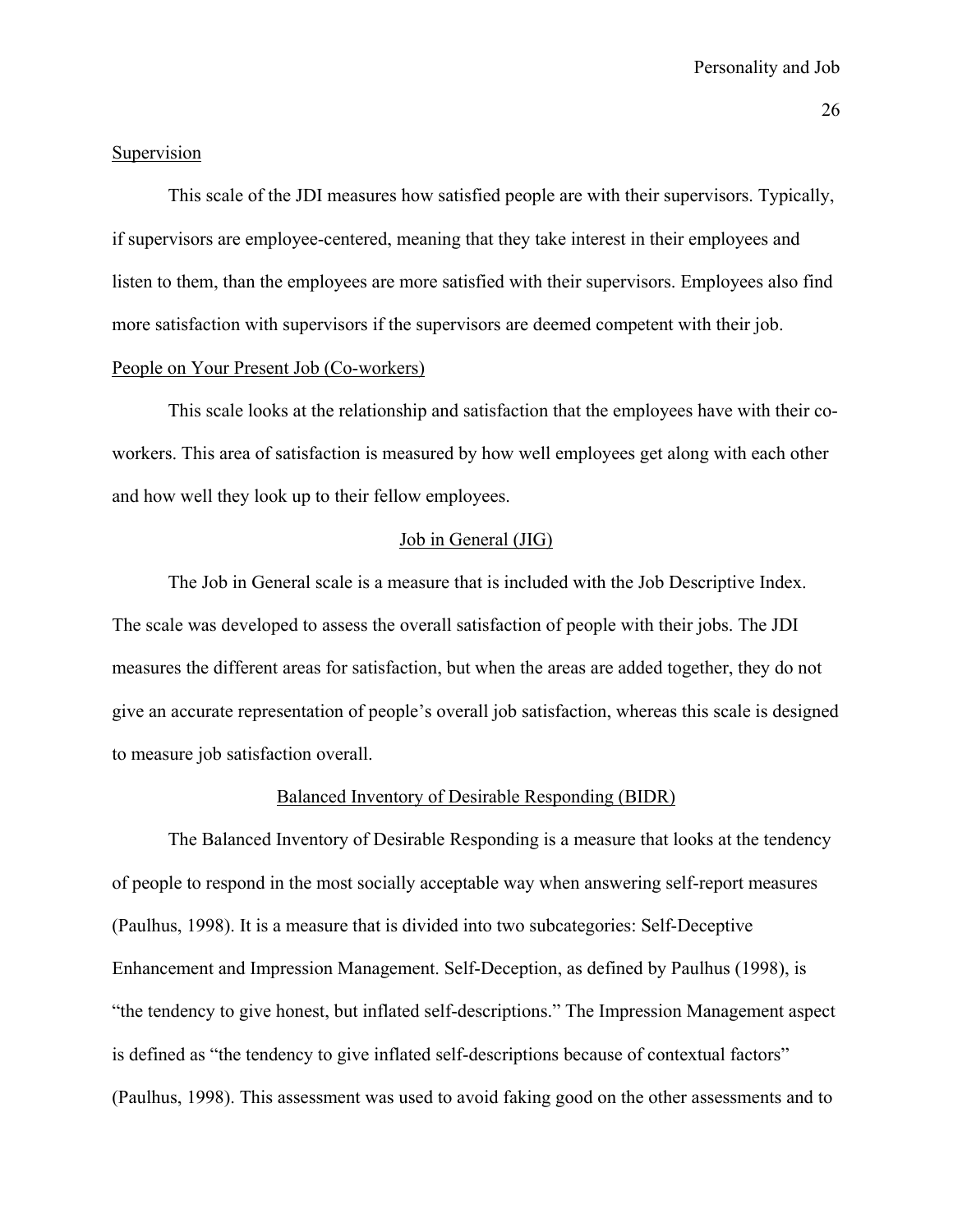#### Supervision

 This scale of the JDI measures how satisfied people are with their supervisors. Typically, if supervisors are employee-centered, meaning that they take interest in their employees and listen to them, than the employees are more satisfied with their supervisors. Employees also find more satisfaction with supervisors if the supervisors are deemed competent with their job.

# People on Your Present Job (Co-workers)

 This scale looks at the relationship and satisfaction that the employees have with their coworkers. This area of satisfaction is measured by how well employees get along with each other and how well they look up to their fellow employees.

# Job in General (JIG)

 The Job in General scale is a measure that is included with the Job Descriptive Index. The scale was developed to assess the overall satisfaction of people with their jobs. The JDI measures the different areas for satisfaction, but when the areas are added together, they do not give an accurate representation of people's overall job satisfaction, whereas this scale is designed to measure job satisfaction overall.

#### Balanced Inventory of Desirable Responding (BIDR)

 The Balanced Inventory of Desirable Responding is a measure that looks at the tendency of people to respond in the most socially acceptable way when answering self-report measures (Paulhus, 1998). It is a measure that is divided into two subcategories: Self-Deceptive Enhancement and Impression Management. Self-Deception, as defined by Paulhus (1998), is "the tendency to give honest, but inflated self-descriptions." The Impression Management aspect is defined as "the tendency to give inflated self-descriptions because of contextual factors" (Paulhus, 1998). This assessment was used to avoid faking good on the other assessments and to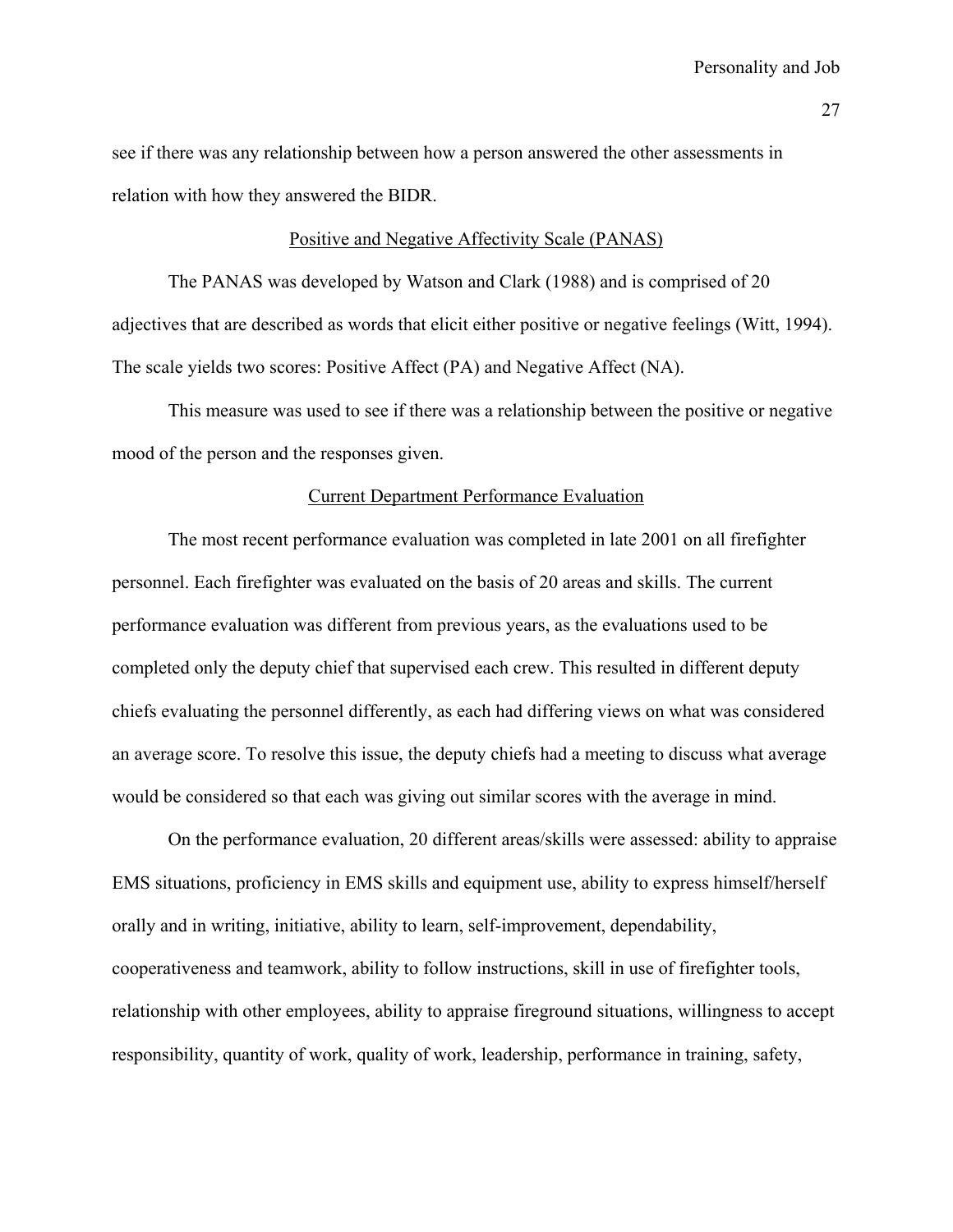see if there was any relationship between how a person answered the other assessments in relation with how they answered the BIDR.

#### Positive and Negative Affectivity Scale (PANAS)

 The PANAS was developed by Watson and Clark (1988) and is comprised of 20 adjectives that are described as words that elicit either positive or negative feelings (Witt, 1994). The scale yields two scores: Positive Affect (PA) and Negative Affect (NA).

This measure was used to see if there was a relationship between the positive or negative mood of the person and the responses given.

#### Current Department Performance Evaluation

 The most recent performance evaluation was completed in late 2001 on all firefighter personnel. Each firefighter was evaluated on the basis of 20 areas and skills. The current performance evaluation was different from previous years, as the evaluations used to be completed only the deputy chief that supervised each crew. This resulted in different deputy chiefs evaluating the personnel differently, as each had differing views on what was considered an average score. To resolve this issue, the deputy chiefs had a meeting to discuss what average would be considered so that each was giving out similar scores with the average in mind.

 On the performance evaluation, 20 different areas/skills were assessed: ability to appraise EMS situations, proficiency in EMS skills and equipment use, ability to express himself/herself orally and in writing, initiative, ability to learn, self-improvement, dependability, cooperativeness and teamwork, ability to follow instructions, skill in use of firefighter tools, relationship with other employees, ability to appraise fireground situations, willingness to accept responsibility, quantity of work, quality of work, leadership, performance in training, safety,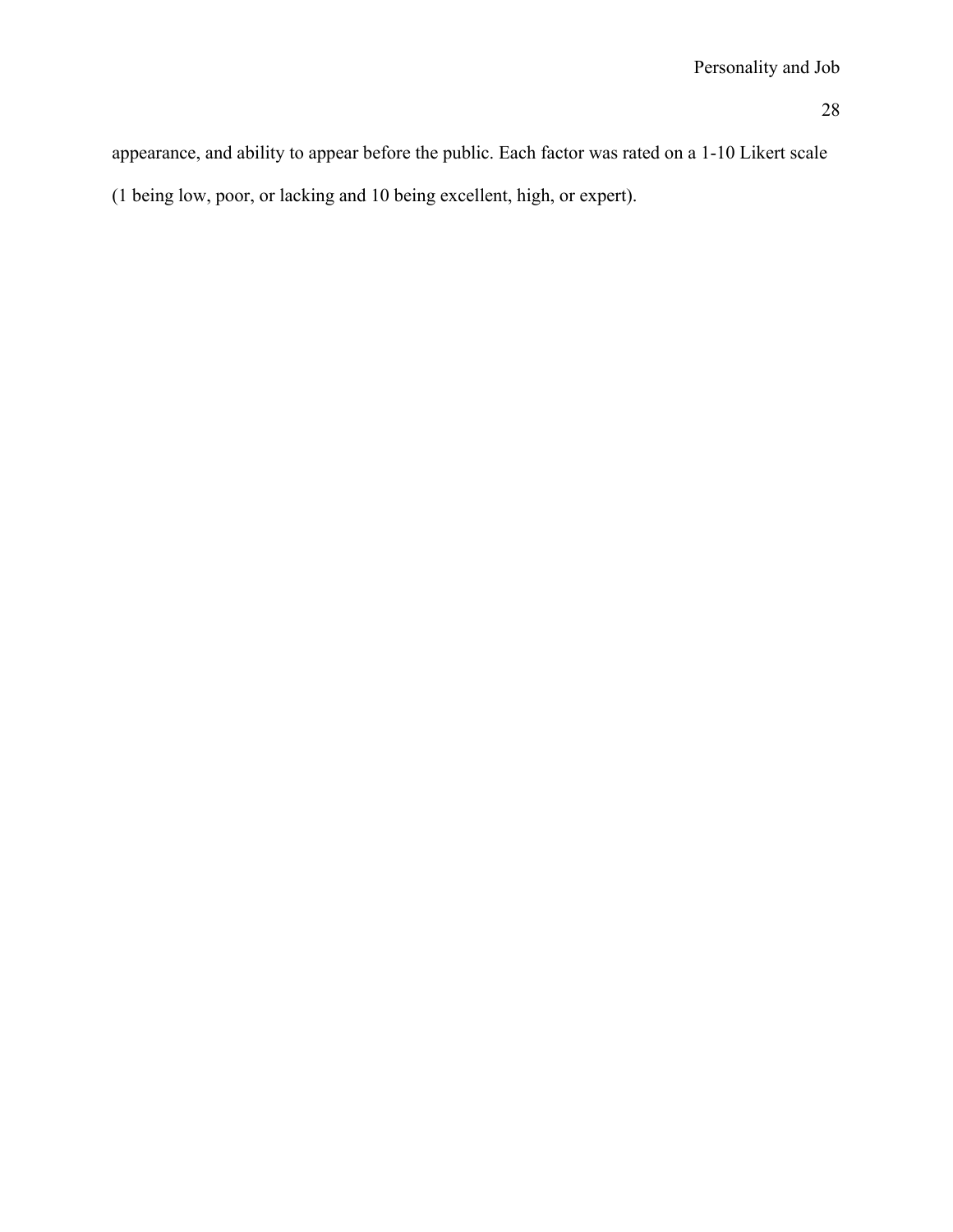appearance, and ability to appear before the public. Each factor was rated on a 1-10 Likert scale

(1 being low, poor, or lacking and 10 being excellent, high, or expert).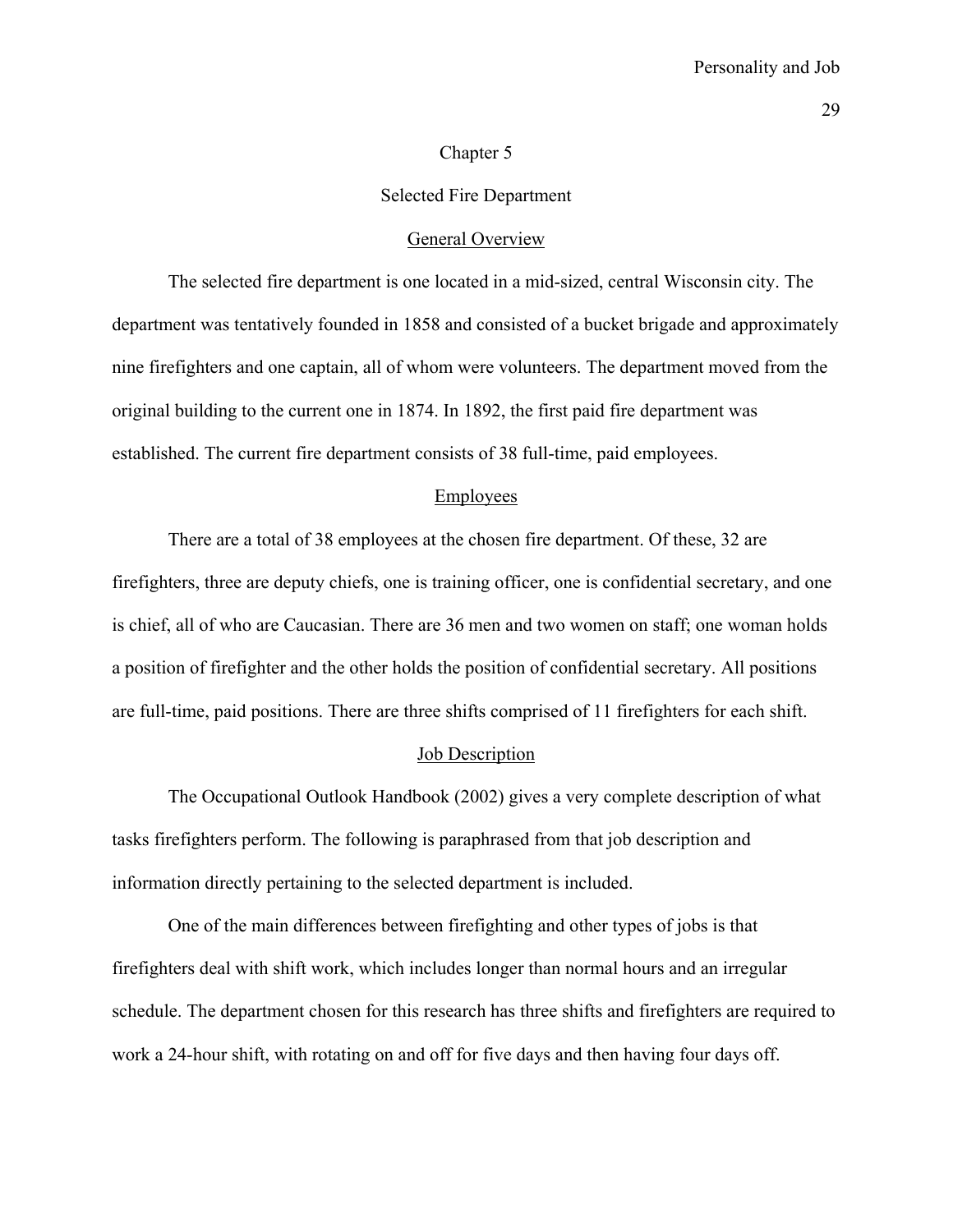#### Chapter 5

#### Selected Fire Department

#### General Overview

 The selected fire department is one located in a mid-sized, central Wisconsin city. The department was tentatively founded in 1858 and consisted of a bucket brigade and approximately nine firefighters and one captain, all of whom were volunteers. The department moved from the original building to the current one in 1874. In 1892, the first paid fire department was established. The current fire department consists of 38 full-time, paid employees.

#### Employees

 There are a total of 38 employees at the chosen fire department. Of these, 32 are firefighters, three are deputy chiefs, one is training officer, one is confidential secretary, and one is chief, all of who are Caucasian. There are 36 men and two women on staff; one woman holds a position of firefighter and the other holds the position of confidential secretary. All positions are full-time, paid positions. There are three shifts comprised of 11 firefighters for each shift.

#### Job Description

 The Occupational Outlook Handbook (2002) gives a very complete description of what tasks firefighters perform. The following is paraphrased from that job description and information directly pertaining to the selected department is included.

 One of the main differences between firefighting and other types of jobs is that firefighters deal with shift work, which includes longer than normal hours and an irregular schedule. The department chosen for this research has three shifts and firefighters are required to work a 24-hour shift, with rotating on and off for five days and then having four days off.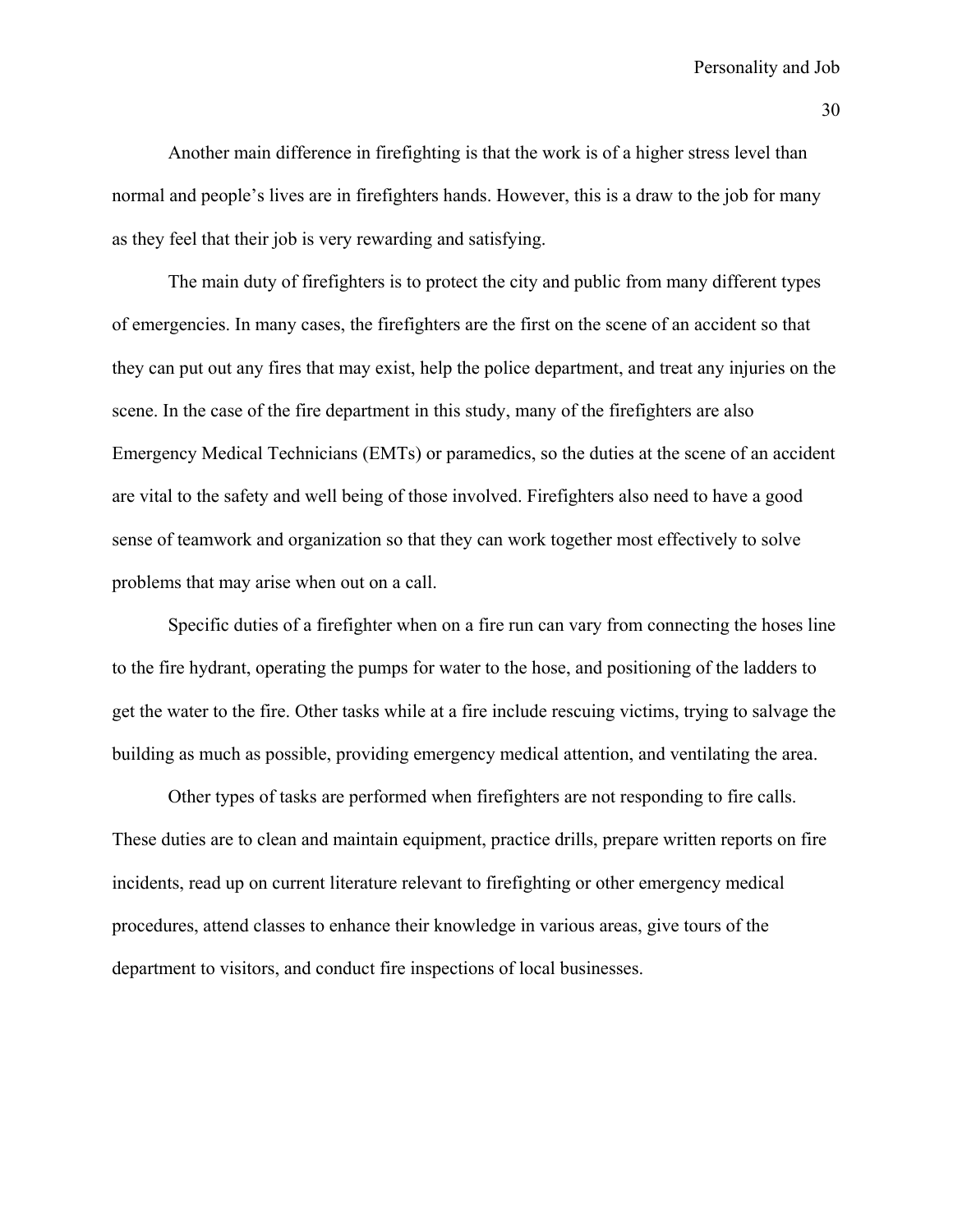Another main difference in firefighting is that the work is of a higher stress level than normal and people's lives are in firefighters hands. However, this is a draw to the job for many as they feel that their job is very rewarding and satisfying.

 The main duty of firefighters is to protect the city and public from many different types of emergencies. In many cases, the firefighters are the first on the scene of an accident so that they can put out any fires that may exist, help the police department, and treat any injuries on the scene. In the case of the fire department in this study, many of the firefighters are also Emergency Medical Technicians (EMTs) or paramedics, so the duties at the scene of an accident are vital to the safety and well being of those involved. Firefighters also need to have a good sense of teamwork and organization so that they can work together most effectively to solve problems that may arise when out on a call.

 Specific duties of a firefighter when on a fire run can vary from connecting the hoses line to the fire hydrant, operating the pumps for water to the hose, and positioning of the ladders to get the water to the fire. Other tasks while at a fire include rescuing victims, trying to salvage the building as much as possible, providing emergency medical attention, and ventilating the area.

 Other types of tasks are performed when firefighters are not responding to fire calls. These duties are to clean and maintain equipment, practice drills, prepare written reports on fire incidents, read up on current literature relevant to firefighting or other emergency medical procedures, attend classes to enhance their knowledge in various areas, give tours of the department to visitors, and conduct fire inspections of local businesses.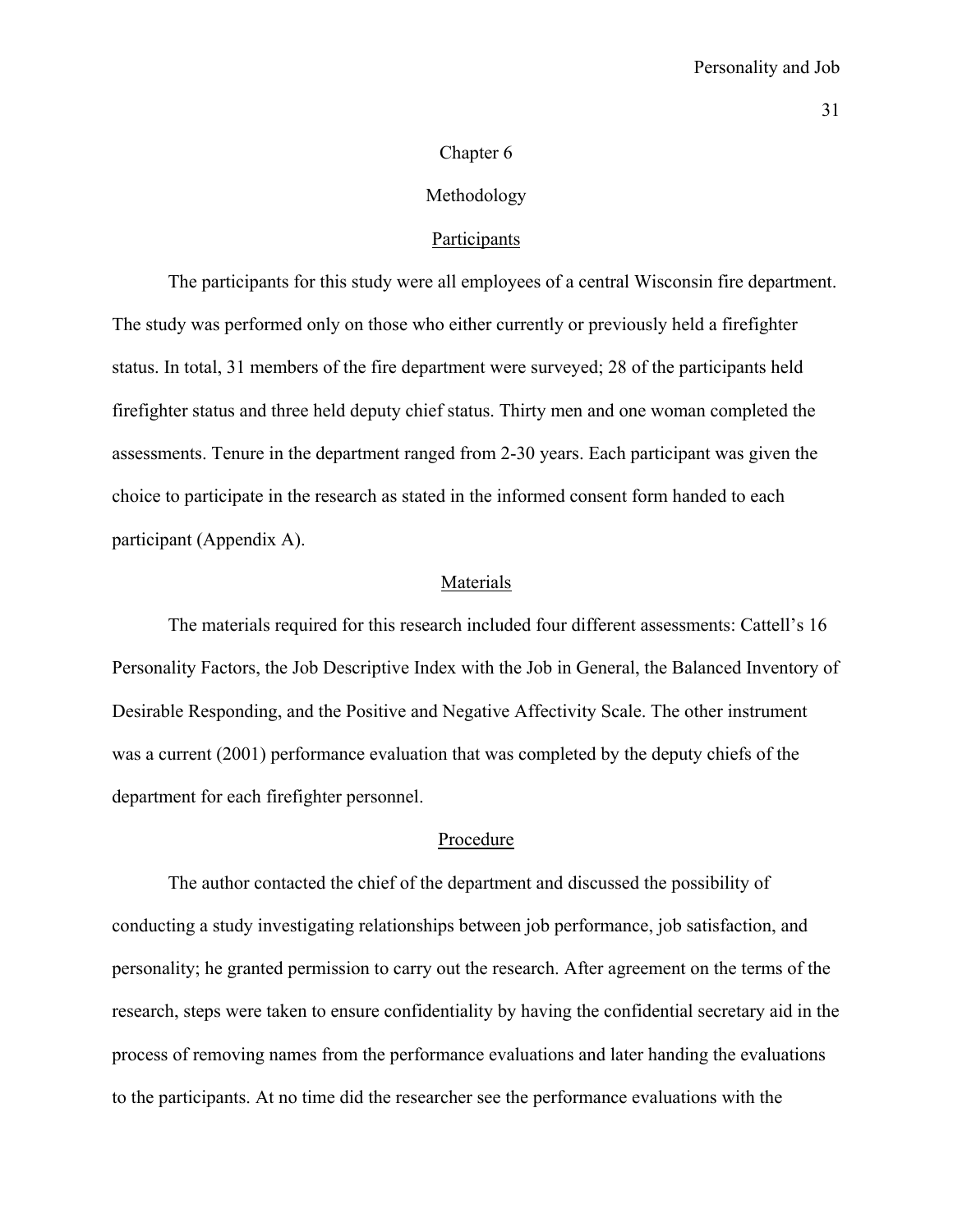#### Chapter 6

#### Methodology

### **Participants**

 The participants for this study were all employees of a central Wisconsin fire department. The study was performed only on those who either currently or previously held a firefighter status. In total, 31 members of the fire department were surveyed; 28 of the participants held firefighter status and three held deputy chief status. Thirty men and one woman completed the assessments. Tenure in the department ranged from 2-30 years. Each participant was given the choice to participate in the research as stated in the informed consent form handed to each participant (Appendix A).

#### Materials

 The materials required for this research included four different assessments: Cattell's 16 Personality Factors, the Job Descriptive Index with the Job in General, the Balanced Inventory of Desirable Responding, and the Positive and Negative Affectivity Scale. The other instrument was a current (2001) performance evaluation that was completed by the deputy chiefs of the department for each firefighter personnel.

#### Procedure

 The author contacted the chief of the department and discussed the possibility of conducting a study investigating relationships between job performance, job satisfaction, and personality; he granted permission to carry out the research. After agreement on the terms of the research, steps were taken to ensure confidentiality by having the confidential secretary aid in the process of removing names from the performance evaluations and later handing the evaluations to the participants. At no time did the researcher see the performance evaluations with the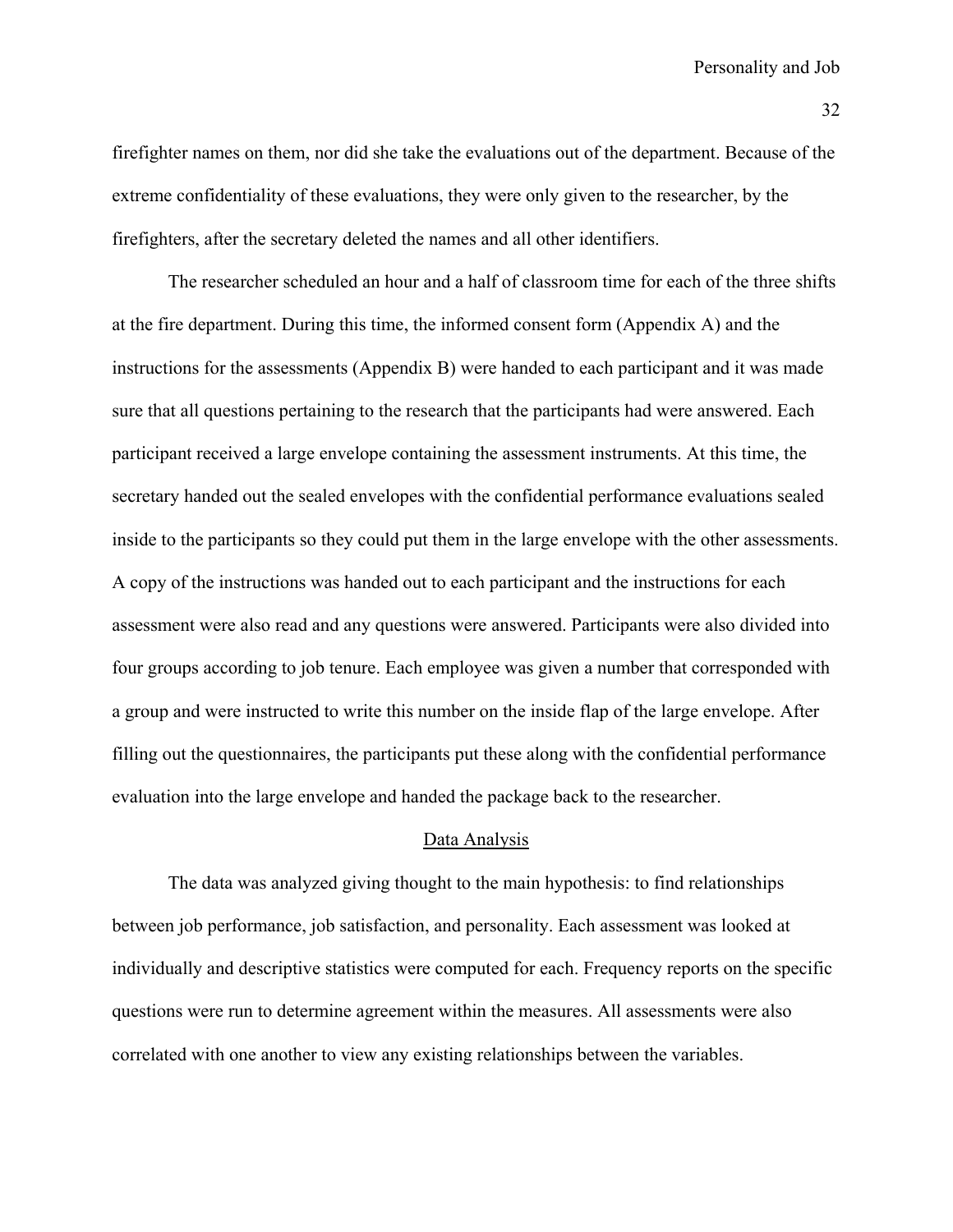firefighter names on them, nor did she take the evaluations out of the department. Because of the extreme confidentiality of these evaluations, they were only given to the researcher, by the firefighters, after the secretary deleted the names and all other identifiers.

 The researcher scheduled an hour and a half of classroom time for each of the three shifts at the fire department. During this time, the informed consent form (Appendix A) and the instructions for the assessments (Appendix B) were handed to each participant and it was made sure that all questions pertaining to the research that the participants had were answered. Each participant received a large envelope containing the assessment instruments. At this time, the secretary handed out the sealed envelopes with the confidential performance evaluations sealed inside to the participants so they could put them in the large envelope with the other assessments. A copy of the instructions was handed out to each participant and the instructions for each assessment were also read and any questions were answered. Participants were also divided into four groups according to job tenure. Each employee was given a number that corresponded with a group and were instructed to write this number on the inside flap of the large envelope. After filling out the questionnaires, the participants put these along with the confidential performance evaluation into the large envelope and handed the package back to the researcher.

## Data Analysis

 The data was analyzed giving thought to the main hypothesis: to find relationships between job performance, job satisfaction, and personality. Each assessment was looked at individually and descriptive statistics were computed for each. Frequency reports on the specific questions were run to determine agreement within the measures. All assessments were also correlated with one another to view any existing relationships between the variables.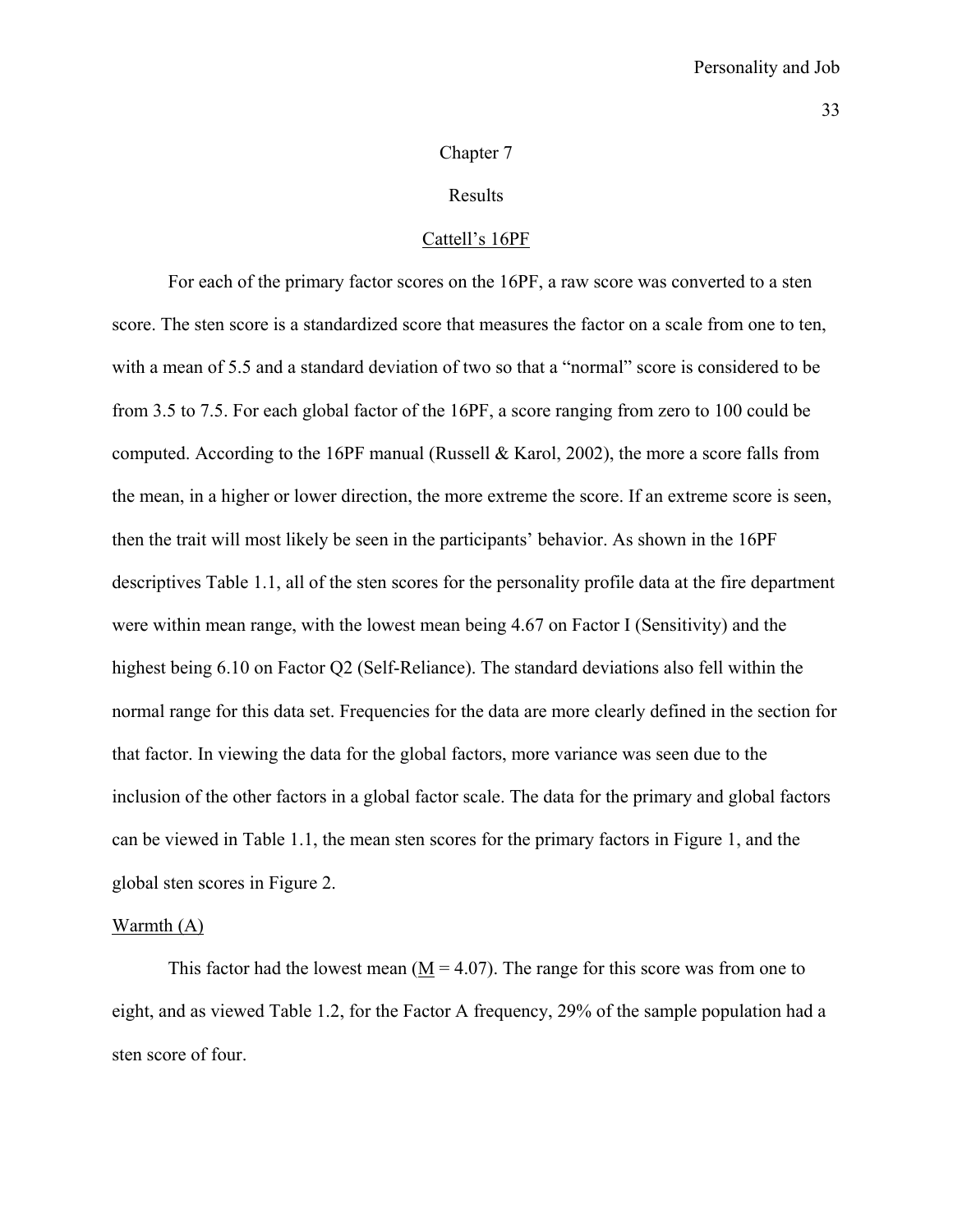#### Chapter 7

### Results

#### Cattell's 16PF

 For each of the primary factor scores on the 16PF, a raw score was converted to a sten score. The sten score is a standardized score that measures the factor on a scale from one to ten, with a mean of 5.5 and a standard deviation of two so that a "normal" score is considered to be from 3.5 to 7.5. For each global factor of the 16PF, a score ranging from zero to 100 could be computed. According to the 16PF manual (Russell & Karol, 2002), the more a score falls from the mean, in a higher or lower direction, the more extreme the score. If an extreme score is seen, then the trait will most likely be seen in the participants' behavior. As shown in the 16PF descriptives Table 1.1, all of the sten scores for the personality profile data at the fire department were within mean range, with the lowest mean being 4.67 on Factor I (Sensitivity) and the highest being 6.10 on Factor Q2 (Self-Reliance). The standard deviations also fell within the normal range for this data set. Frequencies for the data are more clearly defined in the section for that factor. In viewing the data for the global factors, more variance was seen due to the inclusion of the other factors in a global factor scale. The data for the primary and global factors can be viewed in Table 1.1, the mean sten scores for the primary factors in Figure 1, and the global sten scores in Figure 2.

## Warmth (A)

This factor had the lowest mean  $(M = 4.07)$ . The range for this score was from one to eight, and as viewed Table 1.2, for the Factor A frequency, 29% of the sample population had a sten score of four.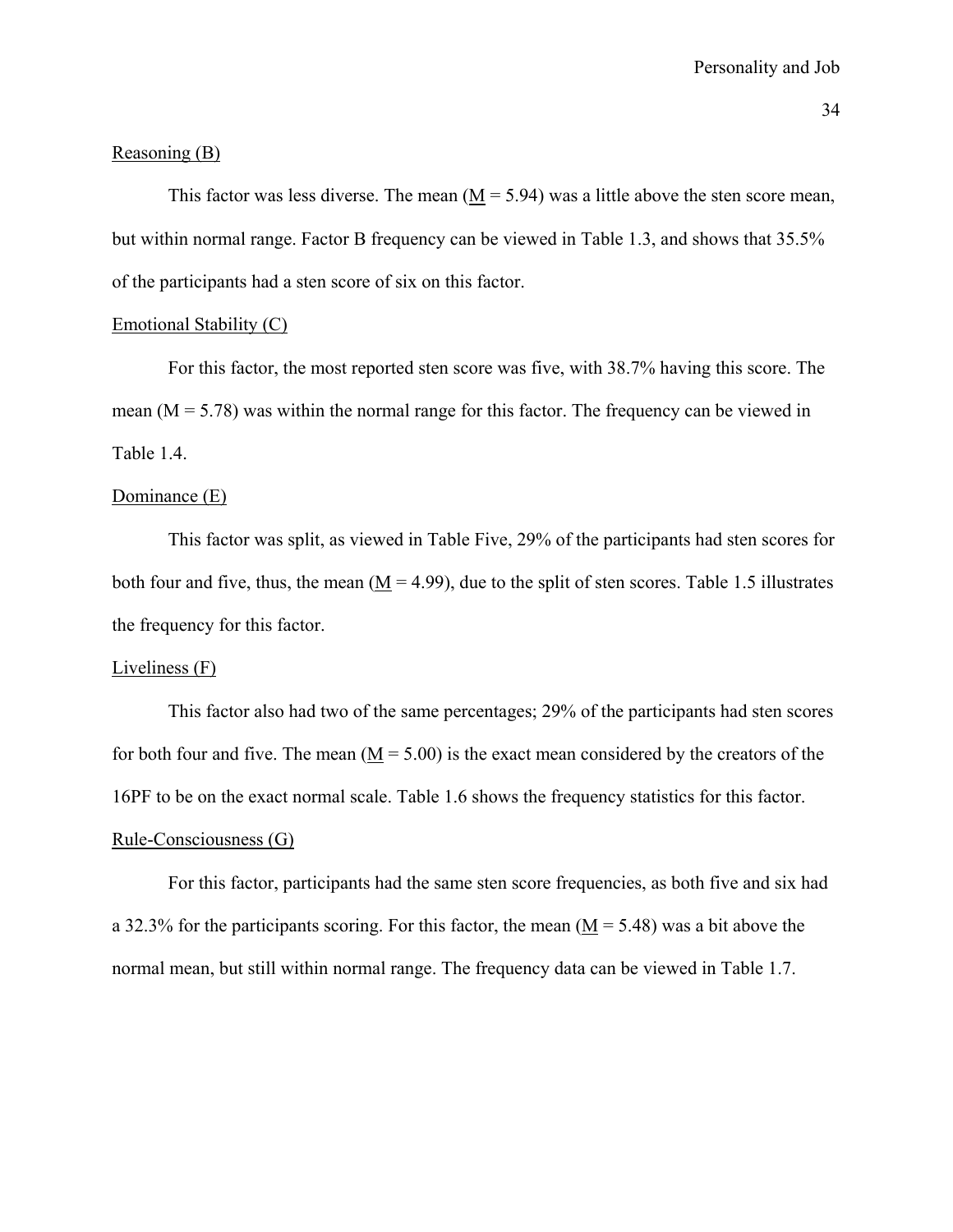#### Reasoning (B)

This factor was less diverse. The mean  $(M = 5.94)$  was a little above the sten score mean, but within normal range. Factor B frequency can be viewed in Table 1.3, and shows that 35.5% of the participants had a sten score of six on this factor.

## Emotional Stability (C)

 For this factor, the most reported sten score was five, with 38.7% having this score. The mean  $(M = 5.78)$  was within the normal range for this factor. The frequency can be viewed in Table 1.4.

#### Dominance (E)

 This factor was split, as viewed in Table Five, 29% of the participants had sten scores for both four and five, thus, the mean  $(M = 4.99)$ , due to the split of sten scores. Table 1.5 illustrates the frequency for this factor.

### Liveliness (F)

 This factor also had two of the same percentages; 29% of the participants had sten scores for both four and five. The mean  $(M = 5.00)$  is the exact mean considered by the creators of the 16PF to be on the exact normal scale. Table 1.6 shows the frequency statistics for this factor. Rule-Consciousness (G)

 For this factor, participants had the same sten score frequencies, as both five and six had a 32.3% for the participants scoring. For this factor, the mean  $(M = 5.48)$  was a bit above the normal mean, but still within normal range. The frequency data can be viewed in Table 1.7.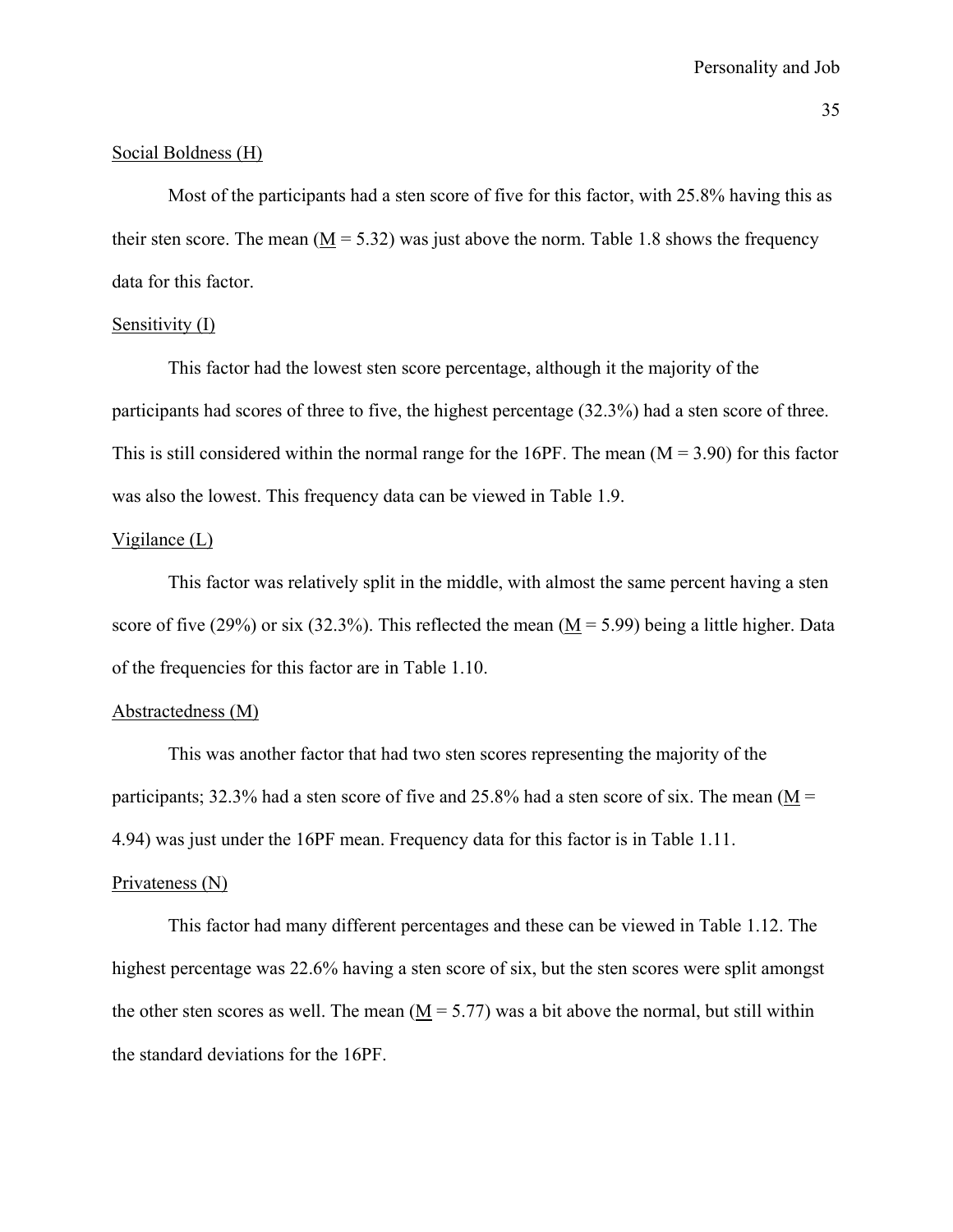#### Social Boldness (H)

 Most of the participants had a sten score of five for this factor, with 25.8% having this as their sten score. The mean ( $M = 5.32$ ) was just above the norm. Table 1.8 shows the frequency data for this factor.

### Sensitivity (I)

 This factor had the lowest sten score percentage, although it the majority of the participants had scores of three to five, the highest percentage (32.3%) had a sten score of three. This is still considered within the normal range for the 16PF. The mean  $(M = 3.90)$  for this factor was also the lowest. This frequency data can be viewed in Table 1.9.

### Vigilance (L)

 This factor was relatively split in the middle, with almost the same percent having a sten score of five (29%) or six (32.3%). This reflected the mean ( $M = 5.99$ ) being a little higher. Data of the frequencies for this factor are in Table 1.10.

### Abstractedness (M)

 This was another factor that had two sten scores representing the majority of the participants; 32.3% had a sten score of five and 25.8% had a sten score of six. The mean ( $M =$ 4.94) was just under the 16PF mean. Frequency data for this factor is in Table 1.11.

#### Privateness (N)

 This factor had many different percentages and these can be viewed in Table 1.12. The highest percentage was 22.6% having a sten score of six, but the sten scores were split amongst the other sten scores as well. The mean  $(M = 5.77)$  was a bit above the normal, but still within the standard deviations for the 16PF.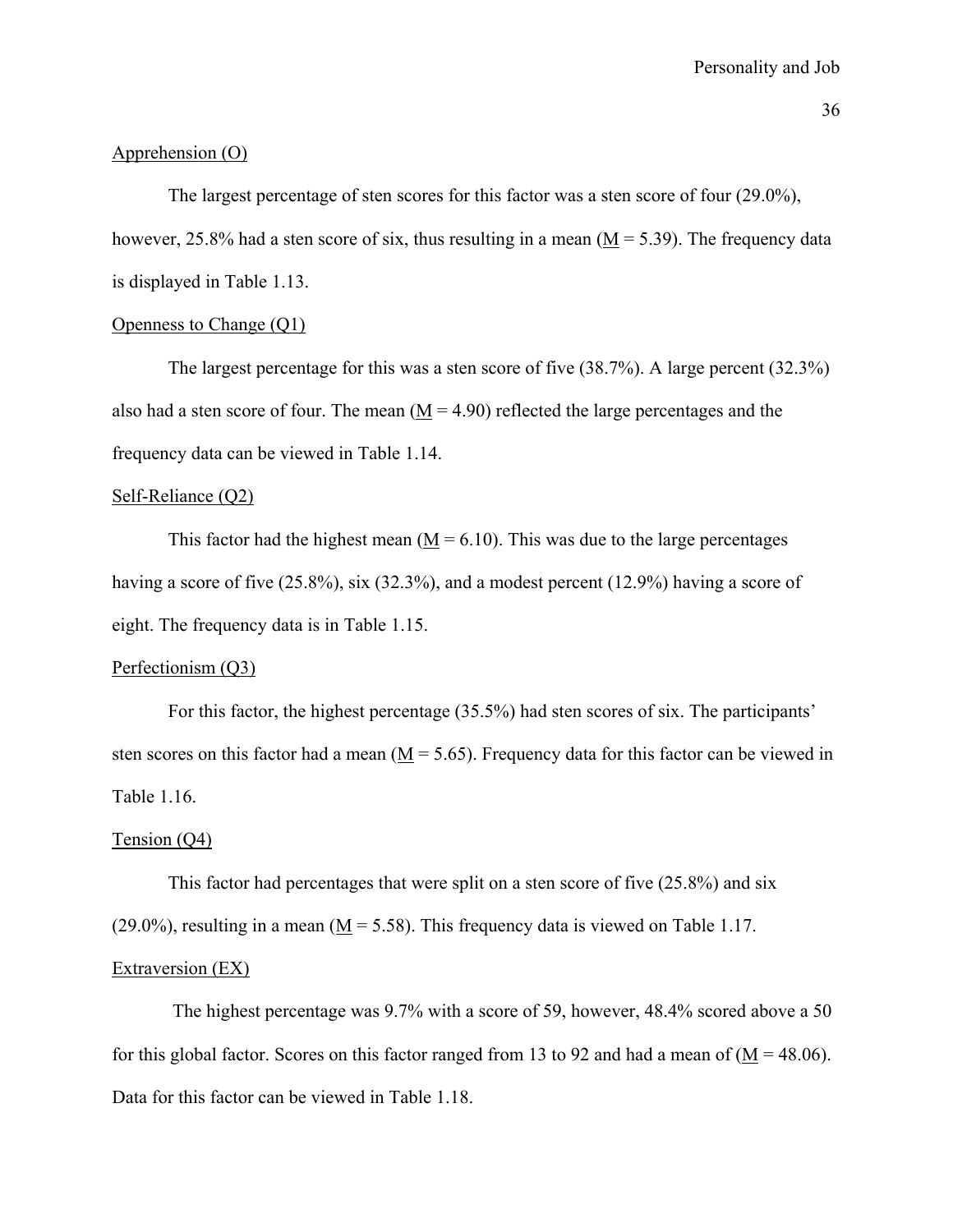### Apprehension (O)

 The largest percentage of sten scores for this factor was a sten score of four (29.0%), however, 25.8% had a sten score of six, thus resulting in a mean ( $M = 5.39$ ). The frequency data is displayed in Table 1.13.

## Openness to Change (Q1)

 The largest percentage for this was a sten score of five (38.7%). A large percent (32.3%) also had a sten score of four. The mean  $(M = 4.90)$  reflected the large percentages and the frequency data can be viewed in Table 1.14.

### Self-Reliance (Q2)

This factor had the highest mean  $(M = 6.10)$ . This was due to the large percentages having a score of five (25.8%), six (32.3%), and a modest percent (12.9%) having a score of eight. The frequency data is in Table 1.15.

### Perfectionism (Q3)

 For this factor, the highest percentage (35.5%) had sten scores of six. The participants' sten scores on this factor had a mean  $(M = 5.65)$ . Frequency data for this factor can be viewed in Table 1.16.

#### Tension (Q4)

 This factor had percentages that were split on a sten score of five (25.8%) and six  $(29.0\%)$ , resulting in a mean  $(M = 5.58)$ . This frequency data is viewed on Table 1.17. Extraversion (EX)

 The highest percentage was 9.7% with a score of 59, however, 48.4% scored above a 50 for this global factor. Scores on this factor ranged from 13 to 92 and had a mean of  $(M = 48.06)$ . Data for this factor can be viewed in Table 1.18.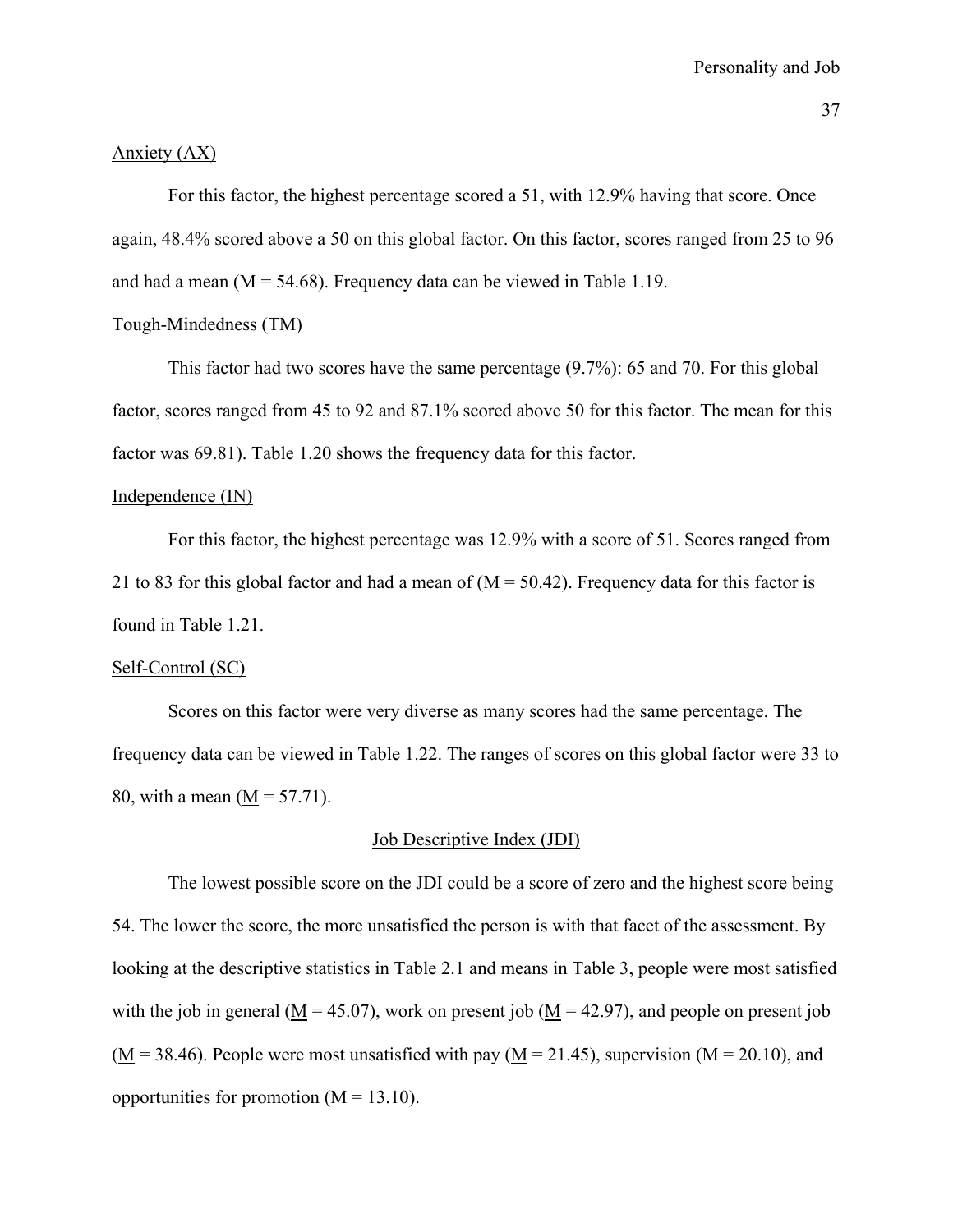#### Anxiety (AX)

 For this factor, the highest percentage scored a 51, with 12.9% having that score. Once again, 48.4% scored above a 50 on this global factor. On this factor, scores ranged from 25 to 96 and had a mean  $(M = 54.68)$ . Frequency data can be viewed in Table 1.19.

### Tough-Mindedness (TM)

 This factor had two scores have the same percentage (9.7%): 65 and 70. For this global factor, scores ranged from 45 to 92 and 87.1% scored above 50 for this factor. The mean for this factor was 69.81). Table 1.20 shows the frequency data for this factor.

#### Independence (IN)

 For this factor, the highest percentage was 12.9% with a score of 51. Scores ranged from 21 to 83 for this global factor and had a mean of  $(M = 50.42)$ . Frequency data for this factor is found in Table 1.21.

### Self-Control (SC)

 Scores on this factor were very diverse as many scores had the same percentage. The frequency data can be viewed in Table 1.22. The ranges of scores on this global factor were 33 to 80, with a mean  $(M = 57.71)$ .

### Job Descriptive Index (JDI)

The lowest possible score on the JDI could be a score of zero and the highest score being 54. The lower the score, the more unsatisfied the person is with that facet of the assessment. By looking at the descriptive statistics in Table 2.1 and means in Table 3, people were most satisfied with the job in general ( $M = 45.07$ ), work on present job ( $M = 42.97$ ), and people on present job  $(M = 38.46)$ . People were most unsatisfied with pay  $(M = 21.45)$ , supervision  $(M = 20.10)$ , and opportunities for promotion  $(M = 13.10)$ .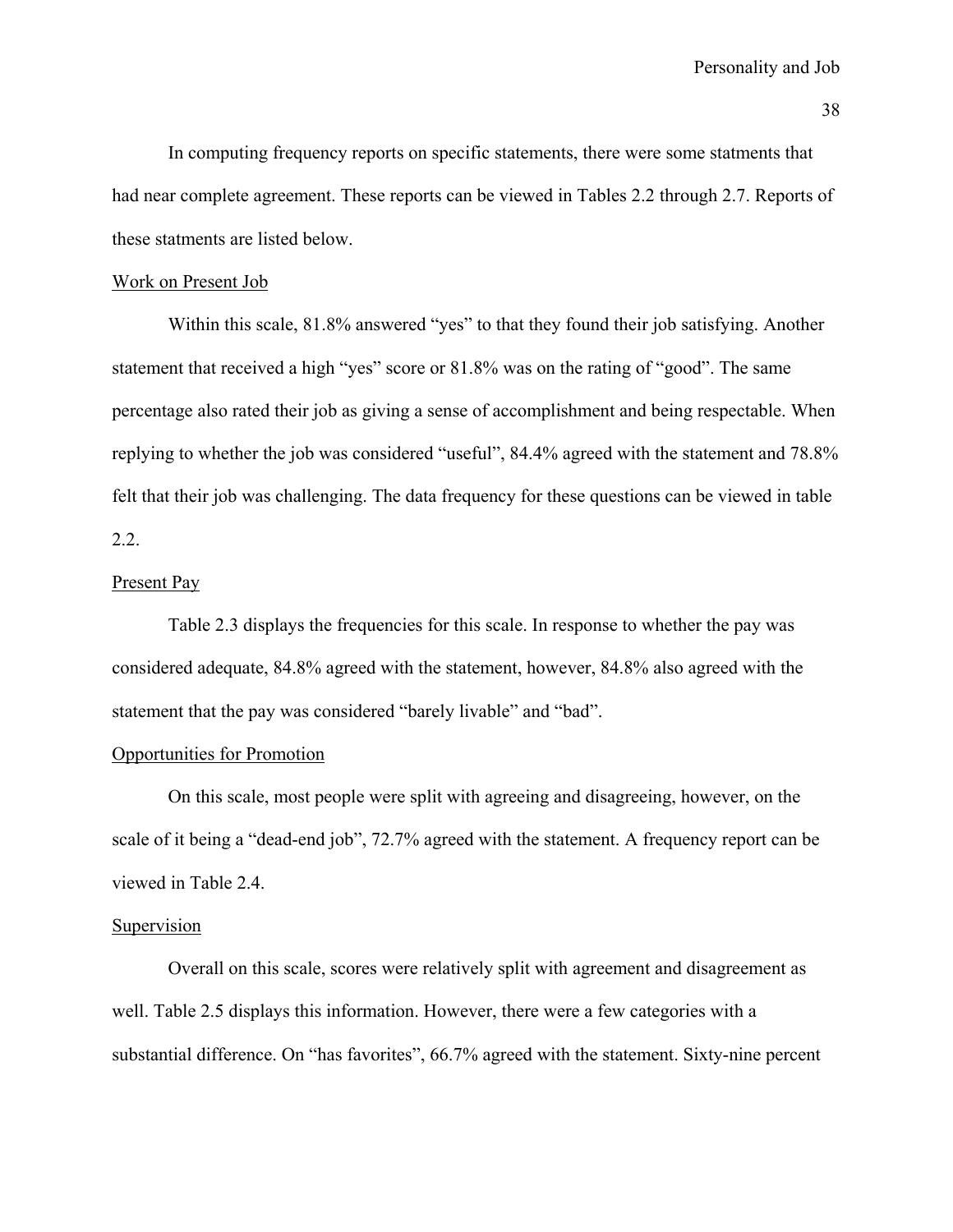In computing frequency reports on specific statements, there were some statments that had near complete agreement. These reports can be viewed in Tables 2.2 through 2.7. Reports of these statments are listed below.

## Work on Present Job

Within this scale, 81.8% answered "yes" to that they found their job satisfying. Another statement that received a high "yes" score or 81.8% was on the rating of "good". The same percentage also rated their job as giving a sense of accomplishment and being respectable. When replying to whether the job was considered "useful", 84.4% agreed with the statement and 78.8% felt that their job was challenging. The data frequency for these questions can be viewed in table 2.2.

### Present Pay

Table 2.3 displays the frequencies for this scale. In response to whether the pay was considered adequate, 84.8% agreed with the statement, however, 84.8% also agreed with the statement that the pay was considered "barely livable" and "bad".

#### Opportunities for Promotion

On this scale, most people were split with agreeing and disagreeing, however, on the scale of it being a "dead-end job", 72.7% agreed with the statement. A frequency report can be viewed in Table 2.4.

## Supervision

Overall on this scale, scores were relatively split with agreement and disagreement as well. Table 2.5 displays this information. However, there were a few categories with a substantial difference. On "has favorites", 66.7% agreed with the statement. Sixty-nine percent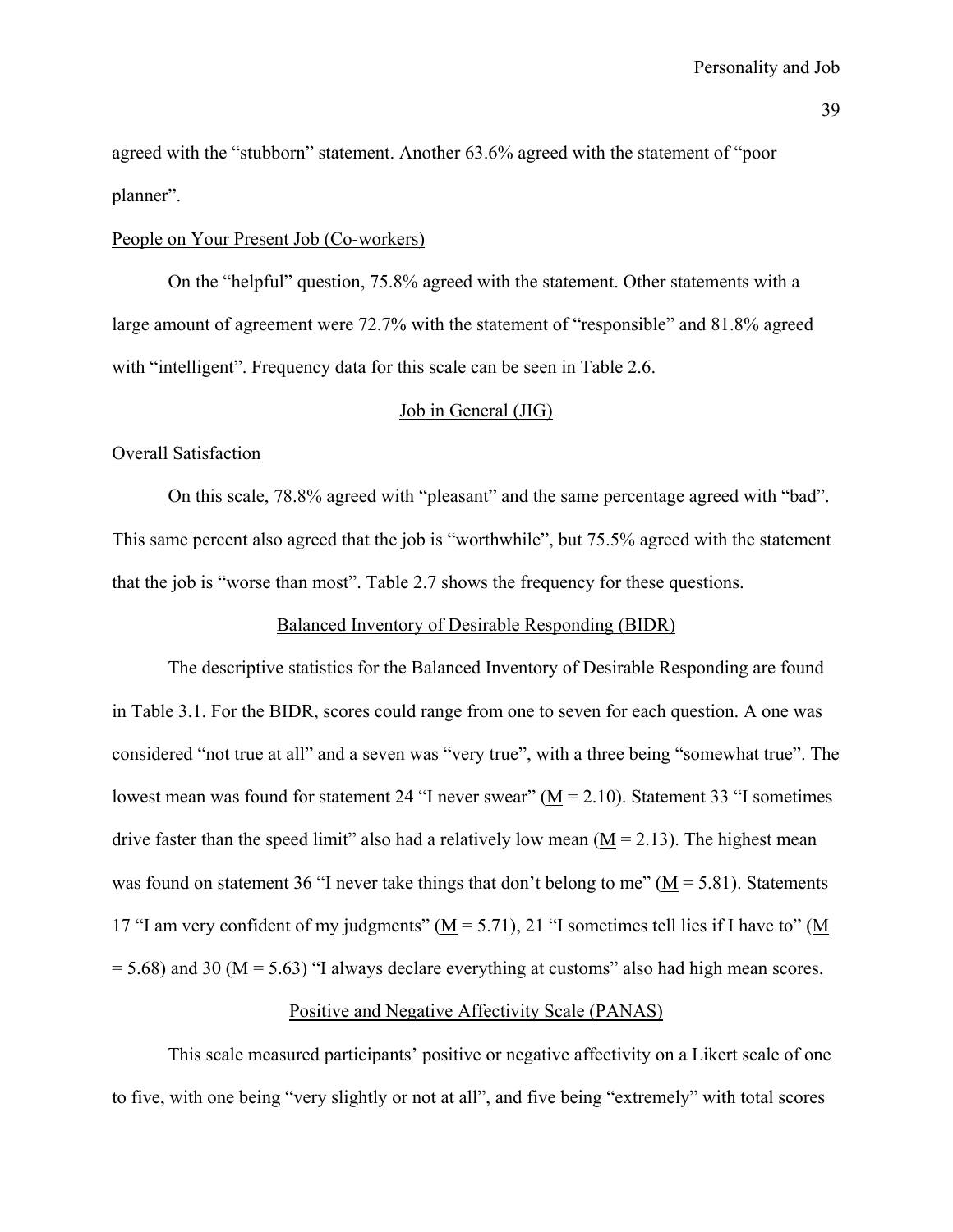agreed with the "stubborn" statement. Another 63.6% agreed with the statement of "poor planner".

#### People on Your Present Job (Co-workers)

On the "helpful" question, 75.8% agreed with the statement. Other statements with a large amount of agreement were 72.7% with the statement of "responsible" and 81.8% agreed with "intelligent". Frequency data for this scale can be seen in Table 2.6.

## Job in General (JIG)

### Overall Satisfaction

On this scale, 78.8% agreed with "pleasant" and the same percentage agreed with "bad". This same percent also agreed that the job is "worthwhile", but 75.5% agreed with the statement that the job is "worse than most". Table 2.7 shows the frequency for these questions.

### Balanced Inventory of Desirable Responding (BIDR)

 The descriptive statistics for the Balanced Inventory of Desirable Responding are found in Table 3.1. For the BIDR, scores could range from one to seven for each question. A one was considered "not true at all" and a seven was "very true", with a three being "somewhat true". The lowest mean was found for statement 24 "I never swear"  $(M = 2.10)$ . Statement 33 "I sometimes drive faster than the speed limit" also had a relatively low mean  $(M = 2.13)$ . The highest mean was found on statement 36 "I never take things that don't belong to me" ( $M = 5.81$ ). Statements 17 "I am very confident of my judgments" ( $M = 5.71$ ), 21 "I sometimes tell lies if I have to" (M  $= 5.68$ ) and 30 (M  $= 5.63$ ) "I always declare everything at customs" also had high mean scores.

### Positive and Negative Affectivity Scale (PANAS)

 This scale measured participants' positive or negative affectivity on a Likert scale of one to five, with one being "very slightly or not at all", and five being "extremely" with total scores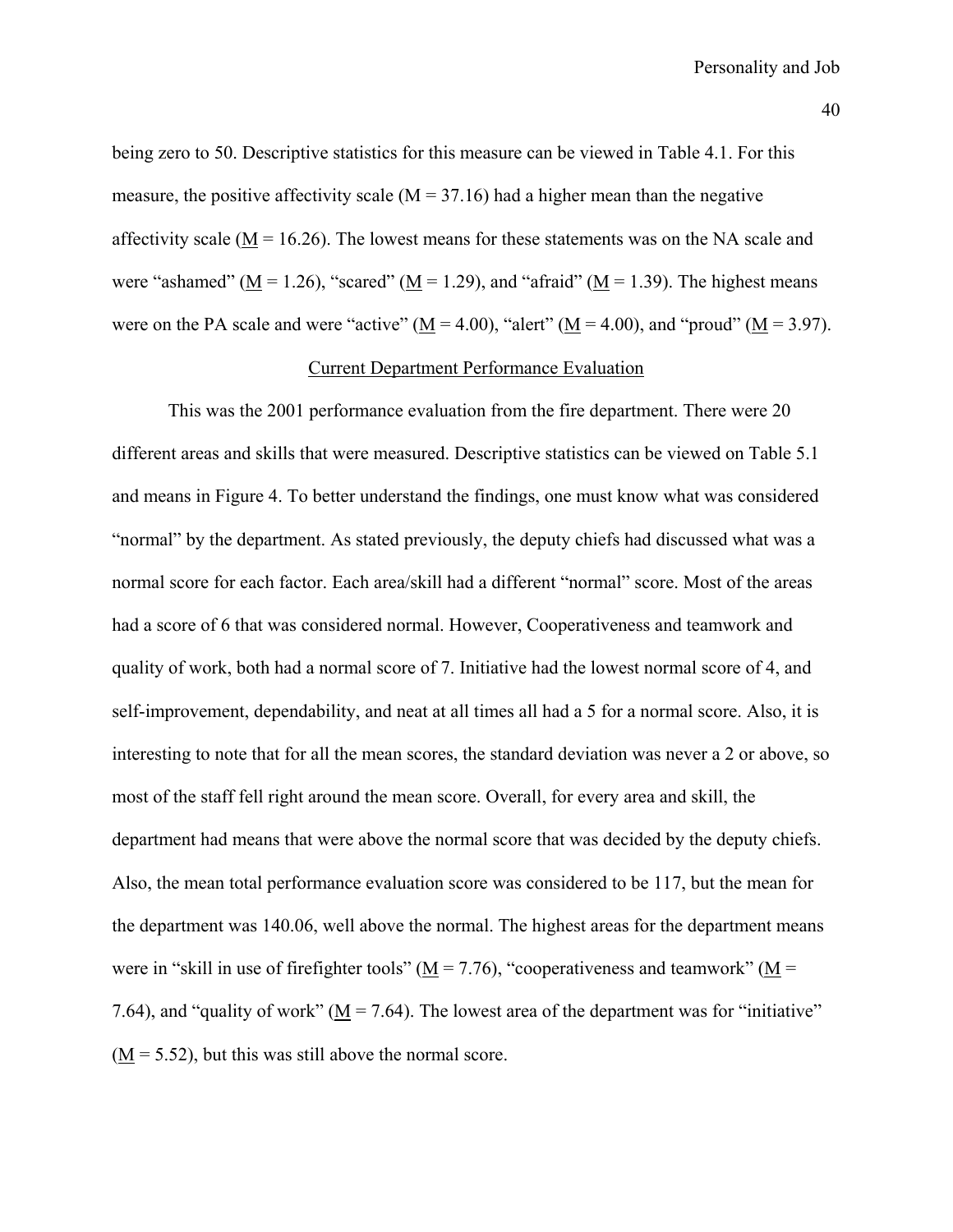being zero to 50. Descriptive statistics for this measure can be viewed in Table 4.1. For this measure, the positive affectivity scale  $(M = 37.16)$  had a higher mean than the negative affectivity scale ( $\underline{M}$  = 16.26). The lowest means for these statements was on the NA scale and were "ashamed" ( $M = 1.26$ ), "scared" ( $M = 1.29$ ), and "afraid" ( $M = 1.39$ ). The highest means were on the PA scale and were "active" ( $\underline{M} = 4.00$ ), "alert" ( $\underline{M} = 4.00$ ), and "proud" ( $\underline{M} = 3.97$ ).

#### Current Department Performance Evaluation

 This was the 2001 performance evaluation from the fire department. There were 20 different areas and skills that were measured. Descriptive statistics can be viewed on Table 5.1 and means in Figure 4. To better understand the findings, one must know what was considered "normal" by the department. As stated previously, the deputy chiefs had discussed what was a normal score for each factor. Each area/skill had a different "normal" score. Most of the areas had a score of 6 that was considered normal. However, Cooperativeness and teamwork and quality of work, both had a normal score of 7. Initiative had the lowest normal score of 4, and self-improvement, dependability, and neat at all times all had a 5 for a normal score. Also, it is interesting to note that for all the mean scores, the standard deviation was never a 2 or above, so most of the staff fell right around the mean score. Overall, for every area and skill, the department had means that were above the normal score that was decided by the deputy chiefs. Also, the mean total performance evaluation score was considered to be 117, but the mean for the department was 140.06, well above the normal. The highest areas for the department means were in "skill in use of firefighter tools" ( $M = 7.76$ ), "cooperativeness and teamwork" ( $M =$ 7.64), and "quality of work" ( $M = 7.64$ ). The lowest area of the department was for "initiative"  $(M = 5.52)$ , but this was still above the normal score.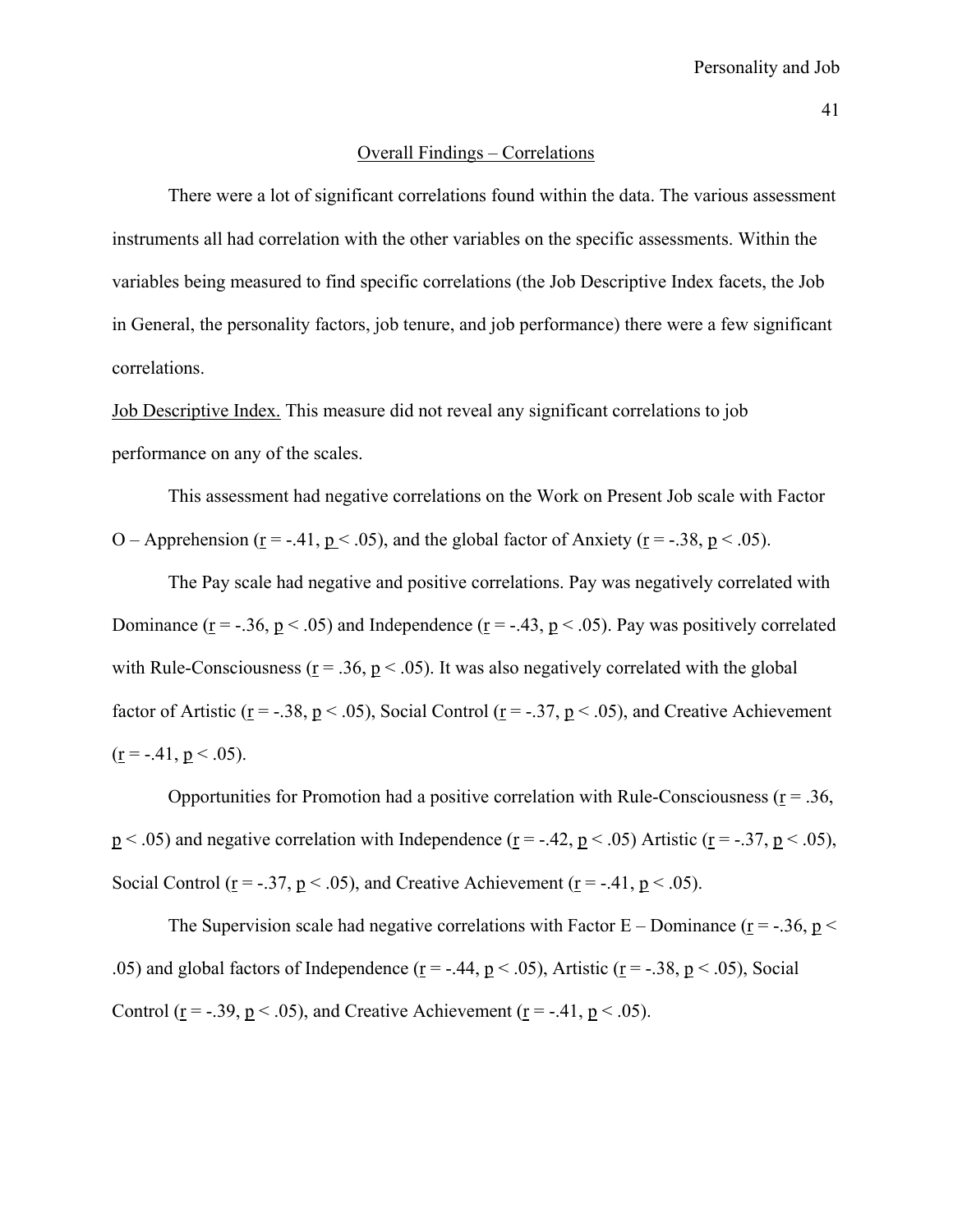#### Overall Findings – Correlations

 There were a lot of significant correlations found within the data. The various assessment instruments all had correlation with the other variables on the specific assessments. Within the variables being measured to find specific correlations (the Job Descriptive Index facets, the Job in General, the personality factors, job tenure, and job performance) there were a few significant correlations.

Job Descriptive Index. This measure did not reveal any significant correlations to job performance on any of the scales.

This assessment had negative correlations on the Work on Present Job scale with Factor O – Apprehension ( $r = -0.41$ ,  $p < 0.05$ ), and the global factor of Anxiety ( $r = -0.38$ ,  $p < 0.05$ ).

The Pay scale had negative and positive correlations. Pay was negatively correlated with Dominance ( $\underline{r} = -.36$ ,  $\underline{p} < .05$ ) and Independence ( $\underline{r} = -.43$ ,  $\underline{p} < .05$ ). Pay was positively correlated with Rule-Consciousness ( $r = .36$ ,  $p < .05$ ). It was also negatively correlated with the global factor of Artistic ( $r = -.38$ ,  $p < .05$ ), Social Control ( $r = -.37$ ,  $p < .05$ ), and Creative Achievement  $(r = -.41, p < .05)$ .

Opportunities for Promotion had a positive correlation with Rule-Consciousness ( $r = .36$ ,  $p < .05$ ) and negative correlation with Independence ( $r = -.42$ ,  $p < .05$ ) Artistic ( $r = -.37$ ,  $p < .05$ ), Social Control ( $r = -.37$ ,  $p < .05$ ), and Creative Achievement ( $r = -.41$ ,  $p < .05$ ).

The Supervision scale had negative correlations with Factor  $E -$ Dominance ( $r = -0.36$ ,  $p <$ .05) and global factors of Independence ( $r = -0.44$ ,  $p < 0.05$ ), Artistic ( $r = -0.38$ ,  $p < 0.05$ ), Social Control ( $r = -0.39$ ,  $p < 0.05$ ), and Creative Achievement ( $r = -0.41$ ,  $p < 0.05$ ).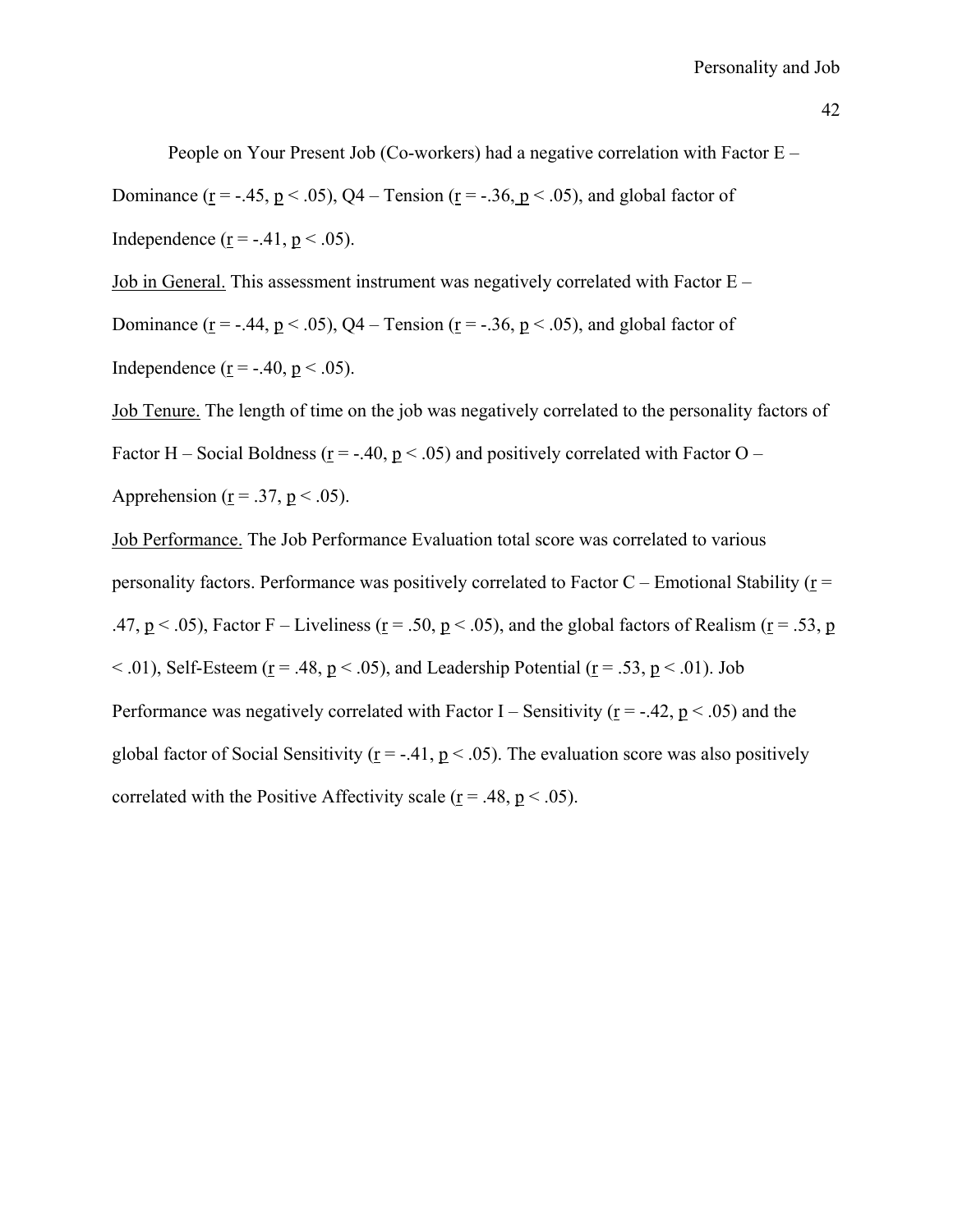People on Your Present Job (Co-workers) had a negative correlation with Factor E – Dominance ( $r = -0.45$ ,  $p < 0.05$ ),  $Q4 - T$ ension ( $r = -0.36$ ,  $p < 0.05$ ), and global factor of Independence ( $\underline{r}$  = -.41,  $\underline{p}$  < .05).

Job in General. This assessment instrument was negatively correlated with Factor E –

Dominance ( $\underline{r} = -.44$ ,  $\underline{p} < .05$ ), Q4 – Tension ( $\underline{r} = -.36$ ,  $\underline{p} < .05$ ), and global factor of

Independence ( $r = -.40$ ,  $p < .05$ ).

Job Tenure. The length of time on the job was negatively correlated to the personality factors of Factor H – Social Boldness ( $\underline{r}$  = -.40,  $\underline{p}$  < .05) and positively correlated with Factor O – Apprehension ( $r = .37$ ,  $p < .05$ ).

Job Performance. The Job Performance Evaluation total score was correlated to various personality factors. Performance was positively correlated to Factor  $C$  – Emotional Stability ( $r =$ .47,  $p < .05$ ), Factor F – Liveliness ( $r = .50$ ,  $p < .05$ ), and the global factors of Realism ( $r = .53$ , p  $\leq$  .01), Self-Esteem (r = .48, p  $\leq$  .05), and Leadership Potential (r = .53, p  $\leq$  .01). Job Performance was negatively correlated with Factor I – Sensitivity ( $r = -.42$ ,  $p < .05$ ) and the global factor of Social Sensitivity ( $r = -.41$ ,  $p < .05$ ). The evaluation score was also positively correlated with the Positive Affectivity scale ( $r = .48$ ,  $p < .05$ ).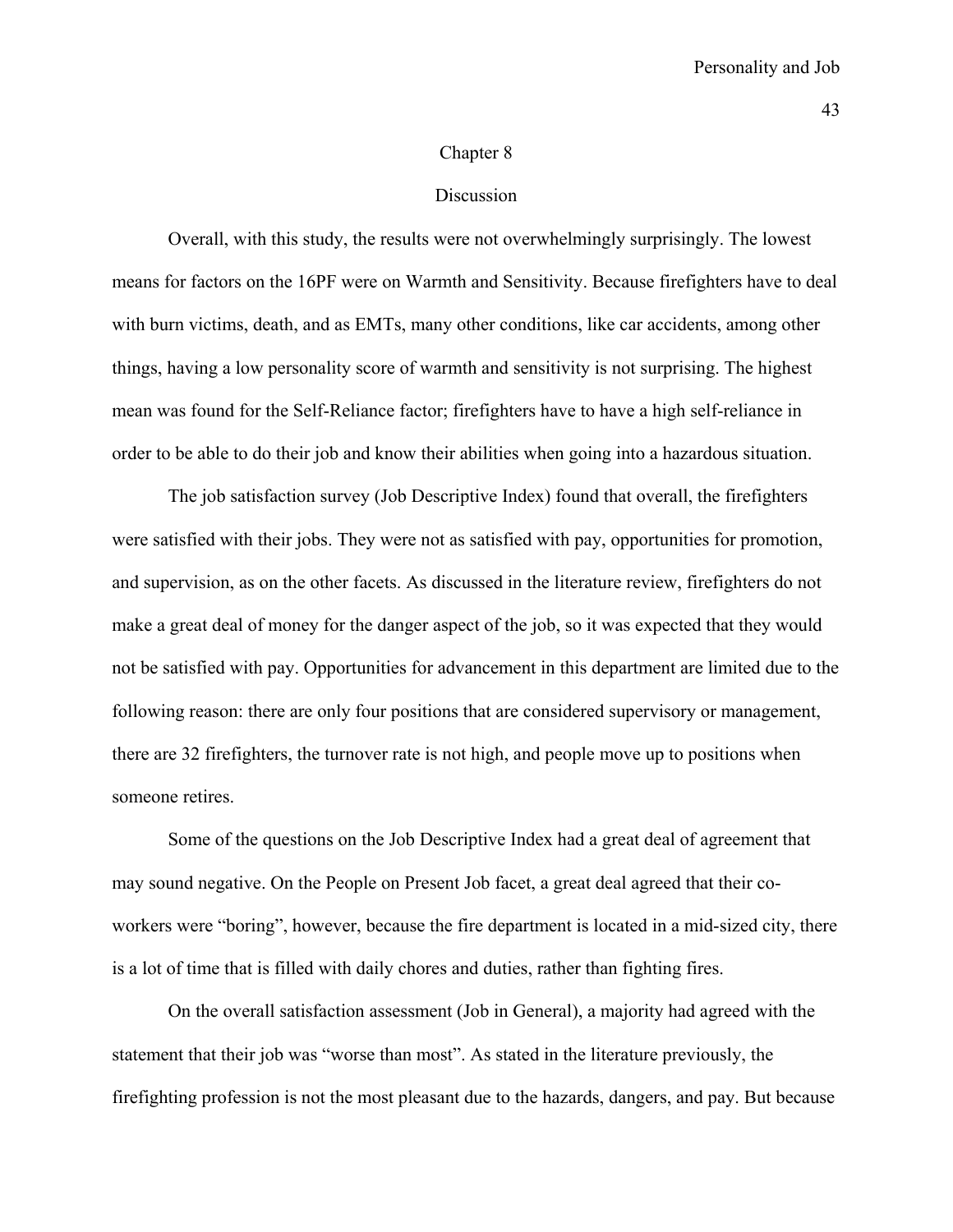#### Chapter 8

#### Discussion

 Overall, with this study, the results were not overwhelmingly surprisingly. The lowest means for factors on the 16PF were on Warmth and Sensitivity. Because firefighters have to deal with burn victims, death, and as EMTs, many other conditions, like car accidents, among other things, having a low personality score of warmth and sensitivity is not surprising. The highest mean was found for the Self-Reliance factor; firefighters have to have a high self-reliance in order to be able to do their job and know their abilities when going into a hazardous situation.

 The job satisfaction survey (Job Descriptive Index) found that overall, the firefighters were satisfied with their jobs. They were not as satisfied with pay, opportunities for promotion, and supervision, as on the other facets. As discussed in the literature review, firefighters do not make a great deal of money for the danger aspect of the job, so it was expected that they would not be satisfied with pay. Opportunities for advancement in this department are limited due to the following reason: there are only four positions that are considered supervisory or management, there are 32 firefighters, the turnover rate is not high, and people move up to positions when someone retires.

 Some of the questions on the Job Descriptive Index had a great deal of agreement that may sound negative. On the People on Present Job facet, a great deal agreed that their coworkers were "boring", however, because the fire department is located in a mid-sized city, there is a lot of time that is filled with daily chores and duties, rather than fighting fires.

On the overall satisfaction assessment (Job in General), a majority had agreed with the statement that their job was "worse than most". As stated in the literature previously, the firefighting profession is not the most pleasant due to the hazards, dangers, and pay. But because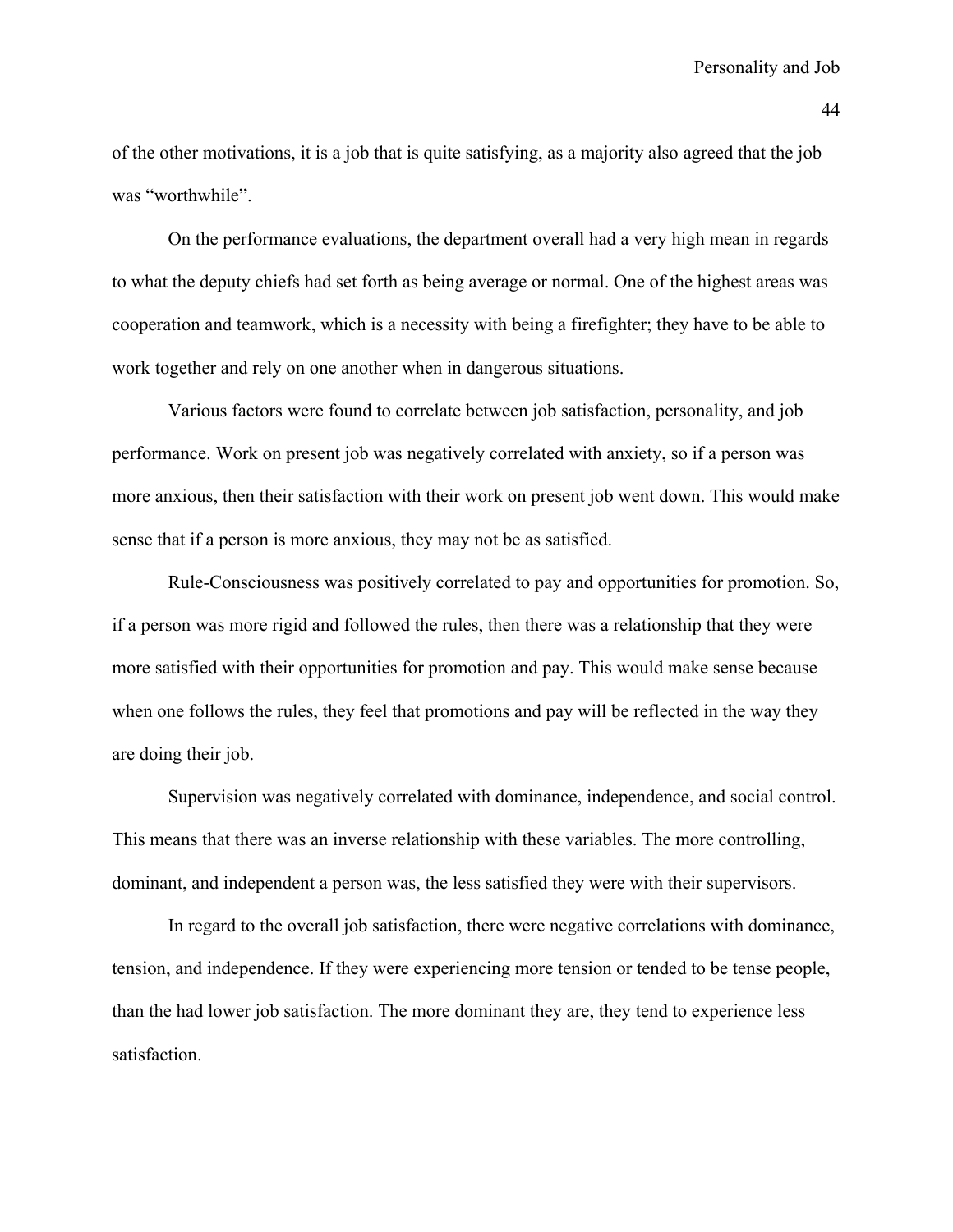of the other motivations, it is a job that is quite satisfying, as a majority also agreed that the job was "worthwhile".

On the performance evaluations, the department overall had a very high mean in regards to what the deputy chiefs had set forth as being average or normal. One of the highest areas was cooperation and teamwork, which is a necessity with being a firefighter; they have to be able to work together and rely on one another when in dangerous situations.

Various factors were found to correlate between job satisfaction, personality, and job performance. Work on present job was negatively correlated with anxiety, so if a person was more anxious, then their satisfaction with their work on present job went down. This would make sense that if a person is more anxious, they may not be as satisfied.

Rule-Consciousness was positively correlated to pay and opportunities for promotion. So, if a person was more rigid and followed the rules, then there was a relationship that they were more satisfied with their opportunities for promotion and pay. This would make sense because when one follows the rules, they feel that promotions and pay will be reflected in the way they are doing their job.

Supervision was negatively correlated with dominance, independence, and social control. This means that there was an inverse relationship with these variables. The more controlling, dominant, and independent a person was, the less satisfied they were with their supervisors.

In regard to the overall job satisfaction, there were negative correlations with dominance, tension, and independence. If they were experiencing more tension or tended to be tense people, than the had lower job satisfaction. The more dominant they are, they tend to experience less satisfaction.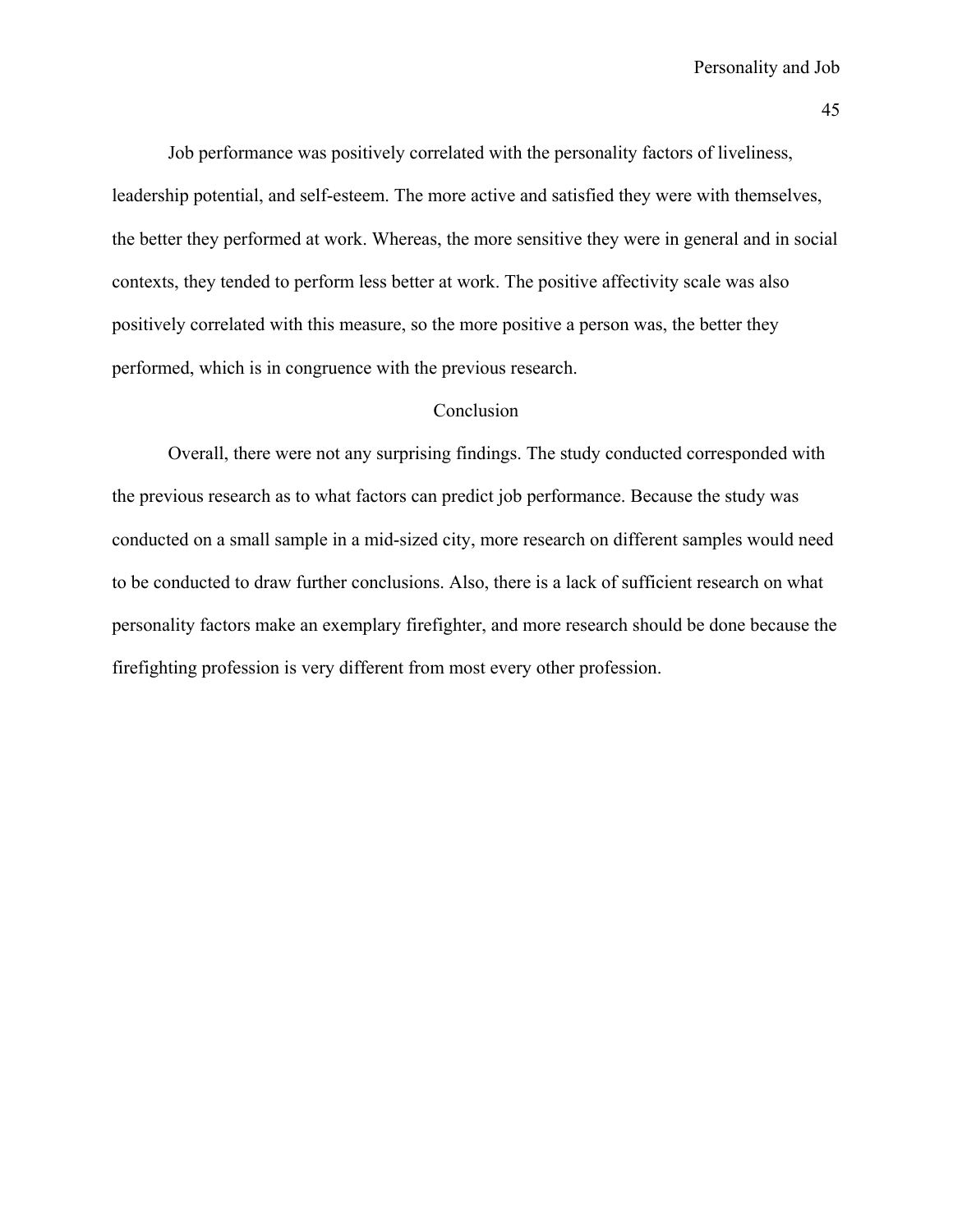Job performance was positively correlated with the personality factors of liveliness, leadership potential, and self-esteem. The more active and satisfied they were with themselves, the better they performed at work. Whereas, the more sensitive they were in general and in social contexts, they tended to perform less better at work. The positive affectivity scale was also positively correlated with this measure, so the more positive a person was, the better they performed, which is in congruence with the previous research.

### Conclusion

 Overall, there were not any surprising findings. The study conducted corresponded with the previous research as to what factors can predict job performance. Because the study was conducted on a small sample in a mid-sized city, more research on different samples would need to be conducted to draw further conclusions. Also, there is a lack of sufficient research on what personality factors make an exemplary firefighter, and more research should be done because the firefighting profession is very different from most every other profession.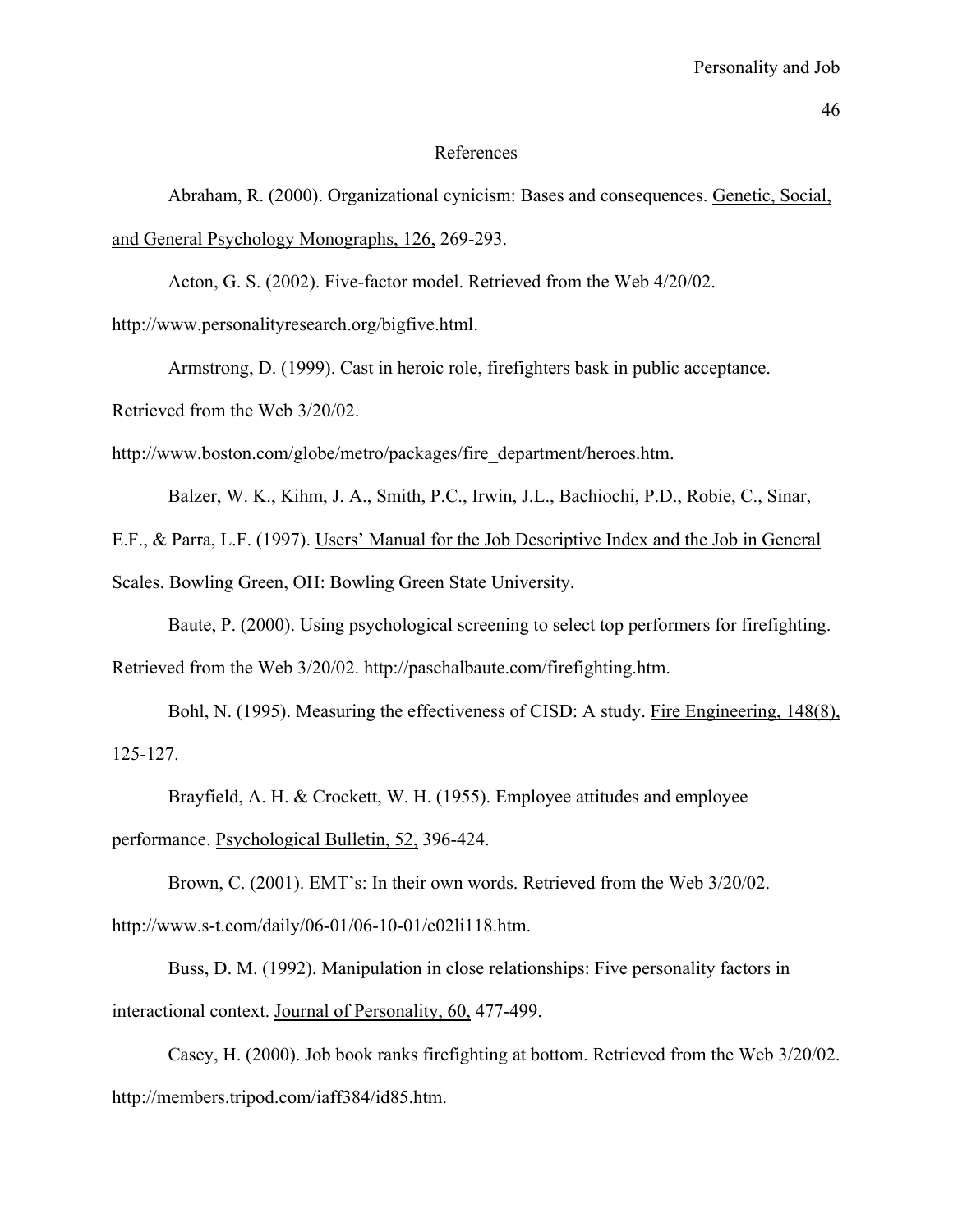#### References

Abraham, R. (2000). Organizational cynicism: Bases and consequences. Genetic, Social, and General Psychology Monographs, 126, 269-293.

Acton, G. S. (2002). Five-factor model. Retrieved from the Web 4/20/02.

http://www.personalityresearch.org/bigfive.html.

Armstrong, D. (1999). Cast in heroic role, firefighters bask in public acceptance.

Retrieved from the Web 3/20/02.

http://www.boston.com/globe/metro/packages/fire\_department/heroes.htm.

Balzer, W. K., Kihm, J. A., Smith, P.C., Irwin, J.L., Bachiochi, P.D., Robie, C., Sinar,

E.F., & Parra, L.F. (1997). Users' Manual for the Job Descriptive Index and the Job in General

Scales. Bowling Green, OH: Bowling Green State University.

Baute, P. (2000). Using psychological screening to select top performers for firefighting.

Retrieved from the Web 3/20/02. http://paschalbaute.com/firefighting.htm.

Bohl, N. (1995). Measuring the effectiveness of CISD: A study. Fire Engineering, 148(8), 125-127.

Brayfield, A. H. & Crockett, W. H. (1955). Employee attitudes and employee performance. Psychological Bulletin, 52, 396-424.

Brown, C. (2001). EMT's: In their own words. Retrieved from the Web 3/20/02. http://www.s-t.com/daily/06-01/06-10-01/e02li118.htm.

Buss, D. M. (1992). Manipulation in close relationships: Five personality factors in interactional context. Journal of Personality, 60, 477-499.

Casey, H. (2000). Job book ranks firefighting at bottom. Retrieved from the Web 3/20/02. http://members.tripod.com/iaff384/id85.htm.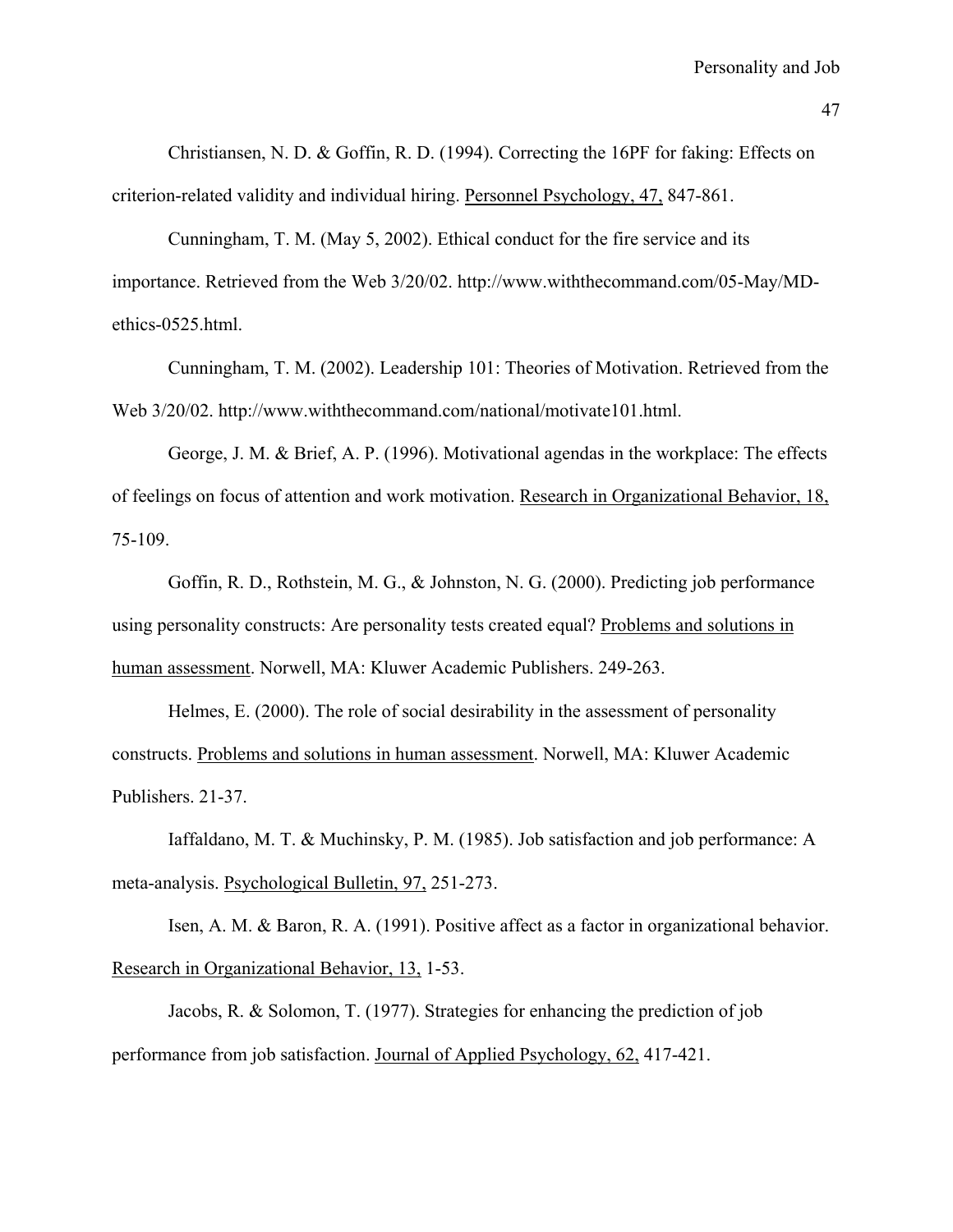Christiansen, N. D. & Goffin, R. D. (1994). Correcting the 16PF for faking: Effects on criterion-related validity and individual hiring. Personnel Psychology, 47, 847-861.

Cunningham, T. M. (May 5, 2002). Ethical conduct for the fire service and its importance. Retrieved from the Web 3/20/02. http://www.withthecommand.com/05-May/MDethics-0525.html.

Cunningham, T. M. (2002). Leadership 101: Theories of Motivation. Retrieved from the Web 3/20/02. http://www.withthecommand.com/national/motivate101.html.

George, J. M. & Brief, A. P. (1996). Motivational agendas in the workplace: The effects of feelings on focus of attention and work motivation. Research in Organizational Behavior, 18, 75-109.

Goffin, R. D., Rothstein, M. G., & Johnston, N. G. (2000). Predicting job performance using personality constructs: Are personality tests created equal? Problems and solutions in human assessment. Norwell, MA: Kluwer Academic Publishers. 249-263.

Helmes, E. (2000). The role of social desirability in the assessment of personality constructs. Problems and solutions in human assessment. Norwell, MA: Kluwer Academic Publishers. 21-37.

Iaffaldano, M. T. & Muchinsky, P. M. (1985). Job satisfaction and job performance: A meta-analysis. Psychological Bulletin, 97, 251-273.

Isen, A. M. & Baron, R. A. (1991). Positive affect as a factor in organizational behavior. Research in Organizational Behavior, 13, 1-53.

Jacobs, R. & Solomon, T. (1977). Strategies for enhancing the prediction of job performance from job satisfaction. Journal of Applied Psychology, 62, 417-421.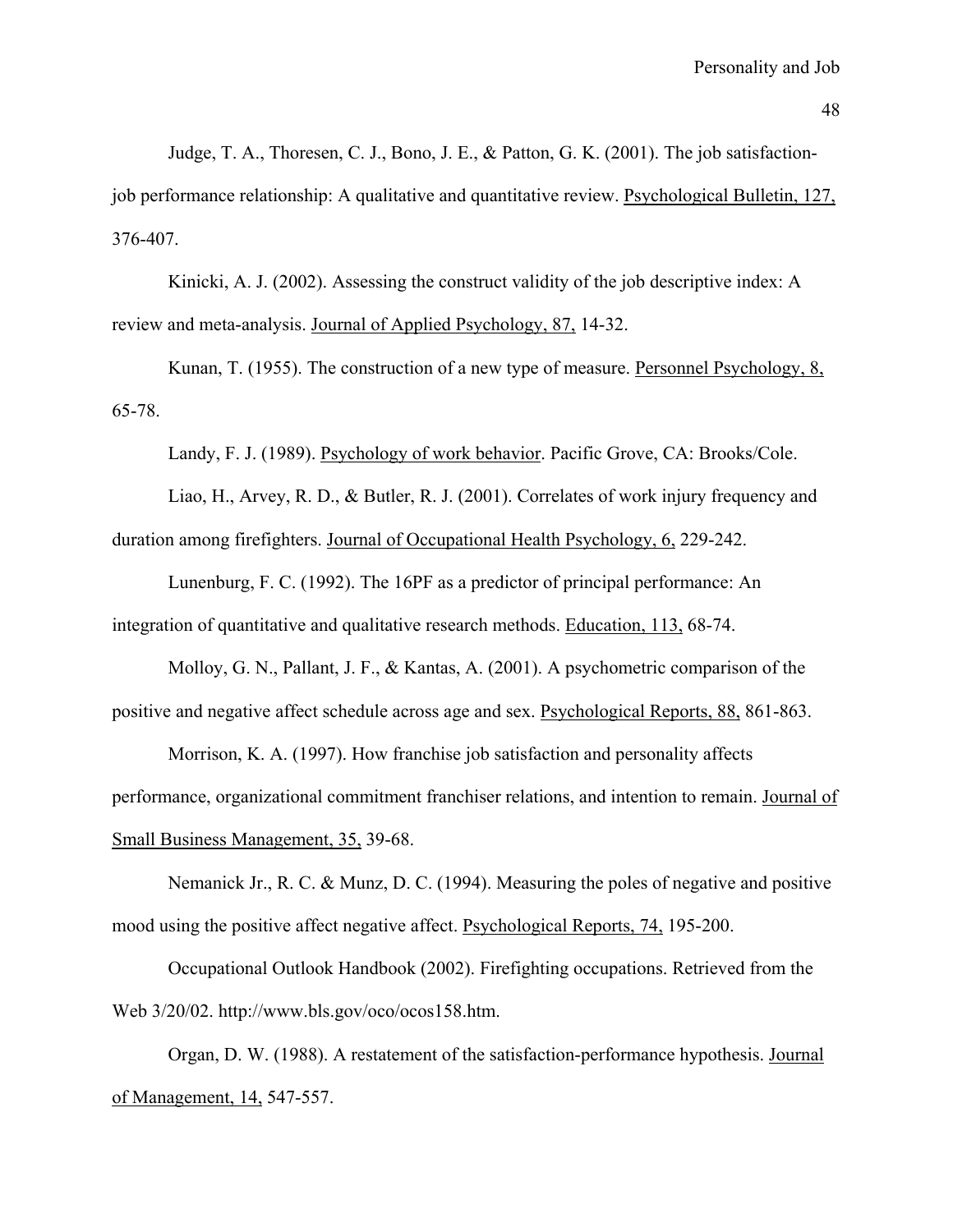Judge, T. A., Thoresen, C. J., Bono, J. E., & Patton, G. K. (2001). The job satisfactionjob performance relationship: A qualitative and quantitative review. Psychological Bulletin, 127, 376-407.

Kinicki, A. J. (2002). Assessing the construct validity of the job descriptive index: A review and meta-analysis. Journal of Applied Psychology, 87, 14-32.

Kunan, T. (1955). The construction of a new type of measure. Personnel Psychology, 8, 65-78.

Landy, F. J. (1989). Psychology of work behavior. Pacific Grove, CA: Brooks/Cole.

Liao, H., Arvey, R. D., & Butler, R. J. (2001). Correlates of work injury frequency and duration among firefighters. Journal of Occupational Health Psychology, 6, 229-242.

Lunenburg, F. C. (1992). The 16PF as a predictor of principal performance: An integration of quantitative and qualitative research methods. Education, 113, 68-74.

Molloy, G. N., Pallant, J. F., & Kantas, A. (2001). A psychometric comparison of the positive and negative affect schedule across age and sex. Psychological Reports, 88, 861-863.

Morrison, K. A. (1997). How franchise job satisfaction and personality affects performance, organizational commitment franchiser relations, and intention to remain. Journal of Small Business Management, 35, 39-68.

Nemanick Jr., R. C. & Munz, D. C. (1994). Measuring the poles of negative and positive mood using the positive affect negative affect. Psychological Reports, 74, 195-200.

Occupational Outlook Handbook (2002). Firefighting occupations. Retrieved from the Web 3/20/02. http://www.bls.gov/oco/ocos158.htm.

Organ, D. W. (1988). A restatement of the satisfaction-performance hypothesis. Journal of Management, 14, 547-557.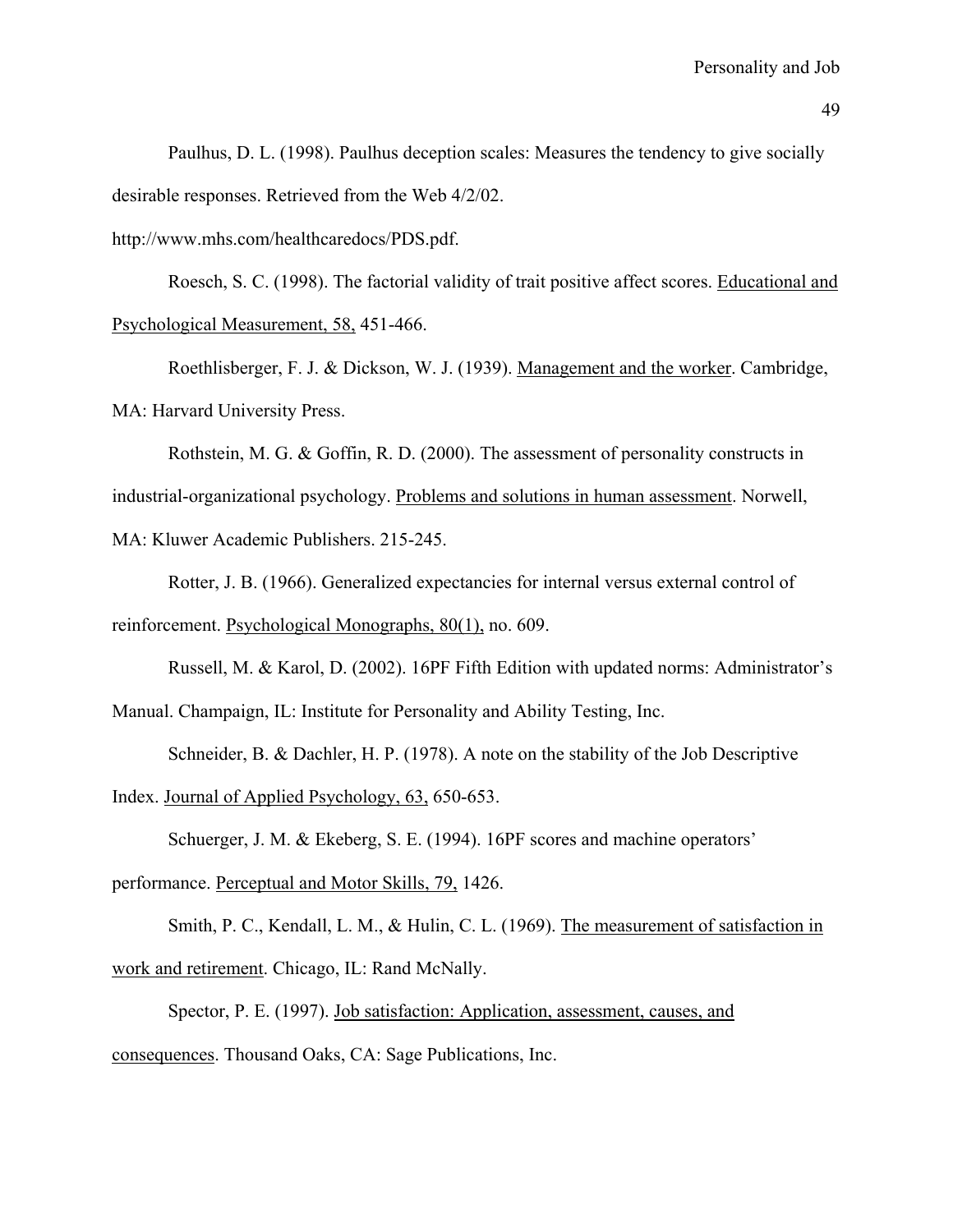Paulhus, D. L. (1998). Paulhus deception scales: Measures the tendency to give socially desirable responses. Retrieved from the Web 4/2/02.

http://www.mhs.com/healthcaredocs/PDS.pdf.

Roesch, S. C. (1998). The factorial validity of trait positive affect scores. Educational and Psychological Measurement, 58, 451-466.

Roethlisberger, F. J. & Dickson, W. J. (1939). Management and the worker. Cambridge, MA: Harvard University Press.

Rothstein, M. G. & Goffin, R. D. (2000). The assessment of personality constructs in industrial-organizational psychology. Problems and solutions in human assessment. Norwell,

MA: Kluwer Academic Publishers. 215-245.

Rotter, J. B. (1966). Generalized expectancies for internal versus external control of reinforcement. Psychological Monographs, 80(1), no. 609.

Russell, M. & Karol, D. (2002). 16PF Fifth Edition with updated norms: Administrator's

Manual. Champaign, IL: Institute for Personality and Ability Testing, Inc.

Schneider, B. & Dachler, H. P. (1978). A note on the stability of the Job Descriptive

Index. Journal of Applied Psychology, 63, 650-653.

Schuerger, J. M. & Ekeberg, S. E. (1994). 16PF scores and machine operators'

performance. Perceptual and Motor Skills, 79, 1426.

Smith, P. C., Kendall, L. M., & Hulin, C. L. (1969). The measurement of satisfaction in work and retirement. Chicago, IL: Rand McNally.

Spector, P. E. (1997). Job satisfaction: Application, assessment, causes, and consequences. Thousand Oaks, CA: Sage Publications, Inc.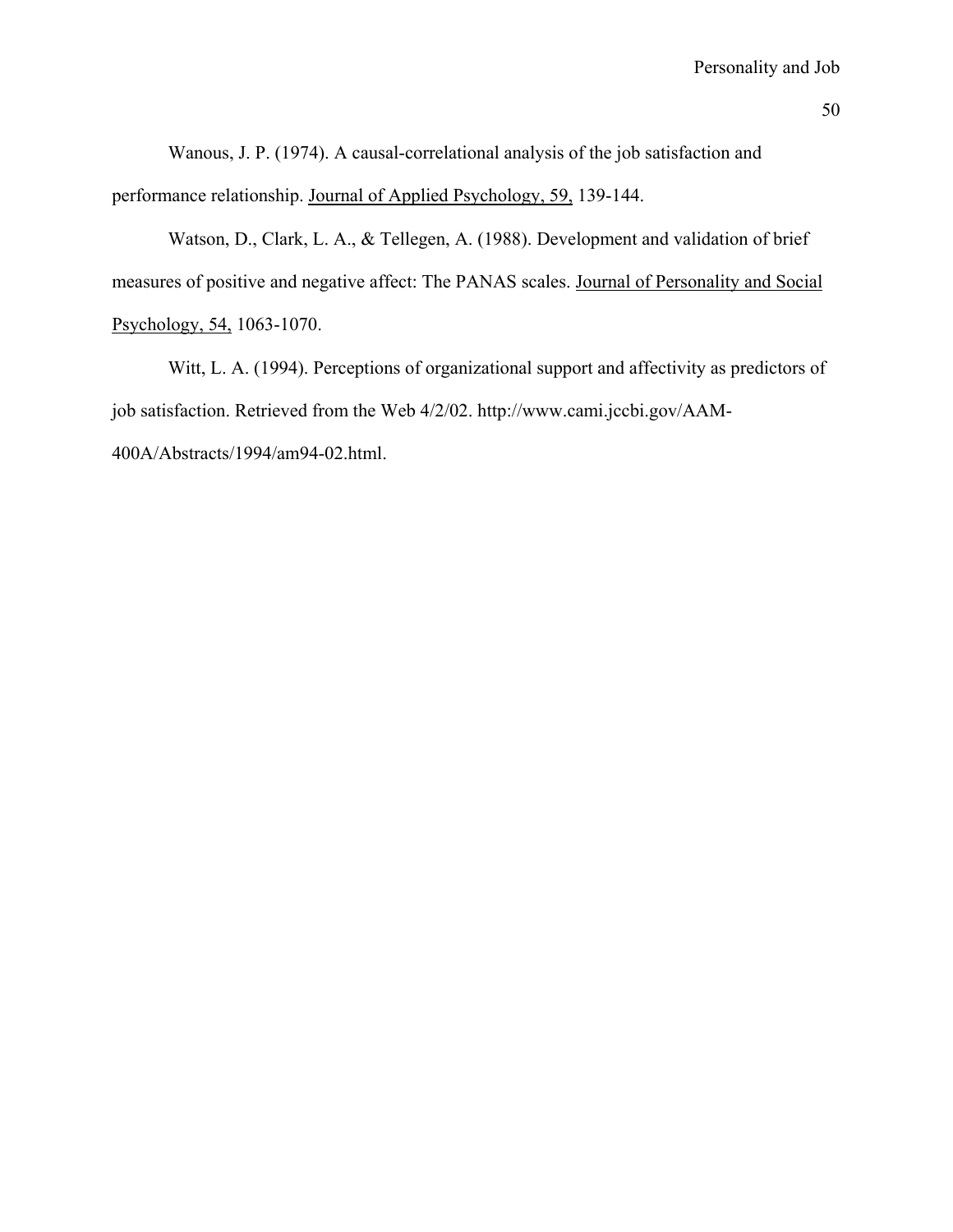Wanous, J. P. (1974). A causal-correlational analysis of the job satisfaction and performance relationship. Journal of Applied Psychology, 59, 139-144.

Watson, D., Clark, L. A., & Tellegen, A. (1988). Development and validation of brief measures of positive and negative affect: The PANAS scales. Journal of Personality and Social Psychology, 54, 1063-1070.

Witt, L. A. (1994). Perceptions of organizational support and affectivity as predictors of job satisfaction. Retrieved from the Web 4/2/02. http://www.cami.jccbi.gov/AAM-400A/Abstracts/1994/am94-02.html.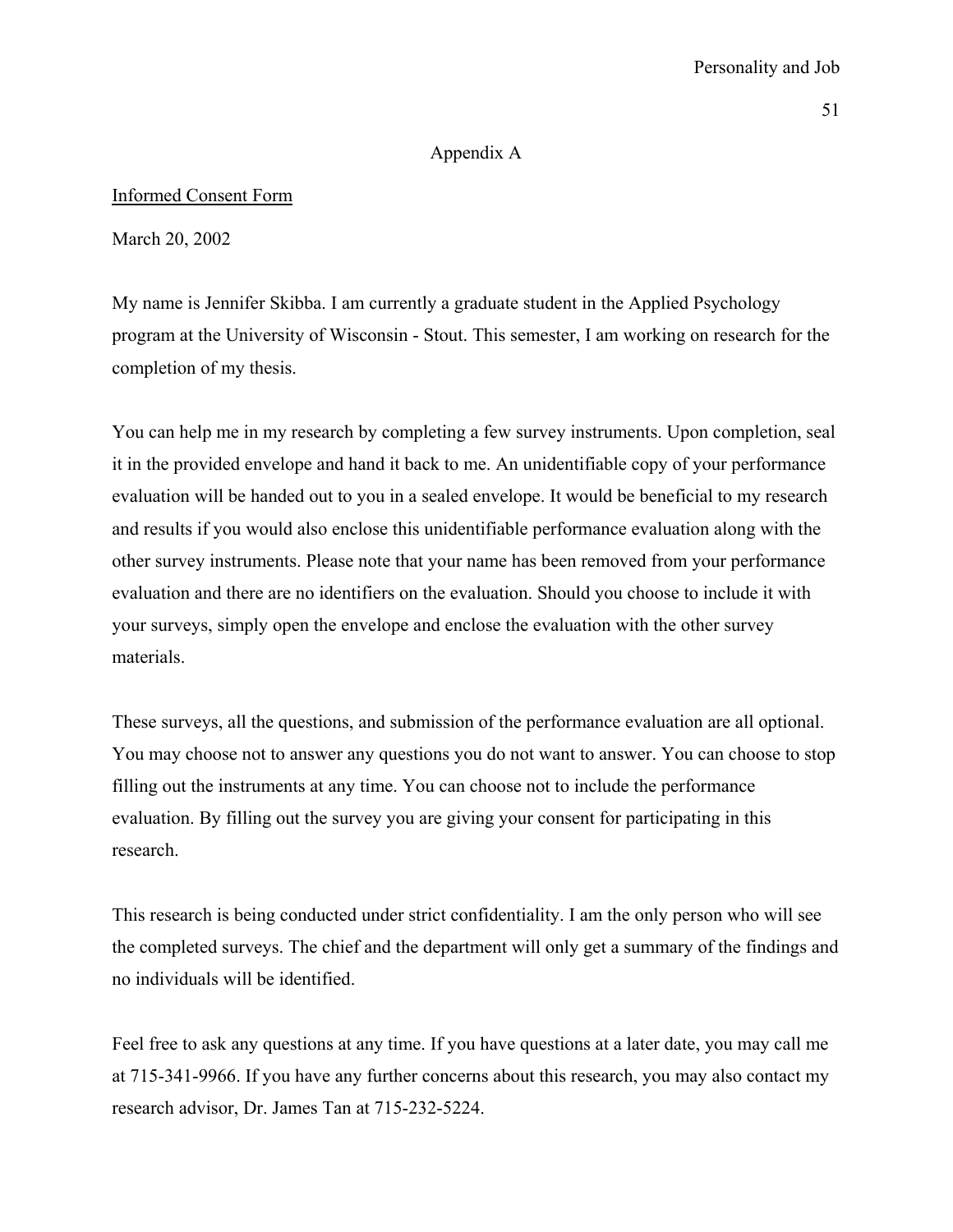## Personality and Job

#### Appendix A

### Informed Consent Form

March 20, 2002

My name is Jennifer Skibba. I am currently a graduate student in the Applied Psychology program at the University of Wisconsin - Stout. This semester, I am working on research for the completion of my thesis.

You can help me in my research by completing a few survey instruments. Upon completion, seal it in the provided envelope and hand it back to me. An unidentifiable copy of your performance evaluation will be handed out to you in a sealed envelope. It would be beneficial to my research and results if you would also enclose this unidentifiable performance evaluation along with the other survey instruments. Please note that your name has been removed from your performance evaluation and there are no identifiers on the evaluation. Should you choose to include it with your surveys, simply open the envelope and enclose the evaluation with the other survey materials.

These surveys, all the questions, and submission of the performance evaluation are all optional. You may choose not to answer any questions you do not want to answer. You can choose to stop filling out the instruments at any time. You can choose not to include the performance evaluation. By filling out the survey you are giving your consent for participating in this research.

This research is being conducted under strict confidentiality. I am the only person who will see the completed surveys. The chief and the department will only get a summary of the findings and no individuals will be identified.

Feel free to ask any questions at any time. If you have questions at a later date, you may call me at 715-341-9966. If you have any further concerns about this research, you may also contact my research advisor, Dr. James Tan at 715-232-5224.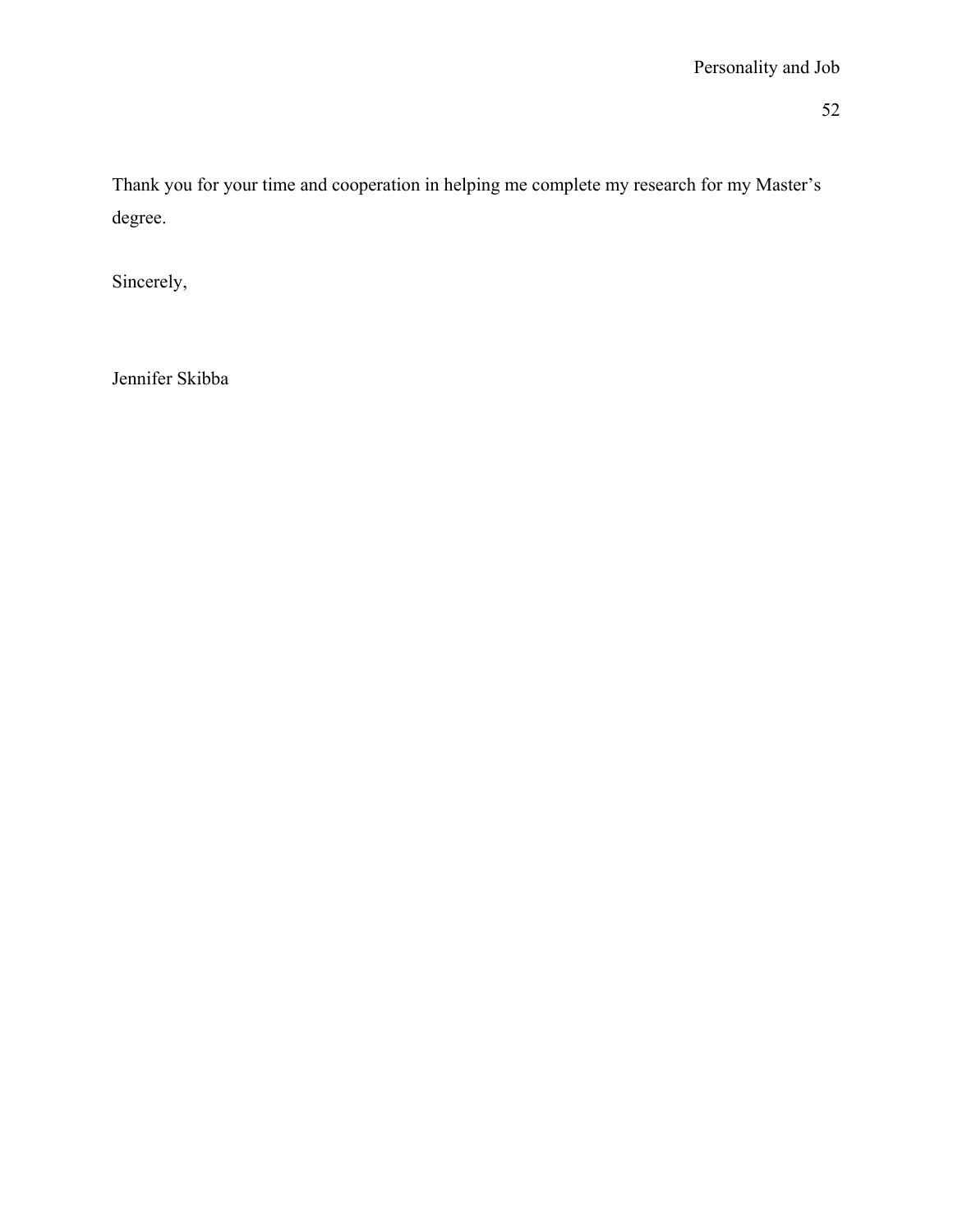Thank you for your time and cooperation in helping me complete my research for my Master's degree.

Sincerely,

Jennifer Skibba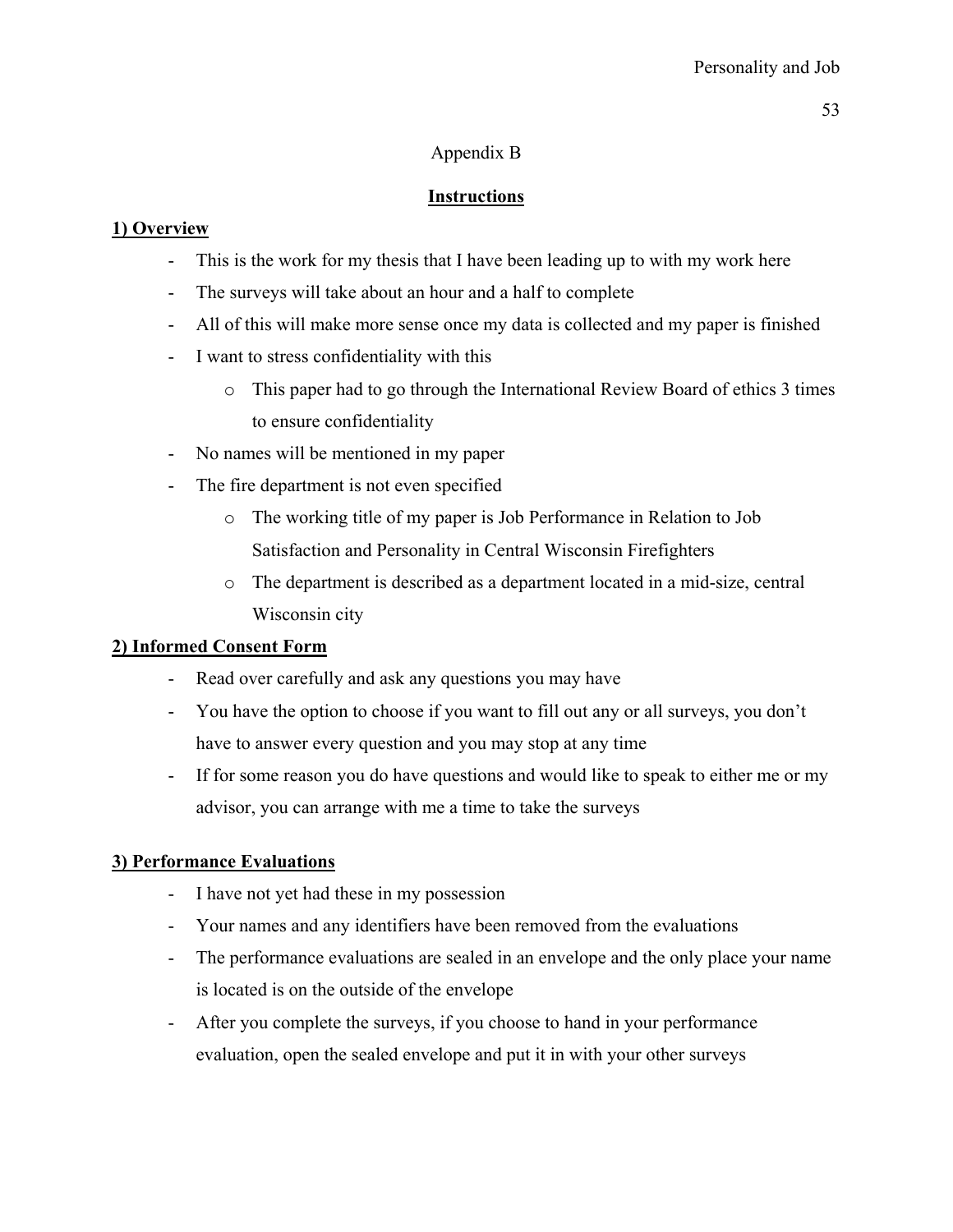## Appendix B

# **Instructions**

## **1) Overview**

- This is the work for my thesis that I have been leading up to with my work here
- The surveys will take about an hour and a half to complete
- All of this will make more sense once my data is collected and my paper is finished
- I want to stress confidentiality with this
	- o This paper had to go through the International Review Board of ethics 3 times to ensure confidentiality
- No names will be mentioned in my paper
- The fire department is not even specified
	- o The working title of my paper is Job Performance in Relation to Job Satisfaction and Personality in Central Wisconsin Firefighters
	- o The department is described as a department located in a mid-size, central Wisconsin city

## **2) Informed Consent Form**

- Read over carefully and ask any questions you may have
- You have the option to choose if you want to fill out any or all surveys, you don't have to answer every question and you may stop at any time
- If for some reason you do have questions and would like to speak to either me or my advisor, you can arrange with me a time to take the surveys

## **3) Performance Evaluations**

- I have not yet had these in my possession
- Your names and any identifiers have been removed from the evaluations
- The performance evaluations are sealed in an envelope and the only place your name is located is on the outside of the envelope
- After you complete the surveys, if you choose to hand in your performance evaluation, open the sealed envelope and put it in with your other surveys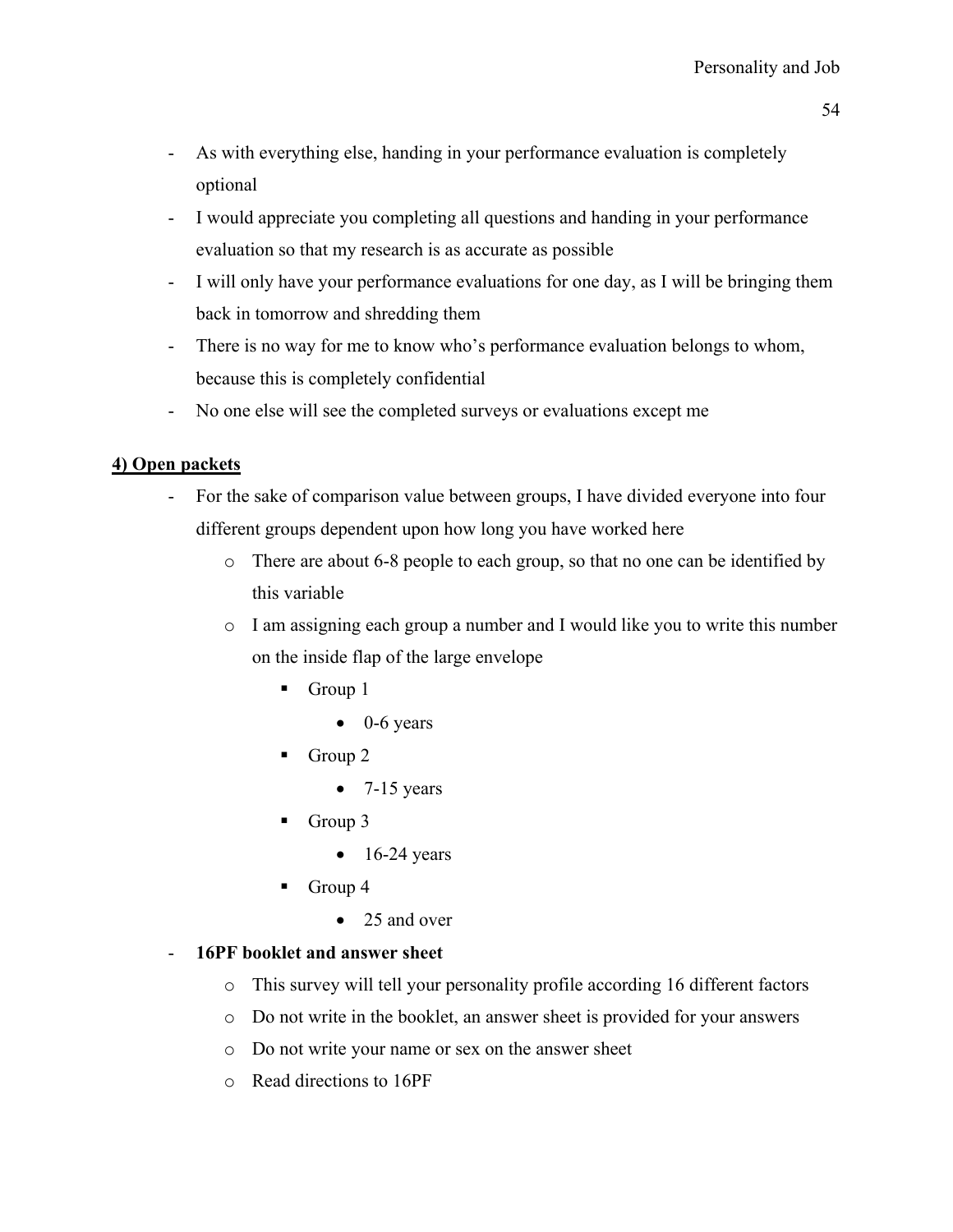- As with everything else, handing in your performance evaluation is completely optional
- I would appreciate you completing all questions and handing in your performance evaluation so that my research is as accurate as possible
- I will only have your performance evaluations for one day, as I will be bringing them back in tomorrow and shredding them
- There is no way for me to know who's performance evaluation belongs to whom, because this is completely confidential
- No one else will see the completed surveys or evaluations except me

## **4) Open packets**

- For the sake of comparison value between groups, I have divided everyone into four different groups dependent upon how long you have worked here
	- o There are about 6-8 people to each group, so that no one can be identified by this variable
	- o I am assigning each group a number and I would like you to write this number on the inside flap of the large envelope
		- Group 1
			- $\bullet$  0-6 years
		- Group 2
			- $\bullet$  7-15 years
		- Group  $3$ 
			- $\bullet$  16-24 years
		- Group 4
			- 25 and over

## - **16PF booklet and answer sheet**

- o This survey will tell your personality profile according 16 different factors
- o Do not write in the booklet, an answer sheet is provided for your answers
- o Do not write your name or sex on the answer sheet
- o Read directions to 16PF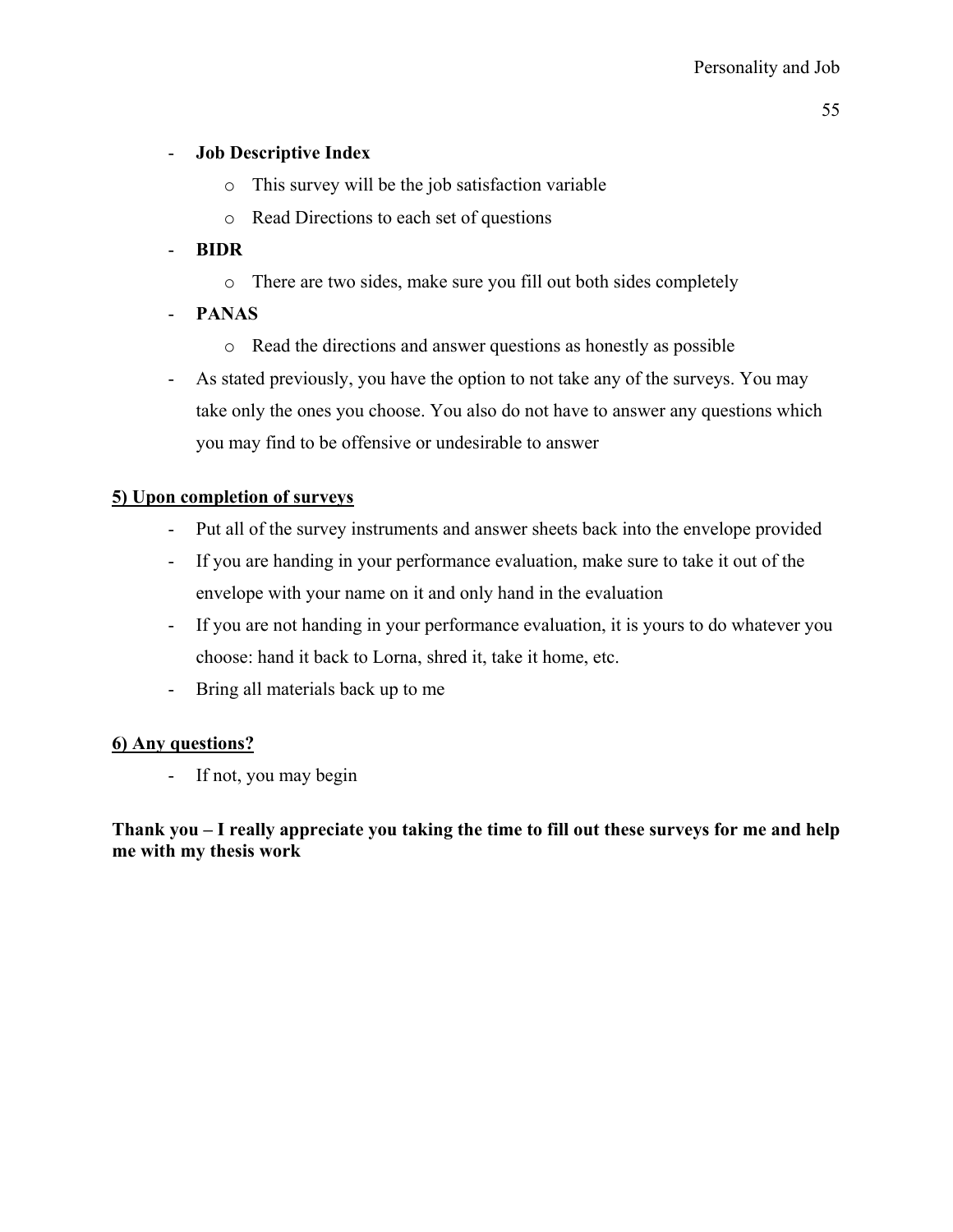## - **Job Descriptive Index**

- o This survey will be the job satisfaction variable
- o Read Directions to each set of questions

## - **BIDR**

- o There are two sides, make sure you fill out both sides completely
- **PANAS** 
	- o Read the directions and answer questions as honestly as possible
- As stated previously, you have the option to not take any of the surveys. You may take only the ones you choose. You also do not have to answer any questions which you may find to be offensive or undesirable to answer

## **5) Upon completion of surveys**

- Put all of the survey instruments and answer sheets back into the envelope provided
- If you are handing in your performance evaluation, make sure to take it out of the envelope with your name on it and only hand in the evaluation
- If you are not handing in your performance evaluation, it is yours to do whatever you choose: hand it back to Lorna, shred it, take it home, etc.
- Bring all materials back up to me

## **6) Any questions?**

- If not, you may begin

**Thank you – I really appreciate you taking the time to fill out these surveys for me and help me with my thesis work**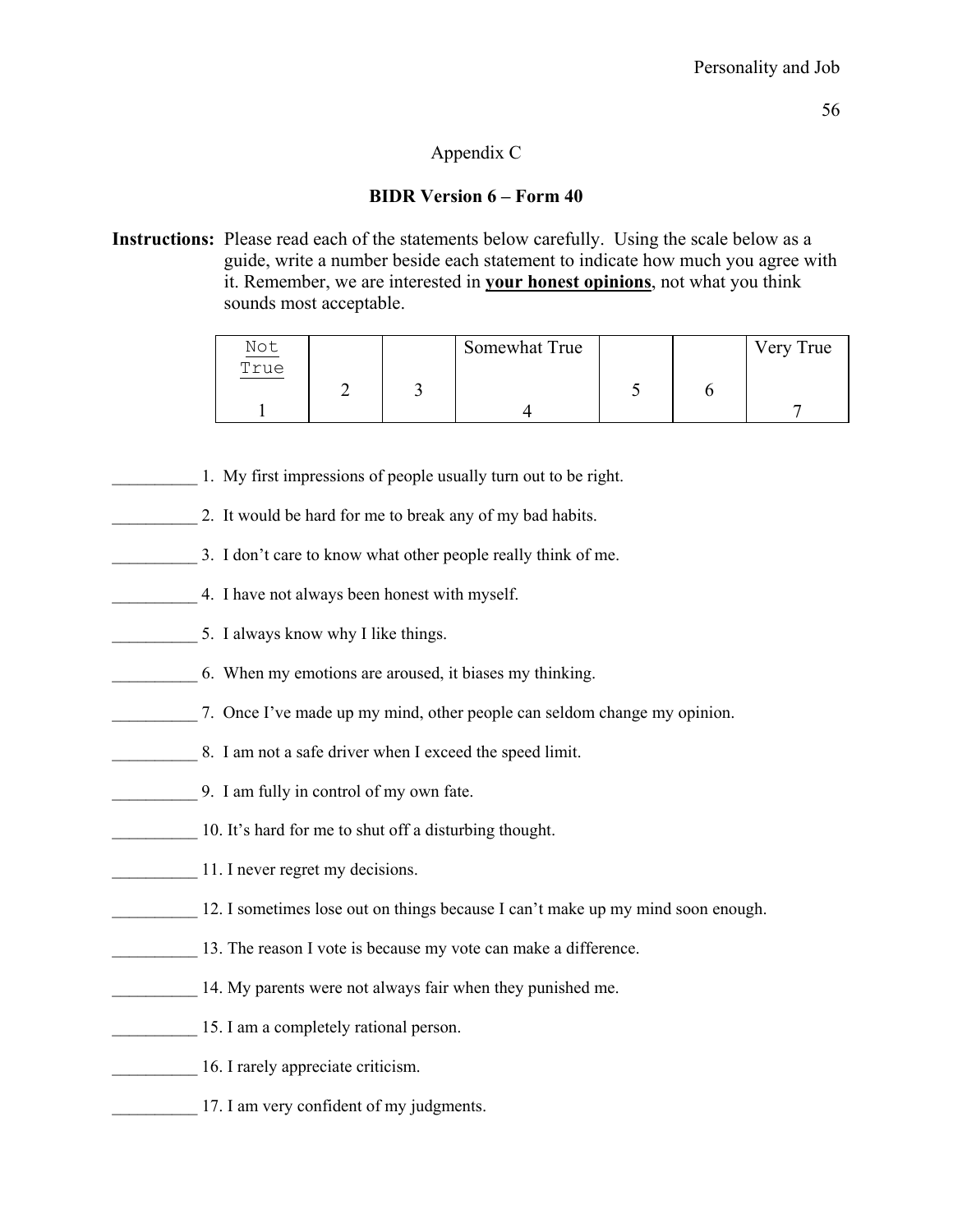## Appendix C

## **BIDR Version 6 – Form 40**

**Instructions:** Please read each of the statements below carefully. Using the scale below as a guide, write a number beside each statement to indicate how much you agree with it. Remember, we are interested in **your honest opinions**, not what you think sounds most acceptable.

| $\frac{\text{Not}}{\text{True}}$ |  | Somewhat True |  | Very True |
|----------------------------------|--|---------------|--|-----------|
|                                  |  |               |  |           |
|                                  |  |               |  |           |
|                                  |  |               |  |           |

- 1. My first impressions of people usually turn out to be right.
- 2. It would be hard for me to break any of my bad habits.
- 3. I don't care to know what other people really think of me.
- 4. I have not always been honest with myself.
- 5. I always know why I like things.
- \_\_\_\_\_\_\_\_\_\_ 6. When my emotions are aroused, it biases my thinking.
- \_\_\_\_\_\_\_\_\_\_ 7. Once I've made up my mind, other people can seldom change my opinion.
- 8. I am not a safe driver when I exceed the speed limit.
- \_\_\_\_\_\_\_\_\_\_ 9. I am fully in control of my own fate.
- 10. It's hard for me to shut off a disturbing thought.
- 11. I never regret my decisions.
- 12. I sometimes lose out on things because I can't make up my mind soon enough.
- 13. The reason I vote is because my vote can make a difference.
- 14. My parents were not always fair when they punished me.
- 15. I am a completely rational person.
- 16. I rarely appreciate criticism.
- 17. I am very confident of my judgments.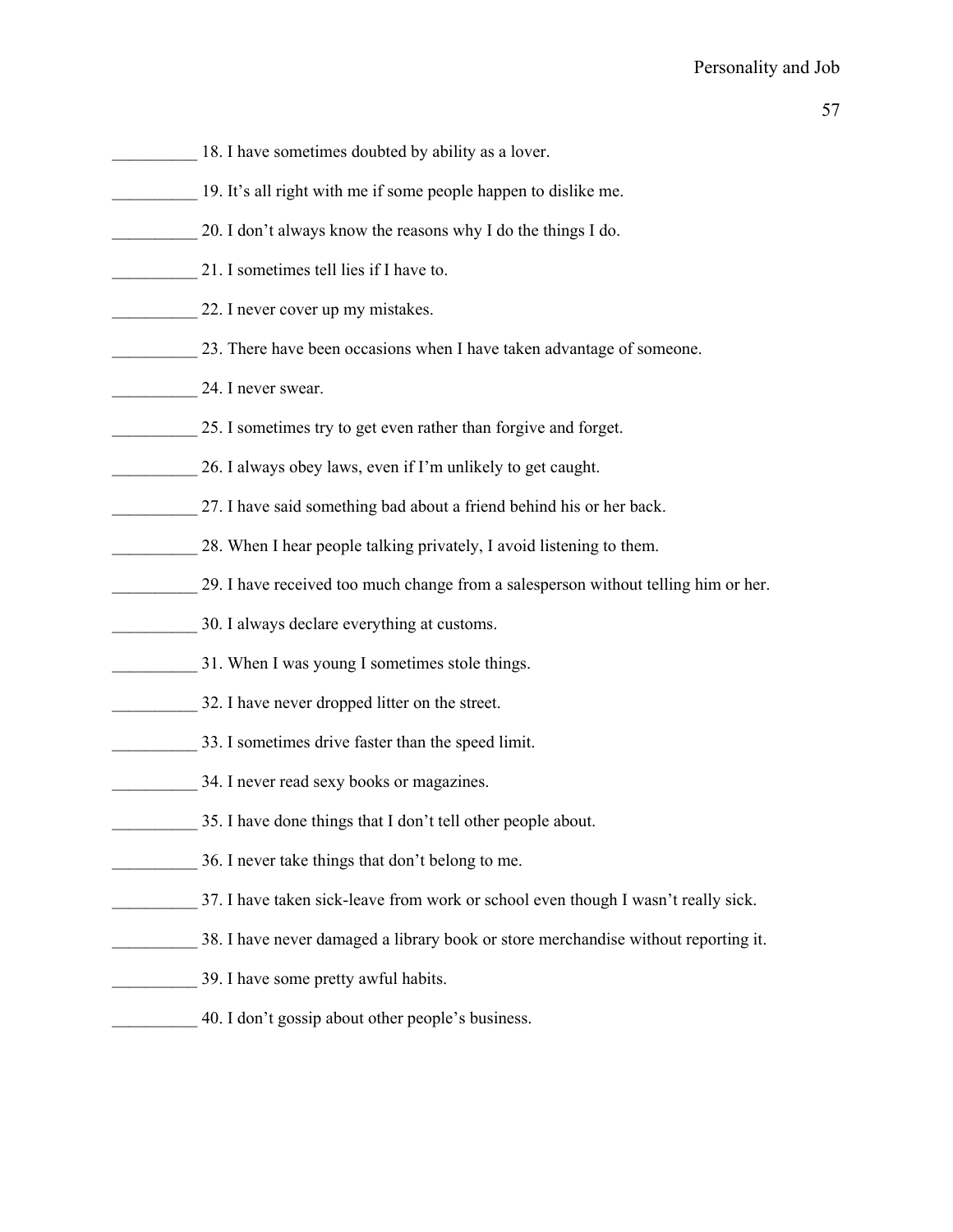- 18. I have sometimes doubted by ability as a lover.
- \_\_\_\_\_\_\_\_\_\_ 19. It's all right with me if some people happen to dislike me.
- \_\_\_\_\_\_\_\_\_\_ 20. I don't always know the reasons why I do the things I do.
- \_\_\_\_\_\_\_\_\_\_ 21. I sometimes tell lies if I have to.
- 22. I never cover up my mistakes.
- 23. There have been occasions when I have taken advantage of someone.
- 24. I never swear.
- 25. I sometimes try to get even rather than forgive and forget.
- 26. I always obey laws, even if I'm unlikely to get caught.
- 27. I have said something bad about a friend behind his or her back.
- 28. When I hear people talking privately, I avoid listening to them.
- \_\_\_\_\_\_\_\_\_\_ 29. I have received too much change from a salesperson without telling him or her.
- \_\_\_\_\_\_\_\_\_\_ 30. I always declare everything at customs.
- 31. When I was young I sometimes stole things.
- 32. I have never dropped litter on the street.
- \_\_\_\_\_\_\_\_\_\_ 33. I sometimes drive faster than the speed limit.
- 34. I never read sexy books or magazines.
- \_\_\_\_\_\_\_\_\_\_ 35. I have done things that I don't tell other people about.
- 36. I never take things that don't belong to me.
- \_\_\_\_\_\_\_\_\_\_ 37. I have taken sick-leave from work or school even though I wasn't really sick.
- \_\_\_\_\_\_\_\_\_\_ 38. I have never damaged a library book or store merchandise without reporting it.
- \_\_\_\_\_\_\_\_\_\_ 39. I have some pretty awful habits.
- \_\_\_\_\_\_\_\_\_\_ 40. I don't gossip about other people's business.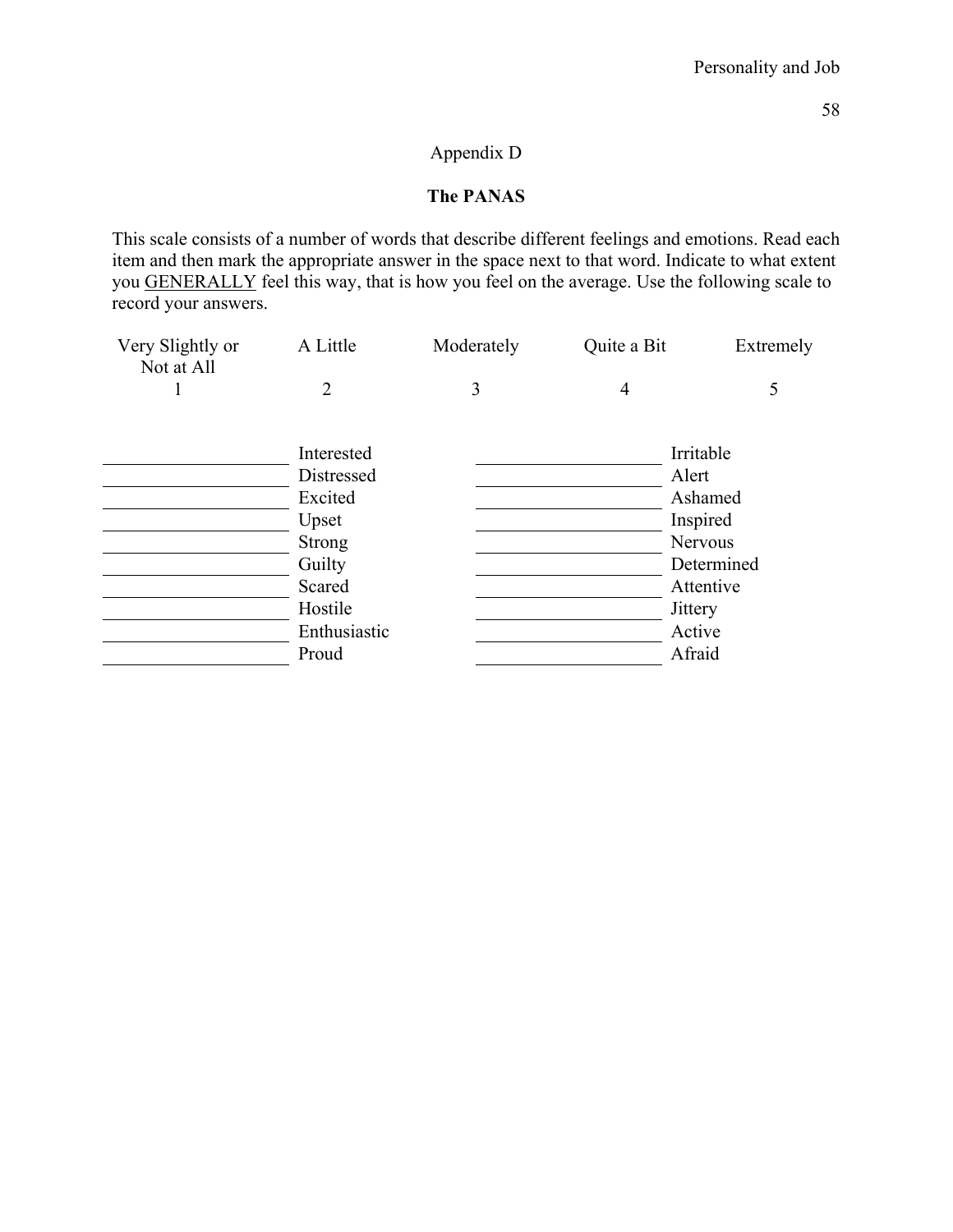## Appendix D

## **The PANAS**

This scale consists of a number of words that describe different feelings and emotions. Read each item and then mark the appropriate answer in the space next to that word. Indicate to what extent you GENERALLY feel this way, that is how you feel on the average. Use the following scale to record your answers.

| Very Slightly or<br>Not at All | A Little       | Moderately | Quite a Bit    | Extremely      |
|--------------------------------|----------------|------------|----------------|----------------|
|                                | $\mathfrak{D}$ | 3          | $\overline{4}$ |                |
|                                |                |            |                |                |
|                                | Interested     |            |                | Irritable      |
|                                | Distressed     |            |                | Alert          |
|                                | Excited        |            |                | Ashamed        |
|                                | Upset          |            |                | Inspired       |
|                                | <b>Strong</b>  |            |                | <b>Nervous</b> |
|                                | Guilty         |            |                | Determined     |
|                                | Scared         |            |                | Attentive      |
|                                | Hostile        |            |                | Jittery        |
|                                | Enthusiastic   |            |                | Active         |
|                                | Proud          |            |                | Afraid         |
|                                |                |            |                |                |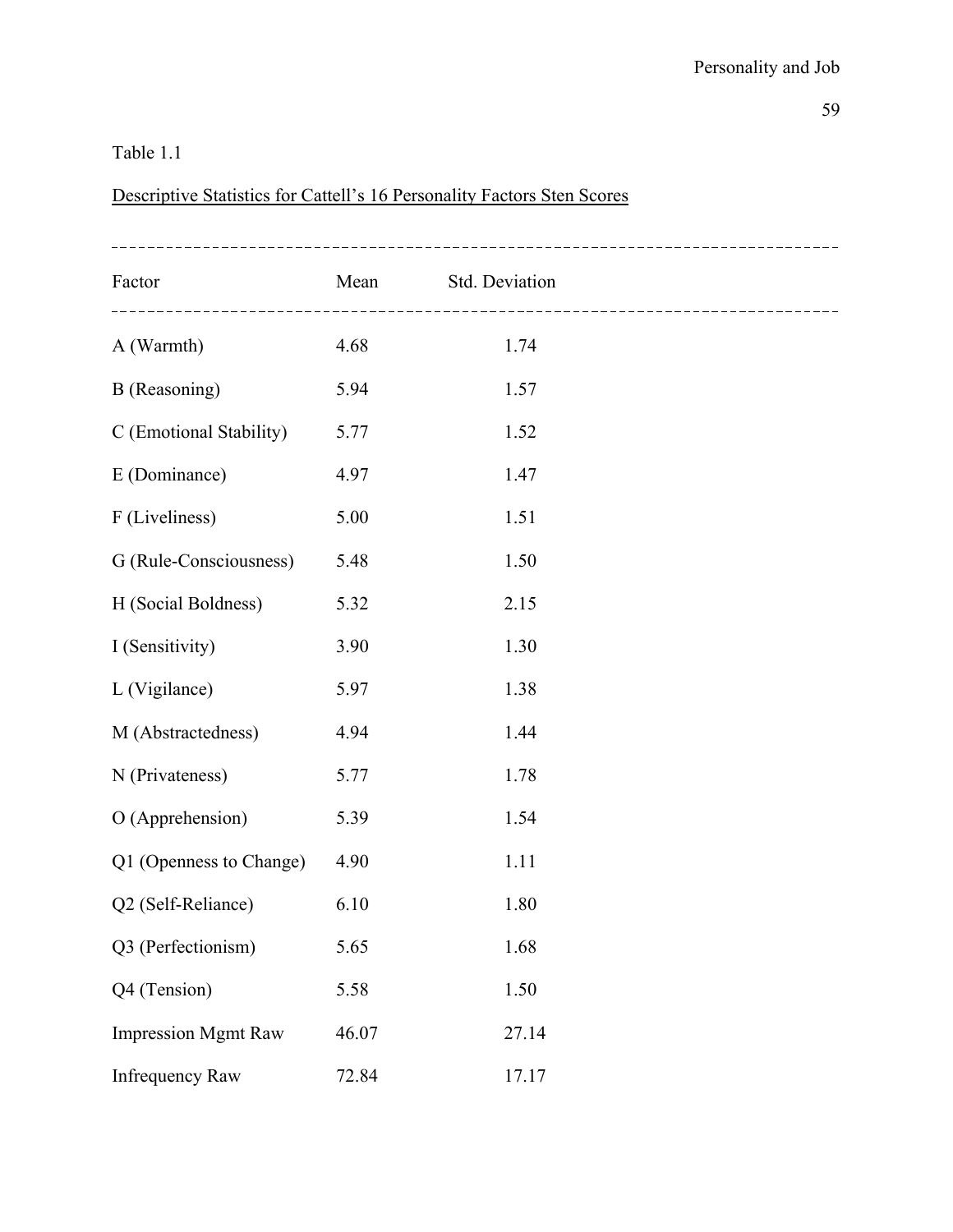# Table 1.1

# Descriptive Statistics for Cattell's 16 Personality Factors Sten Scores

| Factor<br>------------------------------------- | Mean  | Std. Deviation | ------------------------------------- |
|-------------------------------------------------|-------|----------------|---------------------------------------|
| A (Warmth)                                      | 4.68  | 1.74           |                                       |
| B (Reasoning)                                   | 5.94  | 1.57           |                                       |
| C (Emotional Stability)                         | 5.77  | 1.52           |                                       |
| E (Dominance)                                   | 4.97  | 1.47           |                                       |
| F (Liveliness)                                  | 5.00  | 1.51           |                                       |
| G (Rule-Consciousness)                          | 5.48  | 1.50           |                                       |
| H (Social Boldness)                             | 5.32  | 2.15           |                                       |
| I (Sensitivity)                                 | 3.90  | 1.30           |                                       |
| L (Vigilance)                                   | 5.97  | 1.38           |                                       |
| M (Abstractedness)                              | 4.94  | 1.44           |                                       |
| N (Privateness)                                 | 5.77  | 1.78           |                                       |
| O (Apprehension)                                | 5.39  | 1.54           |                                       |
| Q1 (Openness to Change)                         | 4.90  | 1.11           |                                       |
| Q2 (Self-Reliance)                              | 6.10  | 1.80           |                                       |
| Q3 (Perfectionism)                              | 5.65  | 1.68           |                                       |
| Q4 (Tension)                                    | 5.58  | 1.50           |                                       |
| <b>Impression Mgmt Raw</b>                      | 46.07 | 27.14          |                                       |
| <b>Infrequency Raw</b>                          | 72.84 | 17.17          |                                       |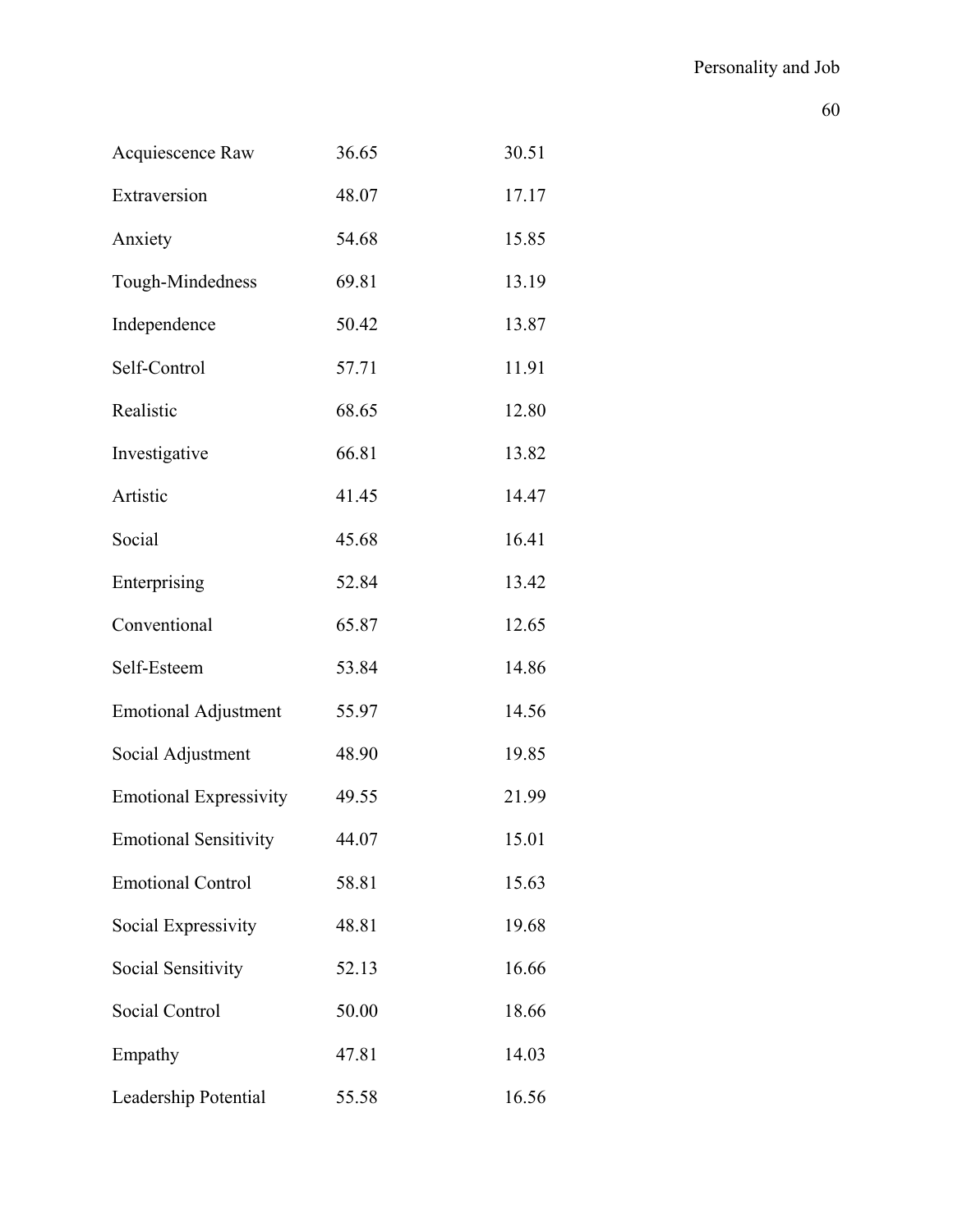| Acquiescence Raw              | 36.65 | 30.51 |
|-------------------------------|-------|-------|
| Extraversion                  | 48.07 | 17.17 |
| Anxiety                       | 54.68 | 15.85 |
| Tough-Mindedness              | 69.81 | 13.19 |
| Independence                  | 50.42 | 13.87 |
| Self-Control                  | 57.71 | 11.91 |
| Realistic                     | 68.65 | 12.80 |
| Investigative                 | 66.81 | 13.82 |
| Artistic                      | 41.45 | 14.47 |
| Social                        | 45.68 | 16.41 |
| Enterprising                  | 52.84 | 13.42 |
| Conventional                  | 65.87 | 12.65 |
| Self-Esteem                   | 53.84 | 14.86 |
| <b>Emotional Adjustment</b>   | 55.97 | 14.56 |
| Social Adjustment             | 48.90 | 19.85 |
| <b>Emotional Expressivity</b> | 49.55 | 21.99 |
| <b>Emotional Sensitivity</b>  | 44.07 | 15.01 |
| <b>Emotional Control</b>      | 58.81 | 15.63 |
| Social Expressivity           | 48.81 | 19.68 |
| Social Sensitivity            | 52.13 | 16.66 |
| Social Control                | 50.00 | 18.66 |
| Empathy                       | 47.81 | 14.03 |
| Leadership Potential          | 55.58 | 16.56 |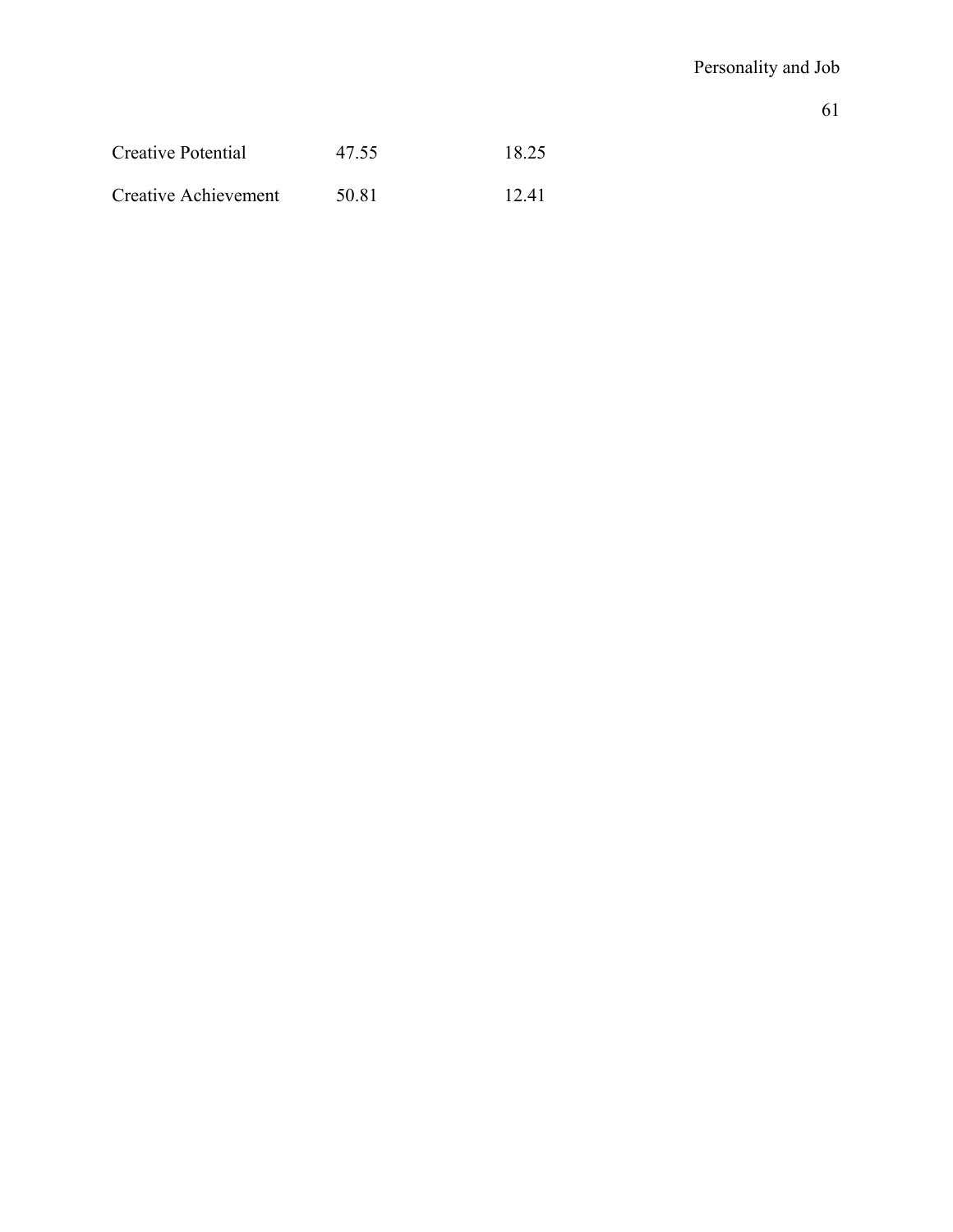| Creative Potential   | 47.55 | 18.25 |
|----------------------|-------|-------|
| Creative Achievement | 50.81 | 12.41 |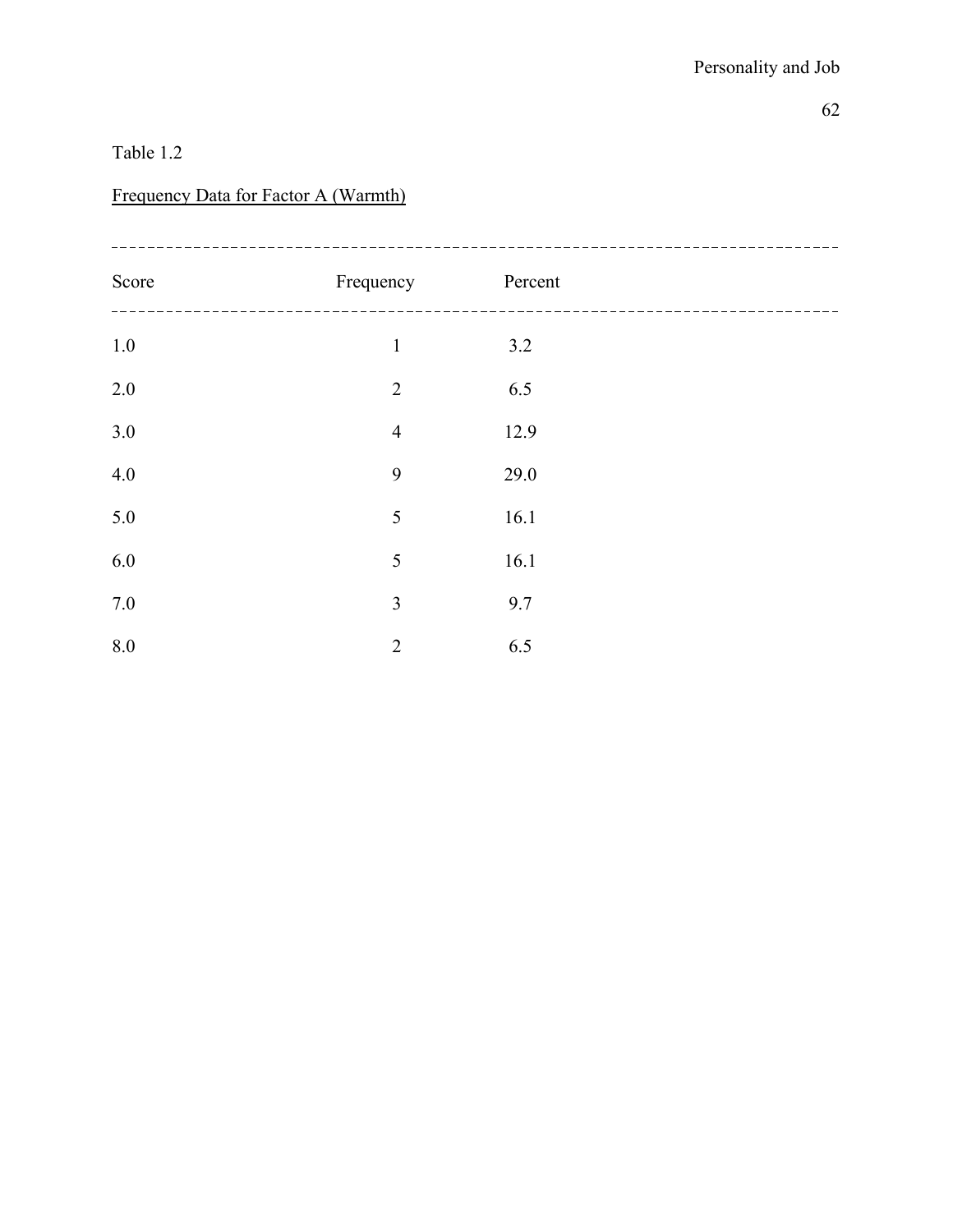## Table 1.2

# Frequency Data for Factor A (Warmth)

| Score   | Frequency      | Percent |  |
|---------|----------------|---------|--|
| $1.0\,$ | $\mathbf 1$    | 3.2     |  |
| 2.0     | $\overline{2}$ | 6.5     |  |
| 3.0     | $\overline{4}$ | 12.9    |  |
| 4.0     | 9              | 29.0    |  |
| 5.0     | 5              | 16.1    |  |
| 6.0     | 5              | 16.1    |  |
| $7.0\,$ | 3              | 9.7     |  |
| 8.0     | $\overline{2}$ | 6.5     |  |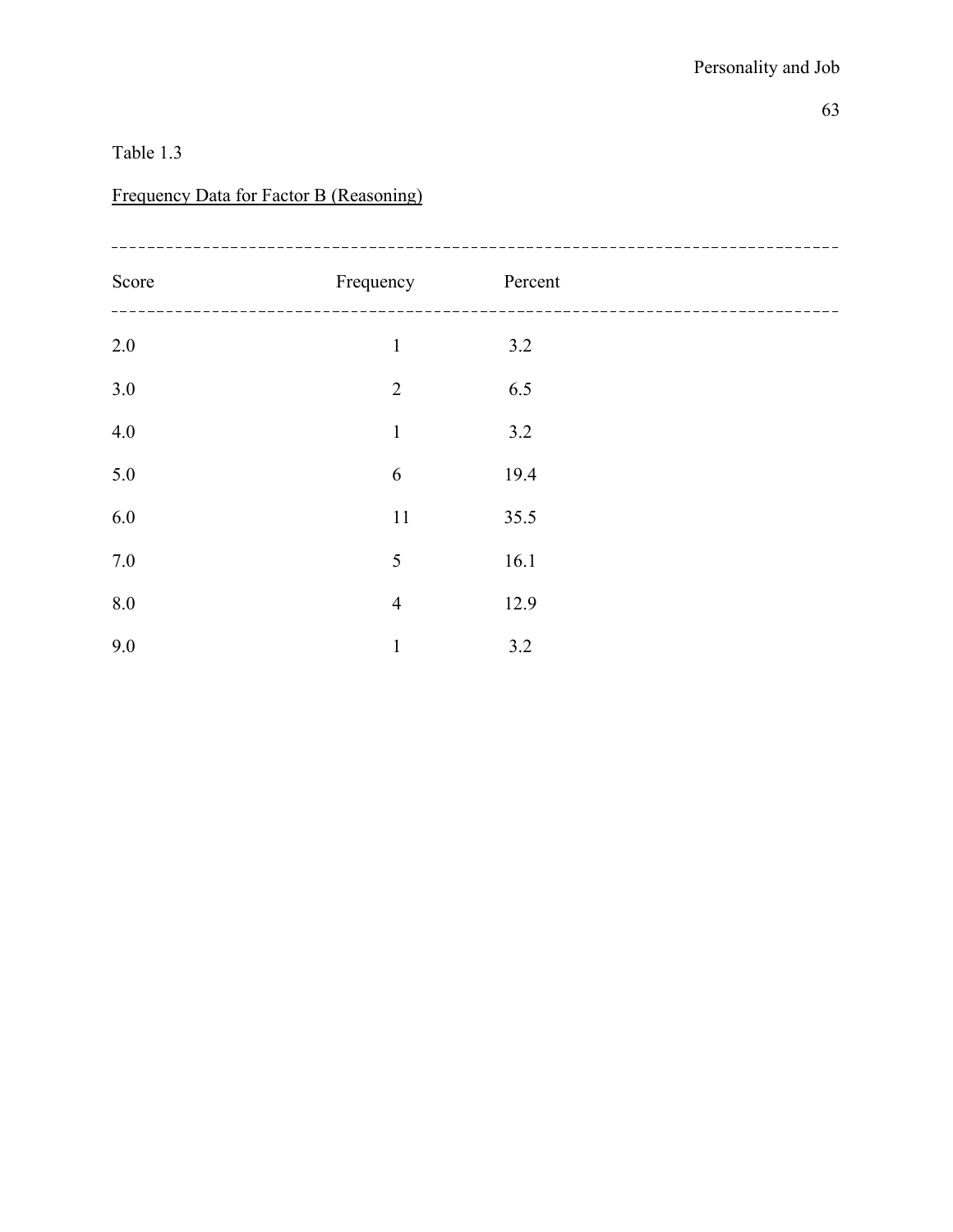## Table 1.3

# Frequency Data for Factor B (Reasoning)

| Score | Frequency      | Percent |  |
|-------|----------------|---------|--|
| 2.0   | $\mathbf{1}$   | 3.2     |  |
| 3.0   | $\overline{2}$ | 6.5     |  |
| 4.0   | $\mathbf 1$    | 3.2     |  |
| 5.0   | 6              | 19.4    |  |
| 6.0   | 11             | 35.5    |  |
| 7.0   | 5              | 16.1    |  |
| 8.0   | $\overline{4}$ | 12.9    |  |
| 9.0   | $\mathbf{1}$   | 3.2     |  |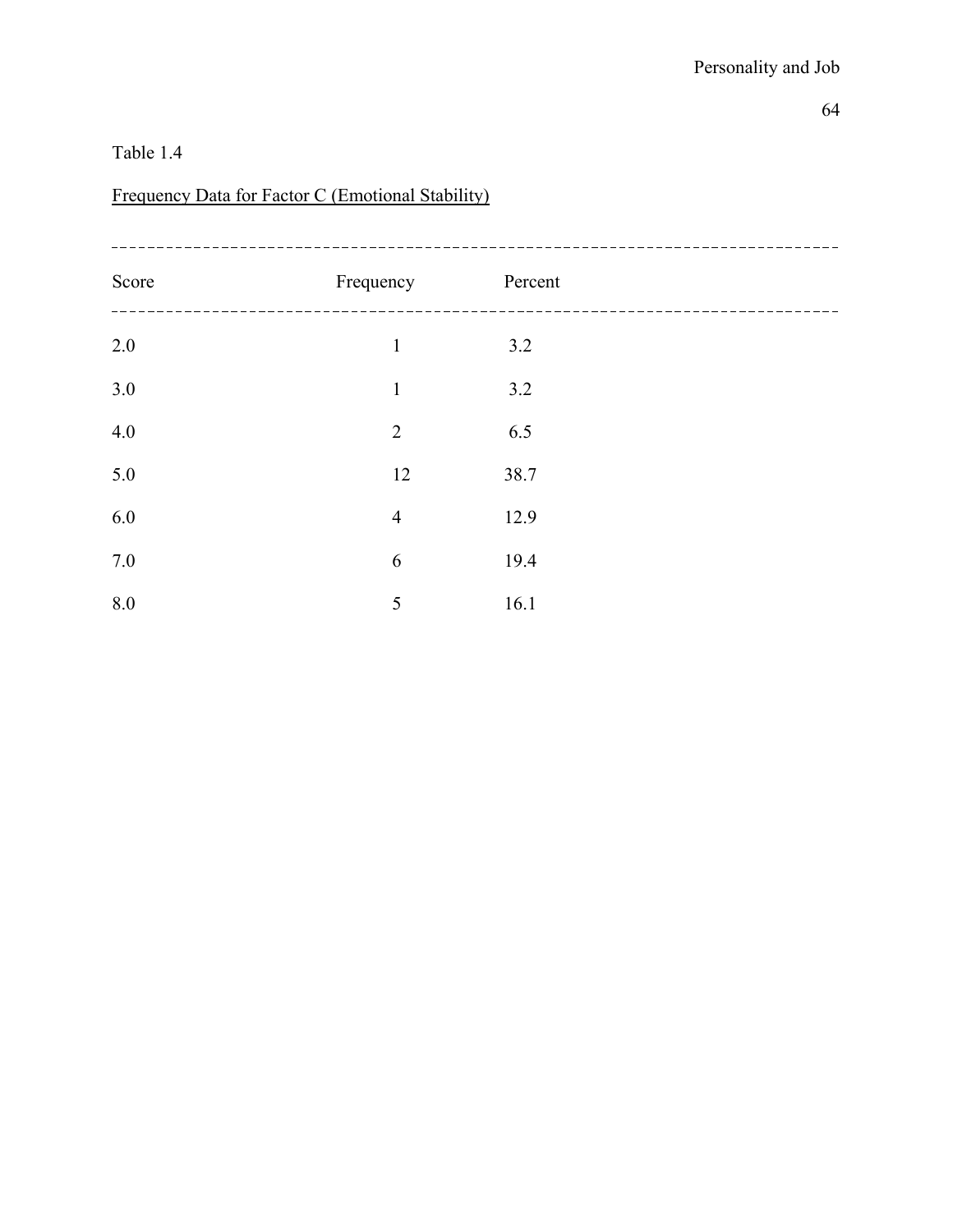# Frequency Data for Factor C (Emotional Stability)

| Score   | Frequency      | Percent |  |
|---------|----------------|---------|--|
| $2.0\,$ | $\mathbf{1}$   | 3.2     |  |
| 3.0     | $\mathbf{1}$   | 3.2     |  |
| 4.0     | $\overline{2}$ | 6.5     |  |
| 5.0     | 12             | 38.7    |  |
| 6.0     | $\overline{4}$ | 12.9    |  |
| $7.0\,$ | 6              | 19.4    |  |
| 8.0     | 5              | 16.1    |  |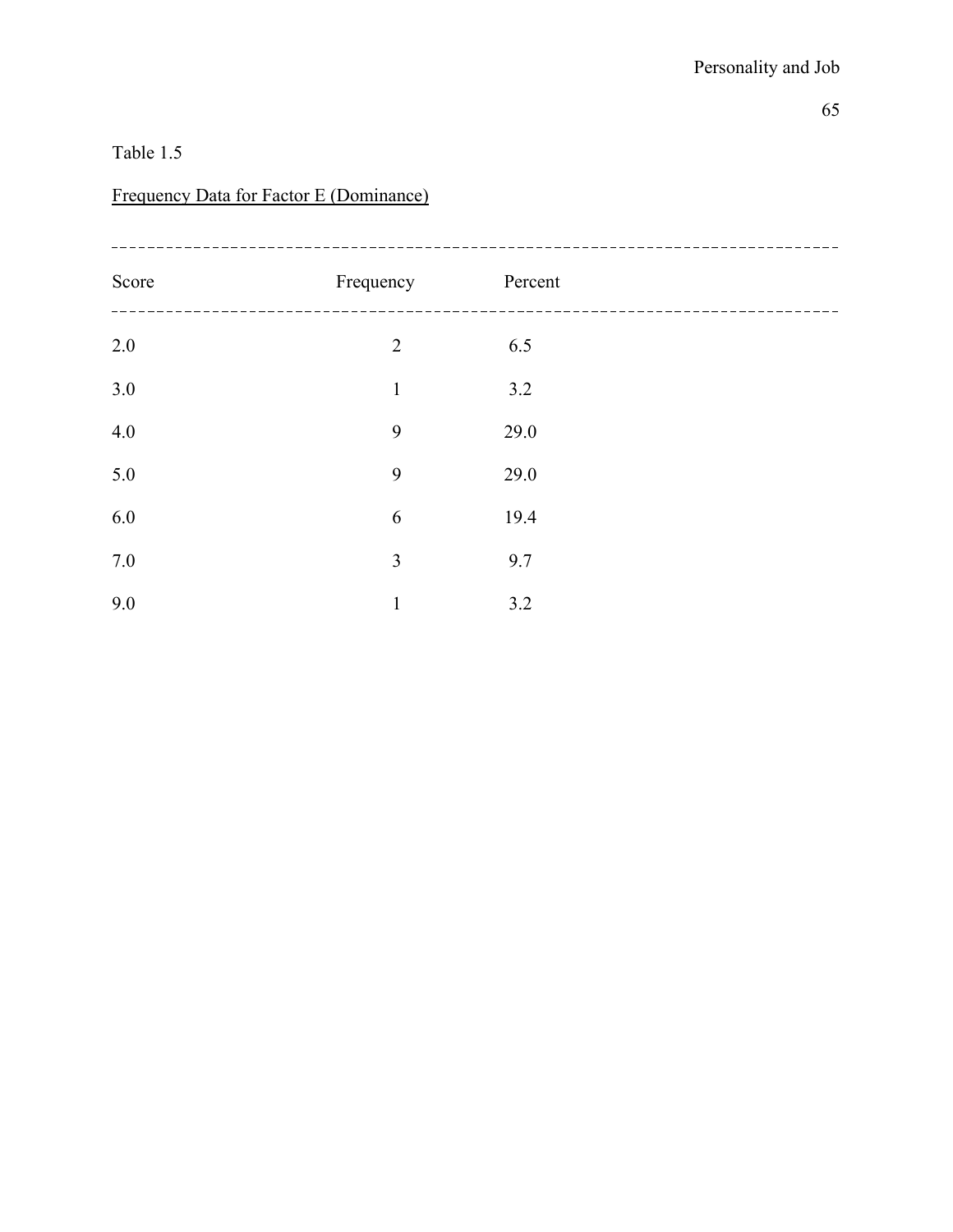### Frequency Data for Factor E (Dominance)

| Score | Frequency      | Percent |  |
|-------|----------------|---------|--|
| 2.0   | $\overline{2}$ | 6.5     |  |
| 3.0   | $\mathbf{1}$   | 3.2     |  |
| 4.0   | 9              | 29.0    |  |
| 5.0   | 9              | 29.0    |  |
| 6.0   | 6              | 19.4    |  |
| 7.0   | $\overline{3}$ | 9.7     |  |
| 9.0   | $\mathbf{1}$   | 3.2     |  |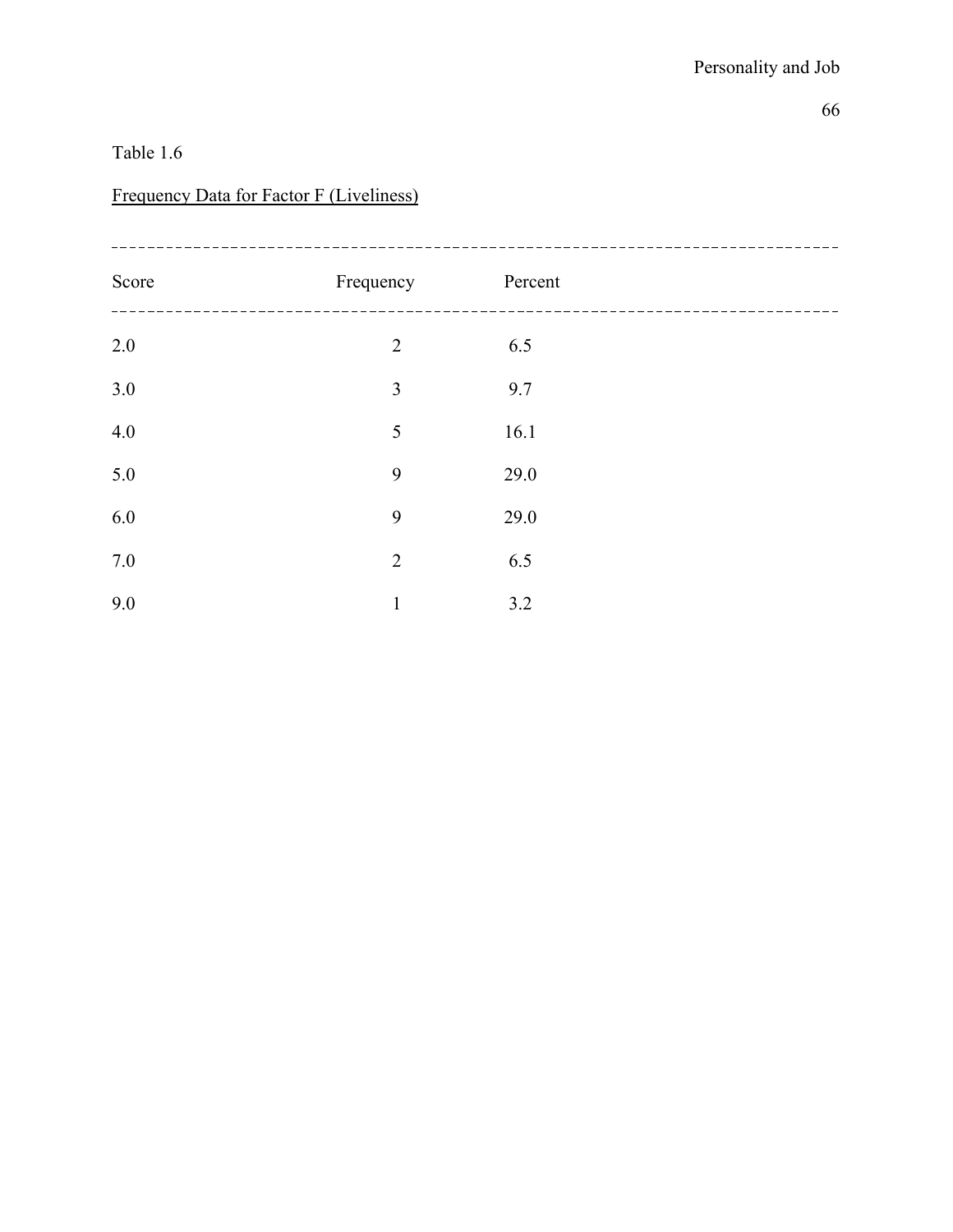# Frequency Data for Factor F (Liveliness)

| Score   | Frequency      | Percent |  |
|---------|----------------|---------|--|
| $2.0\,$ | $\overline{2}$ | 6.5     |  |
| 3.0     | $\overline{3}$ | 9.7     |  |
| 4.0     | 5              | 16.1    |  |
| 5.0     | 9              | 29.0    |  |
| 6.0     | 9              | 29.0    |  |
| $7.0\,$ | $\overline{2}$ | 6.5     |  |
| 9.0     | $\mathbf{1}$   | 3.2     |  |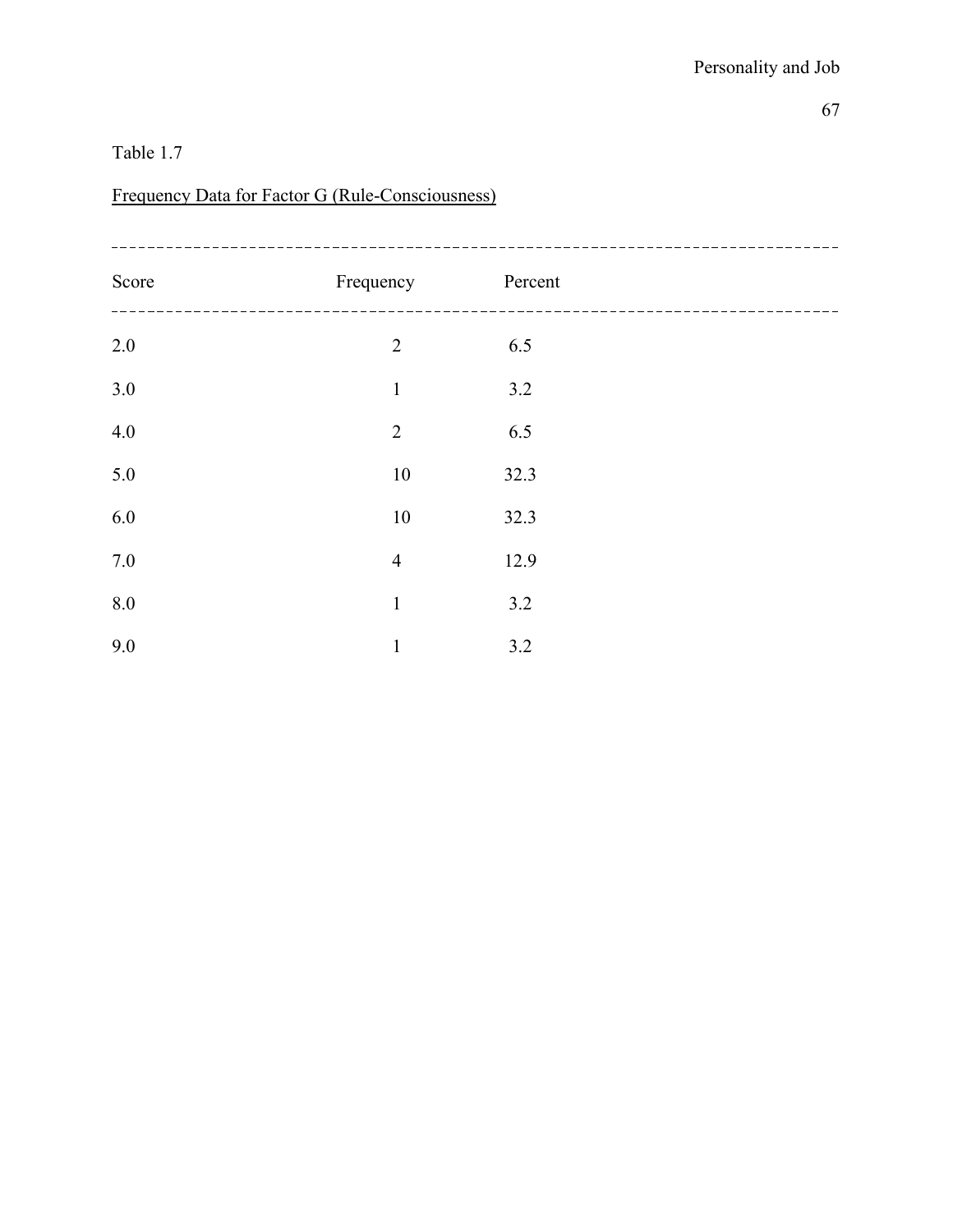# Frequency Data for Factor G (Rule-Consciousness)

| Score   | Frequency      | Percent |  |
|---------|----------------|---------|--|
| $2.0\,$ | $\overline{2}$ | 6.5     |  |
| 3.0     | $\mathbf 1$    | 3.2     |  |
| 4.0     | $\overline{2}$ | 6.5     |  |
| 5.0     | $10\,$         | 32.3    |  |
| 6.0     | $10\,$         | 32.3    |  |
| 7.0     | $\overline{4}$ | 12.9    |  |
| 8.0     | $\mathbf{1}$   | 3.2     |  |
| 9.0     | $\mathbf{1}$   | 3.2     |  |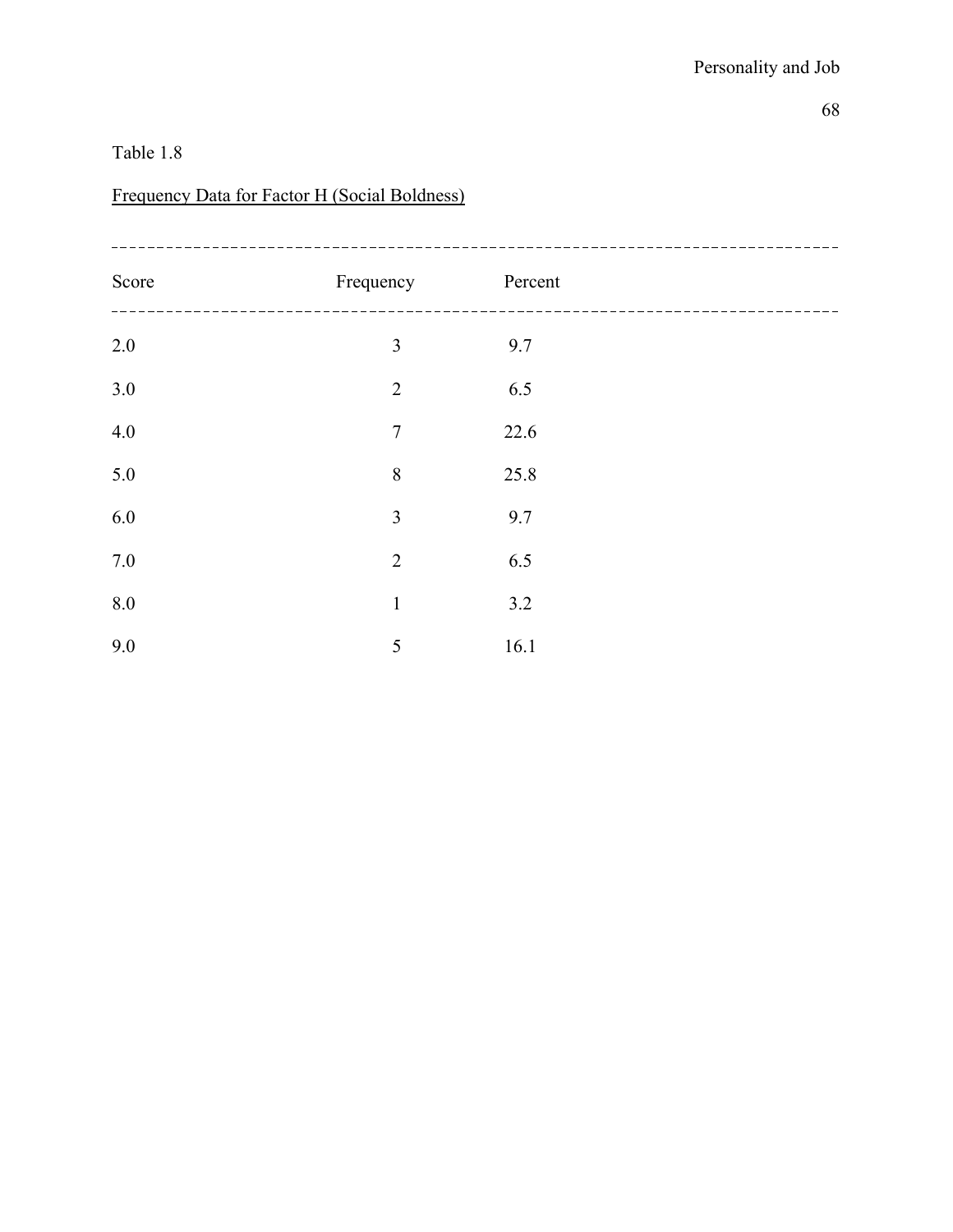# Frequency Data for Factor H (Social Boldness)

| Score   | Frequency      | Percent |  |
|---------|----------------|---------|--|
| $2.0\,$ | 3              | 9.7     |  |
| 3.0     | $\overline{2}$ | 6.5     |  |
| 4.0     | $\overline{7}$ | 22.6    |  |
| 5.0     | 8              | 25.8    |  |
| 6.0     | $\overline{3}$ | 9.7     |  |
| $7.0\,$ | $\overline{2}$ | 6.5     |  |
| 8.0     | $\mathbf{1}$   | 3.2     |  |
| 9.0     | 5              | 16.1    |  |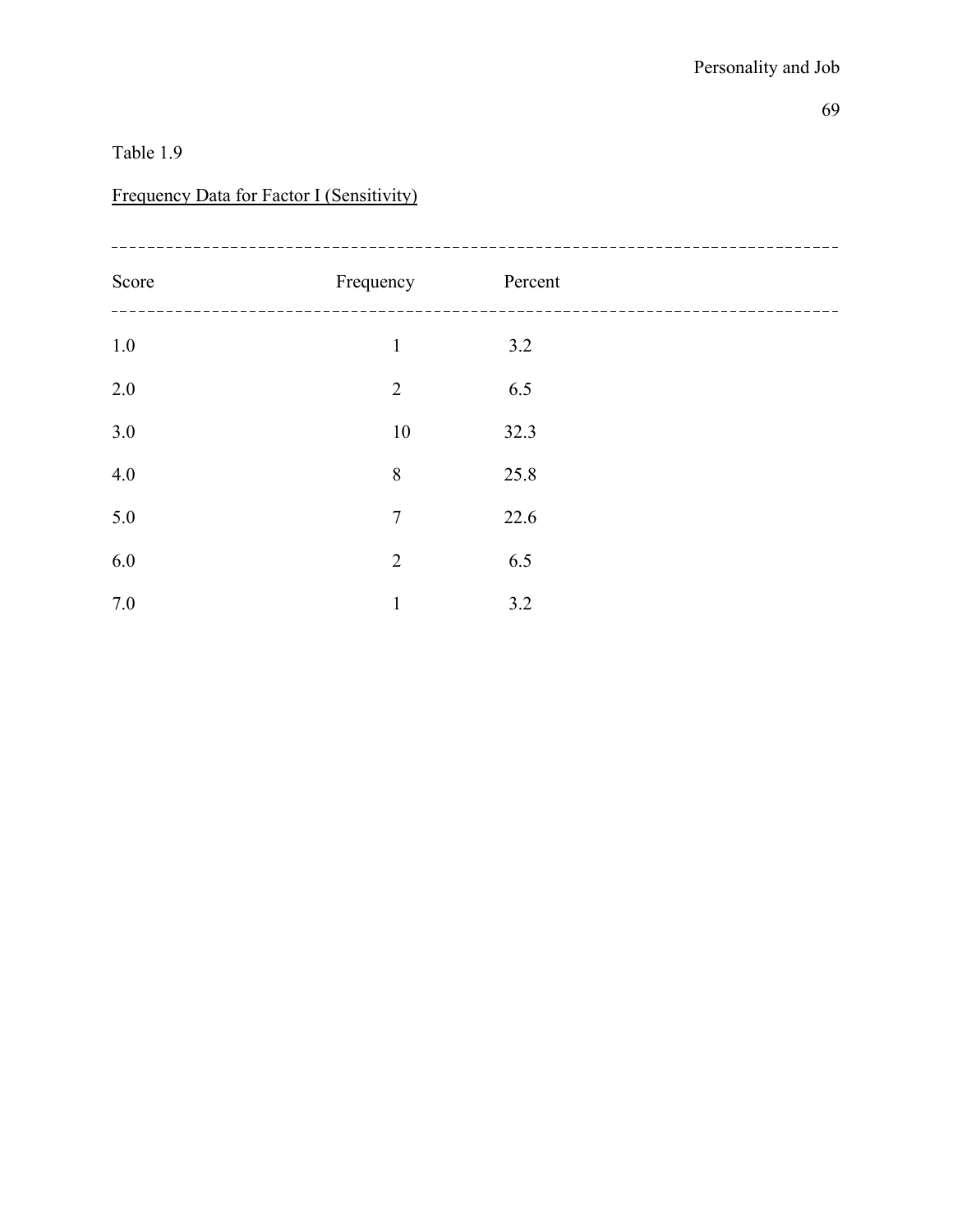### Frequency Data for Factor I (Sensitivity)

| Score   | Frequency      | Percent |  |
|---------|----------------|---------|--|
| $1.0\,$ | $\mathbf{1}$   | 3.2     |  |
| 2.0     | $\overline{2}$ | 6.5     |  |
| 3.0     | 10             | 32.3    |  |
| 4.0     | 8              | 25.8    |  |
| 5.0     | $\overline{7}$ | 22.6    |  |
| 6.0     | $\overline{2}$ | 6.5     |  |
| 7.0     | $\mathbf{1}$   | 3.2     |  |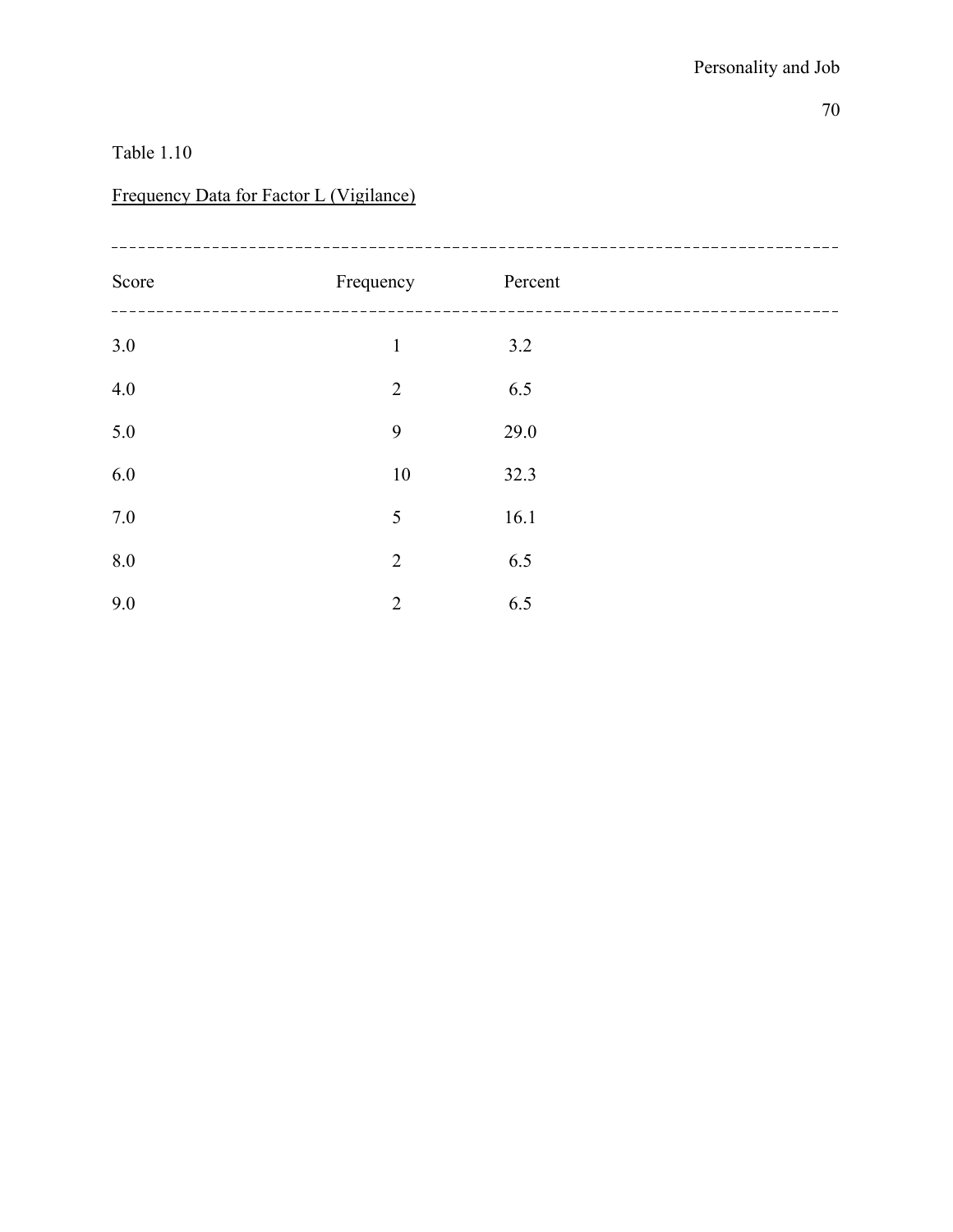# Frequency Data for Factor L (Vigilance)

| Score   | Frequency      | Percent |  |
|---------|----------------|---------|--|
| $3.0\,$ | $\mathbf{1}$   | 3.2     |  |
| 4.0     | $\overline{2}$ | 6.5     |  |
| 5.0     | 9              | 29.0    |  |
| 6.0     | $10\,$         | 32.3    |  |
| 7.0     | 5              | 16.1    |  |
| 8.0     | $\overline{2}$ | 6.5     |  |
| 9.0     | $\overline{2}$ | 6.5     |  |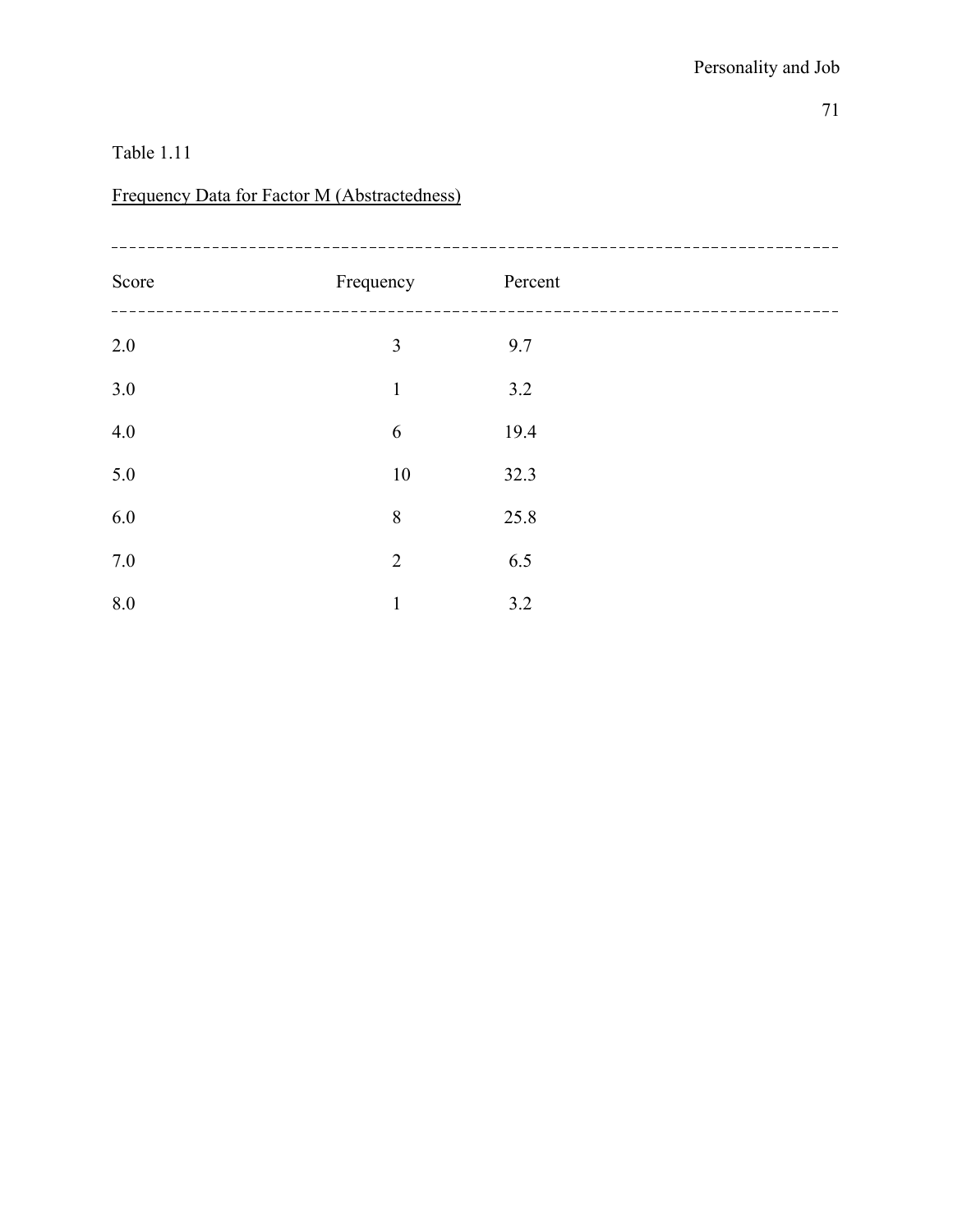### Table 1.11

# Frequency Data for Factor M (Abstractedness)

| Score   | Frequency      | Percent |  |
|---------|----------------|---------|--|
| $2.0\,$ | $\overline{3}$ | 9.7     |  |
| 3.0     | $\mathbf{1}$   | 3.2     |  |
| 4.0     | 6              | 19.4    |  |
| 5.0     | $10\,$         | 32.3    |  |
| 6.0     | $\,8\,$        | 25.8    |  |
| $7.0\,$ | $\overline{2}$ | 6.5     |  |
| 8.0     | $\mathbf{1}$   | 3.2     |  |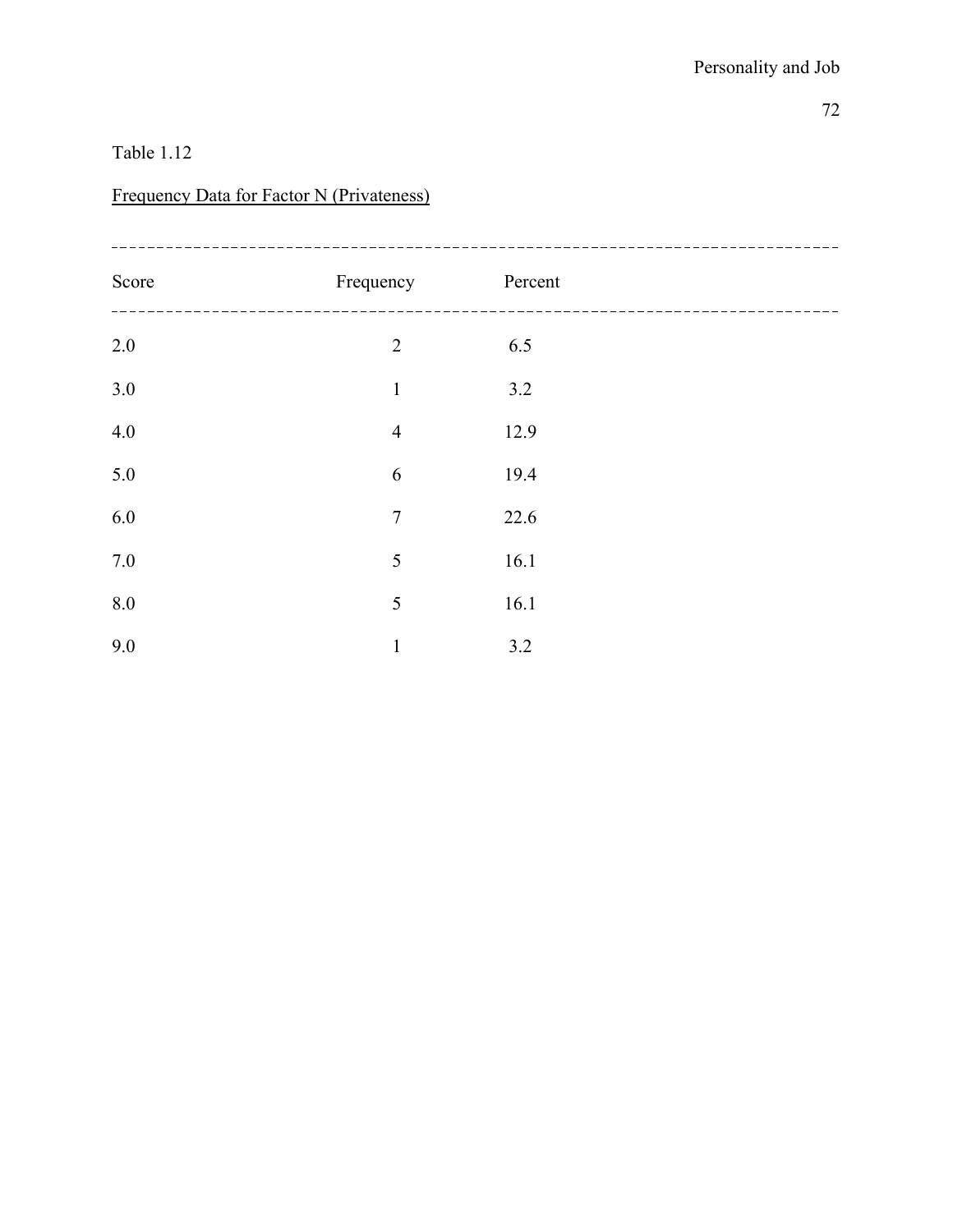# Frequency Data for Factor N (Privateness)

| Score | Frequency      | Percent |  |
|-------|----------------|---------|--|
| 2.0   | $\overline{2}$ | 6.5     |  |
| 3.0   | $\mathbf{1}$   | 3.2     |  |
| 4.0   | $\overline{4}$ | 12.9    |  |
| 5.0   | 6              | 19.4    |  |
| 6.0   | $\tau$         | 22.6    |  |
| 7.0   | 5              | 16.1    |  |
| 8.0   | 5              | 16.1    |  |
| 9.0   | $\mathbf{1}$   | 3.2     |  |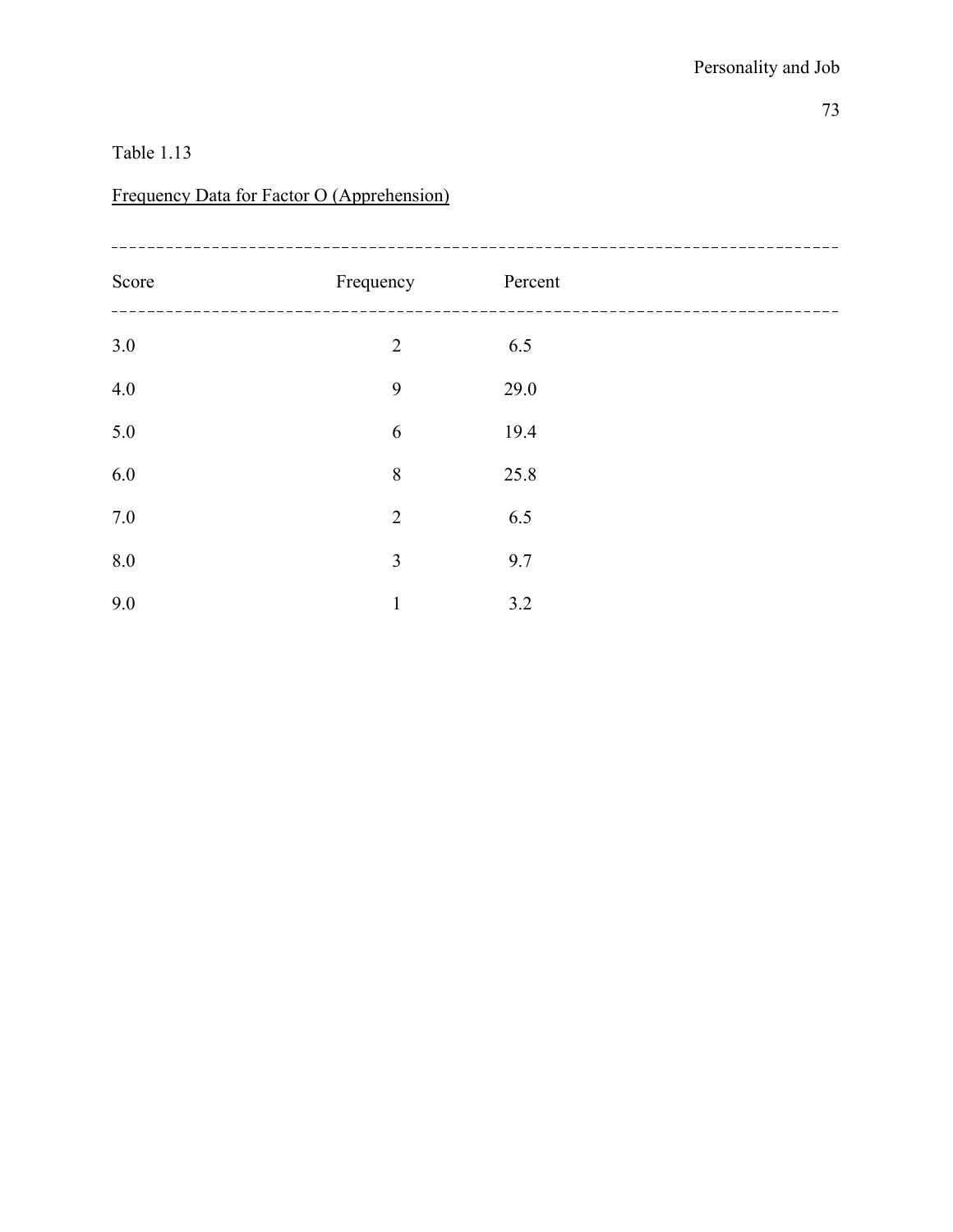# Frequency Data for Factor O (Apprehension)

| Score | Frequency      | Percent |  |
|-------|----------------|---------|--|
| $3.0$ | $\overline{2}$ | 6.5     |  |
| 4.0   | 9              | 29.0    |  |
| 5.0   | 6              | 19.4    |  |
| 6.0   | 8              | 25.8    |  |
| 7.0   | $\overline{2}$ | 6.5     |  |
| 8.0   | 3              | 9.7     |  |
| 9.0   | $\mathbf{1}$   | 3.2     |  |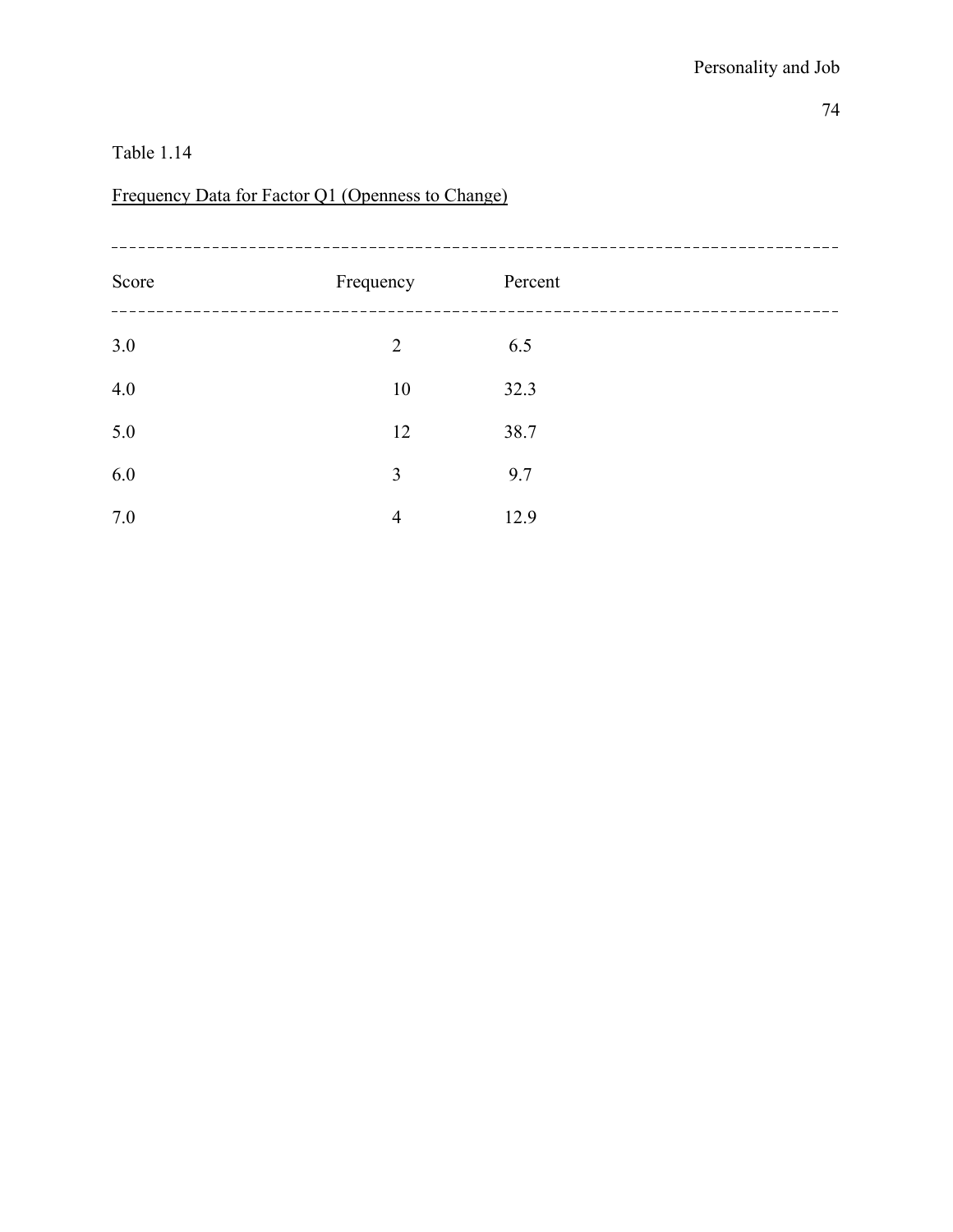# Frequency Data for Factor Q1 (Openness to Change)

| Score | Frequency      | Percent |  |
|-------|----------------|---------|--|
| 3.0   | $\overline{2}$ | 6.5     |  |
| 4.0   | 10             | 32.3    |  |
| 5.0   | 12             | 38.7    |  |
| 6.0   | 3              | 9.7     |  |
| 7.0   | $\overline{4}$ | 12.9    |  |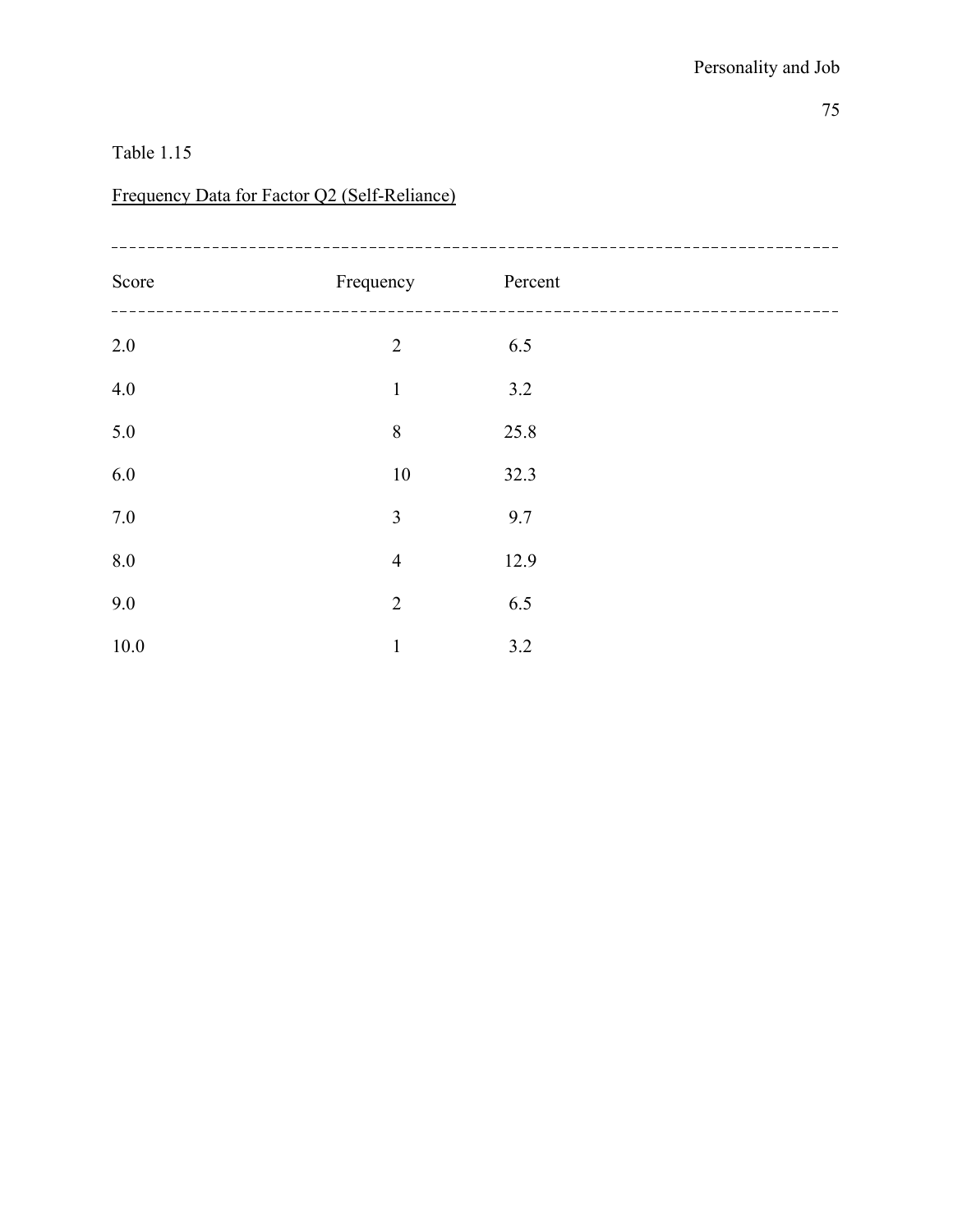# Frequency Data for Factor Q2 (Self-Reliance)

| Score    | Frequency      | Percent |  |
|----------|----------------|---------|--|
| $2.0\,$  | $\overline{2}$ | 6.5     |  |
| 4.0      | $\mathbf{1}$   | 3.2     |  |
| 5.0      | $8\,$          | 25.8    |  |
| 6.0      | $10\,$         | 32.3    |  |
| $7.0\,$  | 3              | 9.7     |  |
| 8.0      | $\overline{4}$ | 12.9    |  |
| 9.0      | $\overline{2}$ | 6.5     |  |
| $10.0\,$ | $\mathbf{1}$   | 3.2     |  |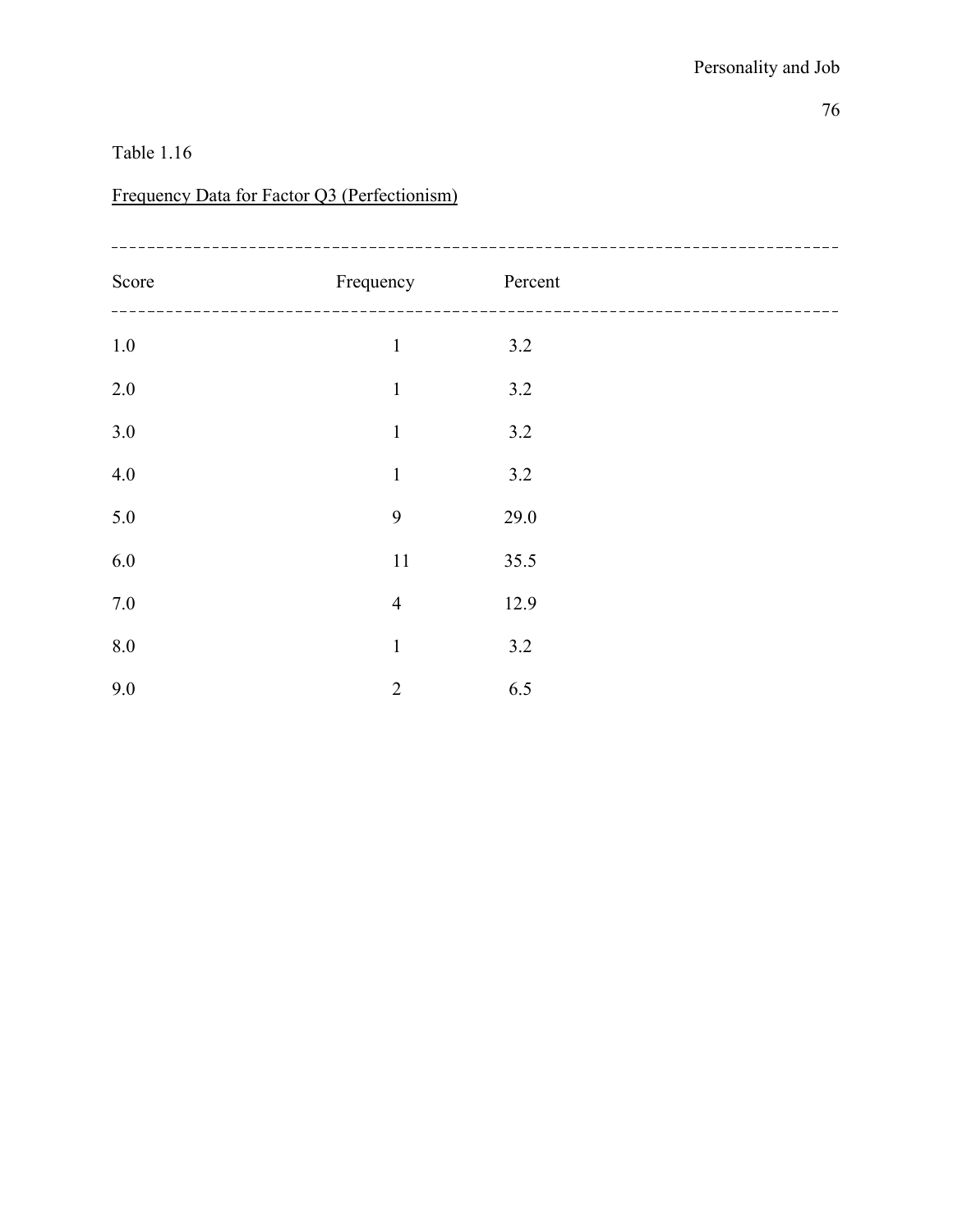# Frequency Data for Factor Q3 (Perfectionism)

| Score   | Frequency      | Percent |  |
|---------|----------------|---------|--|
| $1.0\,$ | $\mathbf{1}$   | 3.2     |  |
| 2.0     | $\mathbf{1}$   | 3.2     |  |
| 3.0     | $\mathbf{1}$   | 3.2     |  |
| 4.0     | $\mathbbm{1}$  | 3.2     |  |
| 5.0     | 9              | 29.0    |  |
| 6.0     | 11             | 35.5    |  |
| $7.0\,$ | $\overline{4}$ | 12.9    |  |
| 8.0     | $\mathbf{1}$   | 3.2     |  |
| 9.0     | $\overline{2}$ | 6.5     |  |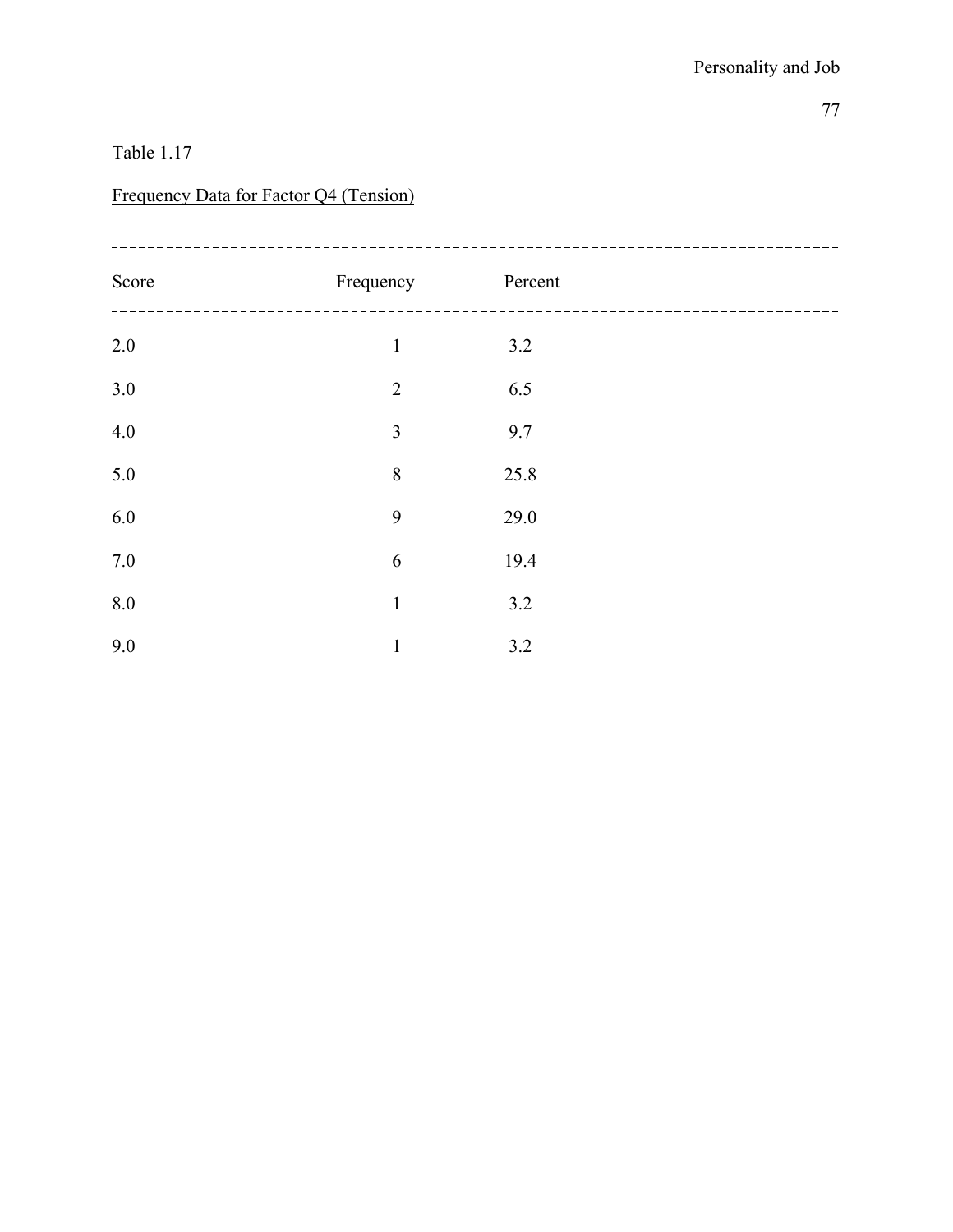### Frequency Data for Factor Q4 (Tension)

| Score   | Frequency      | Percent |  |
|---------|----------------|---------|--|
| $2.0\,$ | $\mathbf{1}$   | 3.2     |  |
| 3.0     | $\overline{2}$ | 6.5     |  |
| 4.0     | $\overline{3}$ | 9.7     |  |
| 5.0     | 8              | 25.8    |  |
| 6.0     | 9              | 29.0    |  |
| 7.0     | 6              | 19.4    |  |
| 8.0     | $\mathbf{1}$   | 3.2     |  |
| 9.0     | $\mathbf{1}$   | 3.2     |  |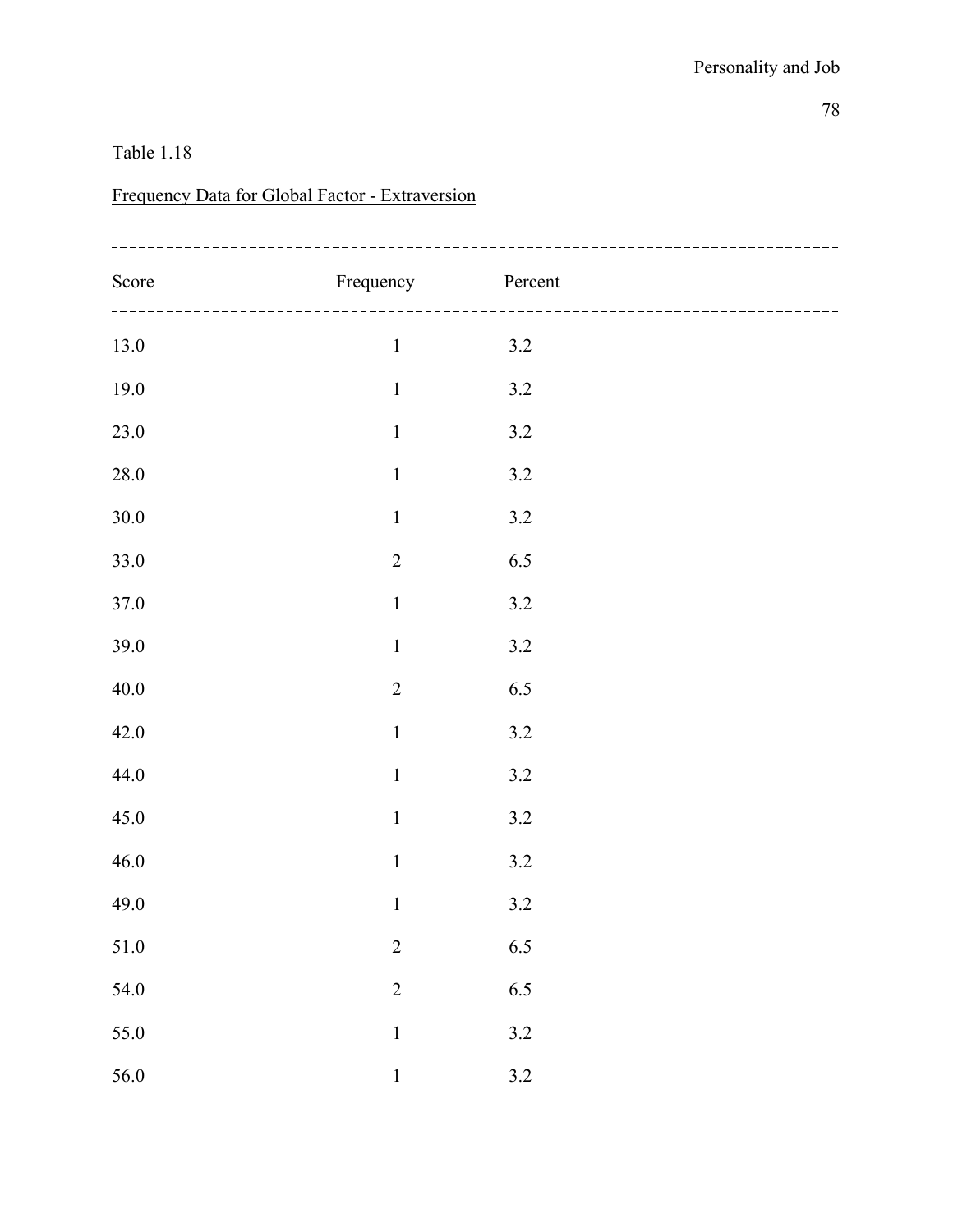# Frequency Data for Global Factor - Extraversion

| Score    | Frequency        | Percent |  |
|----------|------------------|---------|--|
| 13.0     | $\,1\,$          | $3.2$   |  |
| 19.0     | $\mathbf 1$      | $3.2\,$ |  |
| 23.0     | $\boldsymbol{1}$ | $3.2\,$ |  |
| $28.0\,$ | $\,1\,$          | $3.2\,$ |  |
| $30.0\,$ | $\,1\,$          | $3.2\,$ |  |
| 33.0     | $\sqrt{2}$       | $6.5\,$ |  |
| 37.0     | $\,1\,$          | $3.2\,$ |  |
| 39.0     | $\,1\,$          | $3.2\,$ |  |
| 40.0     | $\overline{2}$   | 6.5     |  |
| 42.0     | $\,1\,$          | $3.2\,$ |  |
| 44.0     | $\,1\,$          | $3.2$   |  |
| 45.0     | $\mathbf 1$      | $3.2\,$ |  |
| 46.0     | $\,1$            | $3.2\,$ |  |
| 49.0     | $\mathbf 1$      | $3.2\,$ |  |
| $51.0\,$ | $\overline{c}$   | 6.5     |  |
| 54.0     | $\overline{2}$   | 6.5     |  |
| 55.0     | $\mathbf{1}$     | $3.2\,$ |  |
| 56.0     | $\,1\,$          | 3.2     |  |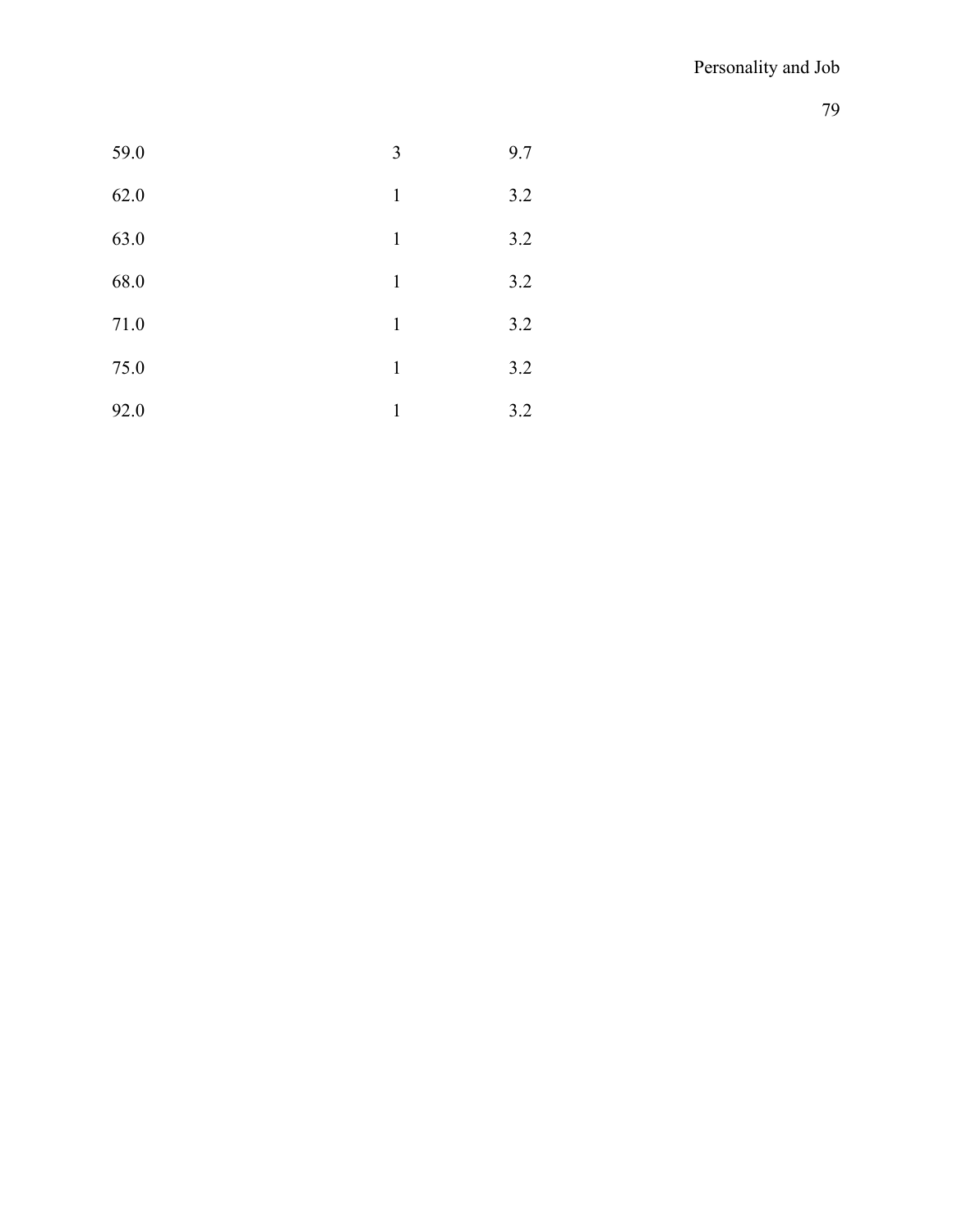| 59.0 | 3            | 9.7 |
|------|--------------|-----|
| 62.0 | $\mathbf{1}$ | 3.2 |
| 63.0 | $\mathbf{1}$ | 3.2 |
| 68.0 | 1            | 3.2 |
| 71.0 | $\mathbf{1}$ | 3.2 |
| 75.0 | 1            | 3.2 |
| 92.0 | 1            | 3.2 |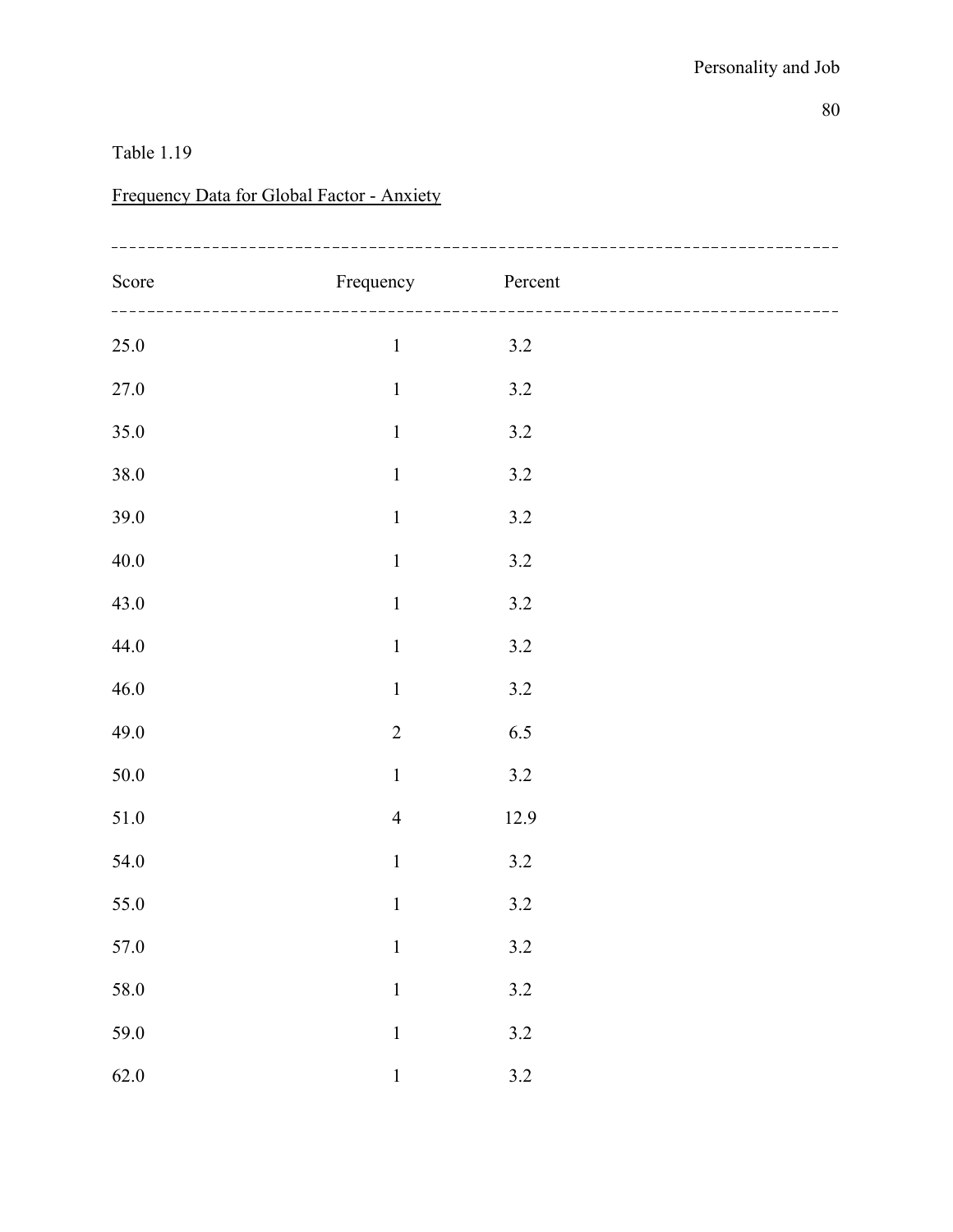### Frequency Data for Global Factor - Anxiety

| Score    | Frequency Percent |         |  |
|----------|-------------------|---------|--|
| $25.0\,$ | $\,1\,$           | $3.2$   |  |
| $27.0\,$ | $\,1\,$           | $3.2\,$ |  |
| 35.0     | $\,1\,$           | $3.2\,$ |  |
| $38.0\,$ | $\,1\,$           | $3.2\,$ |  |
| $39.0\,$ | $\,1\,$           | $3.2\,$ |  |
| $40.0\,$ | $\,1\,$           | $3.2\,$ |  |
| 43.0     | $\,1\,$           | $3.2\,$ |  |
| 44.0     | $\,1\,$           | $3.2\,$ |  |
| 46.0     | $\mathbf 1$       | $3.2\,$ |  |
| 49.0     | $\overline{c}$    | $6.5\,$ |  |
| $50.0\,$ | $\,1\,$           | $3.2\,$ |  |
| $51.0\,$ | $\overline{4}$    | 12.9    |  |
| 54.0     | $\,1\,$           | $3.2\,$ |  |
| $55.0\,$ | $\mathbf 1$       | $3.2\,$ |  |
| $57.0\,$ | $\,1\,$           | $3.2\,$ |  |
| $58.0\,$ | $\mathbf 1$       | $3.2\,$ |  |
| 59.0     | $\mathbf 1$       | $3.2\,$ |  |
| 62.0     | $\mathbf{1}$      | $3.2\,$ |  |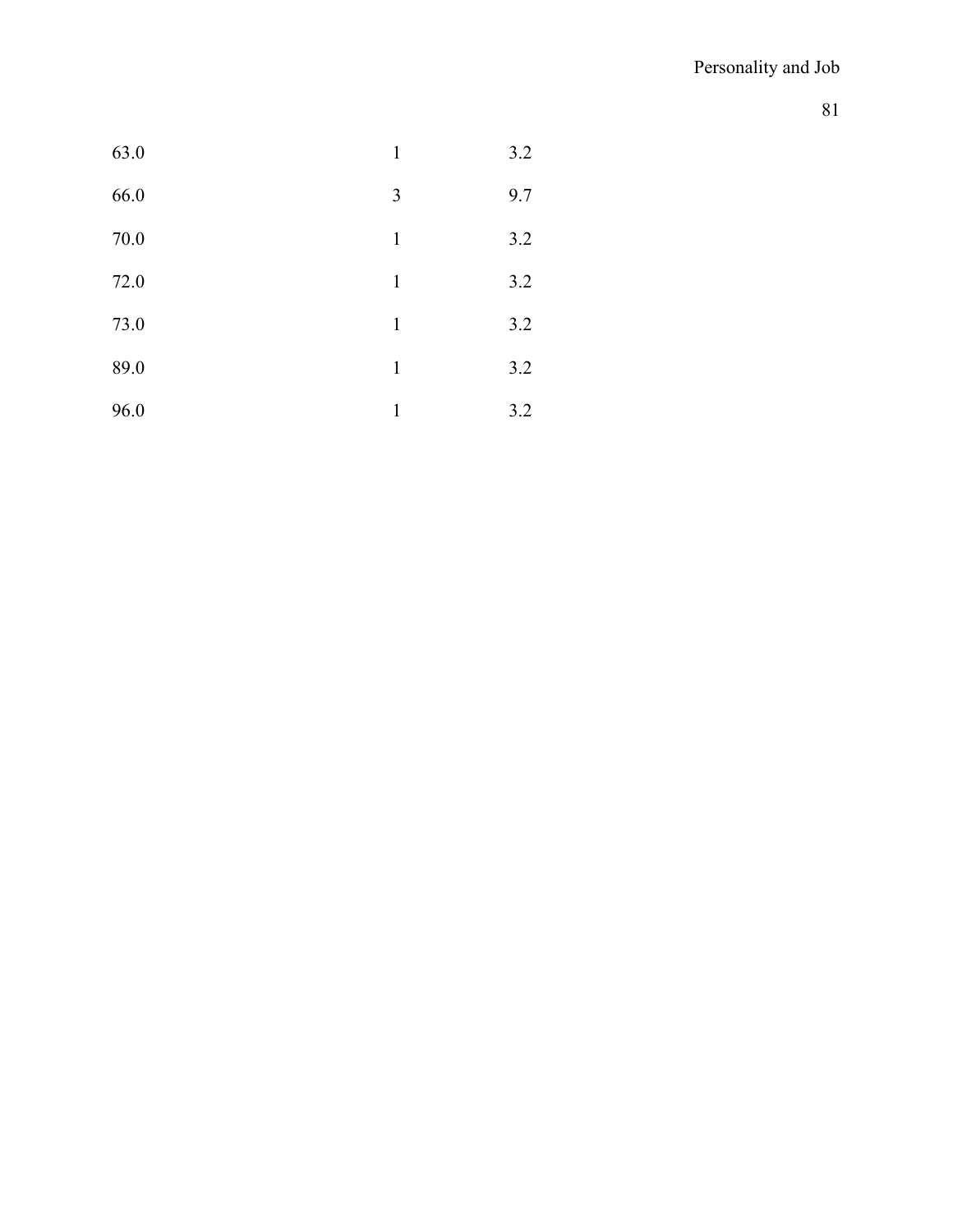| 63.0 | $\mathbf{1}$ | 3.2 |
|------|--------------|-----|
| 66.0 | 3            | 9.7 |
| 70.0 | $\mathbf{1}$ | 3.2 |
| 72.0 | $\mathbf{1}$ | 3.2 |
| 73.0 | $\mathbf{1}$ | 3.2 |
| 89.0 | $\mathbf{1}$ | 3.2 |
| 96.0 | $\mathbf{1}$ | 3.2 |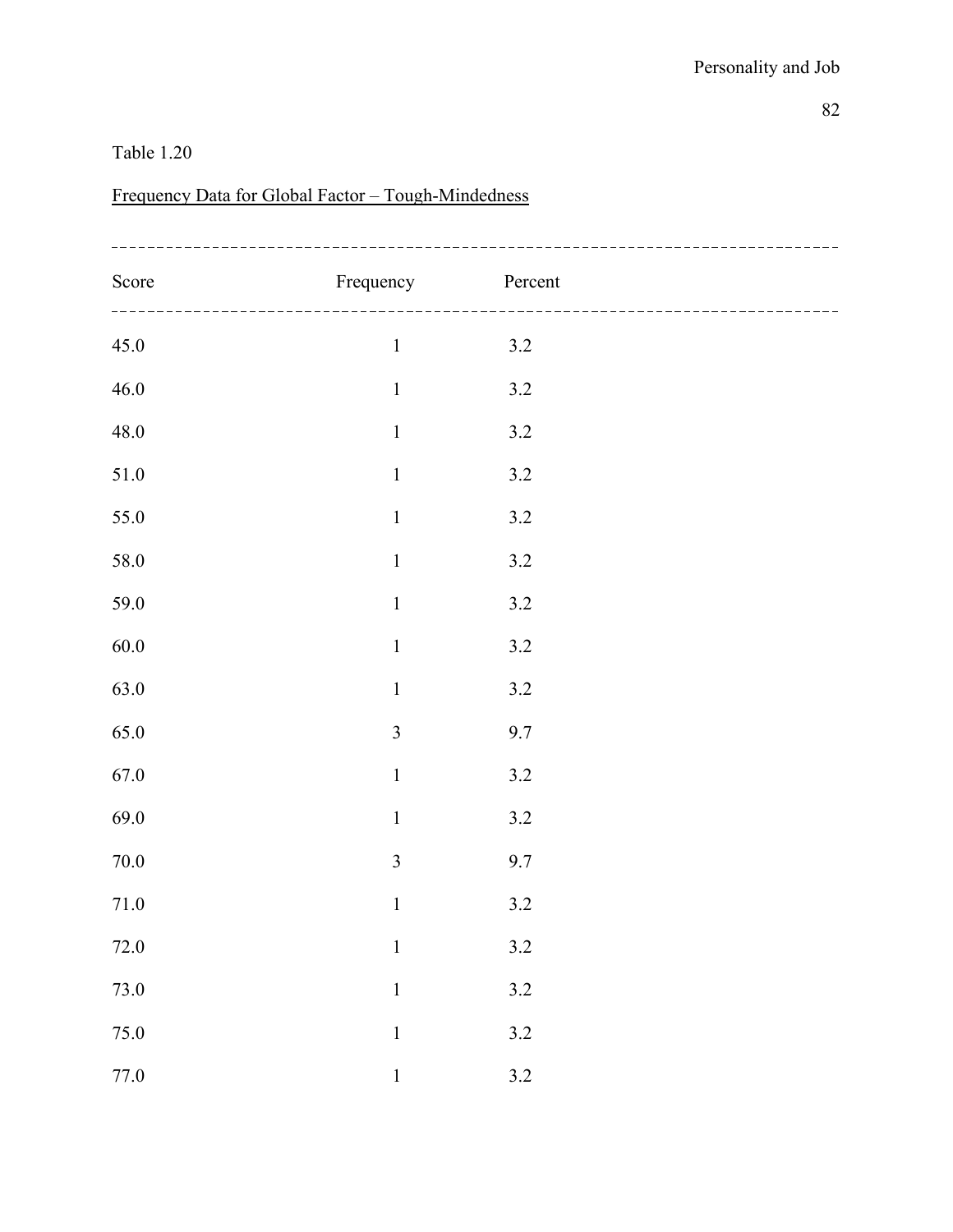# Frequency Data for Global Factor – Tough-Mindedness

| Score    | Frequency               | Percent |  |
|----------|-------------------------|---------|--|
| 45.0     | $\,1$                   | 3.2     |  |
| $46.0\,$ | $\mathbf 1$             | $3.2\,$ |  |
| $48.0\,$ | $\,1\,$                 | $3.2\,$ |  |
| $51.0\,$ | $\,1\,$                 | $3.2\,$ |  |
| 55.0     | $\,1\,$                 | $3.2\,$ |  |
| 58.0     | $\,1\,$                 | $3.2\,$ |  |
| 59.0     | $\,1\,$                 | $3.2\,$ |  |
| $60.0\,$ | $\,1\,$                 | $3.2\,$ |  |
| 63.0     | $\mathbf 1$             | $3.2\,$ |  |
| 65.0     | $\overline{\mathbf{3}}$ | $9.7\,$ |  |
| $67.0\,$ | $\,1\,$                 | $3.2\,$ |  |
| 69.0     | $\mathbf 1$             | $3.2\,$ |  |
| $70.0\,$ | $\overline{\mathbf{3}}$ | 9.7     |  |
| 71.0     | $\,1\,$                 | $3.2\,$ |  |
| $72.0\,$ | $\,1\,$                 | $3.2\,$ |  |
| $73.0\,$ | $\mathbf 1$             | $3.2\,$ |  |
| 75.0     | $\mathbf 1$             | $3.2\,$ |  |
| $77.0\,$ | $\mathbf{1}$            | 3.2     |  |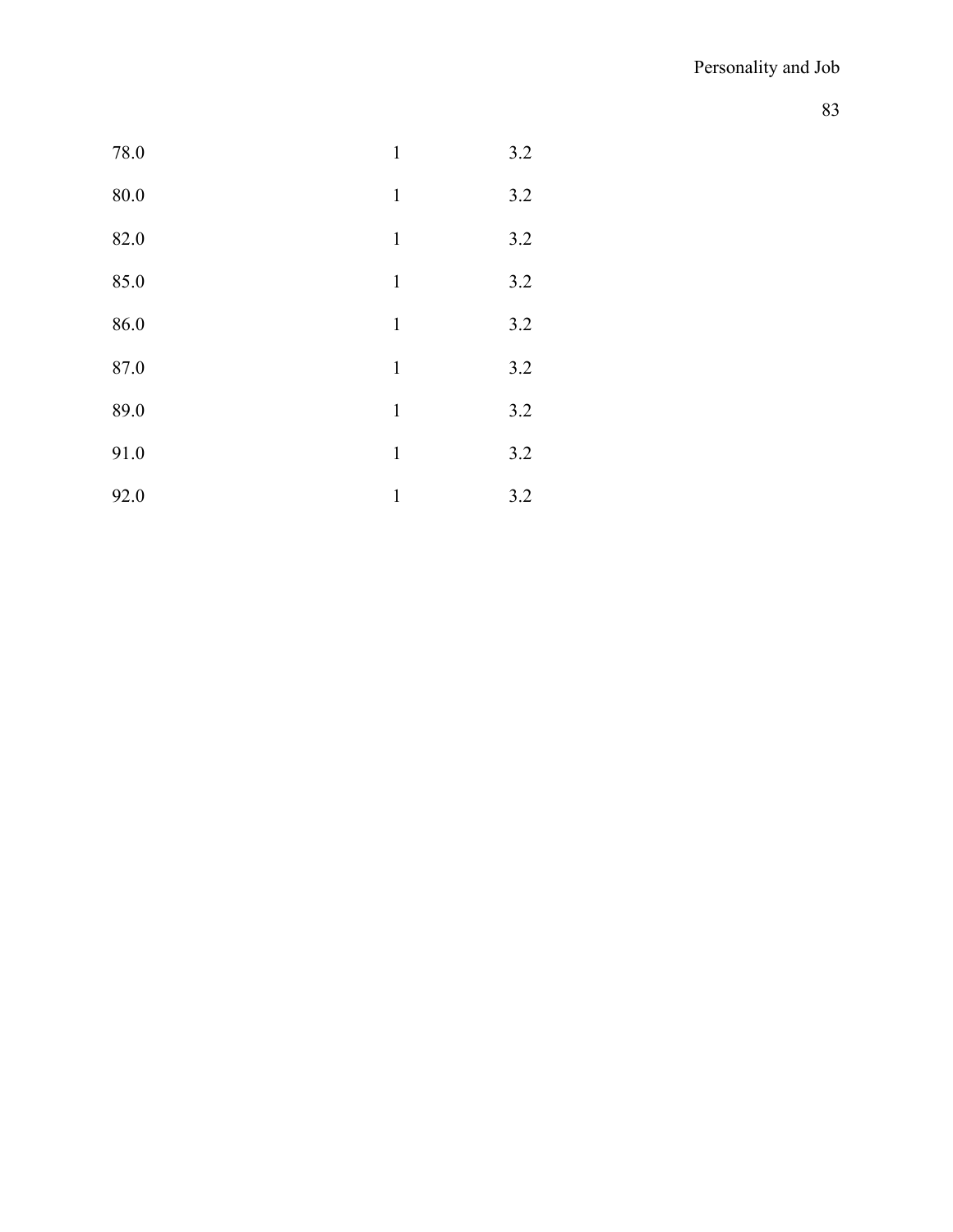| 78.0     | $\mathbf{1}$ | 3.2 |
|----------|--------------|-----|
| $80.0\,$ | $\mathbf 1$  | 3.2 |
| 82.0     | $\mathbf{1}$ | 3.2 |
| 85.0     | $\mathbf{1}$ | 3.2 |
| 86.0     | $\mathbf 1$  | 3.2 |
| 87.0     | $\mathbf{1}$ | 3.2 |
| 89.0     | $\mathbf{1}$ | 3.2 |
| 91.0     | $\mathbf 1$  | 3.2 |
| 92.0     | 1            | 3.2 |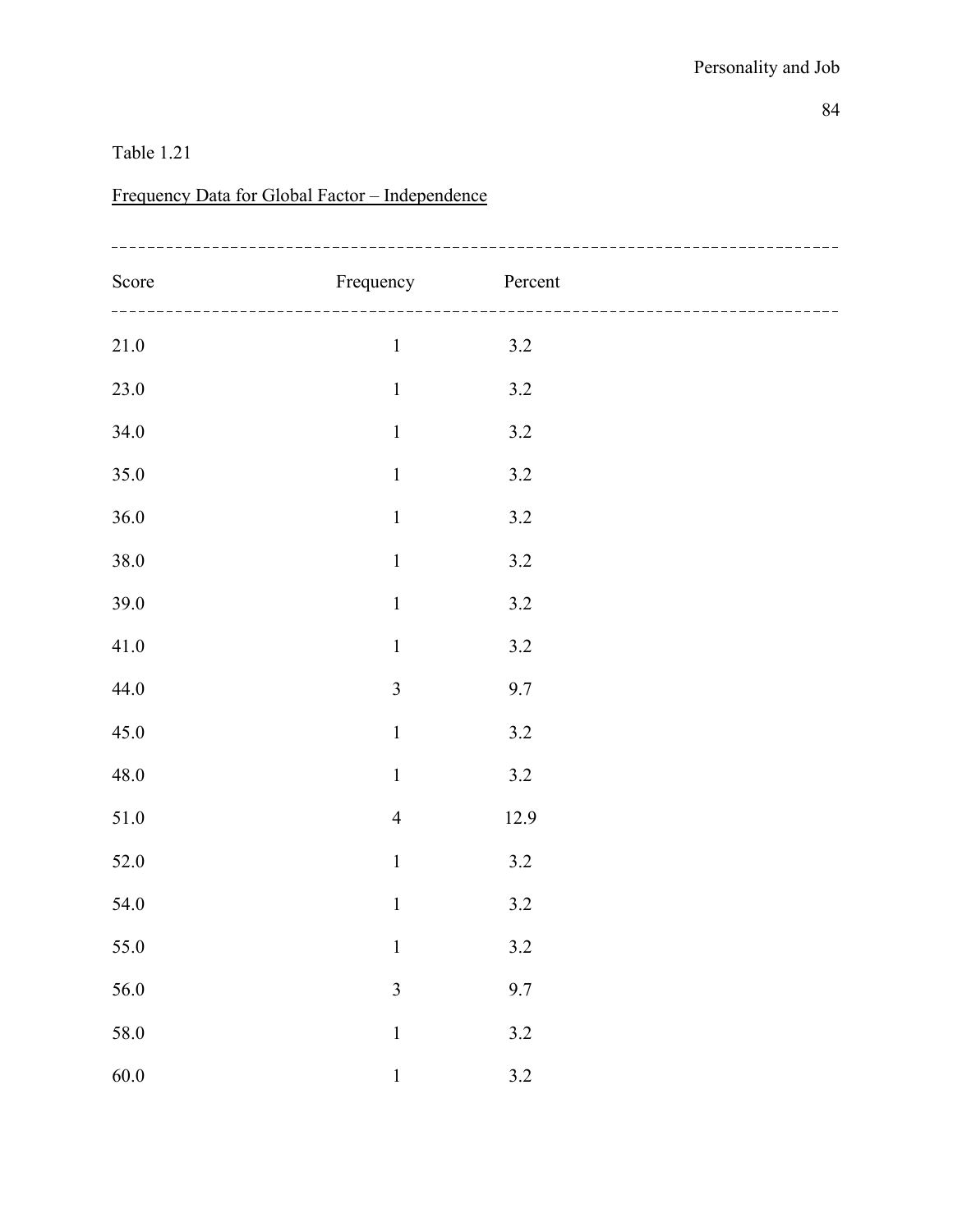# Frequency Data for Global Factor – Independence

| Score    | Frequency        | Percent |  |
|----------|------------------|---------|--|
| $21.0\,$ | $\,1$            | $3.2$   |  |
| $23.0\,$ | $\mathbf 1$      | $3.2\,$ |  |
| 34.0     | $\boldsymbol{1}$ | $3.2\,$ |  |
| 35.0     | $\,1\,$          | $3.2\,$ |  |
| 36.0     | $\,1$            | $3.2\,$ |  |
| $38.0\,$ | $\,1\,$          | $3.2\,$ |  |
| $39.0\,$ | $\,1\,$          | $3.2\,$ |  |
| 41.0     | $\,1\,$          | $3.2\,$ |  |
| 44.0     | $\overline{3}$   | 9.7     |  |
| 45.0     | $\,1$            | $3.2\,$ |  |
| 48.0     | $\,1$            | $3.2\,$ |  |
| $51.0\,$ | $\overline{4}$   | 12.9    |  |
| $52.0\,$ | $\,1\,$          | $3.2\,$ |  |
| 54.0     | $\,1\,$          | $3.2\,$ |  |
| 55.0     | $\,1\,$          | $3.2\,$ |  |
| 56.0     | $\overline{3}$   | 9.7     |  |
| 58.0     | $\mathbf 1$      | $3.2\,$ |  |
| 60.0     | $\mathbf 1$      | 3.2     |  |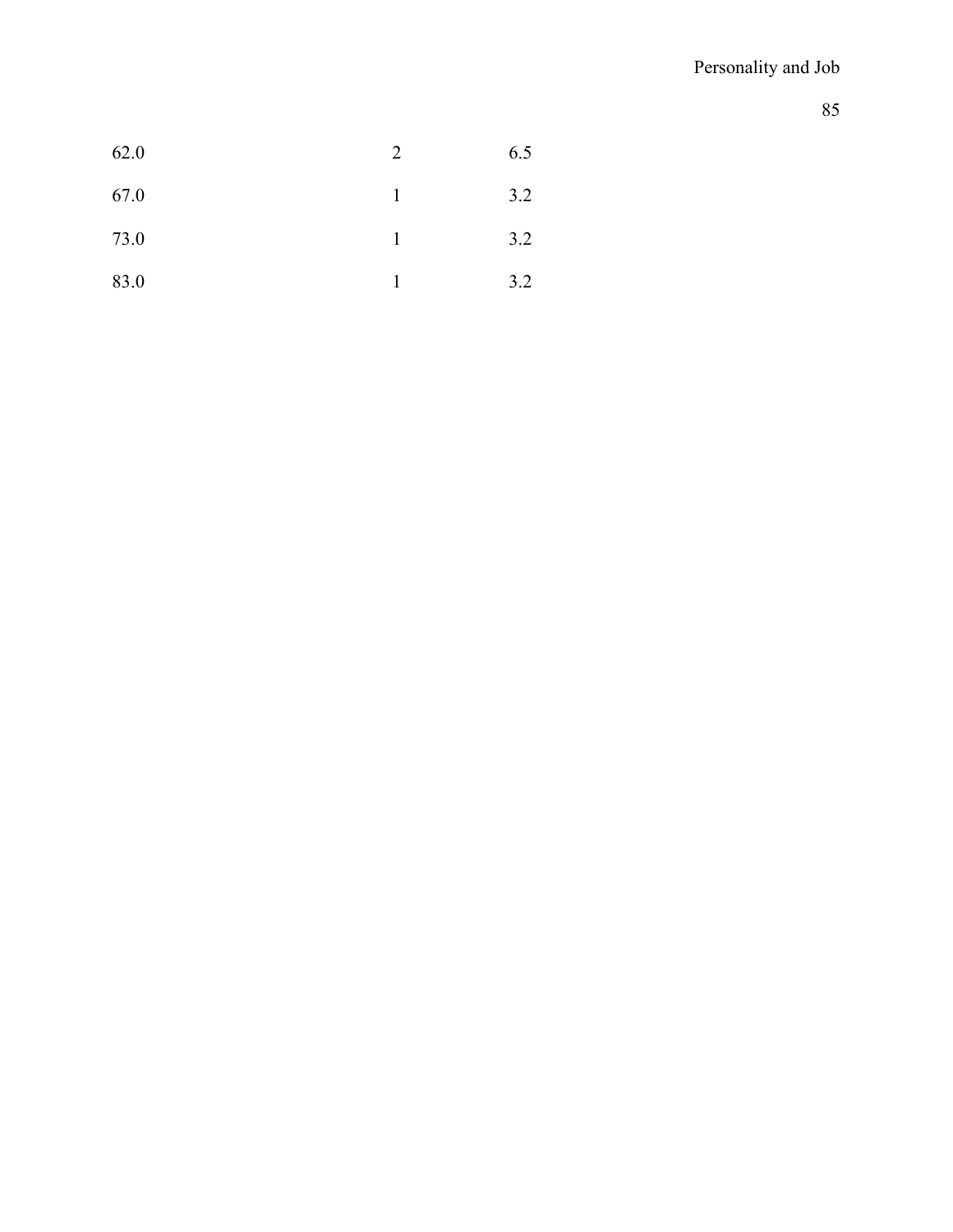| 62.0 | 2 | 6.5 |
|------|---|-----|
| 67.0 |   | 3.2 |
| 73.0 |   | 3.2 |
| 83.0 |   | 3.2 |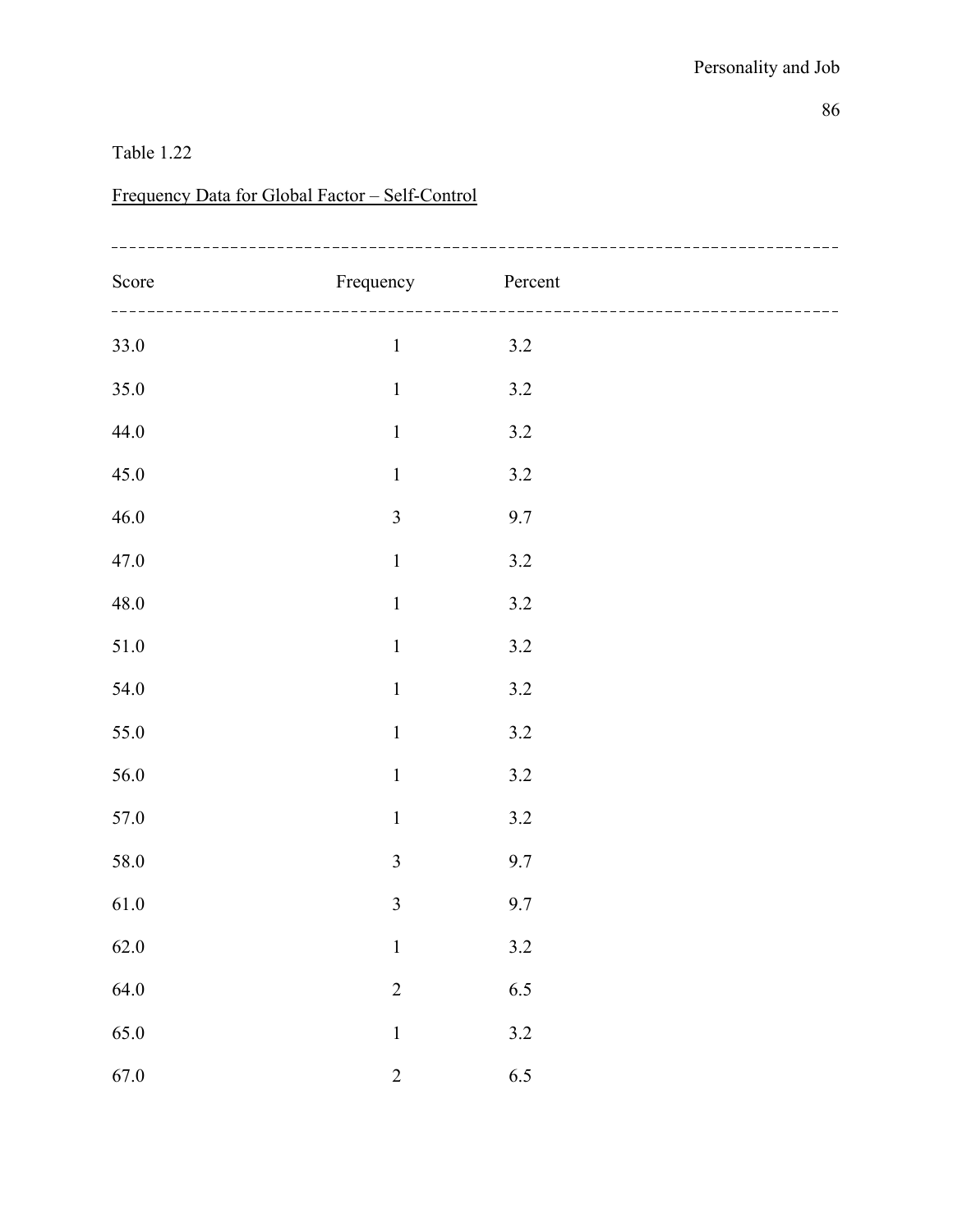### Frequency Data for Global Factor – Self-Control

| Score    | Frequency      | Percent |  |
|----------|----------------|---------|--|
| 33.0     | $\,1$          | $3.2$   |  |
| $35.0\,$ | $\,1\,$        | $3.2\,$ |  |
| 44.0     | $\,1\,$        | $3.2\,$ |  |
| $45.0\,$ | $\,1\,$        | $3.2\,$ |  |
| $46.0\,$ | $\mathfrak{Z}$ | 9.7     |  |
| 47.0     | $\,1\,$        | $3.2\,$ |  |
| $48.0\,$ | $\,1\,$        | $3.2\,$ |  |
| $51.0\,$ | $\,1\,$        | $3.2$   |  |
| 54.0     | $\mathbf 1$    | $3.2$   |  |
| 55.0     | $\,1\,$        | $3.2\,$ |  |
| 56.0     | $\,1\,$        | 3.2     |  |
| $57.0\,$ | $\,1\,$        | $3.2\,$ |  |
| 58.0     | $\mathfrak{Z}$ | 9.7     |  |
| $61.0\,$ | $\mathfrak{Z}$ | 9.7     |  |
| $62.0\,$ | $\,1$          | $3.2\,$ |  |
| 64.0     | $\overline{c}$ | 6.5     |  |
| 65.0     | $\mathbf 1$    | $3.2\,$ |  |
| 67.0     | $\overline{2}$ | 6.5     |  |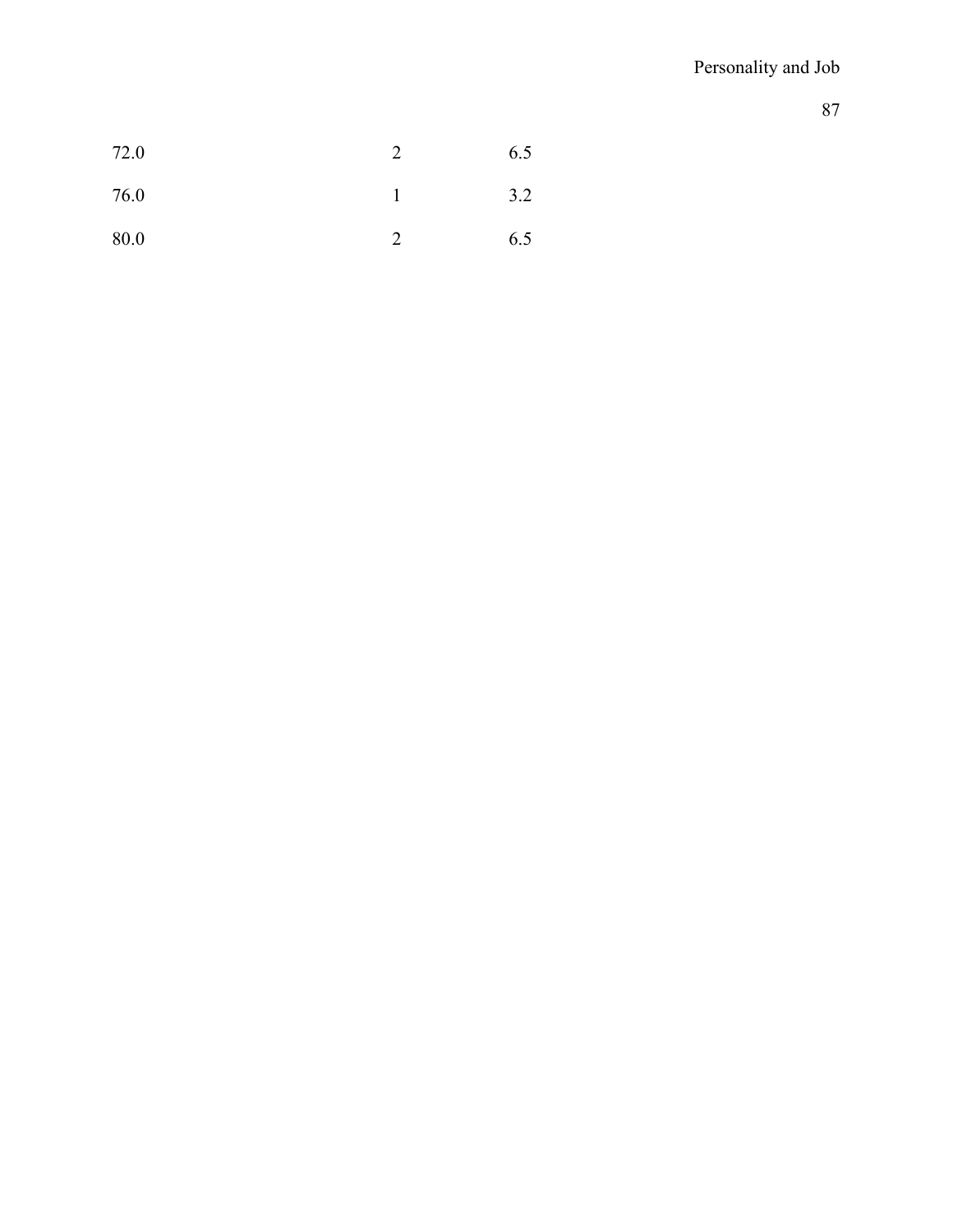| 72.0 | ∍ | 6.5 |
|------|---|-----|
| 76.0 |   | 3.2 |
| 80.0 |   | 6.5 |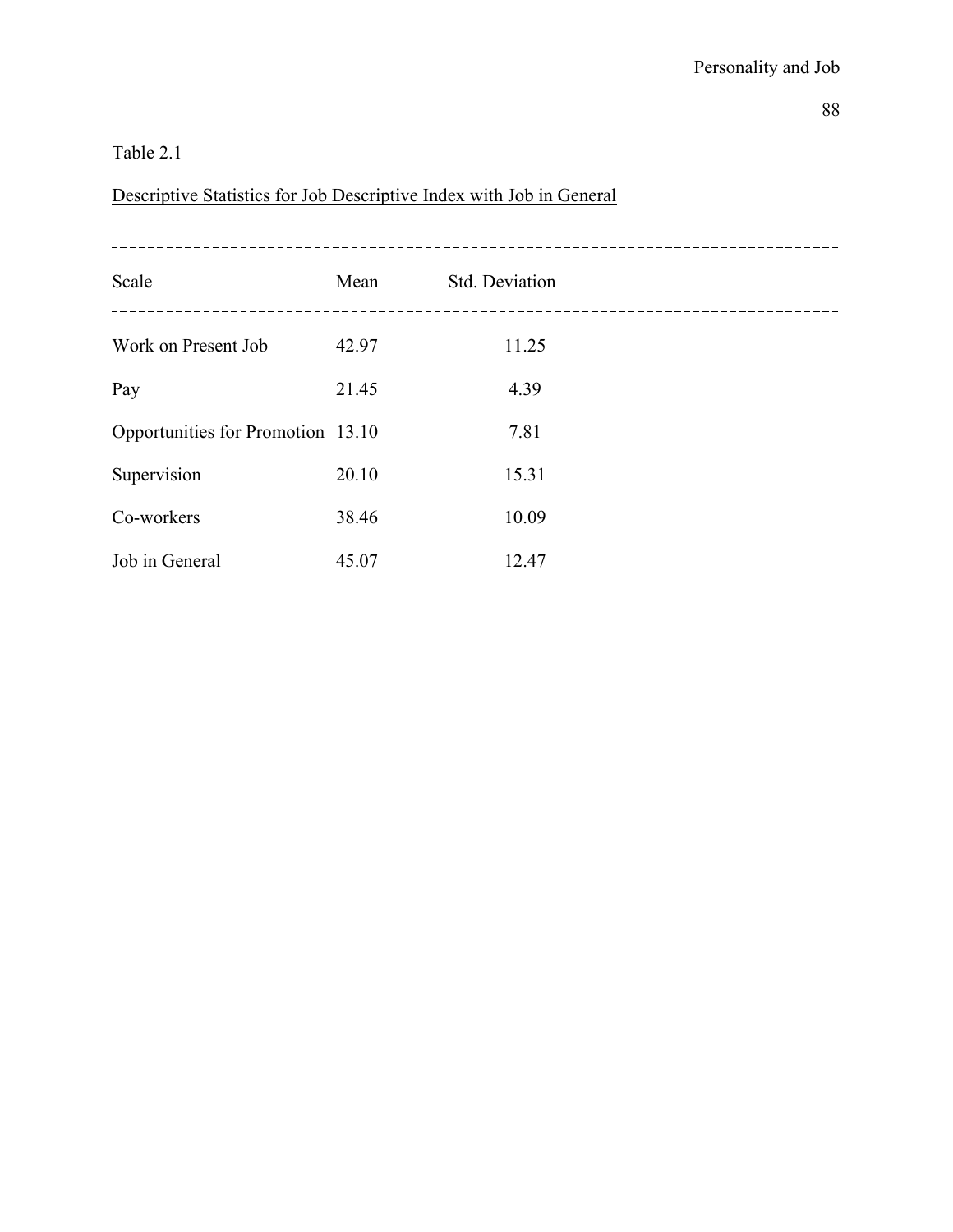Descriptive Statistics for Job Descriptive Index with Job in General

| Scale                             | Mean  | Std. Deviation |
|-----------------------------------|-------|----------------|
| Work on Present Job               | 42.97 | 11.25          |
| Pay                               | 21.45 | 4.39           |
| Opportunities for Promotion 13.10 |       | 7.81           |
| Supervision                       | 20.10 | 15.31          |
| Co-workers                        | 38.46 | 10.09          |
| Job in General                    | 45.07 | 12.47          |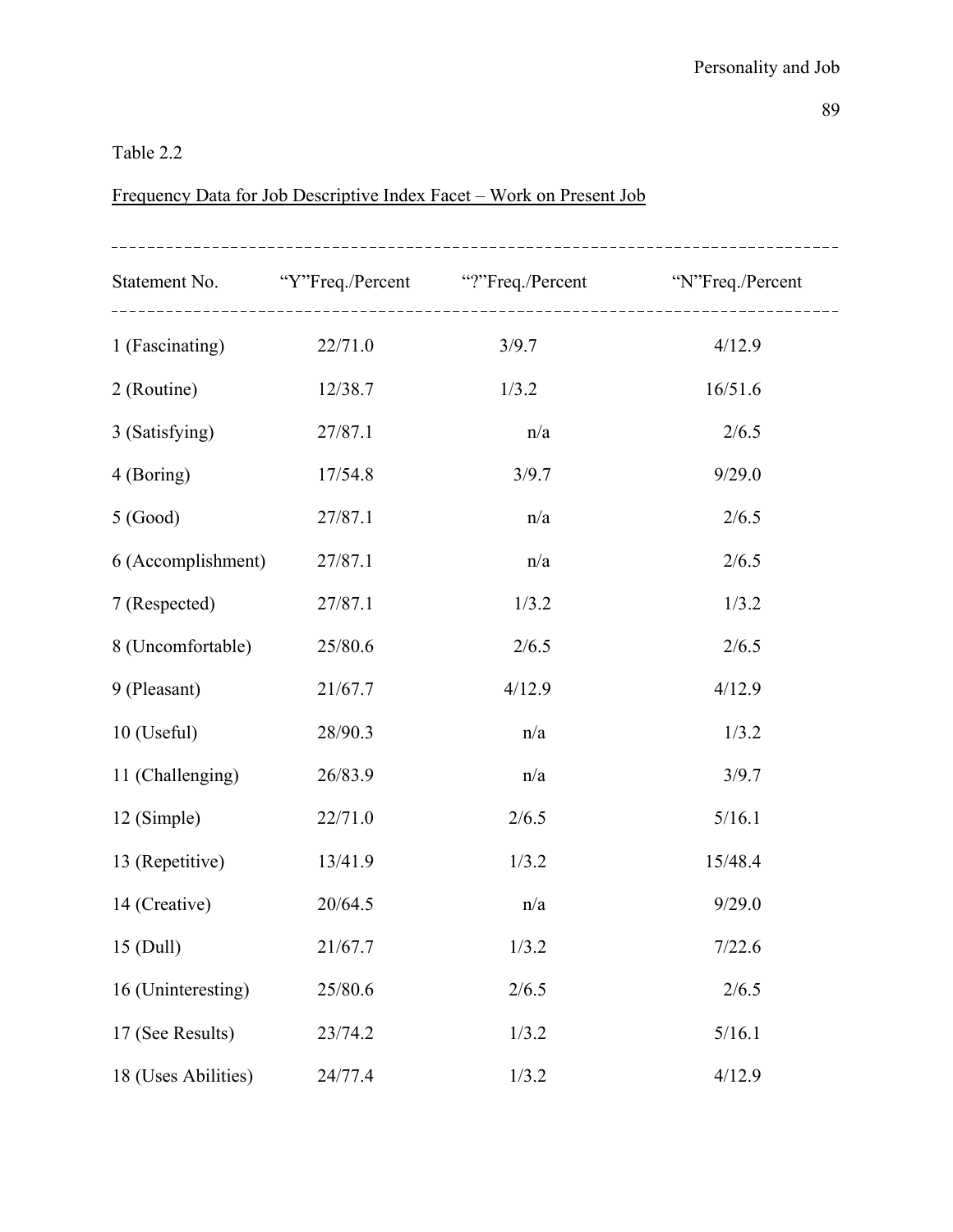### Table 2.2

# Frequency Data for Job Descriptive Index Facet – Work on Present Job

|                     |         | Statement No. "Y"Freq./Percent"?"Freq./Percent" "N"Freq./Percent |         |
|---------------------|---------|------------------------------------------------------------------|---------|
| 1 (Fascinating)     | 22/71.0 | 3/9.7                                                            | 4/12.9  |
| 2 (Routine)         | 12/38.7 | 1/3.2                                                            | 16/51.6 |
| 3 (Satisfying)      | 27/87.1 | n/a                                                              | 2/6.5   |
| 4 (Boring)          | 17/54.8 | 3/9.7                                                            | 9/29.0  |
| 5 (Good)            | 27/87.1 | n/a                                                              | 2/6.5   |
| 6 (Accomplishment)  | 27/87.1 | n/a                                                              | 2/6.5   |
| 7 (Respected)       | 27/87.1 | 1/3.2                                                            | 1/3.2   |
| 8 (Uncomfortable)   | 25/80.6 | 2/6.5                                                            | 2/6.5   |
| 9 (Pleasant)        | 21/67.7 | 4/12.9                                                           | 4/12.9  |
| $10$ (Useful)       | 28/90.3 | n/a                                                              | 1/3.2   |
| 11 (Challenging)    | 26/83.9 | n/a                                                              | 3/9.7   |
| 12 (Simple)         | 22/71.0 | 2/6.5                                                            | 5/16.1  |
| 13 (Repetitive)     | 13/41.9 | 1/3.2                                                            | 15/48.4 |
| 14 (Creative)       | 20/64.5 | n/a                                                              | 9/29.0  |
| 15 (Dull)           | 21/67.7 | 1/3.2                                                            | 7/22.6  |
| 16 (Uninteresting)  | 25/80.6 | 2/6.5                                                            | 2/6.5   |
| 17 (See Results)    | 23/74.2 | 1/3.2                                                            | 5/16.1  |
| 18 (Uses Abilities) | 24/77.4 | 1/3.2                                                            | 4/12.9  |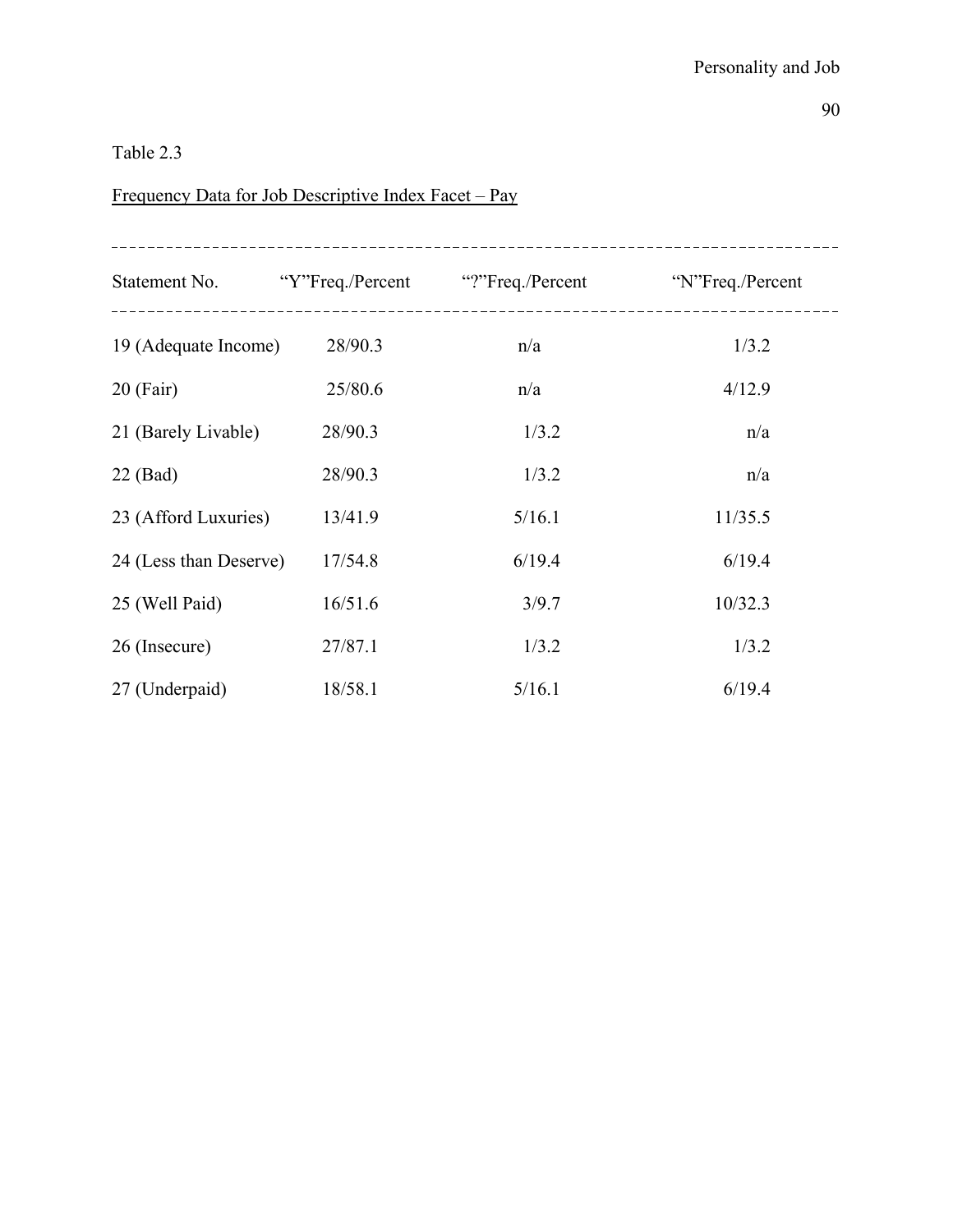# Frequency Data for Job Descriptive Index Facet – Pay

|                        |         | Statement No. "Y"Freq./Percent" "?"Freq./Percent" N"Freq./Percent |         |
|------------------------|---------|-------------------------------------------------------------------|---------|
| 19 (Adequate Income)   | 28/90.3 | n/a                                                               | 1/3.2   |
| $20$ (Fair)            | 25/80.6 | n/a                                                               | 4/12.9  |
| 21 (Barely Livable)    | 28/90.3 | 1/3.2                                                             | n/a     |
| $22$ (Bad)             | 28/90.3 | 1/3.2                                                             | n/a     |
| 23 (Afford Luxuries)   | 13/41.9 | 5/16.1                                                            | 11/35.5 |
| 24 (Less than Deserve) | 17/54.8 | 6/19.4                                                            | 6/19.4  |
| 25 (Well Paid)         | 16/51.6 | 3/9.7                                                             | 10/32.3 |
| 26 (Insecure)          | 27/87.1 | 1/3.2                                                             | 1/3.2   |
| 27 (Underpaid)         | 18/58.1 | 5/16.1                                                            | 6/19.4  |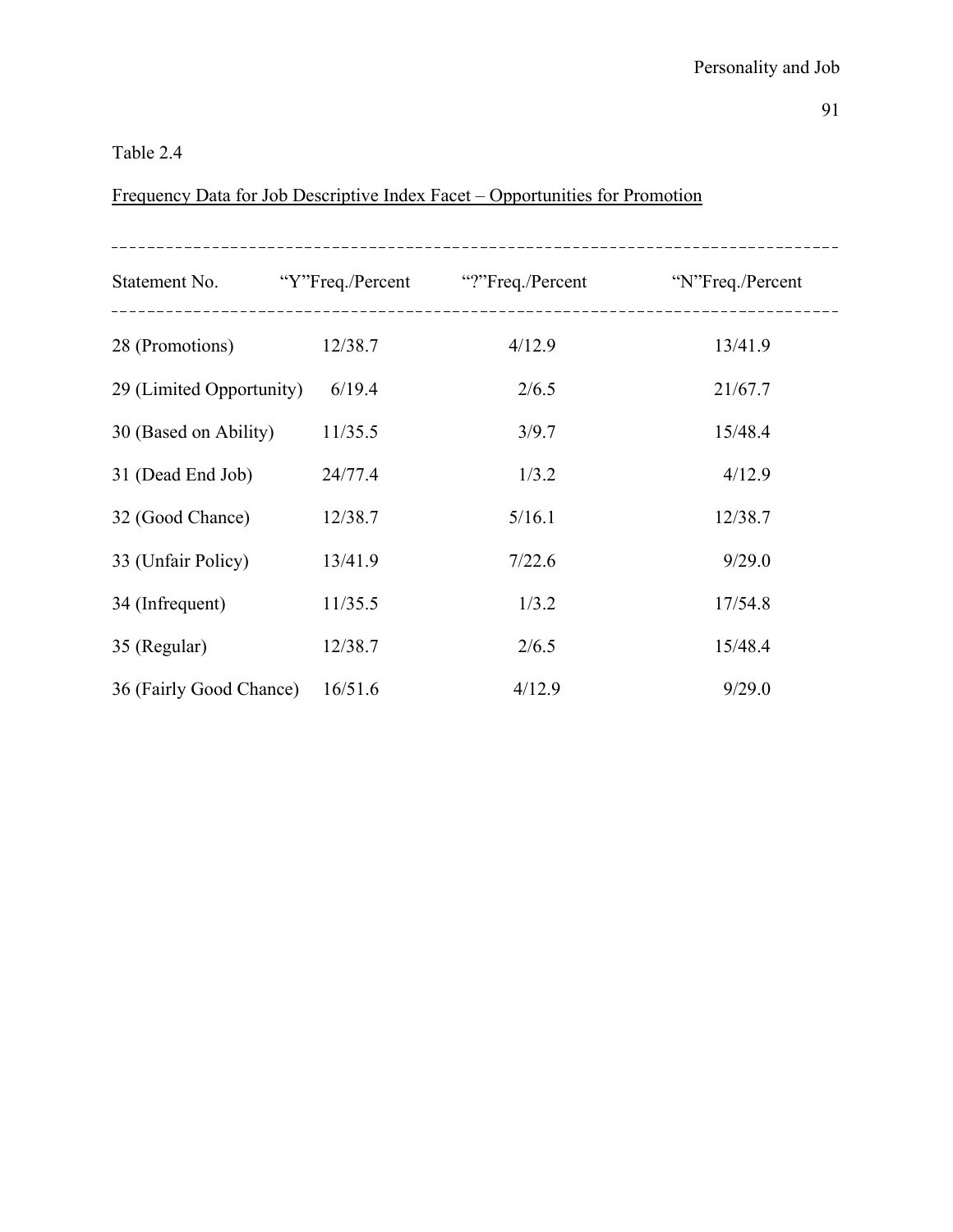### Table 2.4

# Frequency Data for Job Descriptive Index Facet – Opportunities for Promotion

|                          |         | Statement No. "Y"Freq./Percent"?"Freq./Percent" "N"Freq./Percent |         |
|--------------------------|---------|------------------------------------------------------------------|---------|
| 28 (Promotions)          | 12/38.7 | 4/12.9                                                           | 13/41.9 |
| 29 (Limited Opportunity) | 6/19.4  | 2/6.5                                                            | 21/67.7 |
| 30 (Based on Ability)    | 11/35.5 | 3/9.7                                                            | 15/48.4 |
| 31 (Dead End Job)        | 24/77.4 | 1/3.2                                                            | 4/12.9  |
| 32 (Good Chance)         | 12/38.7 | 5/16.1                                                           | 12/38.7 |
| 33 (Unfair Policy)       | 13/41.9 | 7/22.6                                                           | 9/29.0  |
| 34 (Infrequent)          | 11/35.5 | 1/3.2                                                            | 17/54.8 |
| 35 (Regular)             | 12/38.7 | 2/6.5                                                            | 15/48.4 |
| 36 (Fairly Good Chance)  | 16/51.6 | 4/12.9                                                           | 9/29.0  |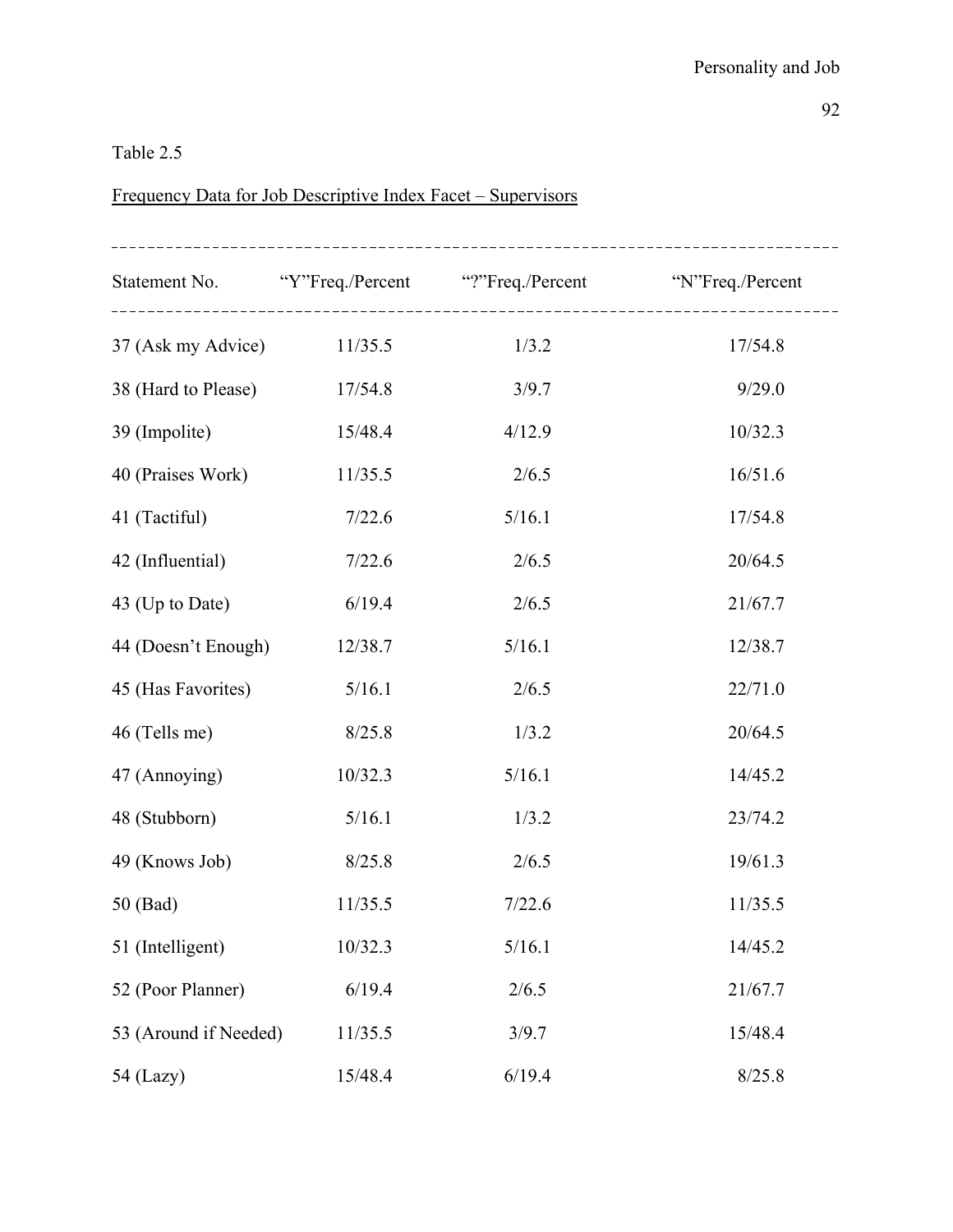# Frequency Data for Job Descriptive Index Facet – Supervisors

|                            |         | Statement No. "Y"Freq./Percent"?"Freq./Percent" "N"Freq./Percent |         |
|----------------------------|---------|------------------------------------------------------------------|---------|
| 37 (Ask my Advice) 11/35.5 |         | 1/3.2                                                            | 17/54.8 |
| 38 (Hard to Please)        | 17/54.8 | 3/9.7                                                            | 9/29.0  |
| 39 (Impolite)              | 15/48.4 | 4/12.9                                                           | 10/32.3 |
| 40 (Praises Work)          | 11/35.5 | 2/6.5                                                            | 16/51.6 |
| 41 (Tactiful)              | 7/22.6  | 5/16.1                                                           | 17/54.8 |
| 42 (Influential)           | 7/22.6  | 2/6.5                                                            | 20/64.5 |
| 43 (Up to Date)            | 6/19.4  | 2/6.5                                                            | 21/67.7 |
| 44 (Doesn't Enough)        | 12/38.7 | 5/16.1                                                           | 12/38.7 |
| 45 (Has Favorites)         | 5/16.1  | 2/6.5                                                            | 22/71.0 |
| 46 (Tells me)              | 8/25.8  | 1/3.2                                                            | 20/64.5 |
| 47 (Annoying)              | 10/32.3 | 5/16.1                                                           | 14/45.2 |
| 48 (Stubborn)              | 5/16.1  | 1/3.2                                                            | 23/74.2 |
| 49 (Knows Job)             | 8/25.8  | 2/6.5                                                            | 19/61.3 |
| 50 (Bad)                   | 11/35.5 | 7/22.6                                                           | 11/35.5 |
| 51 (Intelligent)           | 10/32.3 | 5/16.1                                                           | 14/45.2 |
| 52 (Poor Planner)          | 6/19.4  | 2/6.5                                                            | 21/67.7 |
| 53 (Around if Needed)      | 11/35.5 | 3/9.7                                                            | 15/48.4 |
| 54 (Lazy)                  | 15/48.4 | 6/19.4                                                           | 8/25.8  |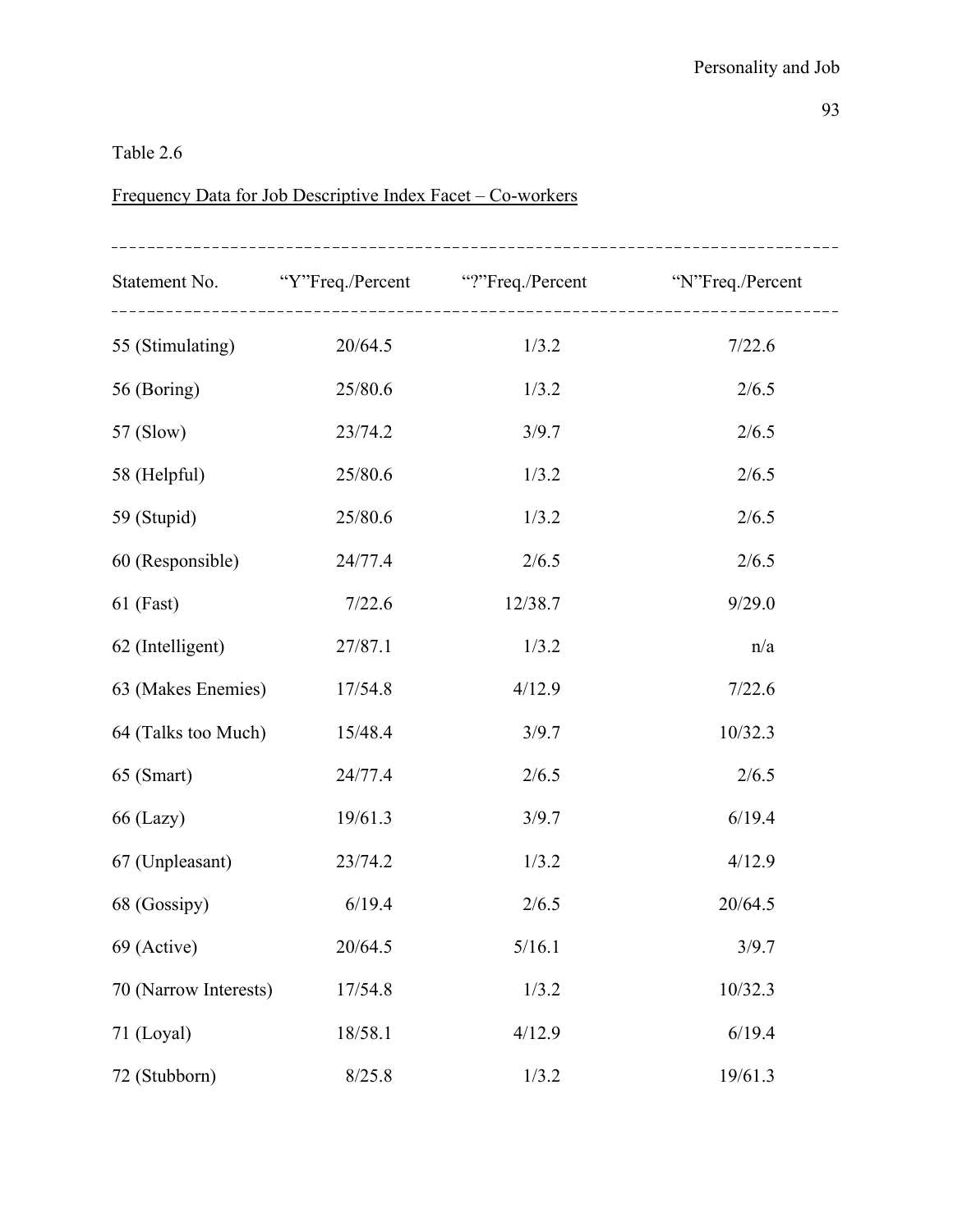# Frequency Data for Job Descriptive Index Facet – Co-workers

|                       |         | Statement No. "Y"Freq./Percent"?"Freq./Percent" "N"Freq./Percent |         |
|-----------------------|---------|------------------------------------------------------------------|---------|
| 55 (Stimulating)      | 20/64.5 | 1/3.2                                                            | 7/22.6  |
| 56 (Boring)           | 25/80.6 | 1/3.2                                                            | 2/6.5   |
| 57 (Slow)             | 23/74.2 | 3/9.7                                                            | 2/6.5   |
| 58 (Helpful)          | 25/80.6 | 1/3.2                                                            | 2/6.5   |
| 59 (Stupid)           | 25/80.6 | 1/3.2                                                            | 2/6.5   |
| 60 (Responsible)      | 24/77.4 | 2/6.5                                                            | 2/6.5   |
| $61$ (Fast)           | 7/22.6  | 12/38.7                                                          | 9/29.0  |
| 62 (Intelligent)      | 27/87.1 | 1/3.2                                                            | n/a     |
| 63 (Makes Enemies)    | 17/54.8 | 4/12.9                                                           | 7/22.6  |
| 64 (Talks too Much)   | 15/48.4 | 3/9.7                                                            | 10/32.3 |
| 65 (Smart)            | 24/77.4 | 2/6.5                                                            | 2/6.5   |
| $66$ (Lazy)           | 19/61.3 | 3/9.7                                                            | 6/19.4  |
| 67 (Unpleasant)       | 23/74.2 | 1/3.2                                                            | 4/12.9  |
| 68 (Gossipy)          | 6/19.4  | 2/6.5                                                            | 20/64.5 |
| 69 (Active)           | 20/64.5 | 5/16.1                                                           | 3/9.7   |
| 70 (Narrow Interests) | 17/54.8 | 1/3.2                                                            | 10/32.3 |
| 71 (Loyal)            | 18/58.1 | 4/12.9                                                           | 6/19.4  |
| 72 (Stubborn)         | 8/25.8  | 1/3.2                                                            | 19/61.3 |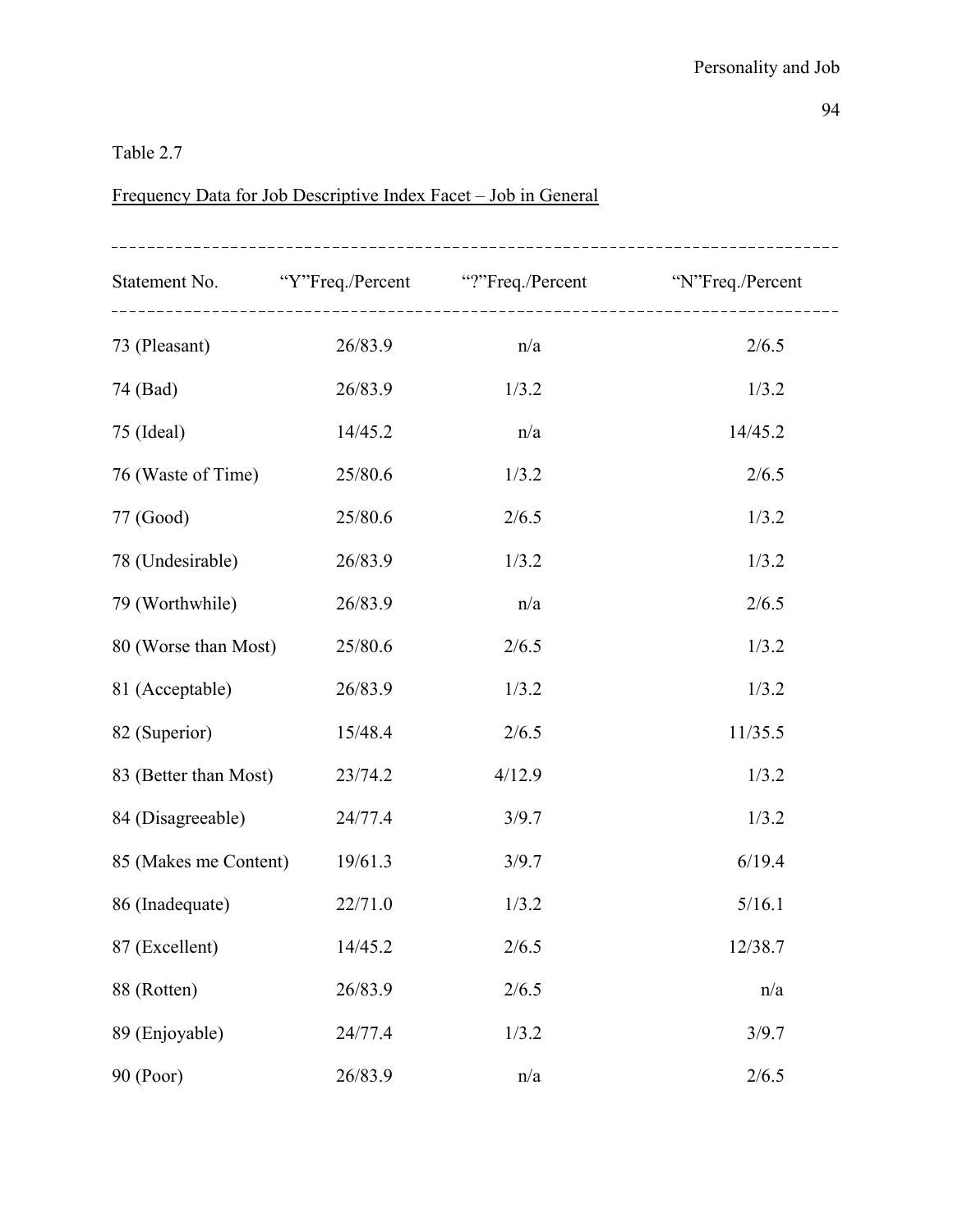# Frequency Data for Job Descriptive Index Facet – Job in General

|                       |         | Statement No. "Y"Freq./Percent"?"Freq./Percent" "N"Freq./Percent |         |
|-----------------------|---------|------------------------------------------------------------------|---------|
| 73 (Pleasant)         | 26/83.9 | n/a                                                              | 2/6.5   |
| 74 (Bad)              | 26/83.9 | 1/3.2                                                            | 1/3.2   |
| 75 (Ideal)            | 14/45.2 | n/a                                                              | 14/45.2 |
| 76 (Waste of Time)    | 25/80.6 | 1/3.2                                                            | 2/6.5   |
| 77 (Good)             | 25/80.6 | 2/6.5                                                            | 1/3.2   |
| 78 (Undesirable)      | 26/83.9 | 1/3.2                                                            | 1/3.2   |
| 79 (Worthwhile)       | 26/83.9 | n/a                                                              | 2/6.5   |
| 80 (Worse than Most)  | 25/80.6 | 2/6.5                                                            | 1/3.2   |
| 81 (Acceptable)       | 26/83.9 | 1/3.2                                                            | 1/3.2   |
| 82 (Superior)         | 15/48.4 | 2/6.5                                                            | 11/35.5 |
| 83 (Better than Most) | 23/74.2 | 4/12.9                                                           | 1/3.2   |
| 84 (Disagreeable)     | 24/77.4 | 3/9.7                                                            | 1/3.2   |
| 85 (Makes me Content) | 19/61.3 | 3/9.7                                                            | 6/19.4  |
| 86 (Inadequate)       | 22/71.0 | 1/3.2                                                            | 5/16.1  |
| 87 (Excellent)        | 14/45.2 | 2/6.5                                                            | 12/38.7 |
| 88 (Rotten)           | 26/83.9 | 2/6.5                                                            | n/a     |
| 89 (Enjoyable)        | 24/77.4 | 1/3.2                                                            | 3/9.7   |
| 90 (Poor)             | 26/83.9 | n/a                                                              | 2/6.5   |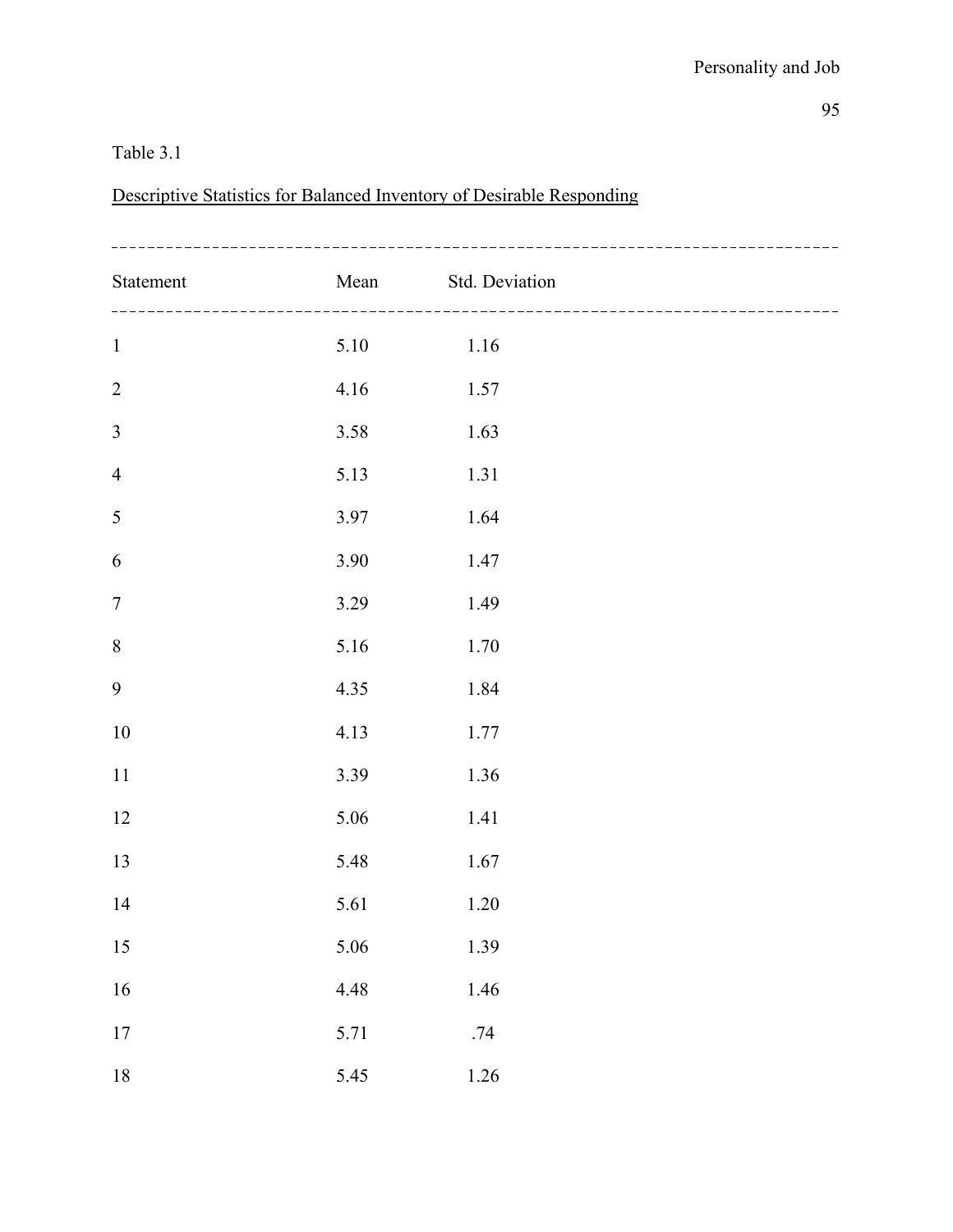### Table 3.1

Descriptive Statistics for Balanced Inventory of Desirable Responding

| Statement        |      | Mean Std. Deviation<br>--------------------- |  |
|------------------|------|----------------------------------------------|--|
| $\mathbf 1$      | 5.10 | 1.16                                         |  |
| $\sqrt{2}$       | 4.16 | 1.57                                         |  |
| $\mathfrak{Z}$   | 3.58 | 1.63                                         |  |
| $\overline{4}$   | 5.13 | 1.31                                         |  |
| $\sqrt{5}$       | 3.97 | 1.64                                         |  |
| 6                | 3.90 | 1.47                                         |  |
| $\boldsymbol{7}$ | 3.29 | 1.49                                         |  |
| $8\,$            | 5.16 | 1.70                                         |  |
| $\boldsymbol{9}$ | 4.35 | 1.84                                         |  |
| 10               | 4.13 | 1.77                                         |  |
| 11               | 3.39 | 1.36                                         |  |
| 12               | 5.06 | 1.41                                         |  |
| 13               | 5.48 | 1.67                                         |  |
| 14               | 5.61 | 1.20                                         |  |
| $15\,$           | 5.06 | 1.39                                         |  |
| 16               | 4.48 | 1.46                                         |  |
| $17\,$           | 5.71 | .74                                          |  |
| $18\,$           | 5.45 | $1.26\,$                                     |  |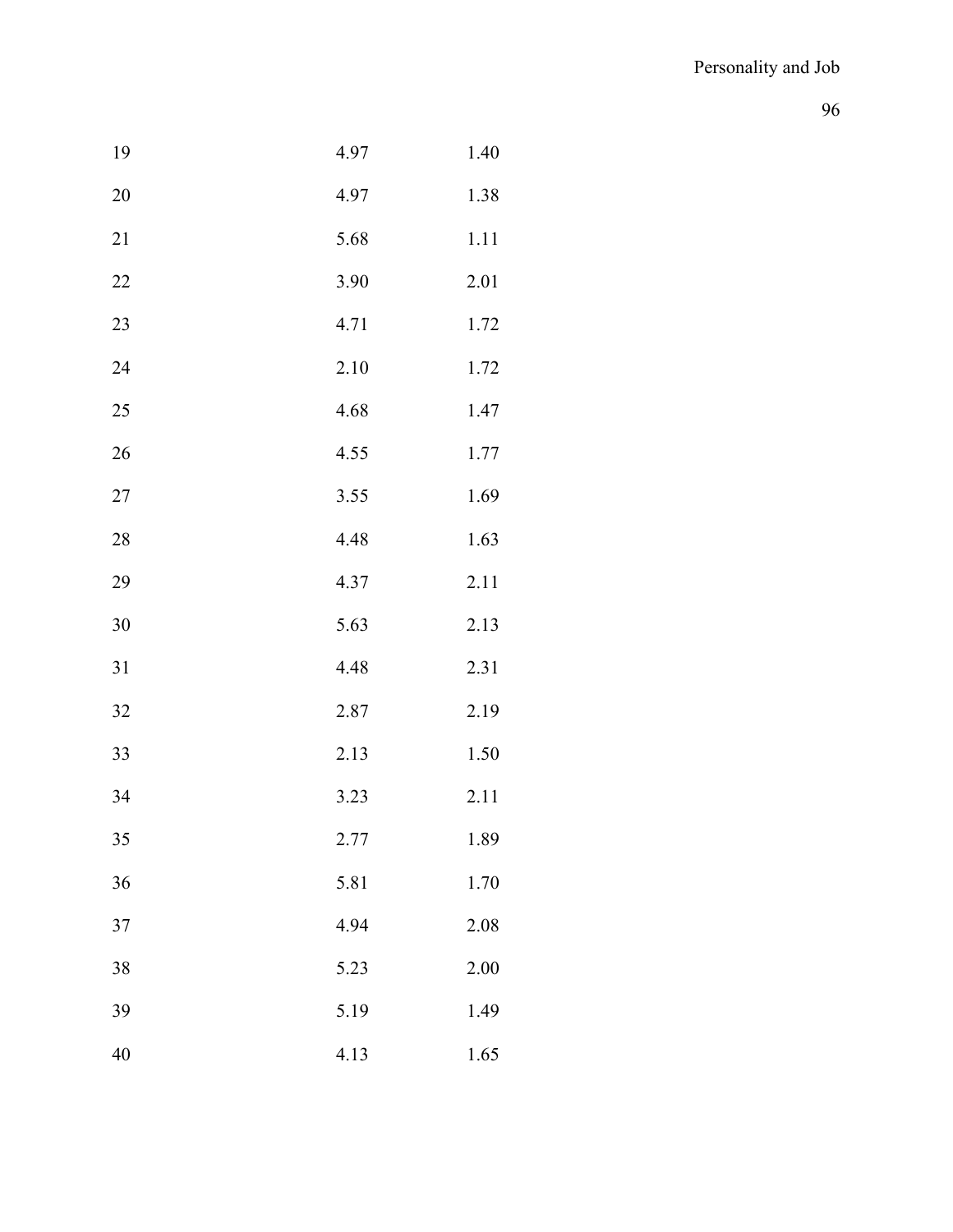| 19 | 4.97 | 1.40 |
|----|------|------|
| 20 | 4.97 | 1.38 |
| 21 | 5.68 | 1.11 |
| 22 | 3.90 | 2.01 |
| 23 | 4.71 | 1.72 |
| 24 | 2.10 | 1.72 |
| 25 | 4.68 | 1.47 |
| 26 | 4.55 | 1.77 |
| 27 | 3.55 | 1.69 |
| 28 | 4.48 | 1.63 |
| 29 | 4.37 | 2.11 |
| 30 | 5.63 | 2.13 |
| 31 | 4.48 | 2.31 |
| 32 | 2.87 | 2.19 |
| 33 | 2.13 | 1.50 |
| 34 | 3.23 | 2.11 |
| 35 | 2.77 | 1.89 |
| 36 | 5.81 | 1.70 |
| 37 | 4.94 | 2.08 |
| 38 | 5.23 | 2.00 |
| 39 | 5.19 | 1.49 |
| 40 | 4.13 | 1.65 |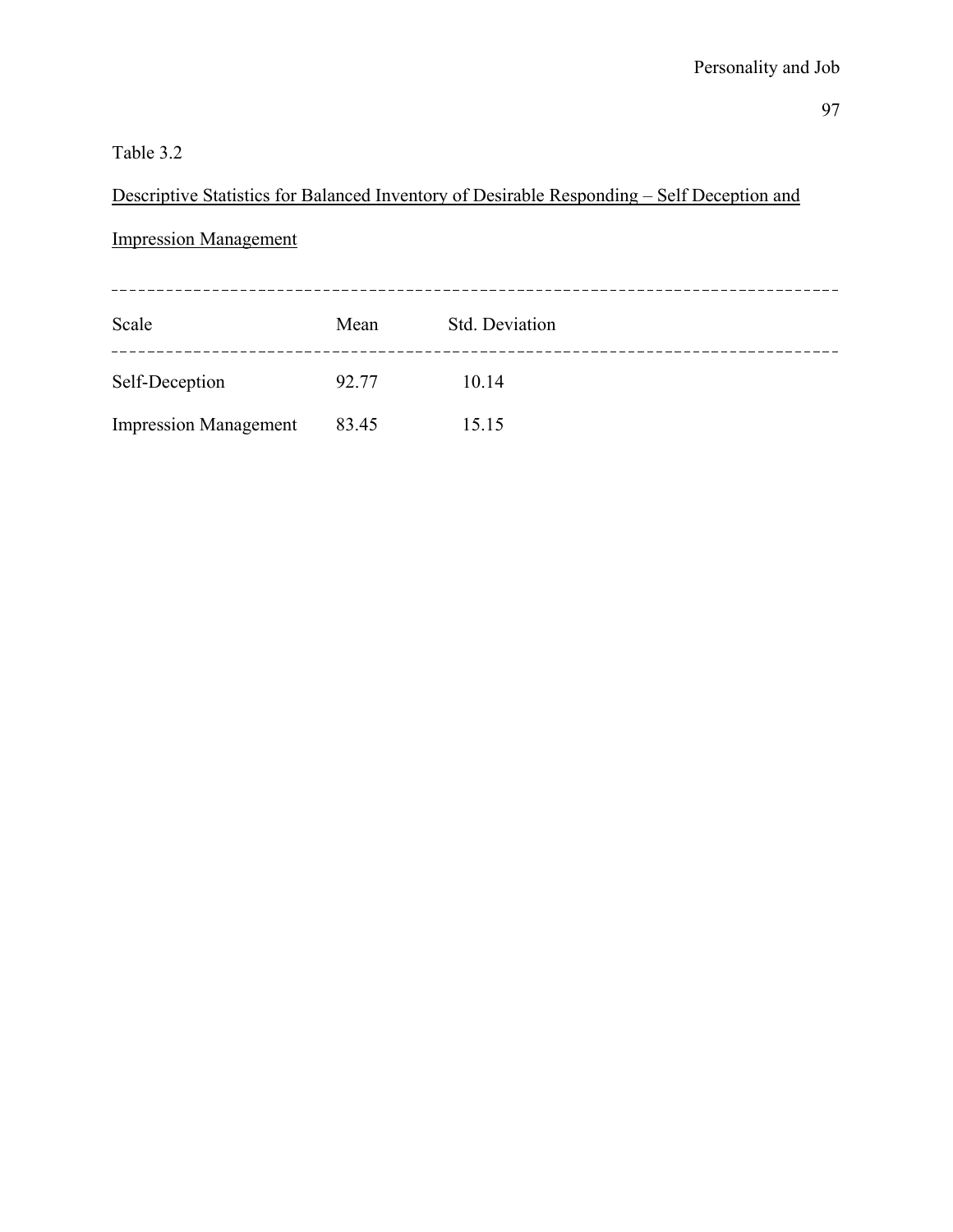### Table 3.2

# Descriptive Statistics for Balanced Inventory of Desirable Responding – Self Deception and

### Impression Management

| Scale                        | Mean  | Std. Deviation |  |
|------------------------------|-------|----------------|--|
| Self-Deception               | 92.77 | 10.14          |  |
| <b>Impression Management</b> | 83.45 | 15.15          |  |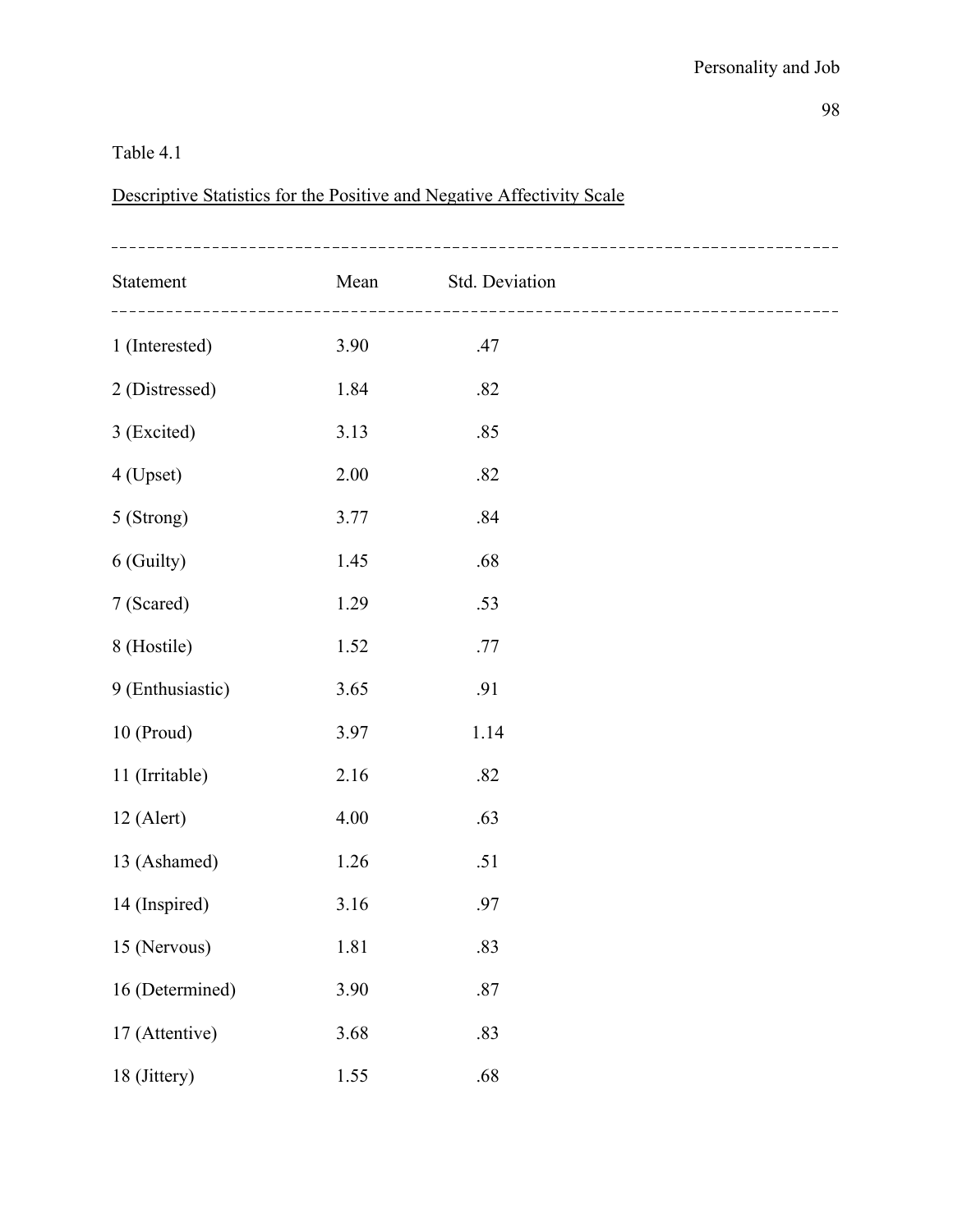#### Table 4.1

Descriptive Statistics for the Positive and Negative Affectivity Scale

| Statement        | Mean     | Std. Deviation | ----------------------------- |
|------------------|----------|----------------|-------------------------------|
| 1 (Interested)   | 3.90     | .47            |                               |
| 2 (Distressed)   | 1.84     | .82            |                               |
| 3 (Excited)      | 3.13     | .85            |                               |
| 4 (Upset)        | 2.00     | .82            |                               |
| 5 (Strong)       | 3.77     | .84            |                               |
| 6 (Guilty)       | 1.45     | .68            |                               |
| 7 (Scared)       | 1.29     | .53            |                               |
| 8 (Hostile)      | 1.52     | .77            |                               |
| 9 (Enthusiastic) | 3.65     | .91            |                               |
| 10 (Proud)       | 3.97     | 1.14           |                               |
| 11 (Irritable)   | 2.16     | .82            |                               |
| $12$ (Alert)     | 4.00     | .63            |                               |
| 13 (Ashamed)     | 1.26     | .51            |                               |
| 14 (Inspired)    | 3.16     | .97            |                               |
| 15 (Nervous)     | $1.81\,$ | .83            |                               |
| 16 (Determined)  | 3.90     | $.87\,$        |                               |
| 17 (Attentive)   | 3.68     | .83            |                               |
| 18 (Jittery)     | 1.55     | .68            |                               |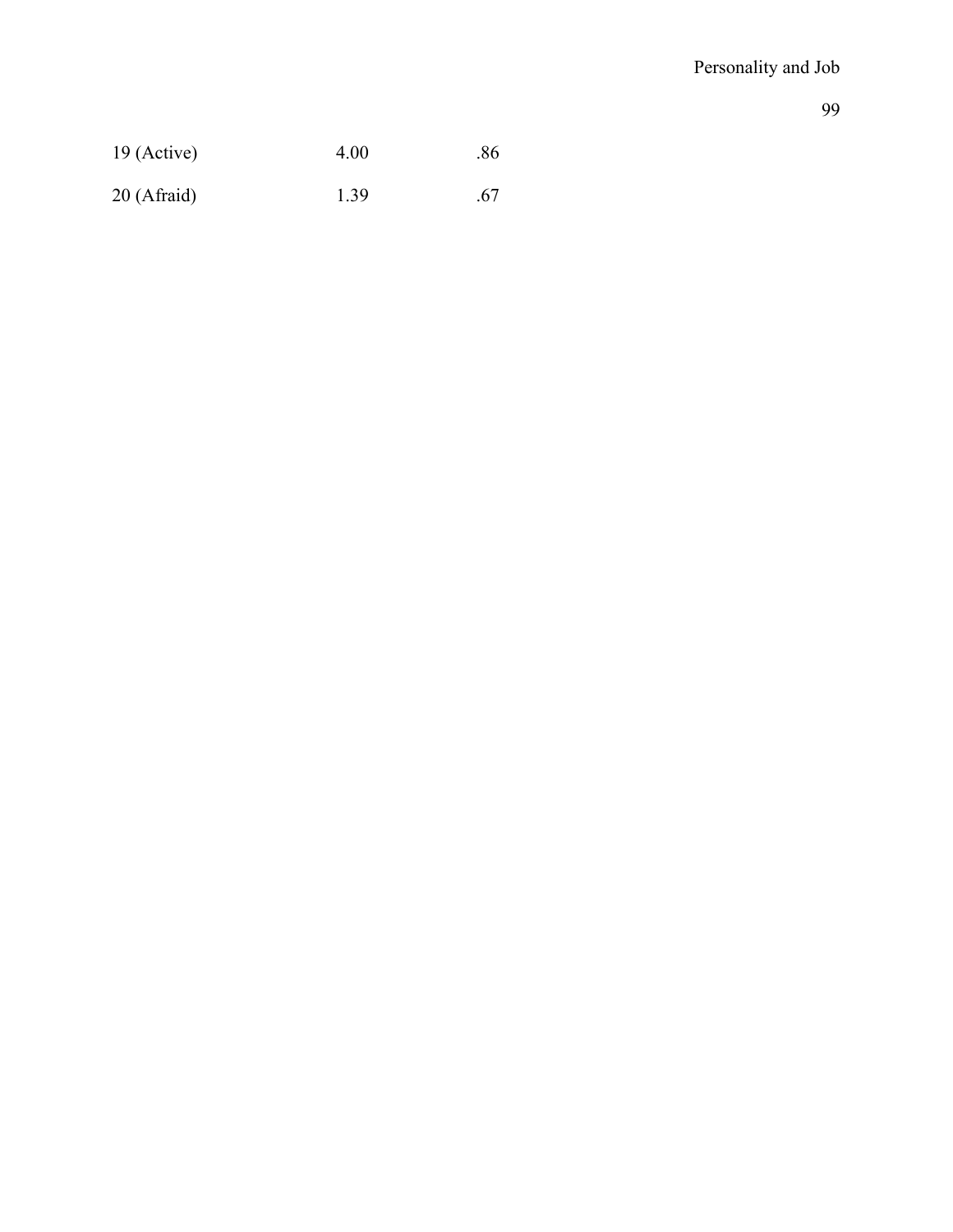| $19$ (Active) | 4.00 | .86 |
|---------------|------|-----|
| 20 (Afraid)   | 1.39 | .67 |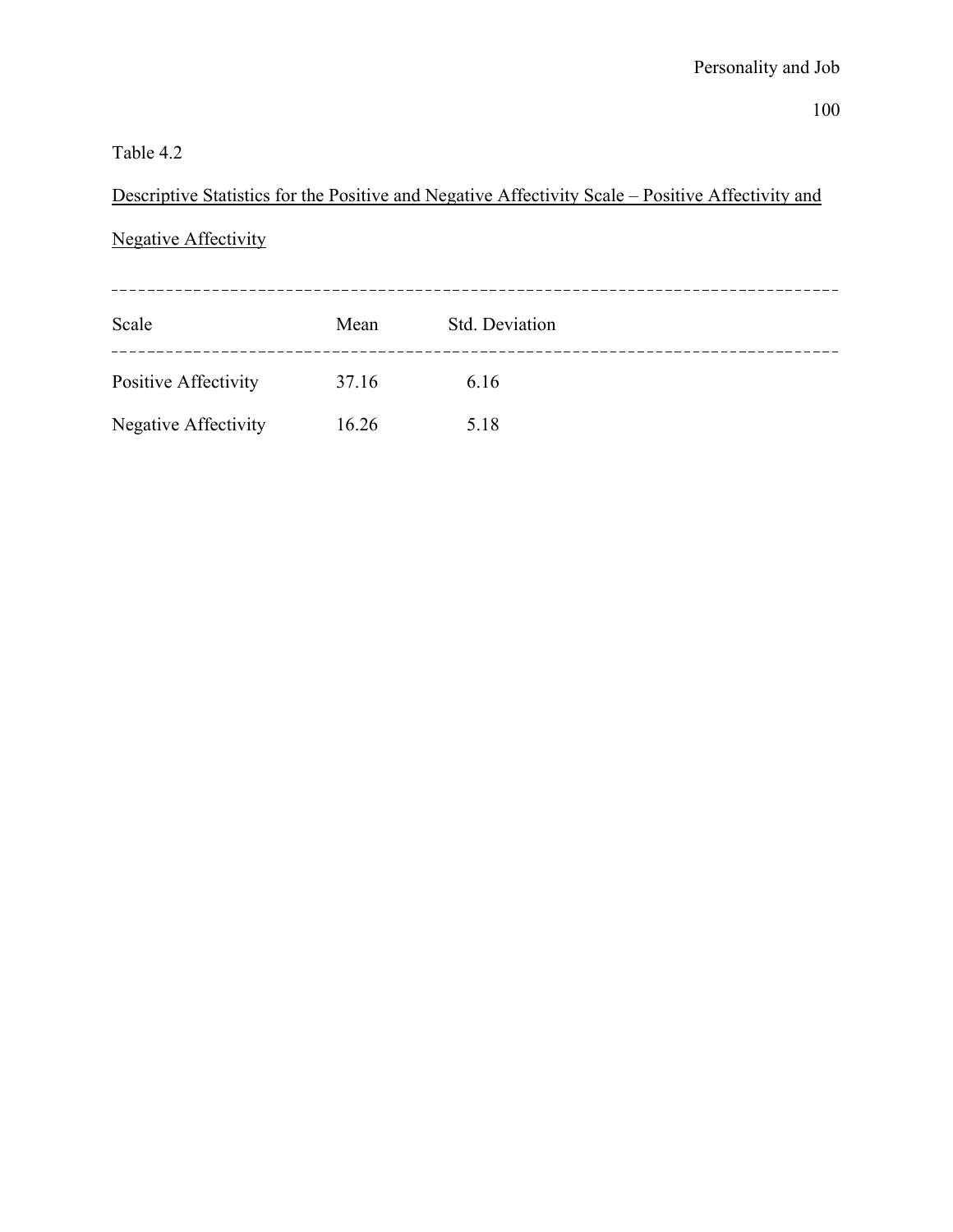### Table 4.2

Descriptive Statistics for the Positive and Negative Affectivity Scale – Positive Affectivity and

## Negative Affectivity

| Scale                | Mean  | Std. Deviation |  |
|----------------------|-------|----------------|--|
| Positive Affectivity | 37.16 | 6.16           |  |
| Negative Affectivity | 16.26 | 5.18           |  |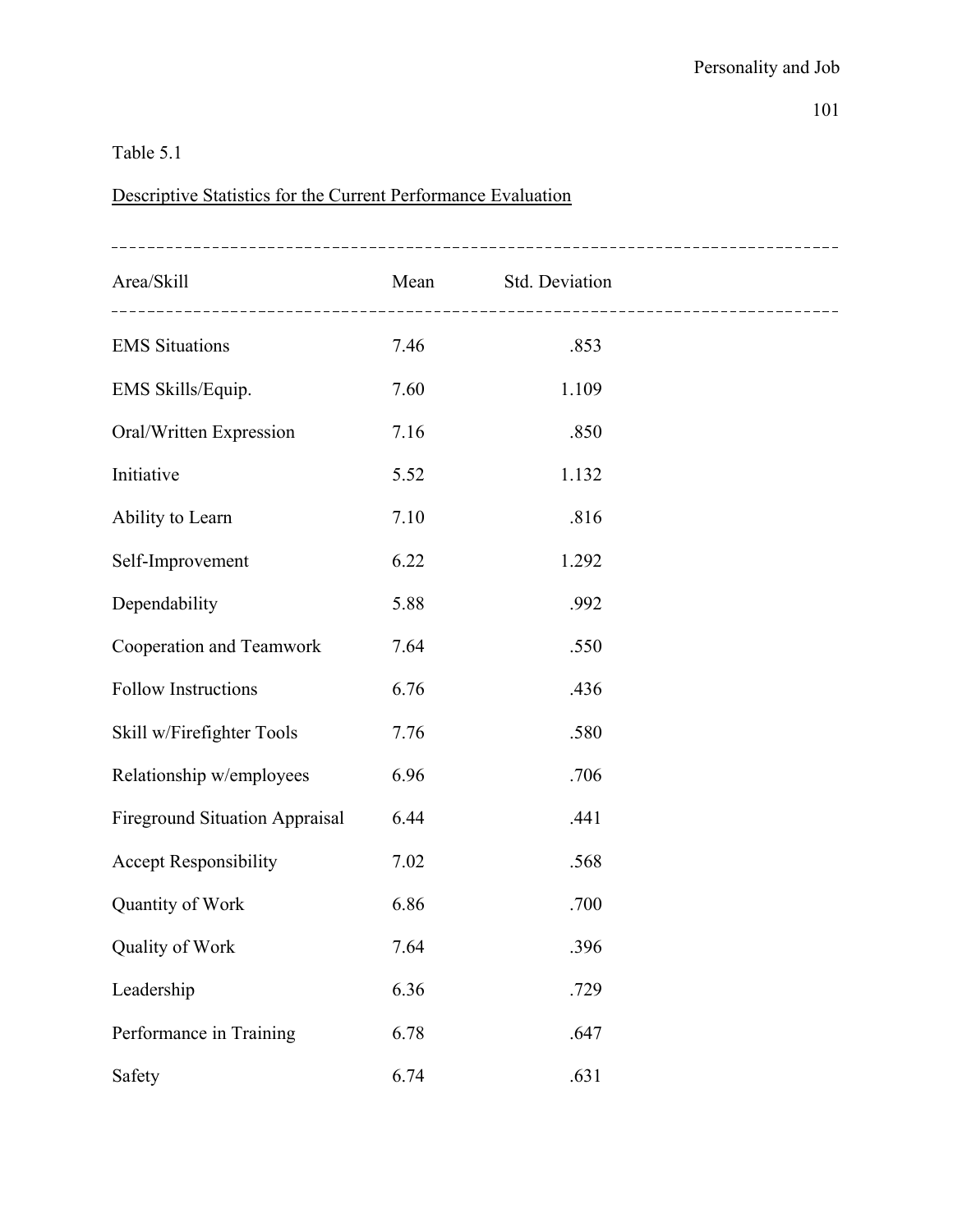### Table 5.1

## Descriptive Statistics for the Current Performance Evaluation

| Area/Skill                            | Mean | Std. Deviation | ------------------------------- |
|---------------------------------------|------|----------------|---------------------------------|
| <b>EMS</b> Situations                 | 7.46 | .853           |                                 |
| EMS Skills/Equip.                     | 7.60 | 1.109          |                                 |
| Oral/Written Expression               | 7.16 | .850           |                                 |
| Initiative                            | 5.52 | 1.132          |                                 |
| Ability to Learn                      | 7.10 | .816           |                                 |
| Self-Improvement                      | 6.22 | 1.292          |                                 |
| Dependability                         | 5.88 | .992           |                                 |
| Cooperation and Teamwork              | 7.64 | .550           |                                 |
| <b>Follow Instructions</b>            | 6.76 | .436           |                                 |
| Skill w/Firefighter Tools             | 7.76 | .580           |                                 |
| Relationship w/employees              | 6.96 | .706           |                                 |
| <b>Fireground Situation Appraisal</b> | 6.44 | .441           |                                 |
| <b>Accept Responsibility</b>          | 7.02 | .568           |                                 |
| Quantity of Work                      | 6.86 | .700           |                                 |
| Quality of Work                       | 7.64 | .396           |                                 |
| Leadership                            | 6.36 | .729           |                                 |
| Performance in Training               | 6.78 | .647           |                                 |
| Safety                                | 6.74 | .631           |                                 |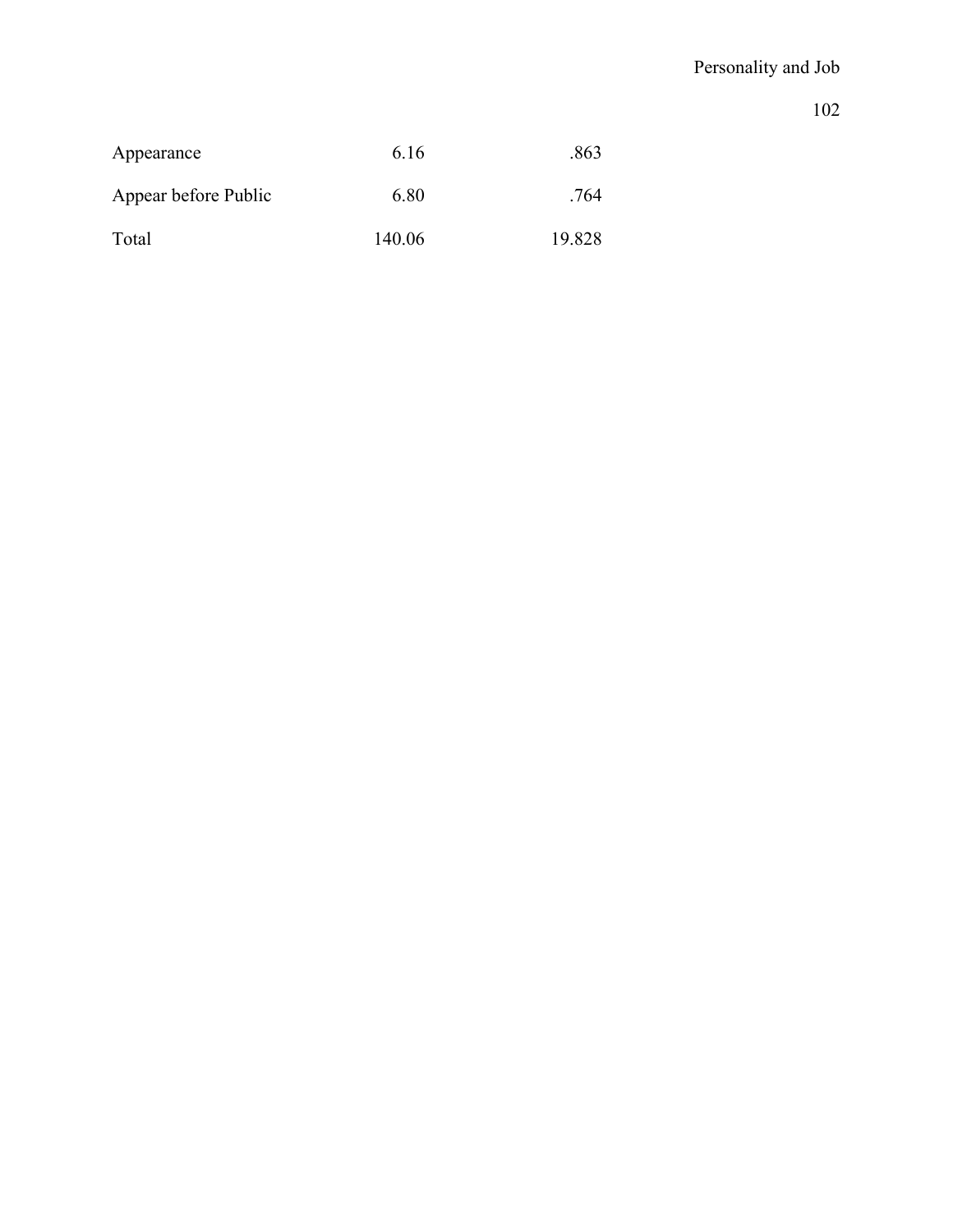| Appearance           | 6 16   | .863   |
|----------------------|--------|--------|
| Appear before Public | 6.80   | .764   |
| Total                | 140.06 | 19.828 |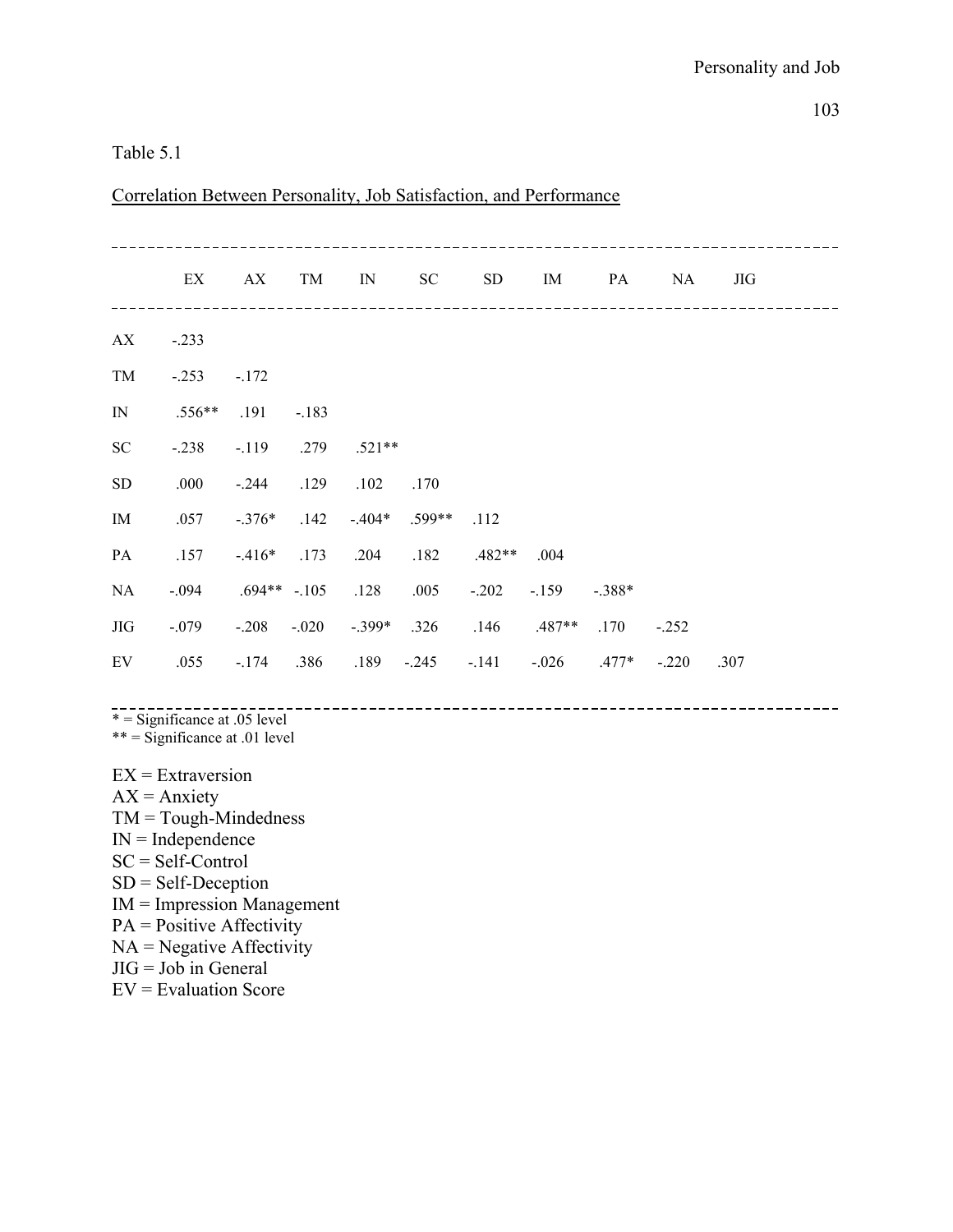#### Table 5.1

|              | ΕX       | AX            | TM      | IN       | SC       | SD       | IM       | PA       | NA      | JIG  |  |
|--------------|----------|---------------|---------|----------|----------|----------|----------|----------|---------|------|--|
| AX           | $-.233$  |               |         |          |          |          |          |          |         |      |  |
| TM           | $-.253$  | $-.172$       |         |          |          |          |          |          |         |      |  |
| $\mathbb{N}$ | $.556**$ | .191          | $-.183$ |          |          |          |          |          |         |      |  |
| SC           | $-.238$  | $-119$        | .279    | $.521**$ |          |          |          |          |         |      |  |
| ${\rm SD}$   | .000     | $-.244$       | .129    | .102     | .170     |          |          |          |         |      |  |
| IM           | .057     | $-.376*$      | .142    | $-404*$  | $.599**$ | .112     |          |          |         |      |  |
| PA           | .157     | $-416*$       | .173    | .204     | .182     | $.482**$ | .004     |          |         |      |  |
| NA           | $-.094$  | $.694**-.105$ |         | .128     | .005     | $-.202$  | $-159$   | $-.388*$ |         |      |  |
| JIG          | $-.079$  | $-.208$       | $-.020$ | $-.399*$ | .326     | .146     | $.487**$ | .170     | $-.252$ |      |  |
| EV           | .055     | $-174$        | .386    | .189     | $-.245$  | $-.141$  | $-.026$  | .477*    | $-.220$ | .307 |  |

Correlation Between Personality, Job Satisfaction, and Performance

 $\overline{a}$ \* = Significance at .05 level

 $*** =$  Significance at .01 level

 $EX =$ Extraversion  $AX =$  Anxiety  $TM = Tough-Mindedness$  $IN = Independence$ SC = Self-Control SD = Self-Deception IM = Impression Management PA = Positive Affectivity  $NA = Negative$  Affectivity  $JIG = Job$  in General EV = Evaluation Score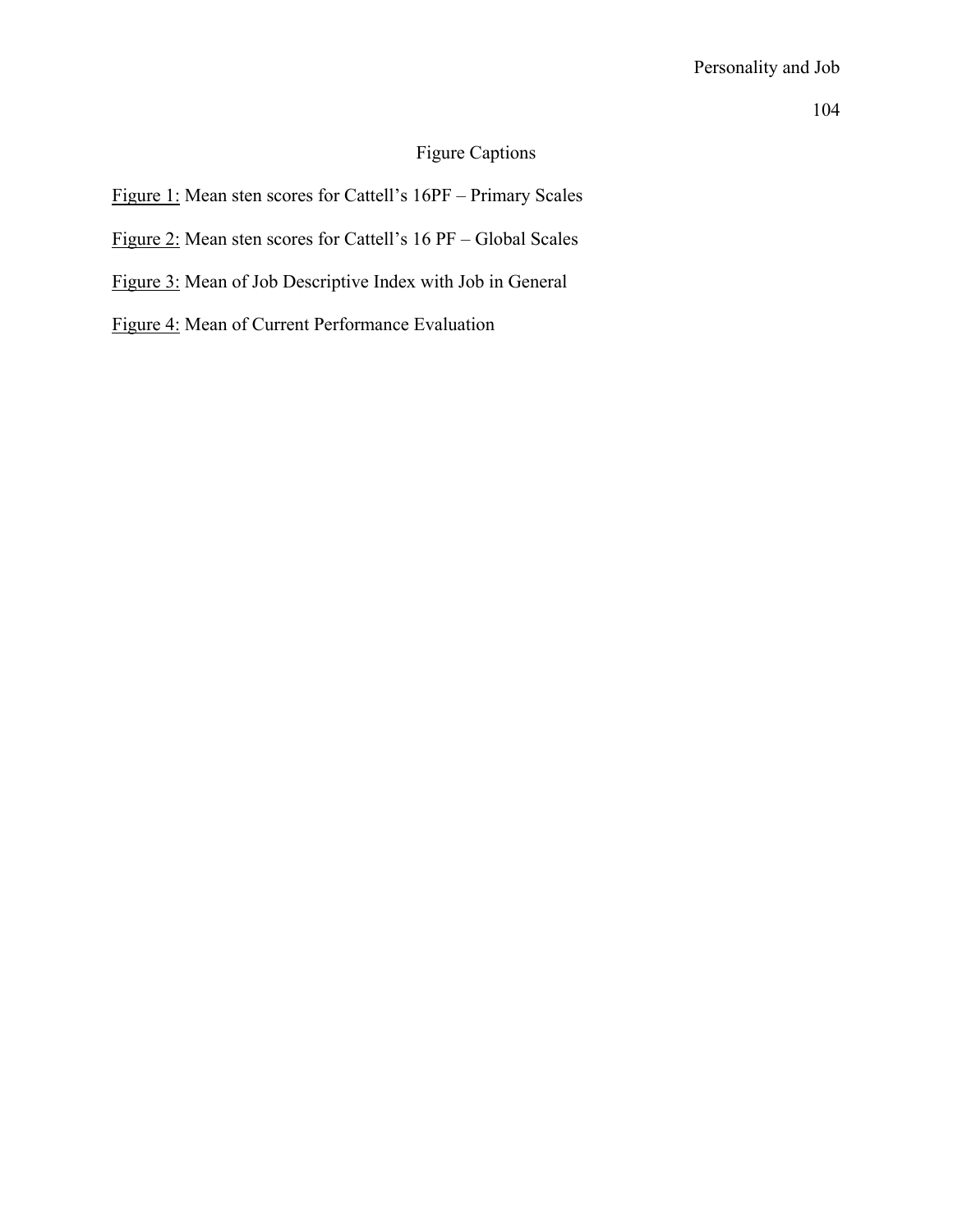### Figure Captions

Figure 1: Mean sten scores for Cattell's 16PF – Primary Scales

Figure 2: Mean sten scores for Cattell's 16 PF – Global Scales

Figure 3: Mean of Job Descriptive Index with Job in General

Figure 4: Mean of Current Performance Evaluation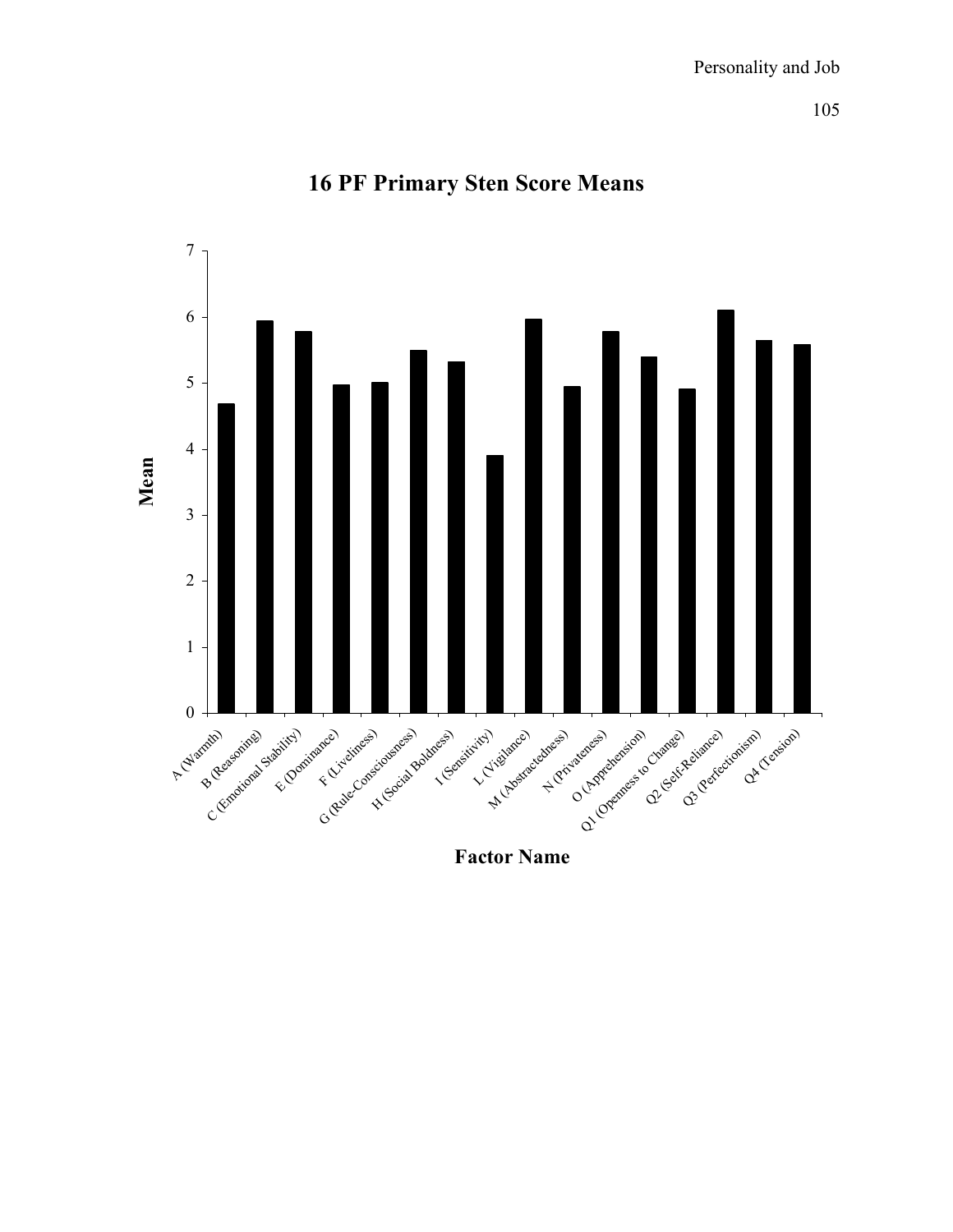

## **16 PF Primary Sten Score Means**

**Factor Name**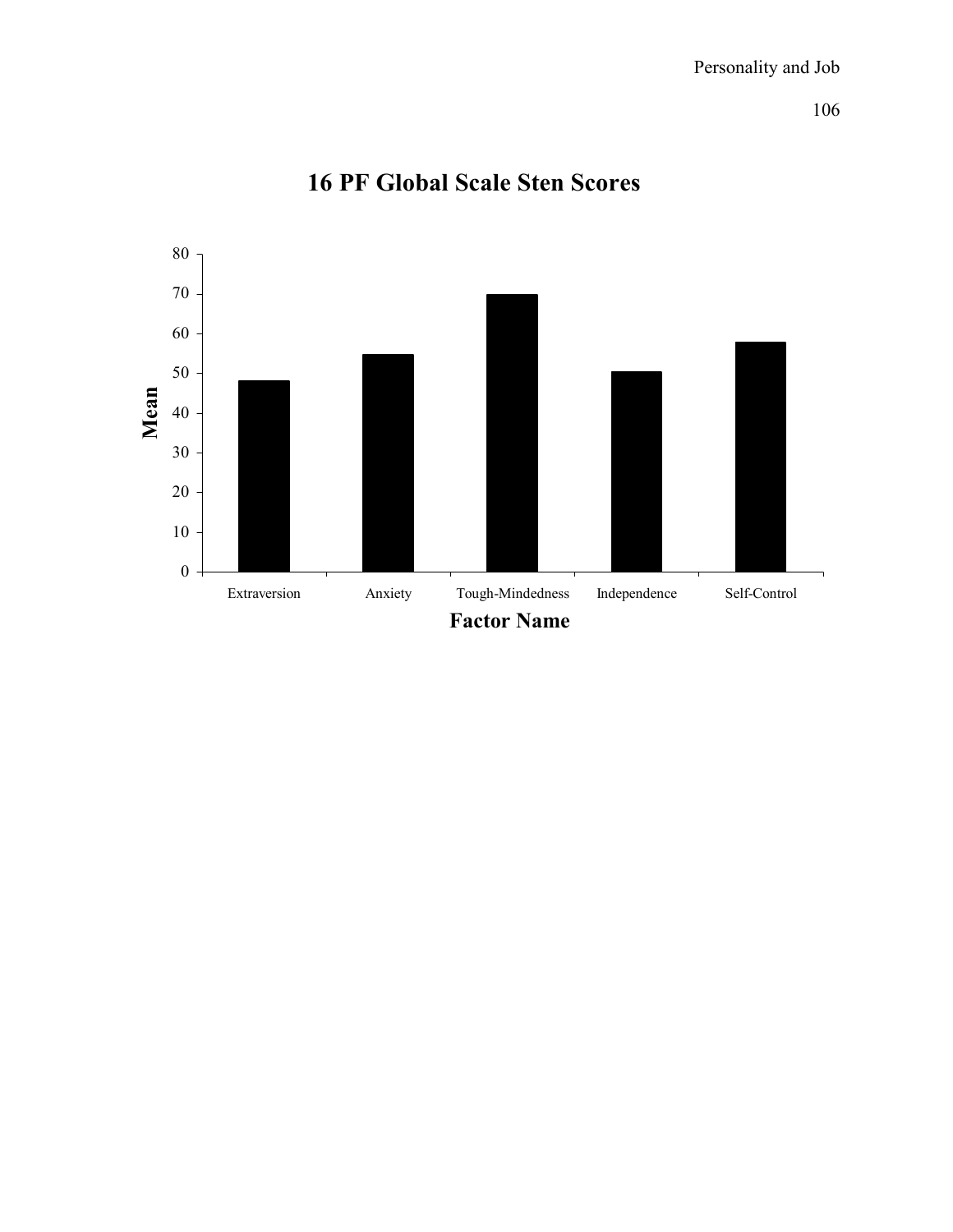

# **16 PF Global Scale Sten Scores**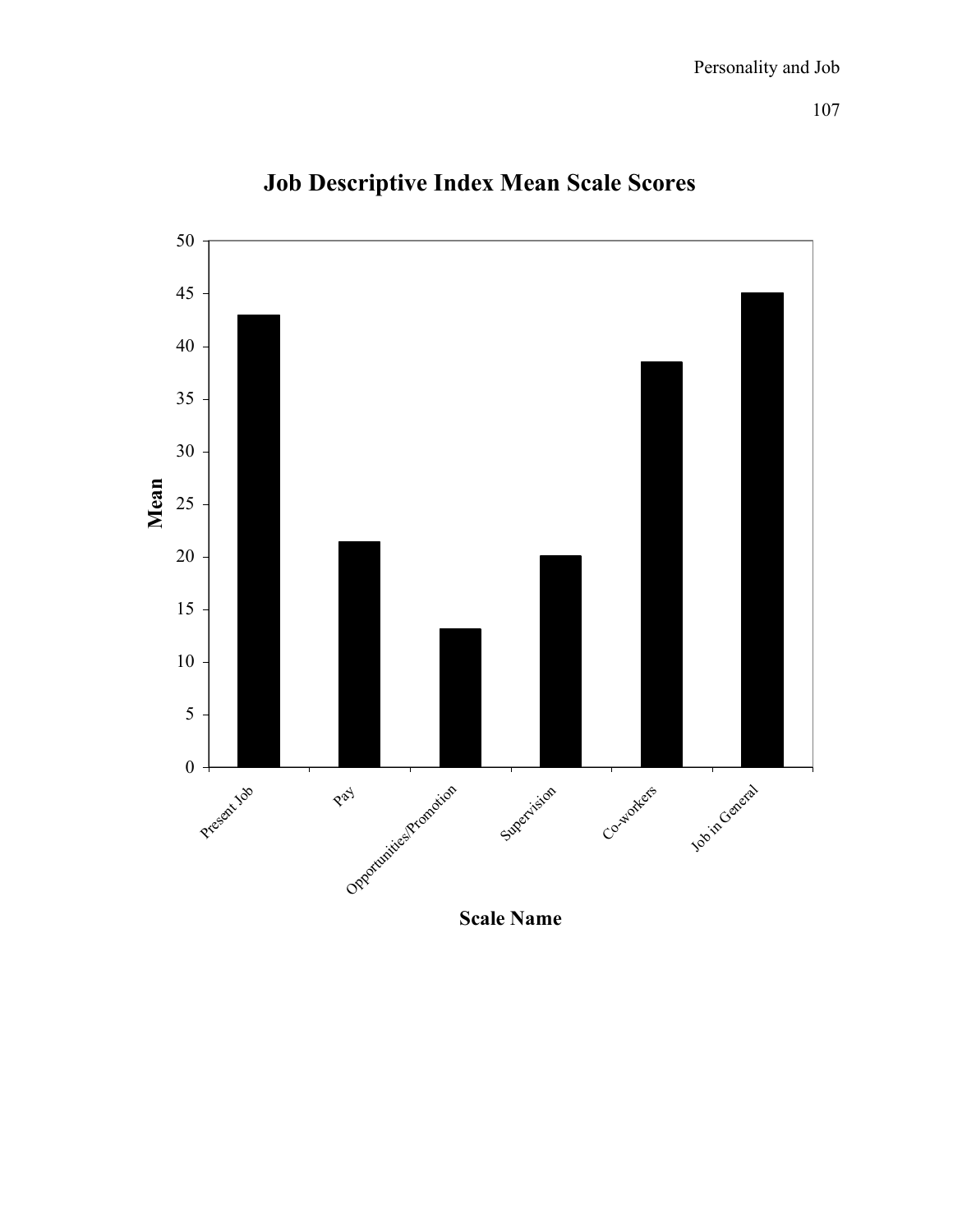

# **Job Descriptive Index Mean Scale Scores**

**Scale Name**